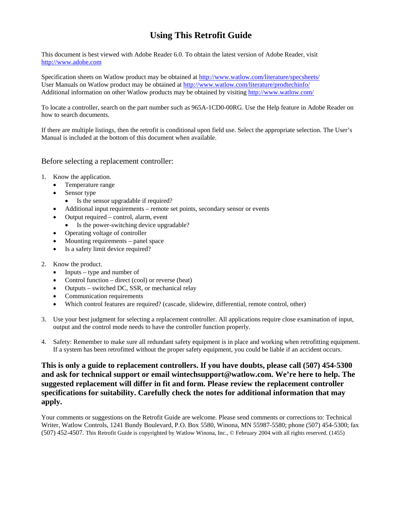## **Using This Retrofit Guide**

This document is best viewed with Adobe Reader 6.0. To obtain the latest version of Adobe Reader, visit [http://www.adobe.com](http://www.adobe.com/)

Specification sheets on Watlow product may be obtained at <http://www.watlow.com/literature/specsheets/> User Manuals on Watlow product may be obtained at <http://www.watlow.com/literature/prodtechinfo/> Additional information on other Watlow products may be obtained by visiting <http://www.watlow.com/>

To locate a controller, search on the part number such as 965A-1CD0-00RG. Use the Help feature in Adobe Reader on how to search documents.

If there are multiple listings, then the retrofit is conditional upon field use. Select the appropriate selection. The User's Manual is included at the bottom of this document when available.

### Before selecting a replacement controller:

- 1. Know the application.
	- Temperature range
	- Sensor type
		- Is the sensor upgradable if required?
	- Additional input requirements remote set points, secondary sensor or events
	- Output required control, alarm, event
	- Is the power-switching device upgradable?
	- Operating voltage of controller
	- Mounting requirements panel space
	- Is a safety limit device required?
- 2. Know the product.
	- Inputs type and number of
	- Control function direct (cool) or reverse (heat)
	- Outputs switched DC, SSR, or mechanical relay
	- Communication requirements
	- Which control features are required? (cascade, slidewire, differential, remote control, other)
- 3. Use your best judgment for selecting a replacement controller. All applications require close examination of input, output and the control mode needs to have the controller function properly.
- 4. Safety: Remember to make sure all redundant safety equipment is in place and working when retrofitting equipment. If a system has been retrofitted without the proper safety equipment, you could be liable if an accident occurs.

**This is only a guide to replacement controllers. If you have doubts, please call (507) 454-5300 and ask for technical support or email wintechsupport@watlow.com. We're here to help. The suggested replacement will differ in fit and form. Please review the replacement controller specifications for suitability. Carefully check the notes for additional information that may apply.**

Your comments or suggestions on the Retrofit Guide are welcome. Please send comments or corrections to: Technical Writer, Watlow Controls, 1241 Bundy Boulevard, P.O. Box 5580, Winona, MN 55987-5580; phone (507) 454-5300; fax (507) 452-4507. This Retrofit Guide is copyrighted by Watlow Winona, Inc., © February 2004 with all rights reserved. (1455)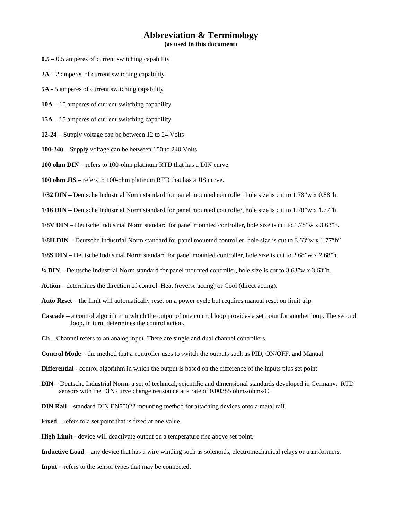### **Abbreviation & Terminology**

**(as used in this document)**

- **0.5** 0.5 amperes of current switching capability
- **2A** 2 amperes of current switching capability
- **5A**  5 amperes of current switching capability
- **10A** 10 amperes of current switching capability
- **15A** 15 amperes of current switching capability
- **12-24** Supply voltage can be between 12 to 24 Volts
- **100-240** Supply voltage can be between 100 to 240 Volts
- **100 ohm DIN** refers to 100-ohm platinum RTD that has a DIN curve.
- **100 ohm JIS** refers to 100-ohm platinum RTD that has a JIS curve.
- **1/32 DIN** Deutsche Industrial Norm standard for panel mounted controller, hole size is cut to 1.78"w x 0.88"h.
- **1/16 DIN** Deutsche Industrial Norm standard for panel mounted controller, hole size is cut to 1.78"w x 1.77"h.
- **1/8V DIN** Deutsche Industrial Norm standard for panel mounted controller, hole size is cut to 1.78"w x 3.63"h.
- **1/8H DIN** Deutsche Industrial Norm standard for panel mounted controller, hole size is cut to 3.63"w x 1.77"h"
- **1/8S DIN** Deutsche Industrial Norm standard for panel mounted controller, hole size is cut to 2.68"w x 2.68"h.
- **¼ DIN** Deutsche Industrial Norm standard for panel mounted controller, hole size is cut to 3.63"w x 3.63"h.
- **Action** determines the direction of control. Heat (reverse acting) or Cool (direct acting).
- **Auto Reset** the limit will automatically reset on a power cycle but requires manual reset on limit trip.
- **Cascade** a control algorithm in which the output of one control loop provides a set point for another loop. The second loop, in turn, determines the control action.
- **Ch** Channel refers to an analog input. There are single and dual channel controllers.
- **Control Mode** the method that a controller uses to switch the outputs such as PID, ON/OFF, and Manual.
- **Differential** control algorithm in which the output is based on the difference of the inputs plus set point.
- **DIN** Deutsche Industrial Norm, a set of technical, scientific and dimensional standards developed in Germany. RTD sensors with the DIN curve change resistance at a rate of 0.00385 ohms/ohms/C.
- **DIN Rail** standard DIN EN50022 mounting method for attaching devices onto a metal rail.
- **Fixed** refers to a set point that is fixed at one value.
- **High Limit** device will deactivate output on a temperature rise above set point.
- **Inductive Load** any device that has a wire winding such as solenoids, electromechanical relays or transformers.
- **Input** refers to the sensor types that may be connected.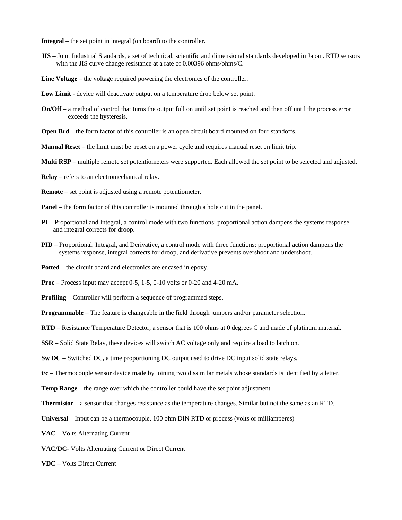**Integral** – the set point in integral (on board) to the controller.

- **JIS** Joint Industrial Standards, a set of technical, scientific and dimensional standards developed in Japan. RTD sensors with the JIS curve change resistance at a rate of 0.00396 ohms/ohms/C.
- **Line Voltage** the voltage required powering the electronics of the controller.
- **Low Limit** device will deactivate output on a temperature drop below set point.
- **On/Off** a method of control that turns the output full on until set point is reached and then off until the process error exceeds the hysteresis.
- **Open Brd** the form factor of this controller is an open circuit board mounted on four standoffs.
- **Manual Reset** the limit must be reset on a power cycle and requires manual reset on limit trip.
- **Multi RSP** multiple remote set potentiometers were supported. Each allowed the set point to be selected and adjusted.
- **Relay** refers to an electromechanical relay.
- **Remote** set point is adjusted using a remote potentiometer.
- **Panel** the form factor of this controller is mounted through a hole cut in the panel.
- **PI** Proportional and Integral, a control mode with two functions: proportional action dampens the systems response, and integral corrects for droop.
- **PID** Proportional, Integral, and Derivative, a control mode with three functions: proportional action dampens the systems response, integral corrects for droop, and derivative prevents overshoot and undershoot.
- **Potted** the circuit board and electronics are encased in epoxy.
- **Proc** Process input may accept 0-5, 1-5, 0-10 volts or 0-20 and 4-20 mA.
- **Profiling** Controller will perform a sequence of programmed steps.
- **Programmable** The feature is changeable in the field through jumpers and/or parameter selection.
- **RTD** Resistance Temperature Detector, a sensor that is 100 ohms at 0 degrees C and made of platinum material.
- **SSR** Solid State Relay, these devices will switch AC voltage only and require a load to latch on.
- **Sw DC** Switched DC, a time proportioning DC output used to drive DC input solid state relays.
- **t/c** Thermocouple sensor device made by joining two dissimilar metals whose standards is identified by a letter.
- **Temp Range** the range over which the controller could have the set point adjustment.
- **Thermistor** a sensor that changes resistance as the temperature changes. Similar but not the same as an RTD.
- **Universal** Input can be a thermocouple, 100 ohm DIN RTD or process (volts or milliamperes)
- **VAC** Volts Alternating Current
- **VAC/DC** Volts Alternating Current or Direct Current
- **VDC** Volts Direct Current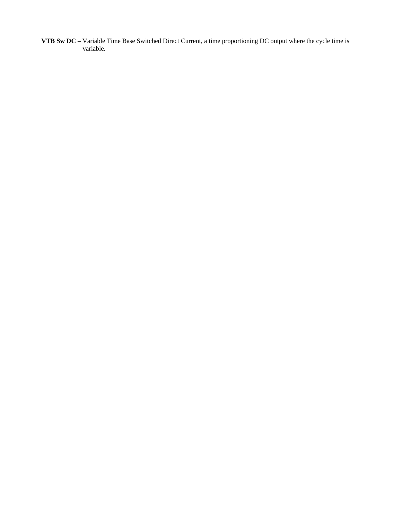**VTB Sw DC** – Variable Time Base Switched Direct Current, a time proportioning DC output where the cycle time is variable.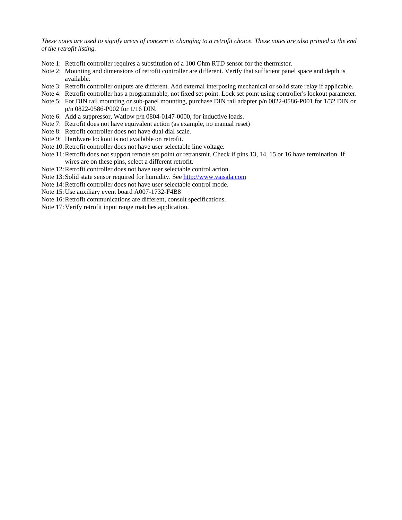*These notes are used to signify areas of concern in changing to a retrofit choice. These notes are also printed at the end of the retrofit listing.*

- Note 1: Retrofit controller requires a substitution of a 100 Ohm RTD sensor for the thermistor.
- Note 2: Mounting and dimensions of retrofit controller are different. Verify that sufficient panel space and depth is available.
- Note 3: Retrofit controller outputs are different. Add external interposing mechanical or solid state relay if applicable.
- Note 4: Retrofit controller has a programmable, not fixed set point. Lock set point using controller's lockout parameter.
- Note 5: For DIN rail mounting or sub-panel mounting, purchase DIN rail adapter p/n 0822-0586-P001 for 1/32 DIN or p/n 0822-0586-P002 for 1/16 DIN.
- Note 6: Add a suppressor, Watlow p/n 0804-0147-0000, for inductive loads.
- Note 7: Retrofit does not have equivalent action (as example, no manual reset)
- Note 8: Retrofit controller does not have dual dial scale.
- Note 9: Hardware lockout is not available on retrofit.
- Note 10:Retrofit controller does not have user selectable line voltage.
- Note 11:Retrofit does not support remote set point or retransmit. Check if pins 13, 14, 15 or 16 have termination. If wires are on these pins, select a different retrofit.
- Note 12:Retrofit controller does not have user selectable control action.
- Note 13:Solid state sensor required for humidity. See [http://www.vaisala.com](http://www.vaisala.com/)
- Note 14:Retrofit controller does not have user selectable control mode.
- Note 15:Use auxiliary event board A007-1732-F4B8
- Note 16: Retrofit communications are different, consult specifications.
- Note 17:Verify retrofit input range matches application.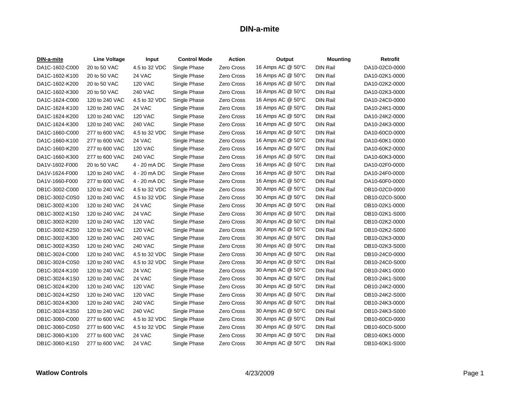| DIN-a-mite     | Line Voltage   | Input          | <b>Control Mode</b> | <b>Action</b>     | Output            | <b>Mounting</b> | Retrofit       |
|----------------|----------------|----------------|---------------------|-------------------|-------------------|-----------------|----------------|
| DA1C-1602-C000 | 20 to 50 VAC   | 4.5 to 32 VDC  | Single Phase        | Zero Cross        | 16 Amps AC @ 50°C | <b>DIN Rail</b> | DA10-02C0-0000 |
| DA1C-1602-K100 | 20 to 50 VAC   | 24 VAC         | Single Phase        | Zero Cross        | 16 Amps AC @ 50°C | <b>DIN Rail</b> | DA10-02K1-0000 |
| DA1C-1602-K200 | 20 to 50 VAC   | <b>120 VAC</b> | Single Phase        | Zero Cross        | 16 Amps AC @ 50°C | <b>DIN Rail</b> | DA10-02K2-0000 |
| DA1C-1602-K300 | 20 to 50 VAC   | <b>240 VAC</b> | Single Phase        | Zero Cross        | 16 Amps AC @ 50°C | <b>DIN Rail</b> | DA10-02K3-0000 |
| DA1C-1624-C000 | 120 to 240 VAC | 4.5 to 32 VDC  | Single Phase        | Zero Cross        | 16 Amps AC @ 50°C | <b>DIN Rail</b> | DA10-24C0-0000 |
| DA1C-1624-K100 | 120 to 240 VAC | 24 VAC         | Single Phase        | Zero Cross        | 16 Amps AC @ 50°C | <b>DIN Rail</b> | DA10-24K1-0000 |
| DA1C-1624-K200 | 120 to 240 VAC | <b>120 VAC</b> | Single Phase        | Zero Cross        | 16 Amps AC @ 50°C | <b>DIN Rail</b> | DA10-24K2-0000 |
| DA1C-1624-K300 | 120 to 240 VAC | <b>240 VAC</b> | Single Phase        | <b>Zero Cross</b> | 16 Amps AC @ 50°C | <b>DIN Rail</b> | DA10-24K3-0000 |
| DA1C-1660-C000 | 277 to 600 VAC | 4.5 to 32 VDC  | Single Phase        | Zero Cross        | 16 Amps AC @ 50°C | <b>DIN Rail</b> | DA10-60C0-0000 |
| DA1C-1660-K100 | 277 to 600 VAC | 24 VAC         | Single Phase        | Zero Cross        | 16 Amps AC @ 50°C | <b>DIN Rail</b> | DA10-60K1-0000 |
| DA1C-1660-K200 | 277 to 600 VAC | <b>120 VAC</b> | Single Phase        | Zero Cross        | 16 Amps AC @ 50°C | <b>DIN Rail</b> | DA10-60K2-0000 |
| DA1C-1660-K300 | 277 to 600 VAC | <b>240 VAC</b> | Single Phase        | Zero Cross        | 16 Amps AC @ 50°C | <b>DIN Rail</b> | DA10-60K3-0000 |
| DA1V-1602-F000 | 20 to 50 VAC   | 4 - 20 mA DC   | Single Phase        | Zero Cross        | 16 Amps AC @ 50°C | <b>DIN Rail</b> | DA10-02F0-0000 |
| DA1V-1624-F000 | 120 to 240 VAC | 4 - 20 mA DC   | Single Phase        | Zero Cross        | 16 Amps AC @ 50°C | <b>DIN Rail</b> | DA10-24F0-0000 |
| DA1V-1660-F000 | 277 to 600 VAC | 4 - 20 mA DC   | Single Phase        | Zero Cross        | 16 Amps AC @ 50°C | <b>DIN Rail</b> | DA10-60F0-0000 |
| DB1C-3002-C000 | 120 to 240 VAC | 4.5 to 32 VDC  | Single Phase        | Zero Cross        | 30 Amps AC @ 50°C | <b>DIN Rail</b> | DB10-02C0-0000 |
| DB1C-3002-C0S0 | 120 to 240 VAC | 4.5 to 32 VDC  | Single Phase        | Zero Cross        | 30 Amps AC @ 50°C | <b>DIN Rail</b> | DB10-02C0-S000 |
| DB1C-3002-K100 | 120 to 240 VAC | 24 VAC         | Single Phase        | Zero Cross        | 30 Amps AC @ 50°C | <b>DIN Rail</b> | DB10-02K1-0000 |
| DB1C-3002-K1S0 | 120 to 240 VAC | 24 VAC         | Single Phase        | Zero Cross        | 30 Amps AC @ 50°C | <b>DIN Rail</b> | DB10-02K1-S000 |
| DB1C-3002-K200 | 120 to 240 VAC | <b>120 VAC</b> | Single Phase        | Zero Cross        | 30 Amps AC @ 50°C | <b>DIN Rail</b> | DB10-02K2-0000 |
| DB1C-3002-K2S0 | 120 to 240 VAC | <b>120 VAC</b> | Single Phase        | <b>Zero Cross</b> | 30 Amps AC @ 50°C | <b>DIN Rail</b> | DB10-02K2-S000 |
| DB1C-3002-K300 | 120 to 240 VAC | <b>240 VAC</b> | Single Phase        | Zero Cross        | 30 Amps AC @ 50°C | <b>DIN Rail</b> | DB10-02K3-0000 |
| DB1C-3002-K3S0 | 120 to 240 VAC | <b>240 VAC</b> | Single Phase        | Zero Cross        | 30 Amps AC @ 50°C | <b>DIN Rail</b> | DB10-02K3-S000 |
| DB1C-3024-C000 | 120 to 240 VAC | 4.5 to 32 VDC  | Single Phase        | Zero Cross        | 30 Amps AC @ 50°C | <b>DIN Rail</b> | DB10-24C0-0000 |
| DB1C-3024-C0S0 | 120 to 240 VAC | 4.5 to 32 VDC  | Single Phase        | Zero Cross        | 30 Amps AC @ 50°C | <b>DIN Rail</b> | DB10-24C0-S000 |
| DB1C-3024-K100 | 120 to 240 VAC | 24 VAC         | Single Phase        | Zero Cross        | 30 Amps AC @ 50°C | <b>DIN Rail</b> | DB10-24K1-0000 |
| DB1C-3024-K1S0 | 120 to 240 VAC | 24 VAC         | Single Phase        | Zero Cross        | 30 Amps AC @ 50°C | <b>DIN Rail</b> | DB10-24K1-S000 |
| DB1C-3024-K200 | 120 to 240 VAC | <b>120 VAC</b> | Single Phase        | Zero Cross        | 30 Amps AC @ 50°C | <b>DIN Rail</b> | DB10-24K2-0000 |
| DB1C-3024-K2S0 | 120 to 240 VAC | <b>120 VAC</b> | Single Phase        | Zero Cross        | 30 Amps AC @ 50°C | <b>DIN Rail</b> | DB10-24K2-S000 |
| DB1C-3024-K300 | 120 to 240 VAC | <b>240 VAC</b> | Single Phase        | Zero Cross        | 30 Amps AC @ 50°C | <b>DIN Rail</b> | DB10-24K3-0000 |
| DB1C-3024-K3S0 | 120 to 240 VAC | <b>240 VAC</b> | Single Phase        | Zero Cross        | 30 Amps AC @ 50°C | <b>DIN Rail</b> | DB10-24K3-S000 |
| DB1C-3060-C000 | 277 to 600 VAC | 4.5 to 32 VDC  | Single Phase        | Zero Cross        | 30 Amps AC @ 50°C | <b>DIN Rail</b> | DB10-60C0-0000 |
| DB1C-3060-C0S0 | 277 to 600 VAC | 4.5 to 32 VDC  | Single Phase        | Zero Cross        | 30 Amps AC @ 50°C | <b>DIN Rail</b> | DB10-60C0-S000 |
| DB1C-3060-K100 | 277 to 600 VAC | 24 VAC         | Single Phase        | Zero Cross        | 30 Amps AC @ 50°C | <b>DIN Rail</b> | DB10-60K1-0000 |
| DB1C-3060-K1S0 | 277 to 600 VAC | 24 VAC         | Single Phase        | Zero Cross        | 30 Amps AC @ 50°C | DIN Rail        | DB10-60K1-S000 |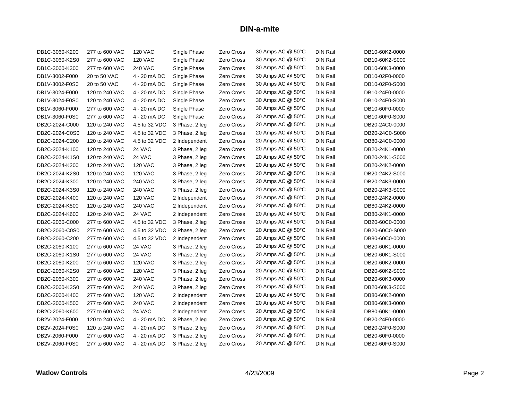| DB1C-3060-K200 | 277 to 600 VAC | <b>120 VAC</b> | Single Phase   | Zero Cross | 30 Amps AC @ 50°C | DIN Rail        | DB10-60K2-0000 |
|----------------|----------------|----------------|----------------|------------|-------------------|-----------------|----------------|
| DB1C-3060-K2S0 | 277 to 600 VAC | <b>120 VAC</b> | Single Phase   | Zero Cross | 30 Amps AC @ 50°C | <b>DIN Rail</b> | DB10-60K2-S000 |
| DB1C-3060-K300 | 277 to 600 VAC | <b>240 VAC</b> | Single Phase   | Zero Cross | 30 Amps AC @ 50°C | <b>DIN Rail</b> | DB10-60K3-0000 |
| DB1V-3002-F000 | 20 to 50 VAC   | 4 - 20 mA DC   | Single Phase   | Zero Cross | 30 Amps AC @ 50°C | <b>DIN Rail</b> | DB10-02F0-0000 |
| DB1V-3002-F0S0 | 20 to 50 VAC   | 4 - 20 mA DC   | Single Phase   | Zero Cross | 30 Amps AC @ 50°C | <b>DIN Rail</b> | DB10-02F0-S000 |
| DB1V-3024-F000 | 120 to 240 VAC | 4 - 20 mA DC   | Single Phase   | Zero Cross | 30 Amps AC @ 50°C | DIN Rail        | DB10-24F0-0000 |
| DB1V-3024-F0S0 | 120 to 240 VAC | 4 - 20 mA DC   | Single Phase   | Zero Cross | 30 Amps AC @ 50°C | <b>DIN Rail</b> | DB10-24F0-S000 |
| DB1V-3060-F000 | 277 to 600 VAC | 4 - 20 mA DC   | Single Phase   | Zero Cross | 30 Amps AC @ 50°C | <b>DIN Rail</b> | DB10-60F0-0000 |
| DB1V-3060-F0S0 | 277 to 600 VAC | 4 - 20 mA DC   | Single Phase   | Zero Cross | 30 Amps AC @ 50°C | <b>DIN Rail</b> | DB10-60F0-S000 |
| DB2C-2024-C000 | 120 to 240 VAC | 4.5 to 32 VDC  | 3 Phase, 2 leg | Zero Cross | 20 Amps AC @ 50°C | <b>DIN Rail</b> | DB20-24C0-0000 |
| DB2C-2024-C0S0 | 120 to 240 VAC | 4.5 to 32 VDC  | 3 Phase, 2 leg | Zero Cross | 20 Amps AC @ 50°C | <b>DIN Rail</b> | DB20-24C0-S000 |
| DB2C-2024-C200 | 120 to 240 VAC | 4.5 to 32 VDC  | 2 Independent  | Zero Cross | 20 Amps AC @ 50°C | <b>DIN Rail</b> | DB80-24C0-0000 |
| DB2C-2024-K100 | 120 to 240 VAC | 24 VAC         | 3 Phase, 2 leg | Zero Cross | 20 Amps AC @ 50°C | <b>DIN Rail</b> | DB20-24K1-0000 |
| DB2C-2024-K1S0 | 120 to 240 VAC | 24 VAC         | 3 Phase, 2 leg | Zero Cross | 20 Amps AC @ 50°C | <b>DIN Rail</b> | DB20-24K1-S000 |
| DB2C-2024-K200 | 120 to 240 VAC | <b>120 VAC</b> | 3 Phase, 2 leg | Zero Cross | 20 Amps AC @ 50°C | <b>DIN Rail</b> | DB20-24K2-0000 |
| DB2C-2024-K2S0 | 120 to 240 VAC | <b>120 VAC</b> | 3 Phase, 2 leg | Zero Cross | 20 Amps AC @ 50°C | DIN Rail        | DB20-24K2-S000 |
| DB2C-2024-K300 | 120 to 240 VAC | <b>240 VAC</b> | 3 Phase, 2 leg | Zero Cross | 20 Amps AC @ 50°C | <b>DIN Rail</b> | DB20-24K3-0000 |
| DB2C-2024-K3S0 | 120 to 240 VAC | <b>240 VAC</b> | 3 Phase, 2 leg | Zero Cross | 20 Amps AC @ 50°C | <b>DIN Rail</b> | DB20-24K3-S000 |
| DB2C-2024-K400 | 120 to 240 VAC | <b>120 VAC</b> | 2 Independent  | Zero Cross | 20 Amps AC @ 50°C | <b>DIN Rail</b> | DB80-24K2-0000 |
| DB2C-2024-K500 | 120 to 240 VAC | <b>240 VAC</b> | 2 Independent  | Zero Cross | 20 Amps AC @ 50°C | <b>DIN Rail</b> | DB80-24K2-0000 |
| DB2C-2024-K600 | 120 to 240 VAC | 24 VAC         | 2 Independent  | Zero Cross | 20 Amps AC @ 50°C | <b>DIN Rail</b> | DB80-24K1-0000 |
| DB2C-2060-C000 | 277 to 600 VAC | 4.5 to 32 VDC  | 3 Phase, 2 leg | Zero Cross | 20 Amps AC @ 50°C | <b>DIN Rail</b> | DB20-60C0-0000 |
| DB2C-2060-C0S0 | 277 to 600 VAC | 4.5 to 32 VDC  | 3 Phase, 2 leg | Zero Cross | 20 Amps AC @ 50°C | <b>DIN Rail</b> | DB20-60C0-S000 |
| DB2C-2060-C200 | 277 to 600 VAC | 4.5 to 32 VDC  | 2 Independent  | Zero Cross | 20 Amps AC @ 50°C | <b>DIN Rail</b> | DB80-60C0-0000 |
| DB2C-2060-K100 | 277 to 600 VAC | 24 VAC         | 3 Phase, 2 leg | Zero Cross | 20 Amps AC @ 50°C | <b>DIN Rail</b> | DB20-60K1-0000 |
| DB2C-2060-K1S0 | 277 to 600 VAC | 24 VAC         | 3 Phase, 2 leg | Zero Cross | 20 Amps AC @ 50°C | DIN Rail        | DB20-60K1-S000 |
| DB2C-2060-K200 | 277 to 600 VAC | <b>120 VAC</b> | 3 Phase, 2 leg | Zero Cross | 20 Amps AC @ 50°C | <b>DIN Rail</b> | DB20-60K2-0000 |
| DB2C-2060-K2S0 | 277 to 600 VAC | <b>120 VAC</b> | 3 Phase, 2 leg | Zero Cross | 20 Amps AC @ 50°C | DIN Rail        | DB20-60K2-S000 |
| DB2C-2060-K300 | 277 to 600 VAC | <b>240 VAC</b> | 3 Phase, 2 leg | Zero Cross | 20 Amps AC @ 50°C | <b>DIN Rail</b> | DB20-60K3-0000 |
| DB2C-2060-K3S0 | 277 to 600 VAC | <b>240 VAC</b> | 3 Phase, 2 leg | Zero Cross | 20 Amps AC @ 50°C | <b>DIN Rail</b> | DB20-60K3-S000 |
| DB2C-2060-K400 | 277 to 600 VAC | <b>120 VAC</b> | 2 Independent  | Zero Cross | 20 Amps AC @ 50°C | DIN Rail        | DB80-60K2-0000 |
| DB2C-2060-K500 | 277 to 600 VAC | <b>240 VAC</b> | 2 Independent  | Zero Cross | 20 Amps AC @ 50°C | <b>DIN Rail</b> | DB80-60K3-0000 |
| DB2C-2060-K600 | 277 to 600 VAC | 24 VAC         | 2 Independent  | Zero Cross | 20 Amps AC @ 50°C | DIN Rail        | DB80-60K1-0000 |
| DB2V-2024-F000 | 120 to 240 VAC | 4 - 20 mA DC   | 3 Phase, 2 leg | Zero Cross | 20 Amps AC @ 50°C | <b>DIN Rail</b> | DB20-24F0-0000 |
| DB2V-2024-F0S0 | 120 to 240 VAC | 4 - 20 mA DC   | 3 Phase, 2 leg | Zero Cross | 20 Amps AC @ 50°C | DIN Rail        | DB20-24F0-S000 |
| DB2V-2060-F000 | 277 to 600 VAC | 4 - 20 mA DC   | 3 Phase, 2 leg | Zero Cross | 20 Amps AC @ 50°C | <b>DIN Rail</b> | DB20-60F0-0000 |
| DB2V-2060-F0S0 | 277 to 600 VAC | 4 - 20 mA DC   | 3 Phase, 2 leg | Zero Cross | 20 Amps AC @ 50°C | DIN Rail        | DB20-60F0-S000 |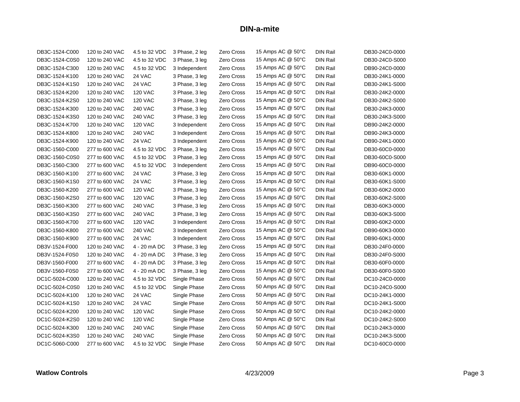| DB3C-1524-C000 | 120 to 240 VAC | 4.5 to 32 VDC  | 3 Phase, 2 leg | Zero Cross        | 15 Amps AC @ 50°C | DIN Rail        | DB30-24C0-0000 |
|----------------|----------------|----------------|----------------|-------------------|-------------------|-----------------|----------------|
| DB3C-1524-C0S0 | 120 to 240 VAC | 4.5 to 32 VDC  | 3 Phase, 3 leg | Zero Cross        | 15 Amps AC @ 50°C | <b>DIN Rail</b> | DB30-24C0-S000 |
| DB3C-1524-C300 | 120 to 240 VAC | 4.5 to 32 VDC  | 3 Independent  | Zero Cross        | 15 Amps AC @ 50°C | <b>DIN Rail</b> | DB90-24C0-0000 |
| DB3C-1524-K100 | 120 to 240 VAC | 24 VAC         | 3 Phase, 3 leg | Zero Cross        | 15 Amps AC @ 50°C | <b>DIN Rail</b> | DB30-24K1-0000 |
| DB3C-1524-K1S0 | 120 to 240 VAC | 24 VAC         | 3 Phase, 3 leg | Zero Cross        | 15 Amps AC @ 50°C | <b>DIN Rail</b> | DB30-24K1-S000 |
| DB3C-1524-K200 | 120 to 240 VAC | <b>120 VAC</b> | 3 Phase, 3 leg | Zero Cross        | 15 Amps AC @ 50°C | DIN Rail        | DB30-24K2-0000 |
| DB3C-1524-K2S0 | 120 to 240 VAC | <b>120 VAC</b> | 3 Phase, 3 leg | Zero Cross        | 15 Amps AC @ 50°C | <b>DIN Rail</b> | DB30-24K2-S000 |
| DB3C-1524-K300 | 120 to 240 VAC | <b>240 VAC</b> | 3 Phase, 3 leg | Zero Cross        | 15 Amps AC @ 50°C | <b>DIN Rail</b> | DB30-24K3-0000 |
| DB3C-1524-K3S0 | 120 to 240 VAC | <b>240 VAC</b> | 3 Phase, 3 leg | Zero Cross        | 15 Amps AC @ 50°C | <b>DIN Rail</b> | DB30-24K3-S000 |
| DB3C-1524-K700 | 120 to 240 VAC | <b>120 VAC</b> | 3 Independent  | Zero Cross        | 15 Amps AC @ 50°C | <b>DIN Rail</b> | DB90-24K2-0000 |
| DB3C-1524-K800 | 120 to 240 VAC | <b>240 VAC</b> | 3 Independent  | Zero Cross        | 15 Amps AC @ 50°C | <b>DIN Rail</b> | DB90-24K3-0000 |
| DB3C-1524-K900 | 120 to 240 VAC | 24 VAC         | 3 Independent  | Zero Cross        | 15 Amps AC @ 50°C | <b>DIN Rail</b> | DB90-24K1-0000 |
| DB3C-1560-C000 | 277 to 600 VAC | 4.5 to 32 VDC  | 3 Phase, 3 leg | Zero Cross        | 15 Amps AC @ 50°C | <b>DIN Rail</b> | DB30-60C0-0000 |
| DB3C-1560-C0S0 | 277 to 600 VAC | 4.5 to 32 VDC  | 3 Phase, 3 leg | Zero Cross        | 15 Amps AC @ 50°C | <b>DIN Rail</b> | DB30-60C0-S000 |
| DB3C-1560-C300 | 277 to 600 VAC | 4.5 to 32 VDC  | 3 Independent  | Zero Cross        | 15 Amps AC @ 50°C | <b>DIN Rail</b> | DB90-60C0-0000 |
| DB3C-1560-K100 | 277 to 600 VAC | 24 VAC         | 3 Phase, 3 leg | Zero Cross        | 15 Amps AC @ 50°C | DIN Rail        | DB30-60K1-0000 |
| DB3C-1560-K1S0 | 277 to 600 VAC | 24 VAC         | 3 Phase, 3 leg | Zero Cross        | 15 Amps AC @ 50°C | <b>DIN Rail</b> | DB30-60K1-S000 |
| DB3C-1560-K200 | 277 to 600 VAC | <b>120 VAC</b> | 3 Phase, 3 leg | Zero Cross        | 15 Amps AC @ 50°C | <b>DIN Rail</b> | DB30-60K2-0000 |
| DB3C-1560-K2S0 | 277 to 600 VAC | <b>120 VAC</b> | 3 Phase, 3 leg | Zero Cross        | 15 Amps AC @ 50°C | <b>DIN Rail</b> | DB30-60K2-S000 |
| DB3C-1560-K300 | 277 to 600 VAC | <b>240 VAC</b> | 3 Phase, 3 leg | Zero Cross        | 15 Amps AC @ 50°C | <b>DIN Rail</b> | DB30-60K3-0000 |
| DB3C-1560-K3S0 | 277 to 600 VAC | <b>240 VAC</b> | 3 Phase, 3 leg | Zero Cross        | 15 Amps AC @ 50°C | <b>DIN Rail</b> | DB30-60K3-S000 |
| DB3C-1560-K700 | 277 to 600 VAC | <b>120 VAC</b> | 3 Independent  | Zero Cross        | 15 Amps AC @ 50°C | <b>DIN Rail</b> | DB90-60K2-0000 |
| DB3C-1560-K800 | 277 to 600 VAC | <b>240 VAC</b> | 3 Independent  | Zero Cross        | 15 Amps AC @ 50°C | <b>DIN Rail</b> | DB90-60K3-0000 |
| DB3C-1560-K900 | 277 to 600 VAC | 24 VAC         | 3 Independent  | Zero Cross        | 15 Amps AC @ 50°C | <b>DIN Rail</b> | DB90-60K1-0000 |
| DB3V-1524-F000 | 120 to 240 VAC | 4 - 20 mA DC   | 3 Phase, 3 leg | Zero Cross        | 15 Amps AC @ 50°C | DIN Rail        | DB30-24F0-0000 |
| DB3V-1524-F0S0 | 120 to 240 VAC | 4 - 20 mA DC   | 3 Phase, 3 leg | Zero Cross        | 15 Amps AC @ 50°C | DIN Rail        | DB30-24F0-S000 |
| DB3V-1560-F000 | 277 to 600 VAC | 4 - 20 mA DC   | 3 Phase, 3 leg | Zero Cross        | 15 Amps AC @ 50°C | <b>DIN Rail</b> | DB30-60F0-0000 |
| DB3V-1560-F0S0 | 277 to 600 VAC | 4 - 20 mA DC   | 3 Phase, 3 leg | Zero Cross        | 15 Amps AC @ 50°C | <b>DIN Rail</b> | DB30-60F0-S000 |
| DC1C-5024-C000 | 120 to 240 VAC | 4.5 to 32 VDC  | Single Phase   | Zero Cross        | 50 Amps AC @ 50°C | <b>DIN Rail</b> | DC10-24C0-0000 |
| DC1C-5024-C0S0 | 120 to 240 VAC | 4.5 to 32 VDC  | Single Phase   | Zero Cross        | 50 Amps AC @ 50°C | <b>DIN Rail</b> | DC10-24C0-S000 |
| DC1C-5024-K100 | 120 to 240 VAC | 24 VAC         | Single Phase   | <b>Zero Cross</b> | 50 Amps AC @ 50°C | <b>DIN Rail</b> | DC10-24K1-0000 |
| DC1C-5024-K1S0 | 120 to 240 VAC | 24 VAC         | Single Phase   | <b>Zero Cross</b> | 50 Amps AC @ 50°C | <b>DIN Rail</b> | DC10-24K1-S000 |
| DC1C-5024-K200 | 120 to 240 VAC | <b>120 VAC</b> | Single Phase   | Zero Cross        | 50 Amps AC @ 50°C | <b>DIN Rail</b> | DC10-24K2-0000 |
| DC1C-5024-K2S0 | 120 to 240 VAC | <b>120 VAC</b> | Single Phase   | Zero Cross        | 50 Amps AC @ 50°C | <b>DIN Rail</b> | DC10-24K2-S000 |
| DC1C-5024-K300 | 120 to 240 VAC | <b>240 VAC</b> | Single Phase   | Zero Cross        | 50 Amps AC @ 50°C | DIN Rail        | DC10-24K3-0000 |
| DC1C-5024-K3S0 | 120 to 240 VAC | 240 VAC        | Single Phase   | Zero Cross        | 50 Amps AC @ 50°C | <b>DIN Rail</b> | DC10-24K3-S000 |
| DC1C-5060-C000 | 277 to 600 VAC | 4.5 to 32 VDC  | Single Phase   | Zero Cross        | 50 Amps AC @ 50°C | DIN Rail        | DC10-60C0-0000 |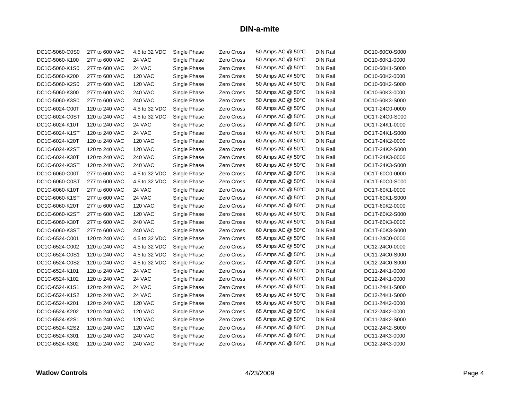| DC1C-5060-C0S0 | 277 to 600 VAC | 4.5 to 32 VDC  | Single Phase | Zero Cross        | 50 Amps AC @ 50°C | <b>DIN Rail</b> | DC10-60C0-S000 |
|----------------|----------------|----------------|--------------|-------------------|-------------------|-----------------|----------------|
| DC1C-5060-K100 | 277 to 600 VAC | 24 VAC         | Single Phase | Zero Cross        | 50 Amps AC @ 50°C | <b>DIN Rail</b> | DC10-60K1-0000 |
| DC1C-5060-K1S0 | 277 to 600 VAC | 24 VAC         | Single Phase | Zero Cross        | 50 Amps AC @ 50°C | <b>DIN Rail</b> | DC10-60K1-S000 |
| DC1C-5060-K200 | 277 to 600 VAC | <b>120 VAC</b> | Single Phase | Zero Cross        | 50 Amps AC @ 50°C | DIN Rail        | DC10-60K2-0000 |
| DC1C-5060-K2S0 | 277 to 600 VAC | <b>120 VAC</b> | Single Phase | Zero Cross        | 50 Amps AC @ 50°C | <b>DIN Rail</b> | DC10-60K2-S000 |
| DC1C-5060-K300 | 277 to 600 VAC | <b>240 VAC</b> | Single Phase | Zero Cross        | 50 Amps AC @ 50°C | <b>DIN Rail</b> | DC10-60K3-0000 |
| DC1C-5060-K3S0 | 277 to 600 VAC | <b>240 VAC</b> | Single Phase | Zero Cross        | 50 Amps AC @ 50°C | <b>DIN Rail</b> | DC10-60K3-S000 |
| DC1C-6024-C00T | 120 to 240 VAC | 4.5 to 32 VDC  | Single Phase | Zero Cross        | 60 Amps AC @ 50°C | <b>DIN Rail</b> | DC1T-24C0-0000 |
| DC1C-6024-C0ST | 120 to 240 VAC | 4.5 to 32 VDC  | Single Phase | Zero Cross        | 60 Amps AC @ 50°C | <b>DIN Rail</b> | DC1T-24C0-S000 |
| DC1C-6024-K10T | 120 to 240 VAC | 24 VAC         | Single Phase | Zero Cross        | 60 Amps AC @ 50°C | <b>DIN Rail</b> | DC1T-24K1-0000 |
| DC1C-6024-K1ST | 120 to 240 VAC | 24 VAC         | Single Phase | Zero Cross        | 60 Amps AC @ 50°C | DIN Rail        | DC1T-24K1-S000 |
| DC1C-6024-K20T | 120 to 240 VAC | <b>120 VAC</b> | Single Phase | Zero Cross        | 60 Amps AC @ 50°C | <b>DIN Rail</b> | DC1T-24K2-0000 |
| DC1C-6024-K2ST | 120 to 240 VAC | <b>120 VAC</b> | Single Phase | Zero Cross        | 60 Amps AC @ 50°C | <b>DIN Rail</b> | DC1T-24K2-S000 |
| DC1C-6024-K30T | 120 to 240 VAC | <b>240 VAC</b> | Single Phase | Zero Cross        | 60 Amps AC @ 50°C | DIN Rail        | DC1T-24K3-0000 |
| DC1C-6024-K3ST | 120 to 240 VAC | <b>240 VAC</b> | Single Phase | Zero Cross        | 60 Amps AC @ 50°C | <b>DIN Rail</b> | DC1T-24K3-S000 |
| DC1C-6060-C00T | 277 to 600 VAC | 4.5 to 32 VDC  | Single Phase | Zero Cross        | 60 Amps AC @ 50°C | <b>DIN Rail</b> | DC1T-60C0-0000 |
| DC1C-6060-C0ST | 277 to 600 VAC | 4.5 to 32 VDC  | Single Phase | Zero Cross        | 60 Amps AC @ 50°C | DIN Rail        | DC1T-60C0-S000 |
| DC1C-6060-K10T | 277 to 600 VAC | 24 VAC         | Single Phase | Zero Cross        | 60 Amps AC @ 50°C | <b>DIN Rail</b> | DC1T-60K1-0000 |
| DC1C-6060-K1ST | 277 to 600 VAC | 24 VAC         | Single Phase | Zero Cross        | 60 Amps AC @ 50°C | <b>DIN Rail</b> | DC1T-60K1-S000 |
| DC1C-6060-K20T | 277 to 600 VAC | <b>120 VAC</b> | Single Phase | Zero Cross        | 60 Amps AC @ 50°C | <b>DIN Rail</b> | DC1T-60K2-0000 |
| DC1C-6060-K2ST | 277 to 600 VAC | <b>120 VAC</b> | Single Phase | Zero Cross        | 60 Amps AC @ 50°C | <b>DIN Rail</b> | DC1T-60K2-S000 |
| DC1C-6060-K30T | 277 to 600 VAC | <b>240 VAC</b> | Single Phase | Zero Cross        | 60 Amps AC @ 50°C | <b>DIN Rail</b> | DC1T-60K3-0000 |
| DC1C-6060-K3ST | 277 to 600 VAC | <b>240 VAC</b> | Single Phase | Zero Cross        | 60 Amps AC @ 50°C | <b>DIN Rail</b> | DC1T-60K3-S000 |
| DC1C-6524-C001 | 120 to 240 VAC | 4.5 to 32 VDC  | Single Phase | Zero Cross        | 65 Amps AC @ 50°C | <b>DIN Rail</b> | DC11-24C0-0000 |
| DC1C-6524-C002 | 120 to 240 VAC | 4.5 to 32 VDC  | Single Phase | Zero Cross        | 65 Amps AC @ 50°C | <b>DIN Rail</b> | DC12-24C0-0000 |
| DC1C-6524-C0S1 | 120 to 240 VAC | 4.5 to 32 VDC  | Single Phase | Zero Cross        | 65 Amps AC @ 50°C | DIN Rail        | DC11-24C0-S000 |
| DC1C-6524-C0S2 | 120 to 240 VAC | 4.5 to 32 VDC  | Single Phase | Zero Cross        | 65 Amps AC @ 50°C | <b>DIN Rail</b> | DC12-24C0-S000 |
| DC1C-6524-K101 | 120 to 240 VAC | 24 VAC         | Single Phase | Zero Cross        | 65 Amps AC @ 50°C | <b>DIN Rail</b> | DC11-24K1-0000 |
| DC1C-6524-K102 | 120 to 240 VAC | 24 VAC         | Single Phase | Zero Cross        | 65 Amps AC @ 50°C | DIN Rail        | DC12-24K1-0000 |
| DC1C-6524-K1S1 | 120 to 240 VAC | 24 VAC         | Single Phase | Zero Cross        | 65 Amps AC @ 50°C | <b>DIN Rail</b> | DC11-24K1-S000 |
| DC1C-6524-K1S2 | 120 to 240 VAC | 24 VAC         | Single Phase | Zero Cross        | 65 Amps AC @ 50°C | DIN Rail        | DC12-24K1-S000 |
| DC1C-6524-K201 | 120 to 240 VAC | <b>120 VAC</b> | Single Phase | Zero Cross        | 65 Amps AC @ 50°C | DIN Rail        | DC11-24K2-0000 |
| DC1C-6524-K202 | 120 to 240 VAC | <b>120 VAC</b> | Single Phase | Zero Cross        | 65 Amps AC @ 50°C | <b>DIN Rail</b> | DC12-24K2-0000 |
| DC1C-6524-K2S1 | 120 to 240 VAC | <b>120 VAC</b> | Single Phase | <b>Zero Cross</b> | 65 Amps AC @ 50°C | DIN Rail        | DC11-24K2-S000 |
| DC1C-6524-K2S2 | 120 to 240 VAC | <b>120 VAC</b> | Single Phase | Zero Cross        | 65 Amps AC @ 50°C | <b>DIN Rail</b> | DC12-24K2-S000 |
| DC1C-6524-K301 | 120 to 240 VAC | <b>240 VAC</b> | Single Phase | Zero Cross        | 65 Amps AC @ 50°C | <b>DIN Rail</b> | DC11-24K3-0000 |
| DC1C-6524-K302 | 120 to 240 VAC | <b>240 VAC</b> | Single Phase | Zero Cross        | 65 Amps AC @ 50°C | <b>DIN Rail</b> | DC12-24K3-0000 |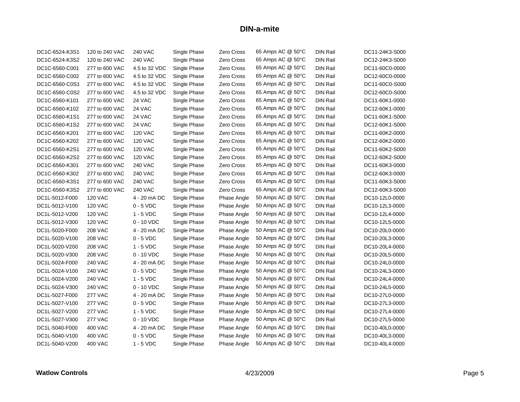| DC1C-6524-K3S1 | 120 to 240 VAC | <b>240 VAC</b> | Single Phase | Zero Cross  | 65 Amps AC @ 50°C | DIN Rail        | DC11-24K3-S000 |
|----------------|----------------|----------------|--------------|-------------|-------------------|-----------------|----------------|
| DC1C-6524-K3S2 | 120 to 240 VAC | <b>240 VAC</b> | Single Phase | Zero Cross  | 65 Amps AC @ 50°C | <b>DIN Rail</b> | DC12-24K3-S000 |
| DC1C-6560-C001 | 277 to 600 VAC | 4.5 to 32 VDC  | Single Phase | Zero Cross  | 65 Amps AC @ 50°C | <b>DIN Rail</b> | DC11-60C0-0000 |
| DC1C-6560-C002 | 277 to 600 VAC | 4.5 to 32 VDC  | Single Phase | Zero Cross  | 65 Amps AC @ 50°C | DIN Rail        | DC12-60C0-0000 |
| DC1C-6560-C0S1 | 277 to 600 VAC | 4.5 to 32 VDC  | Single Phase | Zero Cross  | 65 Amps AC @ 50°C | <b>DIN Rail</b> | DC11-60C0-S000 |
| DC1C-6560-C0S2 | 277 to 600 VAC | 4.5 to 32 VDC  | Single Phase | Zero Cross  | 65 Amps AC @ 50°C | <b>DIN Rail</b> | DC12-60C0-S000 |
| DC1C-6560-K101 | 277 to 600 VAC | 24 VAC         | Single Phase | Zero Cross  | 65 Amps AC @ 50°C | DIN Rail        | DC11-60K1-0000 |
| DC1C-6560-K102 | 277 to 600 VAC | 24 VAC         | Single Phase | Zero Cross  | 65 Amps AC @ 50°C | <b>DIN Rail</b> | DC12-60K1-0000 |
| DC1C-6560-K1S1 | 277 to 600 VAC | 24 VAC         | Single Phase | Zero Cross  | 65 Amps AC @ 50°C | <b>DIN Rail</b> | DC11-60K1-S000 |
| DC1C-6560-K1S2 | 277 to 600 VAC | 24 VAC         | Single Phase | Zero Cross  | 65 Amps AC @ 50°C | DIN Rail        | DC12-60K1-S000 |
| DC1C-6560-K201 | 277 to 600 VAC | <b>120 VAC</b> | Single Phase | Zero Cross  | 65 Amps AC @ 50°C | <b>DIN Rail</b> | DC11-60K2-0000 |
| DC1C-6560-K202 | 277 to 600 VAC | <b>120 VAC</b> | Single Phase | Zero Cross  | 65 Amps AC @ 50°C | <b>DIN Rail</b> | DC12-60K2-0000 |
| DC1C-6560-K2S1 | 277 to 600 VAC | <b>120 VAC</b> | Single Phase | Zero Cross  | 65 Amps AC @ 50°C | <b>DIN Rail</b> | DC11-60K2-S000 |
| DC1C-6560-K2S2 | 277 to 600 VAC | <b>120 VAC</b> | Single Phase | Zero Cross  | 65 Amps AC @ 50°C | <b>DIN Rail</b> | DC12-60K2-S000 |
| DC1C-6560-K301 | 277 to 600 VAC | <b>240 VAC</b> | Single Phase | Zero Cross  | 65 Amps AC @ 50°C | <b>DIN Rail</b> | DC11-60K3-0000 |
| DC1C-6560-K302 | 277 to 600 VAC | <b>240 VAC</b> | Single Phase | Zero Cross  | 65 Amps AC @ 50°C | <b>DIN Rail</b> | DC12-60K3-0000 |
| DC1C-6560-K3S1 | 277 to 600 VAC | <b>240 VAC</b> | Single Phase | Zero Cross  | 65 Amps AC @ 50°C | <b>DIN Rail</b> | DC11-60K3-S000 |
| DC1C-6560-K3S2 | 277 to 600 VAC | <b>240 VAC</b> | Single Phase | Zero Cross  | 65 Amps AC @ 50°C | <b>DIN Rail</b> | DC12-60K3-S000 |
| DC1L-5012-F000 | <b>120 VAC</b> | 4 - 20 mA DC   | Single Phase | Phase Angle | 50 Amps AC @ 50°C | <b>DIN Rail</b> | DC10-12L0-0000 |
| DC1L-5012-V100 | <b>120 VAC</b> | $0 - 5$ VDC    | Single Phase | Phase Angle | 50 Amps AC @ 50°C | <b>DIN Rail</b> | DC10-12L3-0000 |
| DC1L-5012-V200 | <b>120 VAC</b> | $1 - 5$ VDC    | Single Phase | Phase Angle | 50 Amps AC @ 50°C | <b>DIN Rail</b> | DC10-12L4-0000 |
| DC1L-5012-V300 | <b>120 VAC</b> | $0 - 10$ VDC   | Single Phase | Phase Angle | 50 Amps AC @ 50°C | <b>DIN Rail</b> | DC10-12L5-0000 |
| DC1L-5020-F000 | <b>208 VAC</b> | 4 - 20 mA DC   | Single Phase | Phase Angle | 50 Amps AC @ 50°C | <b>DIN Rail</b> | DC10-20L0-0000 |
| DC1L-5020-V100 | <b>208 VAC</b> | $0 - 5$ VDC    | Single Phase | Phase Angle | 50 Amps AC @ 50°C | <b>DIN Rail</b> | DC10-20L3-0000 |
| DC1L-5020-V200 | <b>208 VAC</b> | $1 - 5$ VDC    | Single Phase | Phase Angle | 50 Amps AC @ 50°C | <b>DIN Rail</b> | DC10-20L4-0000 |
| DC1L-5020-V300 | <b>208 VAC</b> | 0 - 10 VDC     | Single Phase | Phase Angle | 50 Amps AC @ 50°C | <b>DIN Rail</b> | DC10-20L5-0000 |
| DC1L-5024-F000 | <b>240 VAC</b> | 4 - 20 mA DC   | Single Phase | Phase Angle | 50 Amps AC @ 50°C | DIN Rail        | DC10-24L0-0000 |
| DC1L-5024-V100 | 240 VAC        | $0 - 5$ VDC    | Single Phase | Phase Angle | 50 Amps AC @ 50°C | <b>DIN Rail</b> | DC10-24L3-0000 |
| DC1L-5024-V200 | <b>240 VAC</b> | $1 - 5$ VDC    | Single Phase | Phase Angle | 50 Amps AC @ 50°C | <b>DIN Rail</b> | DC10-24L4-0000 |
| DC1L-5024-V300 | <b>240 VAC</b> | $0 - 10$ VDC   | Single Phase | Phase Angle | 50 Amps AC @ 50°C | <b>DIN Rail</b> | DC10-24L5-0000 |
| DC1L-5027-F000 | <b>277 VAC</b> | 4 - 20 mA DC   | Single Phase | Phase Angle | 50 Amps AC @ 50°C | <b>DIN Rail</b> | DC10-27L0-0000 |
| DC1L-5027-V100 | <b>277 VAC</b> | $0 - 5$ VDC    | Single Phase | Phase Angle | 50 Amps AC @ 50°C | <b>DIN Rail</b> | DC10-27L3-0000 |
| DC1L-5027-V200 | <b>277 VAC</b> | $1 - 5$ VDC    | Single Phase | Phase Angle | 50 Amps AC @ 50°C | <b>DIN Rail</b> | DC10-27L4-0000 |
| DC1L-5027-V300 | <b>277 VAC</b> | $0 - 10$ VDC   | Single Phase | Phase Angle | 50 Amps AC @ 50°C | <b>DIN Rail</b> | DC10-27L5-0000 |
| DC1L-5040-F000 | 400 VAC        | 4 - 20 mA DC   | Single Phase | Phase Angle | 50 Amps AC @ 50°C | <b>DIN Rail</b> | DC10-40L0-0000 |
| DC1L-5040-V100 | 400 VAC        | $0 - 5$ VDC    | Single Phase | Phase Angle | 50 Amps AC @ 50°C | <b>DIN Rail</b> | DC10-40L3-0000 |
| DC1L-5040-V200 | 400 VAC        | $1 - 5$ VDC    | Single Phase | Phase Angle | 50 Amps AC @ 50°C | DIN Rail        | DC10-40L4-0000 |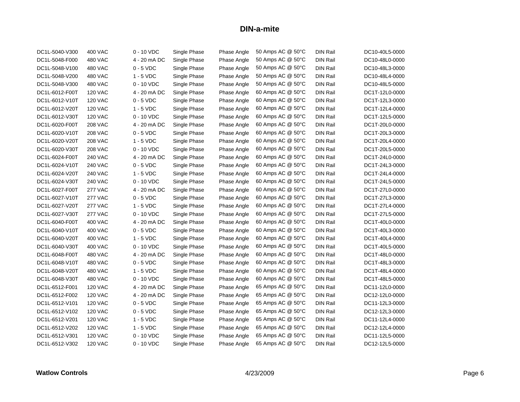| DC1L-5040-V300 | 400 VAC        | 0 - 10 VDC   | Single Phase | Phase Angle | 50 Amps AC @ 50°C | DIN Rail        | DC10-40L5-0000 |
|----------------|----------------|--------------|--------------|-------------|-------------------|-----------------|----------------|
| DC1L-5048-F000 | <b>480 VAC</b> | 4 - 20 mA DC | Single Phase | Phase Angle | 50 Amps AC @ 50°C | <b>DIN Rail</b> | DC10-48L0-0000 |
| DC1L-5048-V100 | 480 VAC        | $0 - 5$ VDC  | Single Phase | Phase Angle | 50 Amps AC @ 50°C | <b>DIN Rail</b> | DC10-48L3-0000 |
| DC1L-5048-V200 | 480 VAC        | $1 - 5$ VDC  | Single Phase | Phase Angle | 50 Amps AC @ 50°C | <b>DIN Rail</b> | DC10-48L4-0000 |
| DC1L-5048-V300 | 480 VAC        | $0 - 10$ VDC | Single Phase | Phase Angle | 50 Amps AC @ 50°C | <b>DIN Rail</b> | DC10-48L5-0000 |
| DC1L-6012-F00T | <b>120 VAC</b> | 4 - 20 mA DC | Single Phase | Phase Angle | 60 Amps AC @ 50°C | <b>DIN Rail</b> | DC1T-12L0-0000 |
| DC1L-6012-V10T | <b>120 VAC</b> | $0 - 5$ VDC  | Single Phase | Phase Angle | 60 Amps AC @ 50°C | DIN Rail        | DC1T-12L3-0000 |
| DC1L-6012-V20T | <b>120 VAC</b> | $1 - 5$ VDC  | Single Phase | Phase Angle | 60 Amps AC @ 50°C | <b>DIN Rail</b> | DC1T-12L4-0000 |
| DC1L-6012-V30T | <b>120 VAC</b> | 0 - 10 VDC   | Single Phase | Phase Angle | 60 Amps AC @ 50°C | <b>DIN Rail</b> | DC1T-12L5-0000 |
| DC1L-6020-F00T | <b>208 VAC</b> | 4 - 20 mA DC | Single Phase | Phase Angle | 60 Amps AC @ 50°C | DIN Rail        | DC1T-20L0-0000 |
| DC1L-6020-V10T | <b>208 VAC</b> | $0 - 5$ VDC  | Single Phase | Phase Angle | 60 Amps AC @ 50°C | <b>DIN Rail</b> | DC1T-20L3-0000 |
| DC1L-6020-V20T | <b>208 VAC</b> | $1 - 5$ VDC  | Single Phase | Phase Angle | 60 Amps AC @ 50°C | <b>DIN Rail</b> | DC1T-20L4-0000 |
| DC1L-6020-V30T | <b>208 VAC</b> | 0 - 10 VDC   | Single Phase | Phase Angle | 60 Amps AC @ 50°C | <b>DIN Rail</b> | DC1T-20L5-0000 |
| DC1L-6024-F00T | <b>240 VAC</b> | 4 - 20 mA DC | Single Phase | Phase Angle | 60 Amps AC @ 50°C | <b>DIN Rail</b> | DC1T-24L0-0000 |
| DC1L-6024-V10T | 240 VAC        | $0 - 5$ VDC  | Single Phase | Phase Angle | 60 Amps AC @ 50°C | <b>DIN Rail</b> | DC1T-24L3-0000 |
| DC1L-6024-V20T | <b>240 VAC</b> | $1 - 5$ VDC  | Single Phase | Phase Angle | 60 Amps AC @ 50°C | <b>DIN Rail</b> | DC1T-24L4-0000 |
| DC1L-6024-V30T | <b>240 VAC</b> | $0 - 10$ VDC | Single Phase | Phase Angle | 60 Amps AC @ 50°C | <b>DIN Rail</b> | DC1T-24L5-0000 |
| DC1L-6027-F00T | <b>277 VAC</b> | 4 - 20 mA DC | Single Phase | Phase Angle | 60 Amps AC @ 50°C | <b>DIN Rail</b> | DC1T-27L0-0000 |
| DC1L-6027-V10T | <b>277 VAC</b> | $0 - 5$ VDC  | Single Phase | Phase Angle | 60 Amps AC @ 50°C | <b>DIN Rail</b> | DC1T-27L3-0000 |
| DC1L-6027-V20T | <b>277 VAC</b> | $1 - 5$ VDC  | Single Phase | Phase Angle | 60 Amps AC @ 50°C | <b>DIN Rail</b> | DC1T-27L4-0000 |
| DC1L-6027-V30T | <b>277 VAC</b> | 0 - 10 VDC   | Single Phase | Phase Angle | 60 Amps AC @ 50°C | <b>DIN Rail</b> | DC1T-27L5-0000 |
| DC1L-6040-F00T | <b>400 VAC</b> | 4 - 20 mA DC | Single Phase | Phase Angle | 60 Amps AC @ 50°C | <b>DIN Rail</b> | DC1T-40L0-0000 |
| DC1L-6040-V10T | 400 VAC        | $0 - 5$ VDC  | Single Phase | Phase Angle | 60 Amps AC @ 50°C | <b>DIN Rail</b> | DC1T-40L3-0000 |
| DC1L-6040-V20T | 400 VAC        | $1 - 5$ VDC  | Single Phase | Phase Angle | 60 Amps AC @ 50°C | <b>DIN Rail</b> | DC1T-40L4-0000 |
| DC1L-6040-V30T | <b>400 VAC</b> | $0 - 10$ VDC | Single Phase | Phase Angle | 60 Amps AC @ 50°C | <b>DIN Rail</b> | DC1T-40L5-0000 |
| DC1L-6048-F00T | 480 VAC        | 4 - 20 mA DC | Single Phase | Phase Angle | 60 Amps AC @ 50°C | <b>DIN Rail</b> | DC1T-48L0-0000 |
| DC1L-6048-V10T | 480 VAC        | $0 - 5$ VDC  | Single Phase | Phase Angle | 60 Amps AC @ 50°C | DIN Rail        | DC1T-48L3-0000 |
| DC1L-6048-V20T | 480 VAC        | $1 - 5$ VDC  | Single Phase | Phase Angle | 60 Amps AC @ 50°C | <b>DIN Rail</b> | DC1T-48L4-0000 |
| DC1L-6048-V30T | 480 VAC        | $0 - 10$ VDC | Single Phase | Phase Angle | 60 Amps AC @ 50°C | <b>DIN Rail</b> | DC1T-48L5-0000 |
| DC1L-6512-F001 | <b>120 VAC</b> | 4 - 20 mA DC | Single Phase | Phase Angle | 65 Amps AC @ 50°C | <b>DIN Rail</b> | DC11-12L0-0000 |
| DC1L-6512-F002 | <b>120 VAC</b> | 4 - 20 mA DC | Single Phase | Phase Angle | 65 Amps AC @ 50°C | <b>DIN Rail</b> | DC12-12L0-0000 |
| DC1L-6512-V101 | <b>120 VAC</b> | $0 - 5$ VDC  | Single Phase | Phase Angle | 65 Amps AC @ 50°C | DIN Rail        | DC11-12L3-0000 |
| DC1L-6512-V102 | <b>120 VAC</b> | $0 - 5$ VDC  | Single Phase | Phase Angle | 65 Amps AC @ 50°C | <b>DIN Rail</b> | DC12-12L3-0000 |
| DC1L-6512-V201 | <b>120 VAC</b> | $1 - 5$ VDC  | Single Phase | Phase Angle | 65 Amps AC @ 50°C | <b>DIN Rail</b> | DC11-12L4-0000 |
| DC1L-6512-V202 | <b>120 VAC</b> | $1 - 5$ VDC  | Single Phase | Phase Angle | 65 Amps AC @ 50°C | DIN Rail        | DC12-12L4-0000 |
| DC1L-6512-V301 | <b>120 VAC</b> | $0 - 10$ VDC | Single Phase | Phase Angle | 65 Amps AC @ 50°C | <b>DIN Rail</b> | DC11-12L5-0000 |
| DC1L-6512-V302 | <b>120 VAC</b> | $0 - 10$ VDC | Single Phase | Phase Angle | 65 Amps AC @ 50°C | DIN Rail        | DC12-12L5-0000 |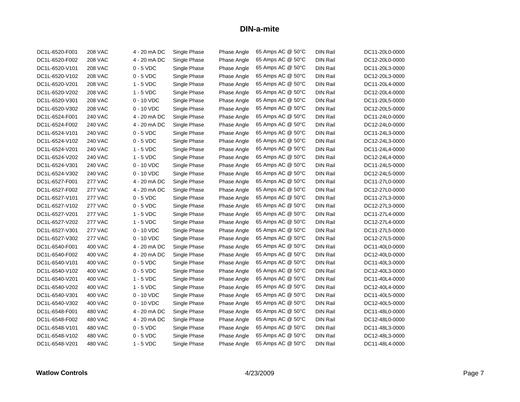| DC1L-6520-F001 | <b>208 VAC</b> | 4 - 20 mA DC | Single Phase | Phase Angle | 65 Amps AC @ 50°C | DIN Rail        | DC11-20L0-0000 |
|----------------|----------------|--------------|--------------|-------------|-------------------|-----------------|----------------|
| DC1L-6520-F002 | <b>208 VAC</b> | 4 - 20 mA DC | Single Phase | Phase Angle | 65 Amps AC @ 50°C | <b>DIN Rail</b> | DC12-20L0-0000 |
| DC1L-6520-V101 | <b>208 VAC</b> | $0 - 5$ VDC  | Single Phase | Phase Angle | 65 Amps AC @ 50°C | <b>DIN Rail</b> | DC11-20L3-0000 |
| DC1L-6520-V102 | <b>208 VAC</b> | $0 - 5$ VDC  | Single Phase | Phase Angle | 65 Amps AC @ 50°C | <b>DIN Rail</b> | DC12-20L3-0000 |
| DC1L-6520-V201 | <b>208 VAC</b> | $1 - 5$ VDC  | Single Phase | Phase Angle | 65 Amps AC @ 50°C | <b>DIN Rail</b> | DC11-20L4-0000 |
| DC1L-6520-V202 | <b>208 VAC</b> | $1 - 5$ VDC  | Single Phase | Phase Angle | 65 Amps AC @ 50°C | DIN Rail        | DC12-20L4-0000 |
| DC1L-6520-V301 | <b>208 VAC</b> | 0 - 10 VDC   | Single Phase | Phase Angle | 65 Amps AC @ 50°C | <b>DIN Rail</b> | DC11-20L5-0000 |
| DC1L-6520-V302 | <b>208 VAC</b> | 0 - 10 VDC   | Single Phase | Phase Angle | 65 Amps AC @ 50°C | DIN Rail        | DC12-20L5-0000 |
| DC1L-6524-F001 | <b>240 VAC</b> | 4 - 20 mA DC | Single Phase | Phase Angle | 65 Amps AC @ 50°C | <b>DIN Rail</b> | DC11-24L0-0000 |
| DC1L-6524-F002 | <b>240 VAC</b> | 4 - 20 mA DC | Single Phase | Phase Angle | 65 Amps AC @ 50°C | <b>DIN Rail</b> | DC12-24L0-0000 |
| DC1L-6524-V101 | <b>240 VAC</b> | $0 - 5$ VDC  | Single Phase | Phase Angle | 65 Amps AC @ 50°C | <b>DIN Rail</b> | DC11-24L3-0000 |
| DC1L-6524-V102 | <b>240 VAC</b> | $0 - 5$ VDC  | Single Phase | Phase Angle | 65 Amps AC @ 50°C | <b>DIN Rail</b> | DC12-24L3-0000 |
| DC1L-6524-V201 | <b>240 VAC</b> | $1 - 5$ VDC  | Single Phase | Phase Angle | 65 Amps AC @ 50°C | <b>DIN Rail</b> | DC11-24L4-0000 |
| DC1L-6524-V202 | <b>240 VAC</b> | $1 - 5$ VDC  | Single Phase | Phase Angle | 65 Amps AC @ 50°C | <b>DIN Rail</b> | DC12-24L4-0000 |
| DC1L-6524-V301 | <b>240 VAC</b> | $0 - 10$ VDC | Single Phase | Phase Angle | 65 Amps AC @ 50°C | <b>DIN Rail</b> | DC11-24L5-0000 |
| DC1L-6524-V302 | 240 VAC        | 0 - 10 VDC   | Single Phase | Phase Angle | 65 Amps AC @ 50°C | <b>DIN Rail</b> | DC12-24L5-0000 |
| DC1L-6527-F001 | <b>277 VAC</b> | 4 - 20 mA DC | Single Phase | Phase Angle | 65 Amps AC @ 50°C | <b>DIN Rail</b> | DC11-27L0-0000 |
| DC1L-6527-F002 | <b>277 VAC</b> | 4 - 20 mA DC | Single Phase | Phase Angle | 65 Amps AC @ 50°C | <b>DIN Rail</b> | DC12-27L0-0000 |
| DC1L-6527-V101 | <b>277 VAC</b> | $0 - 5$ VDC  | Single Phase | Phase Angle | 65 Amps AC @ 50°C | <b>DIN Rail</b> | DC11-27L3-0000 |
| DC1L-6527-V102 | <b>277 VAC</b> | $0 - 5$ VDC  | Single Phase | Phase Angle | 65 Amps AC @ 50°C | <b>DIN Rail</b> | DC12-27L3-0000 |
| DC1L-6527-V201 | <b>277 VAC</b> | $1 - 5$ VDC  | Single Phase | Phase Angle | 65 Amps AC @ 50°C | <b>DIN Rail</b> | DC11-27L4-0000 |
| DC1L-6527-V202 | <b>277 VAC</b> | $1 - 5$ VDC  | Single Phase | Phase Angle | 65 Amps AC @ 50°C | DIN Rail        | DC12-27L4-0000 |
| DC1L-6527-V301 | <b>277 VAC</b> | 0 - 10 VDC   | Single Phase | Phase Angle | 65 Amps AC @ 50°C | <b>DIN Rail</b> | DC11-27L5-0000 |
| DC1L-6527-V302 | <b>277 VAC</b> | $0 - 10$ VDC | Single Phase | Phase Angle | 65 Amps AC @ 50°C | DIN Rail        | DC12-27L5-0000 |
| DC1L-6540-F001 | 400 VAC        | 4 - 20 mA DC | Single Phase | Phase Angle | 65 Amps AC @ 50°C | <b>DIN Rail</b> | DC11-40L0-0000 |
| DC1L-6540-F002 | 400 VAC        | 4 - 20 mA DC | Single Phase | Phase Angle | 65 Amps AC @ 50°C | <b>DIN Rail</b> | DC12-40L0-0000 |
| DC1L-6540-V101 | <b>400 VAC</b> | $0 - 5$ VDC  | Single Phase | Phase Angle | 65 Amps AC @ 50°C | <b>DIN Rail</b> | DC11-40L3-0000 |
| DC1L-6540-V102 | 400 VAC        | $0 - 5$ VDC  | Single Phase | Phase Angle | 65 Amps AC @ 50°C | <b>DIN Rail</b> | DC12-40L3-0000 |
| DC1L-6540-V201 | 400 VAC        | $1 - 5$ VDC  | Single Phase | Phase Angle | 65 Amps AC @ 50°C | <b>DIN Rail</b> | DC11-40L4-0000 |
| DC1L-6540-V202 | 400 VAC        | $1 - 5$ VDC  | Single Phase | Phase Angle | 65 Amps AC @ 50°C | <b>DIN Rail</b> | DC12-40L4-0000 |
| DC1L-6540-V301 | 400 VAC        | $0 - 10$ VDC | Single Phase | Phase Angle | 65 Amps AC @ 50°C | <b>DIN Rail</b> | DC11-40L5-0000 |
| DC1L-6540-V302 | 400 VAC        | $0 - 10$ VDC | Single Phase | Phase Angle | 65 Amps AC @ 50°C | <b>DIN Rail</b> | DC12-40L5-0000 |
| DC1L-6548-F001 | 480 VAC        | 4 - 20 mA DC | Single Phase | Phase Angle | 65 Amps AC @ 50°C | <b>DIN Rail</b> | DC11-48L0-0000 |
| DC1L-6548-F002 | 480 VAC        | 4 - 20 mA DC | Single Phase | Phase Angle | 65 Amps AC @ 50°C | <b>DIN Rail</b> | DC12-48L0-0000 |
| DC1L-6548-V101 | 480 VAC        | $0 - 5$ VDC  | Single Phase | Phase Angle | 65 Amps AC @ 50°C | <b>DIN Rail</b> | DC11-48L3-0000 |
| DC1L-6548-V102 | 480 VAC        | $0 - 5$ VDC  | Single Phase | Phase Angle | 65 Amps AC @ 50°C | DIN Rail        | DC12-48L3-0000 |
| DC1L-6548-V201 | 480 VAC        | $1 - 5$ VDC  | Single Phase | Phase Angle | 65 Amps AC @ 50°C | DIN Rail        | DC11-48L4-0000 |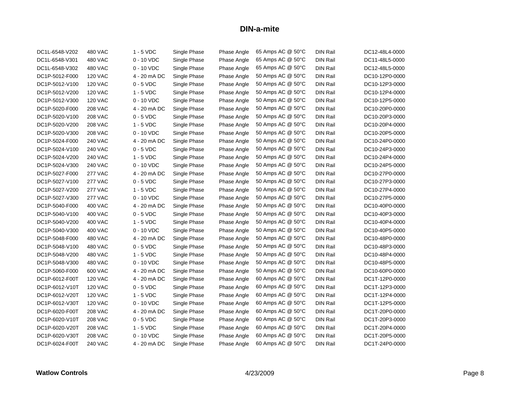| DC1L-6548-V202 | 480 VAC        | $1 - 5$ VDC  | Single Phase | Phase Angle | 65 Amps AC @ 50°C | DIN Rail        | DC12-48L4-0000 |
|----------------|----------------|--------------|--------------|-------------|-------------------|-----------------|----------------|
| DC1L-6548-V301 | <b>480 VAC</b> | $0 - 10$ VDC | Single Phase | Phase Angle | 65 Amps AC @ 50°C | <b>DIN Rail</b> | DC11-48L5-0000 |
| DC1L-6548-V302 | 480 VAC        | $0 - 10$ VDC | Single Phase | Phase Angle | 65 Amps AC @ 50°C | <b>DIN Rail</b> | DC12-48L5-0000 |
| DC1P-5012-F000 | <b>120 VAC</b> | 4 - 20 mA DC | Single Phase | Phase Angle | 50 Amps AC @ 50°C | <b>DIN Rail</b> | DC10-12P0-0000 |
| DC1P-5012-V100 | <b>120 VAC</b> | $0 - 5$ VDC  | Single Phase | Phase Angle | 50 Amps AC @ 50°C | <b>DIN Rail</b> | DC10-12P3-0000 |
| DC1P-5012-V200 | <b>120 VAC</b> | $1 - 5$ VDC  | Single Phase | Phase Angle | 50 Amps AC @ 50°C | <b>DIN Rail</b> | DC10-12P4-0000 |
| DC1P-5012-V300 | <b>120 VAC</b> | $0 - 10$ VDC | Single Phase | Phase Angle | 50 Amps AC @ 50°C | <b>DIN Rail</b> | DC10-12P5-0000 |
| DC1P-5020-F000 | <b>208 VAC</b> | 4 - 20 mA DC | Single Phase | Phase Angle | 50 Amps AC @ 50°C | <b>DIN Rail</b> | DC10-20P0-0000 |
| DC1P-5020-V100 | <b>208 VAC</b> | $0 - 5$ VDC  | Single Phase | Phase Angle | 50 Amps AC @ 50°C | <b>DIN Rail</b> | DC10-20P3-0000 |
| DC1P-5020-V200 | <b>208 VAC</b> | $1 - 5$ VDC  | Single Phase | Phase Angle | 50 Amps AC @ 50°C | <b>DIN Rail</b> | DC10-20P4-0000 |
| DC1P-5020-V300 | <b>208 VAC</b> | $0 - 10$ VDC | Single Phase | Phase Angle | 50 Amps AC @ 50°C | <b>DIN Rail</b> | DC10-20P5-0000 |
| DC1P-5024-F000 | <b>240 VAC</b> | 4 - 20 mA DC | Single Phase |             | 50 Amps AC @ 50°C | <b>DIN Rail</b> | DC10-24P0-0000 |
| DC1P-5024-V100 | <b>240 VAC</b> | $0 - 5$ VDC  | Single Phase | Phase Angle | 50 Amps AC @ 50°C | <b>DIN Rail</b> | DC10-24P3-0000 |
|                |                |              |              | Phase Angle | 50 Amps AC @ 50°C | <b>DIN Rail</b> |                |
| DC1P-5024-V200 | <b>240 VAC</b> | $1 - 5$ VDC  | Single Phase | Phase Angle | 50 Amps AC @ 50°C |                 | DC10-24P4-0000 |
| DC1P-5024-V300 | <b>240 VAC</b> | 0 - 10 VDC   | Single Phase | Phase Angle | 50 Amps AC @ 50°C | <b>DIN Rail</b> | DC10-24P5-0000 |
| DC1P-5027-F000 | <b>277 VAC</b> | 4 - 20 mA DC | Single Phase | Phase Angle |                   | <b>DIN Rail</b> | DC10-27P0-0000 |
| DC1P-5027-V100 | <b>277 VAC</b> | $0 - 5$ VDC  | Single Phase | Phase Angle | 50 Amps AC @ 50°C | <b>DIN Rail</b> | DC10-27P3-0000 |
| DC1P-5027-V200 | <b>277 VAC</b> | $1 - 5$ VDC  | Single Phase | Phase Angle | 50 Amps AC @ 50°C | <b>DIN Rail</b> | DC10-27P4-0000 |
| DC1P-5027-V300 | <b>277 VAC</b> | $0 - 10$ VDC | Single Phase | Phase Angle | 50 Amps AC @ 50°C | <b>DIN Rail</b> | DC10-27P5-0000 |
| DC1P-5040-F000 | 400 VAC        | 4 - 20 mA DC | Single Phase | Phase Angle | 50 Amps AC @ 50°C | <b>DIN Rail</b> | DC10-40P0-0000 |
| DC1P-5040-V100 | <b>400 VAC</b> | $0 - 5$ VDC  | Single Phase | Phase Angle | 50 Amps AC @ 50°C | <b>DIN Rail</b> | DC10-40P3-0000 |
| DC1P-5040-V200 | 400 VAC        | $1 - 5$ VDC  | Single Phase | Phase Angle | 50 Amps AC @ 50°C | <b>DIN Rail</b> | DC10-40P4-0000 |
| DC1P-5040-V300 | 400 VAC        | $0 - 10$ VDC | Single Phase | Phase Angle | 50 Amps AC @ 50°C | DIN Rail        | DC10-40P5-0000 |
| DC1P-5048-F000 | 480 VAC        | 4 - 20 mA DC | Single Phase | Phase Angle | 50 Amps AC @ 50°C | <b>DIN Rail</b> | DC10-48P0-0000 |
| DC1P-5048-V100 | 480 VAC        | $0 - 5$ VDC  | Single Phase | Phase Angle | 50 Amps AC @ 50°C | DIN Rail        | DC10-48P3-0000 |
| DC1P-5048-V200 | 480 VAC        | $1 - 5$ VDC  | Single Phase | Phase Angle | 50 Amps AC @ 50°C | <b>DIN Rail</b> | DC10-48P4-0000 |
| DC1P-5048-V300 | 480 VAC        | $0 - 10$ VDC | Single Phase | Phase Angle | 50 Amps AC @ 50°C | <b>DIN Rail</b> | DC10-48P5-0000 |
| DC1P-5060-F000 | 600 VAC        | 4 - 20 mA DC | Single Phase | Phase Angle | 50 Amps AC @ 50°C | <b>DIN Rail</b> | DC10-60P0-0000 |
| DC1P-6012-F00T | <b>120 VAC</b> | 4 - 20 mA DC | Single Phase | Phase Angle | 60 Amps AC @ 50°C | <b>DIN Rail</b> | DC1T-12P0-0000 |
| DC1P-6012-V10T | <b>120 VAC</b> | $0 - 5$ VDC  | Single Phase | Phase Angle | 60 Amps AC @ 50°C | <b>DIN Rail</b> | DC1T-12P3-0000 |
| DC1P-6012-V20T | <b>120 VAC</b> | $1 - 5$ VDC  | Single Phase | Phase Angle | 60 Amps AC @ 50°C | <b>DIN Rail</b> | DC1T-12P4-0000 |
| DC1P-6012-V30T | <b>120 VAC</b> | $0 - 10$ VDC | Single Phase | Phase Angle | 60 Amps AC @ 50°C | <b>DIN Rail</b> | DC1T-12P5-0000 |
| DC1P-6020-F00T | <b>208 VAC</b> | 4 - 20 mA DC | Single Phase | Phase Angle | 60 Amps AC @ 50°C | <b>DIN Rail</b> | DC1T-20P0-0000 |
| DC1P-6020-V10T | <b>208 VAC</b> | $0 - 5$ VDC  | Single Phase | Phase Angle | 60 Amps AC @ 50°C | <b>DIN Rail</b> | DC1T-20P3-0000 |
| DC1P-6020-V20T | <b>208 VAC</b> | $1 - 5$ VDC  | Single Phase | Phase Angle | 60 Amps AC @ 50°C | <b>DIN Rail</b> | DC1T-20P4-0000 |
| DC1P-6020-V30T | <b>208 VAC</b> | 0 - 10 VDC   | Single Phase | Phase Angle | 60 Amps AC @ 50°C | <b>DIN Rail</b> | DC1T-20P5-0000 |
| DC1P-6024-F00T | 240 VAC        | 4 - 20 mA DC | Single Phase | Phase Angle | 60 Amps AC @ 50°C | DIN Rail        | DC1T-24P0-0000 |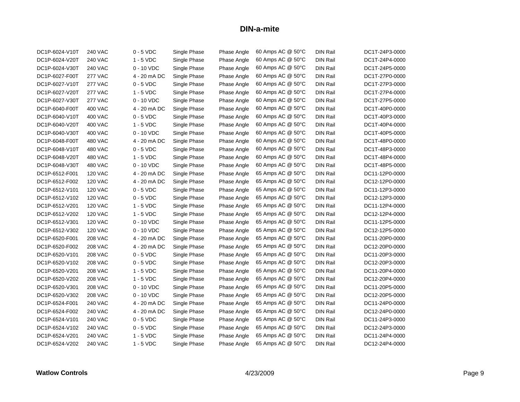| DC1P-6024-V10T | <b>240 VAC</b> | $0 - 5$ VDC  | Single Phase | Phase Angle | 60 Amps AC @ 50°C | <b>DIN Rail</b> | DC1T-24P3-0000 |
|----------------|----------------|--------------|--------------|-------------|-------------------|-----------------|----------------|
| DC1P-6024-V20T | <b>240 VAC</b> | $1 - 5$ VDC  | Single Phase | Phase Angle | 60 Amps AC @ 50°C | <b>DIN Rail</b> | DC1T-24P4-0000 |
| DC1P-6024-V30T | <b>240 VAC</b> | $0 - 10$ VDC | Single Phase | Phase Angle | 60 Amps AC @ 50°C | <b>DIN Rail</b> | DC1T-24P5-0000 |
| DC1P-6027-F00T | <b>277 VAC</b> | 4 - 20 mA DC | Single Phase | Phase Angle | 60 Amps AC @ 50°C | <b>DIN Rail</b> | DC1T-27P0-0000 |
| DC1P-6027-V10T | <b>277 VAC</b> | $0 - 5$ VDC  | Single Phase | Phase Angle | 60 Amps AC @ 50°C | <b>DIN Rail</b> | DC1T-27P3-0000 |
| DC1P-6027-V20T | <b>277 VAC</b> | $1 - 5$ VDC  | Single Phase | Phase Angle | 60 Amps AC @ 50°C | DIN Rail        | DC1T-27P4-0000 |
| DC1P-6027-V30T | <b>277 VAC</b> | $0 - 10$ VDC | Single Phase | Phase Angle | 60 Amps AC @ 50°C | <b>DIN Rail</b> | DC1T-27P5-0000 |
| DC1P-6040-F00T | 400 VAC        | 4 - 20 mA DC | Single Phase | Phase Angle | 60 Amps AC @ 50°C | DIN Rail        | DC1T-40P0-0000 |
| DC1P-6040-V10T | 400 VAC        | $0 - 5$ VDC  | Single Phase | Phase Angle | 60 Amps AC @ 50°C | <b>DIN Rail</b> | DC1T-40P3-0000 |
| DC1P-6040-V20T | 400 VAC        | $1 - 5$ VDC  | Single Phase | Phase Angle | 60 Amps AC @ 50°C | <b>DIN Rail</b> | DC1T-40P4-0000 |
| DC1P-6040-V30T | 400 VAC        | $0 - 10$ VDC | Single Phase | Phase Angle | 60 Amps AC @ 50°C | <b>DIN Rail</b> | DC1T-40P5-0000 |
| DC1P-6048-F00T | 480 VAC        | 4 - 20 mA DC | Single Phase | Phase Angle | 60 Amps AC @ 50°C | <b>DIN Rail</b> | DC1T-48P0-0000 |
| DC1P-6048-V10T | 480 VAC        | $0 - 5$ VDC  | Single Phase | Phase Angle | 60 Amps AC @ 50°C | DIN Rail        | DC1T-48P3-0000 |
| DC1P-6048-V20T | 480 VAC        | $1 - 5$ VDC  | Single Phase | Phase Angle | 60 Amps AC @ 50°C | <b>DIN Rail</b> | DC1T-48P4-0000 |
| DC1P-6048-V30T | 480 VAC        | $0 - 10$ VDC | Single Phase | Phase Angle | 60 Amps AC @ 50°C | DIN Rail        | DC1T-48P5-0000 |
| DC1P-6512-F001 | <b>120 VAC</b> | 4 - 20 mA DC | Single Phase | Phase Angle | 65 Amps AC @ 50°C | <b>DIN Rail</b> | DC11-12P0-0000 |
| DC1P-6512-F002 | <b>120 VAC</b> | 4 - 20 mA DC | Single Phase | Phase Angle | 65 Amps AC @ 50°C | DIN Rail        | DC12-12P0-0000 |
| DC1P-6512-V101 | <b>120 VAC</b> | $0 - 5$ VDC  | Single Phase | Phase Angle | 65 Amps AC @ 50°C | <b>DIN Rail</b> | DC11-12P3-0000 |
| DC1P-6512-V102 | <b>120 VAC</b> | $0 - 5$ VDC  | Single Phase | Phase Angle | 65 Amps AC @ 50°C | <b>DIN Rail</b> | DC12-12P3-0000 |
| DC1P-6512-V201 | <b>120 VAC</b> | $1 - 5$ VDC  | Single Phase | Phase Angle | 65 Amps AC @ 50°C | <b>DIN Rail</b> | DC11-12P4-0000 |
| DC1P-6512-V202 | <b>120 VAC</b> | $1 - 5$ VDC  | Single Phase | Phase Angle | 65 Amps AC @ 50°C | <b>DIN Rail</b> | DC12-12P4-0000 |
| DC1P-6512-V301 | <b>120 VAC</b> | $0 - 10$ VDC | Single Phase | Phase Angle | 65 Amps AC @ 50°C | <b>DIN Rail</b> | DC11-12P5-0000 |
| DC1P-6512-V302 | <b>120 VAC</b> | $0 - 10$ VDC | Single Phase | Phase Angle | 65 Amps AC @ 50°C | <b>DIN Rail</b> | DC12-12P5-0000 |
| DC1P-6520-F001 | <b>208 VAC</b> | 4 - 20 mA DC | Single Phase | Phase Angle | 65 Amps AC @ 50°C | DIN Rail        | DC11-20P0-0000 |
| DC1P-6520-F002 | <b>208 VAC</b> | 4 - 20 mA DC | Single Phase | Phase Angle | 65 Amps AC @ 50°C | <b>DIN Rail</b> | DC12-20P0-0000 |
| DC1P-6520-V101 | <b>208 VAC</b> | $0 - 5$ VDC  | Single Phase | Phase Angle | 65 Amps AC @ 50°C | DIN Rail        | DC11-20P3-0000 |
| DC1P-6520-V102 | <b>208 VAC</b> | $0 - 5$ VDC  | Single Phase | Phase Angle | 65 Amps AC @ 50°C | <b>DIN Rail</b> | DC12-20P3-0000 |
| DC1P-6520-V201 | <b>208 VAC</b> | $1 - 5$ VDC  | Single Phase | Phase Angle | 65 Amps AC @ 50°C | DIN Rail        | DC11-20P4-0000 |
| DC1P-6520-V202 | <b>208 VAC</b> | $1 - 5$ VDC  | Single Phase | Phase Angle | 65 Amps AC @ 50°C | DIN Rail        | DC12-20P4-0000 |
| DC1P-6520-V301 | <b>208 VAC</b> | $0 - 10$ VDC | Single Phase | Phase Angle | 65 Amps AC @ 50°C | <b>DIN Rail</b> | DC11-20P5-0000 |
| DC1P-6520-V302 | <b>208 VAC</b> | $0 - 10$ VDC | Single Phase | Phase Angle | 65 Amps AC @ 50°C | <b>DIN Rail</b> | DC12-20P5-0000 |
| DC1P-6524-F001 | <b>240 VAC</b> | 4 - 20 mA DC | Single Phase | Phase Angle | 65 Amps AC @ 50°C | <b>DIN Rail</b> | DC11-24P0-0000 |
| DC1P-6524-F002 | <b>240 VAC</b> | 4 - 20 mA DC | Single Phase | Phase Angle | 65 Amps AC @ 50°C | DIN Rail        | DC12-24P0-0000 |
| DC1P-6524-V101 | <b>240 VAC</b> | $0 - 5$ VDC  | Single Phase | Phase Angle | 65 Amps AC @ 50°C | <b>DIN Rail</b> | DC11-24P3-0000 |
| DC1P-6524-V102 | <b>240 VAC</b> | $0 - 5$ VDC  | Single Phase | Phase Angle | 65 Amps AC @ 50°C | DIN Rail        | DC12-24P3-0000 |
| DC1P-6524-V201 | 240 VAC        | $1 - 5$ VDC  | Single Phase | Phase Angle | 65 Amps AC @ 50°C | DIN Rail        | DC11-24P4-0000 |
| DC1P-6524-V202 | <b>240 VAC</b> | $1 - 5$ VDC  | Single Phase | Phase Angle | 65 Amps AC @ 50°C | <b>DIN Rail</b> | DC12-24P4-0000 |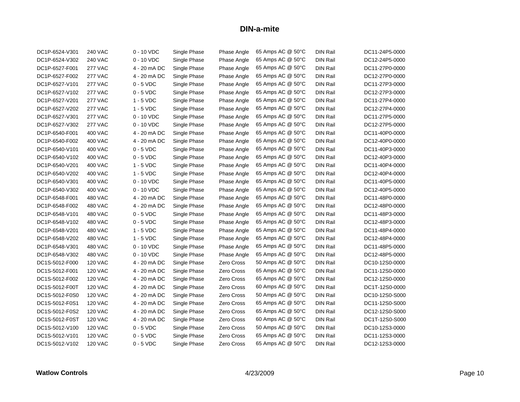| DC1P-6524-V301 | <b>240 VAC</b> | $0 - 10$ VDC | Single Phase | Phase Angle       | 65 Amps AC @ 50°C | <b>DIN Rail</b> | DC11-24P5-0000 |
|----------------|----------------|--------------|--------------|-------------------|-------------------|-----------------|----------------|
| DC1P-6524-V302 | <b>240 VAC</b> | $0 - 10$ VDC | Single Phase | Phase Angle       | 65 Amps AC @ 50°C | <b>DIN Rail</b> | DC12-24P5-0000 |
| DC1P-6527-F001 | <b>277 VAC</b> | 4 - 20 mA DC | Single Phase | Phase Angle       | 65 Amps AC @ 50°C | <b>DIN Rail</b> | DC11-27P0-0000 |
| DC1P-6527-F002 | <b>277 VAC</b> | 4 - 20 mA DC | Single Phase | Phase Angle       | 65 Amps AC @ 50°C | <b>DIN Rail</b> | DC12-27P0-0000 |
| DC1P-6527-V101 | <b>277 VAC</b> | $0 - 5$ VDC  | Single Phase | Phase Angle       | 65 Amps AC @ 50°C | <b>DIN Rail</b> | DC11-27P3-0000 |
| DC1P-6527-V102 | <b>277 VAC</b> | $0 - 5$ VDC  | Single Phase | Phase Angle       | 65 Amps AC @ 50°C | <b>DIN Rail</b> | DC12-27P3-0000 |
| DC1P-6527-V201 | <b>277 VAC</b> | $1 - 5$ VDC  | Single Phase | Phase Angle       | 65 Amps AC @ 50°C | <b>DIN Rail</b> | DC11-27P4-0000 |
| DC1P-6527-V202 | <b>277 VAC</b> | $1 - 5$ VDC  | Single Phase | Phase Angle       | 65 Amps AC @ 50°C | <b>DIN Rail</b> | DC12-27P4-0000 |
| DC1P-6527-V301 | <b>277 VAC</b> | $0 - 10$ VDC | Single Phase | Phase Angle       | 65 Amps AC @ 50°C | <b>DIN Rail</b> | DC11-27P5-0000 |
| DC1P-6527-V302 | <b>277 VAC</b> | $0 - 10$ VDC | Single Phase | Phase Angle       | 65 Amps AC @ 50°C | <b>DIN Rail</b> | DC12-27P5-0000 |
| DC1P-6540-F001 | <b>400 VAC</b> | 4 - 20 mA DC | Single Phase | Phase Angle       | 65 Amps AC @ 50°C | <b>DIN Rail</b> | DC11-40P0-0000 |
| DC1P-6540-F002 | 400 VAC        | 4 - 20 mA DC | Single Phase | Phase Angle       | 65 Amps AC @ 50°C | <b>DIN Rail</b> | DC12-40P0-0000 |
| DC1P-6540-V101 | 400 VAC        | $0 - 5$ VDC  | Single Phase | Phase Angle       | 65 Amps AC @ 50°C | <b>DIN Rail</b> | DC11-40P3-0000 |
| DC1P-6540-V102 | 400 VAC        | $0 - 5$ VDC  | Single Phase | Phase Angle       | 65 Amps AC @ 50°C | <b>DIN Rail</b> | DC12-40P3-0000 |
| DC1P-6540-V201 | 400 VAC        | $1 - 5$ VDC  | Single Phase | Phase Angle       | 65 Amps AC @ 50°C | <b>DIN Rail</b> | DC11-40P4-0000 |
| DC1P-6540-V202 | <b>400 VAC</b> | $1 - 5$ VDC  | Single Phase | Phase Angle       | 65 Amps AC @ 50°C | <b>DIN Rail</b> | DC12-40P4-0000 |
| DC1P-6540-V301 | 400 VAC        | 0 - 10 VDC   | Single Phase | Phase Angle       | 65 Amps AC @ 50°C | <b>DIN Rail</b> | DC11-40P5-0000 |
| DC1P-6540-V302 | 400 VAC        | $0 - 10$ VDC | Single Phase | Phase Angle       | 65 Amps AC @ 50°C | <b>DIN Rail</b> | DC12-40P5-0000 |
| DC1P-6548-F001 | <b>480 VAC</b> | 4 - 20 mA DC | Single Phase | Phase Angle       | 65 Amps AC @ 50°C | <b>DIN Rail</b> | DC11-48P0-0000 |
| DC1P-6548-F002 | 480 VAC        | 4 - 20 mA DC | Single Phase | Phase Angle       | 65 Amps AC @ 50°C | <b>DIN Rail</b> | DC12-48P0-0000 |
| DC1P-6548-V101 | 480 VAC        | $0 - 5$ VDC  | Single Phase | Phase Angle       | 65 Amps AC @ 50°C | <b>DIN Rail</b> | DC11-48P3-0000 |
| DC1P-6548-V102 | <b>480 VAC</b> | $0 - 5$ VDC  | Single Phase | Phase Angle       | 65 Amps AC @ 50°C | <b>DIN Rail</b> | DC12-48P3-0000 |
| DC1P-6548-V201 | 480 VAC        | $1 - 5$ VDC  | Single Phase | Phase Angle       | 65 Amps AC @ 50°C | <b>DIN Rail</b> | DC11-48P4-0000 |
| DC1P-6548-V202 | 480 VAC        | $1 - 5$ VDC  | Single Phase | Phase Angle       | 65 Amps AC @ 50°C | <b>DIN Rail</b> | DC12-48P4-0000 |
| DC1P-6548-V301 | <b>480 VAC</b> | $0 - 10$ VDC | Single Phase | Phase Angle       | 65 Amps AC @ 50°C | <b>DIN Rail</b> | DC11-48P5-0000 |
| DC1P-6548-V302 | 480 VAC        | $0 - 10$ VDC | Single Phase | Phase Angle       | 65 Amps AC @ 50°C | <b>DIN Rail</b> | DC12-48P5-0000 |
| DC1S-5012-F000 | <b>120 VAC</b> | 4 - 20 mA DC | Single Phase | Zero Cross        | 50 Amps AC @ 50°C | DIN Rail        | DC10-12S0-0000 |
| DC1S-5012-F001 | <b>120 VAC</b> | 4 - 20 mA DC | Single Phase | Zero Cross        | 65 Amps AC @ 50°C | <b>DIN Rail</b> | DC11-12S0-0000 |
| DC1S-5012-F002 | <b>120 VAC</b> | 4 - 20 mA DC | Single Phase | Zero Cross        | 65 Amps AC @ 50°C | <b>DIN Rail</b> | DC12-12S0-0000 |
| DC1S-5012-F00T | 120 VAC        | 4 - 20 mA DC | Single Phase | Zero Cross        | 60 Amps AC @ 50°C | <b>DIN Rail</b> | DC1T-12S0-0000 |
| DC1S-5012-F0S0 | <b>120 VAC</b> | 4 - 20 mA DC | Single Phase | Zero Cross        | 50 Amps AC @ 50°C | <b>DIN Rail</b> | DC10-12S0-S000 |
| DC1S-5012-F0S1 | <b>120 VAC</b> | 4 - 20 mA DC | Single Phase | Zero Cross        | 65 Amps AC @ 50°C | <b>DIN Rail</b> | DC11-12S0-S000 |
| DC1S-5012-F0S2 | <b>120 VAC</b> | 4 - 20 mA DC | Single Phase | <b>Zero Cross</b> | 65 Amps AC @ 50°C | <b>DIN Rail</b> | DC12-12S0-S000 |
| DC1S-5012-F0ST | <b>120 VAC</b> | 4 - 20 mA DC | Single Phase | <b>Zero Cross</b> | 60 Amps AC @ 50°C | <b>DIN Rail</b> | DC1T-12S0-S000 |
| DC1S-5012-V100 | <b>120 VAC</b> | $0 - 5$ VDC  | Single Phase | <b>Zero Cross</b> | 50 Amps AC @ 50°C | <b>DIN Rail</b> | DC10-12S3-0000 |
| DC1S-5012-V101 | <b>120 VAC</b> | $0 - 5$ VDC  | Single Phase | Zero Cross        | 65 Amps AC @ 50°C | <b>DIN Rail</b> | DC11-12S3-0000 |
| DC1S-5012-V102 | <b>120 VAC</b> | $0 - 5$ VDC  | Single Phase | Zero Cross        | 65 Amps AC @ 50°C | <b>DIN Rail</b> | DC12-12S3-0000 |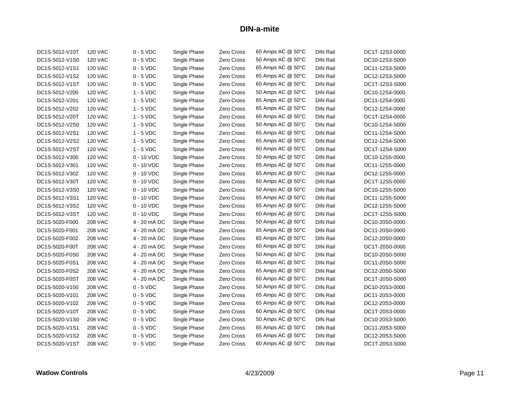| DC1S-5012-V10T | <b>120 VAC</b> | $0 - 5$ VDC  | Single Phase | Zero Cross | 60 Amps AC @ 50°C | <b>DIN Rail</b> | DC1T-12S3-0000 |
|----------------|----------------|--------------|--------------|------------|-------------------|-----------------|----------------|
| DC1S-5012-V1S0 | <b>120 VAC</b> | $0 - 5$ VDC  | Single Phase | Zero Cross | 50 Amps AC @ 50°C | <b>DIN Rail</b> | DC10-12S3-S000 |
| DC1S-5012-V1S1 | <b>120 VAC</b> | $0 - 5$ VDC  | Single Phase | Zero Cross | 65 Amps AC @ 50°C | <b>DIN Rail</b> | DC11-12S3-S000 |
| DC1S-5012-V1S2 | <b>120 VAC</b> | $0 - 5$ VDC  | Single Phase | Zero Cross | 65 Amps AC @ 50°C | <b>DIN Rail</b> | DC12-12S3-S000 |
| DC1S-5012-V1ST | <b>120 VAC</b> | $0 - 5$ VDC  | Single Phase | Zero Cross | 60 Amps AC @ 50°C | DIN Rail        | DC1T-12S3-S000 |
| DC1S-5012-V200 | <b>120 VAC</b> | $1 - 5$ VDC  | Single Phase | Zero Cross | 50 Amps AC @ 50°C | <b>DIN Rail</b> | DC10-12S4-0000 |
| DC1S-5012-V201 | <b>120 VAC</b> | $1 - 5$ VDC  | Single Phase | Zero Cross | 65 Amps AC @ 50°C | <b>DIN Rail</b> | DC11-12S4-0000 |
| DC1S-5012-V202 | <b>120 VAC</b> | $1 - 5$ VDC  | Single Phase | Zero Cross | 65 Amps AC @ 50°C | <b>DIN Rail</b> | DC12-12S4-0000 |
| DC1S-5012-V20T | <b>120 VAC</b> | $1 - 5$ VDC  | Single Phase | Zero Cross | 60 Amps AC @ 50°C | DIN Rail        | DC1T-12S4-0000 |
| DC1S-5012-V2S0 | <b>120 VAC</b> | $1 - 5$ VDC  | Single Phase | Zero Cross | 50 Amps AC @ 50°C | <b>DIN Rail</b> | DC10-12S4-S000 |
| DC1S-5012-V2S1 | <b>120 VAC</b> | $1 - 5$ VDC  | Single Phase | Zero Cross | 65 Amps AC @ 50°C | <b>DIN Rail</b> | DC11-12S4-S000 |
| DC1S-5012-V2S2 | <b>120 VAC</b> | $1 - 5$ VDC  | Single Phase | Zero Cross | 65 Amps AC @ 50°C | <b>DIN Rail</b> | DC12-12S4-S000 |
| DC1S-5012-V2ST | <b>120 VAC</b> | 1 - 5 VDC    | Single Phase | Zero Cross | 60 Amps AC @ 50°C | <b>DIN Rail</b> | DC1T-12S4-S000 |
| DC1S-5012-V300 | <b>120 VAC</b> | 0 - 10 VDC   | Single Phase | Zero Cross | 50 Amps AC @ 50°C | <b>DIN Rail</b> | DC10-12S5-0000 |
| DC1S-5012-V301 | <b>120 VAC</b> | $0 - 10$ VDC | Single Phase | Zero Cross | 65 Amps AC @ 50°C | DIN Rail        | DC11-12S5-0000 |
| DC1S-5012-V302 | <b>120 VAC</b> | $0 - 10$ VDC | Single Phase | Zero Cross | 65 Amps AC @ 50°C | <b>DIN Rail</b> | DC12-12S5-0000 |
| DC1S-5012-V30T | <b>120 VAC</b> | $0 - 10$ VDC | Single Phase | Zero Cross | 60 Amps AC @ 50°C | <b>DIN Rail</b> | DC1T-12S5-0000 |
| DC1S-5012-V3S0 | <b>120 VAC</b> | $0 - 10$ VDC | Single Phase | Zero Cross | 50 Amps AC @ 50°C | <b>DIN Rail</b> | DC10-12S5-S000 |
| DC1S-5012-V3S1 | <b>120 VAC</b> | $0 - 10$ VDC | Single Phase | Zero Cross | 65 Amps AC @ 50°C | <b>DIN Rail</b> | DC11-12S5-S000 |
| DC1S-5012-V3S2 | <b>120 VAC</b> | $0 - 10$ VDC | Single Phase | Zero Cross | 65 Amps AC @ 50°C | <b>DIN Rail</b> | DC12-12S5-S000 |
| DC1S-5012-V3ST | <b>120 VAC</b> | $0 - 10$ VDC | Single Phase | Zero Cross | 60 Amps AC @ 50°C | <b>DIN Rail</b> | DC1T-12S5-S000 |
| DC1S-5020-F000 | <b>208 VAC</b> | 4 - 20 mA DC | Single Phase | Zero Cross | 50 Amps AC @ 50°C | <b>DIN Rail</b> | DC10-20S0-0000 |
| DC1S-5020-F001 | <b>208 VAC</b> | 4 - 20 mA DC | Single Phase | Zero Cross | 65 Amps AC @ 50°C | <b>DIN Rail</b> | DC11-20S0-0000 |
| DC1S-5020-F002 | <b>208 VAC</b> | 4 - 20 mA DC | Single Phase | Zero Cross | 65 Amps AC @ 50°C | <b>DIN Rail</b> | DC12-20S0-0000 |
| DC1S-5020-F00T | <b>208 VAC</b> | 4 - 20 mA DC | Single Phase | Zero Cross | 60 Amps AC @ 50°C | DIN Rail        | DC1T-20S0-0000 |
| DC1S-5020-F0S0 | <b>208 VAC</b> | 4 - 20 mA DC | Single Phase | Zero Cross | 50 Amps AC @ 50°C | <b>DIN Rail</b> | DC10-20S0-S000 |
| DC1S-5020-F0S1 | <b>208 VAC</b> | 4 - 20 mA DC | Single Phase | Zero Cross | 65 Amps AC @ 50°C | <b>DIN Rail</b> | DC11-20S0-S000 |
| DC1S-5020-F0S2 | <b>208 VAC</b> | 4 - 20 mA DC | Single Phase | Zero Cross | 65 Amps AC @ 50°C | DIN Rail        | DC12-20S0-S000 |
| DC1S-5020-F0ST | <b>208 VAC</b> | 4 - 20 mA DC | Single Phase | Zero Cross | 60 Amps AC @ 50°C | <b>DIN Rail</b> | DC1T-20S0-S000 |
| DC1S-5020-V100 | <b>208 VAC</b> | $0 - 5$ VDC  | Single Phase | Zero Cross | 50 Amps AC @ 50°C | <b>DIN Rail</b> | DC10-20S3-0000 |
| DC1S-5020-V101 | <b>208 VAC</b> | $0 - 5$ VDC  | Single Phase | Zero Cross | 65 Amps AC @ 50°C | <b>DIN Rail</b> | DC11-20S3-0000 |
| DC1S-5020-V102 | <b>208 VAC</b> | $0 - 5$ VDC  | Single Phase | Zero Cross | 65 Amps AC @ 50°C | <b>DIN Rail</b> | DC12-20S3-0000 |
| DC1S-5020-V10T | <b>208 VAC</b> | $0 - 5$ VDC  | Single Phase | Zero Cross | 60 Amps AC @ 50°C | <b>DIN Rail</b> | DC1T-20S3-0000 |
| DC1S-5020-V1S0 | <b>208 VAC</b> | $0 - 5$ VDC  | Single Phase | Zero Cross | 50 Amps AC @ 50°C | <b>DIN Rail</b> | DC10-20S3-S000 |
| DC1S-5020-V1S1 | <b>208 VAC</b> | $0 - 5$ VDC  | Single Phase | Zero Cross | 65 Amps AC @ 50°C | <b>DIN Rail</b> | DC11-20S3-S000 |
| DC1S-5020-V1S2 | <b>208 VAC</b> | $0 - 5$ VDC  | Single Phase | Zero Cross | 65 Amps AC @ 50°C | <b>DIN Rail</b> | DC12-20S3-S000 |
| DC1S-5020-V1ST | <b>208 VAC</b> | $0 - 5$ VDC  | Single Phase | Zero Cross | 60 Amps AC @ 50°C | DIN Rail        | DC1T-20S3-S000 |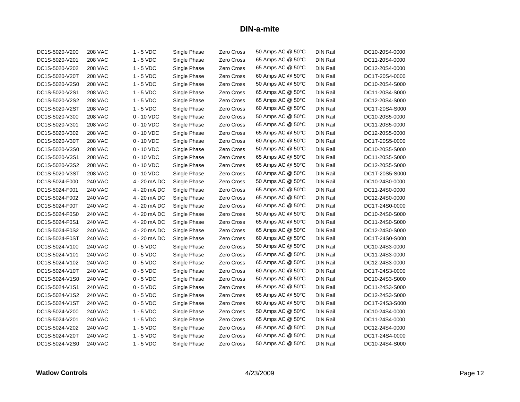| DC1S-5020-V200 | <b>208 VAC</b> | $1 - 5$ VDC  | Single Phase | Zero Cross        | 50 Amps AC @ 50°C | <b>DIN Rail</b> | DC10-20S4-0000 |
|----------------|----------------|--------------|--------------|-------------------|-------------------|-----------------|----------------|
| DC1S-5020-V201 | <b>208 VAC</b> | $1 - 5$ VDC  | Single Phase | Zero Cross        | 65 Amps AC @ 50°C | <b>DIN Rail</b> | DC11-20S4-0000 |
| DC1S-5020-V202 | <b>208 VAC</b> | $1 - 5$ VDC  | Single Phase | Zero Cross        | 65 Amps AC @ 50°C | <b>DIN Rail</b> | DC12-20S4-0000 |
| DC1S-5020-V20T | <b>208 VAC</b> | $1 - 5$ VDC  | Single Phase | Zero Cross        | 60 Amps AC @ 50°C | <b>DIN Rail</b> | DC1T-20S4-0000 |
| DC1S-5020-V2S0 | <b>208 VAC</b> | $1 - 5$ VDC  | Single Phase | Zero Cross        | 50 Amps AC @ 50°C | DIN Rail        | DC10-20S4-S000 |
| DC1S-5020-V2S1 | <b>208 VAC</b> | $1 - 5$ VDC  | Single Phase | Zero Cross        | 65 Amps AC @ 50°C | <b>DIN Rail</b> | DC11-20S4-S000 |
| DC1S-5020-V2S2 | <b>208 VAC</b> | $1 - 5$ VDC  | Single Phase | Zero Cross        | 65 Amps AC @ 50°C | <b>DIN Rail</b> | DC12-20S4-S000 |
| DC1S-5020-V2ST | <b>208 VAC</b> | $1 - 5$ VDC  | Single Phase | Zero Cross        | 60 Amps AC @ 50°C | <b>DIN Rail</b> | DC1T-20S4-S000 |
| DC1S-5020-V300 | <b>208 VAC</b> | $0 - 10$ VDC | Single Phase | Zero Cross        | 50 Amps AC @ 50°C | <b>DIN Rail</b> | DC10-20S5-0000 |
| DC1S-5020-V301 | <b>208 VAC</b> | $0 - 10$ VDC | Single Phase | Zero Cross        | 65 Amps AC @ 50°C | <b>DIN Rail</b> | DC11-20S5-0000 |
| DC1S-5020-V302 | <b>208 VAC</b> | $0 - 10$ VDC | Single Phase | Zero Cross        | 65 Amps AC @ 50°C | <b>DIN Rail</b> | DC12-20S5-0000 |
| DC1S-5020-V30T | <b>208 VAC</b> | $0 - 10$ VDC | Single Phase | Zero Cross        | 60 Amps AC @ 50°C | <b>DIN Rail</b> | DC1T-20S5-0000 |
| DC1S-5020-V3S0 | <b>208 VAC</b> | $0 - 10$ VDC | Single Phase | Zero Cross        | 50 Amps AC @ 50°C | <b>DIN Rail</b> | DC10-20S5-S000 |
| DC1S-5020-V3S1 | <b>208 VAC</b> | $0 - 10$ VDC | Single Phase | Zero Cross        | 65 Amps AC @ 50°C | <b>DIN Rail</b> | DC11-20S5-S000 |
| DC1S-5020-V3S2 | <b>208 VAC</b> | $0 - 10$ VDC | Single Phase | Zero Cross        | 65 Amps AC @ 50°C | <b>DIN Rail</b> | DC12-20S5-S000 |
| DC1S-5020-V3ST | <b>208 VAC</b> | $0 - 10$ VDC | Single Phase | Zero Cross        | 60 Amps AC @ 50°C | <b>DIN Rail</b> | DC1T-20S5-S000 |
| DC1S-5024-F000 | <b>240 VAC</b> | 4 - 20 mA DC | Single Phase | Zero Cross        | 50 Amps AC @ 50°C | <b>DIN Rail</b> | DC10-24S0-0000 |
| DC1S-5024-F001 | <b>240 VAC</b> | 4 - 20 mA DC | Single Phase | Zero Cross        | 65 Amps AC @ 50°C | <b>DIN Rail</b> | DC11-24S0-0000 |
| DC1S-5024-F002 | <b>240 VAC</b> | 4 - 20 mA DC | Single Phase | Zero Cross        | 65 Amps AC @ 50°C | <b>DIN Rail</b> | DC12-24S0-0000 |
| DC1S-5024-F00T | <b>240 VAC</b> | 4 - 20 mA DC | Single Phase | Zero Cross        | 60 Amps AC @ 50°C | <b>DIN Rail</b> | DC1T-24S0-0000 |
| DC1S-5024-F0S0 | <b>240 VAC</b> | 4 - 20 mA DC | Single Phase | Zero Cross        | 50 Amps AC @ 50°C | <b>DIN Rail</b> | DC10-24S0-S000 |
| DC1S-5024-F0S1 | <b>240 VAC</b> | 4 - 20 mA DC | Single Phase | Zero Cross        | 65 Amps AC @ 50°C | <b>DIN Rail</b> | DC11-24S0-S000 |
| DC1S-5024-F0S2 | <b>240 VAC</b> | 4 - 20 mA DC | Single Phase | Zero Cross        | 65 Amps AC @ 50°C | <b>DIN Rail</b> | DC12-24S0-S000 |
| DC1S-5024-F0ST | <b>240 VAC</b> | 4 - 20 mA DC | Single Phase | Zero Cross        | 60 Amps AC @ 50°C | <b>DIN Rail</b> | DC1T-24S0-S000 |
| DC1S-5024-V100 | <b>240 VAC</b> | $0 - 5$ VDC  | Single Phase | Zero Cross        | 50 Amps AC @ 50°C | DIN Rail        | DC10-24S3-0000 |
| DC1S-5024-V101 | <b>240 VAC</b> | $0 - 5$ VDC  | Single Phase | Zero Cross        | 65 Amps AC @ 50°C | <b>DIN Rail</b> | DC11-24S3-0000 |
| DC1S-5024-V102 | <b>240 VAC</b> | $0 - 5$ VDC  | Single Phase | Zero Cross        | 65 Amps AC @ 50°C | <b>DIN Rail</b> | DC12-24S3-0000 |
| DC1S-5024-V10T | <b>240 VAC</b> | $0 - 5$ VDC  | Single Phase | Zero Cross        | 60 Amps AC @ 50°C | <b>DIN Rail</b> | DC1T-24S3-0000 |
| DC1S-5024-V1S0 | <b>240 VAC</b> | $0 - 5$ VDC  | Single Phase | Zero Cross        | 50 Amps AC @ 50°C | <b>DIN Rail</b> | DC10-24S3-S000 |
| DC1S-5024-V1S1 | <b>240 VAC</b> | $0 - 5$ VDC  | Single Phase | Zero Cross        | 65 Amps AC @ 50°C | <b>DIN Rail</b> | DC11-24S3-S000 |
| DC1S-5024-V1S2 | <b>240 VAC</b> | $0 - 5$ VDC  | Single Phase | Zero Cross        | 65 Amps AC @ 50°C | <b>DIN Rail</b> | DC12-24S3-S000 |
| DC1S-5024-V1ST | <b>240 VAC</b> | $0 - 5$ VDC  | Single Phase | Zero Cross        | 60 Amps AC @ 50°C | <b>DIN Rail</b> | DC1T-24S3-S000 |
| DC1S-5024-V200 | <b>240 VAC</b> | $1 - 5$ VDC  | Single Phase | Zero Cross        | 50 Amps AC @ 50°C | <b>DIN Rail</b> | DC10-24S4-0000 |
| DC1S-5024-V201 | <b>240 VAC</b> | $1 - 5$ VDC  | Single Phase | Zero Cross        | 65 Amps AC @ 50°C | <b>DIN Rail</b> | DC11-24S4-0000 |
| DC1S-5024-V202 | <b>240 VAC</b> | $1 - 5$ VDC  | Single Phase | <b>Zero Cross</b> | 65 Amps AC @ 50°C | <b>DIN Rail</b> | DC12-24S4-0000 |
| DC1S-5024-V20T | <b>240 VAC</b> | $1 - 5$ VDC  | Single Phase | Zero Cross        | 60 Amps AC @ 50°C | <b>DIN Rail</b> | DC1T-24S4-0000 |
| DC1S-5024-V2S0 | <b>240 VAC</b> | $1 - 5$ VDC  | Single Phase | Zero Cross        | 50 Amps AC @ 50°C | DIN Rail        | DC10-24S4-S000 |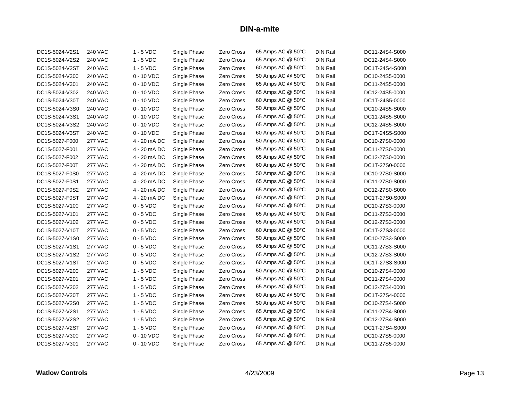| DC1S-5024-V2S1 | <b>240 VAC</b> | $1 - 5$ VDC  | Single Phase | Zero Cross        | 65 Amps AC @ 50°C | <b>DIN Rail</b> | DC11-24S4-S000 |
|----------------|----------------|--------------|--------------|-------------------|-------------------|-----------------|----------------|
| DC1S-5024-V2S2 | <b>240 VAC</b> | $1 - 5$ VDC  | Single Phase | Zero Cross        | 65 Amps AC @ 50°C | <b>DIN Rail</b> | DC12-24S4-S000 |
| DC1S-5024-V2ST | <b>240 VAC</b> | $1 - 5$ VDC  | Single Phase | Zero Cross        | 60 Amps AC @ 50°C | <b>DIN Rail</b> | DC1T-24S4-S000 |
| DC1S-5024-V300 | <b>240 VAC</b> | $0 - 10$ VDC | Single Phase | Zero Cross        | 50 Amps AC @ 50°C | <b>DIN Rail</b> | DC10-24S5-0000 |
| DC1S-5024-V301 | <b>240 VAC</b> | $0 - 10$ VDC | Single Phase | Zero Cross        | 65 Amps AC @ 50°C | <b>DIN Rail</b> | DC11-24S5-0000 |
| DC1S-5024-V302 | <b>240 VAC</b> | $0 - 10$ VDC | Single Phase | Zero Cross        | 65 Amps AC @ 50°C | <b>DIN Rail</b> | DC12-24S5-0000 |
| DC1S-5024-V30T | <b>240 VAC</b> | $0 - 10$ VDC | Single Phase | Zero Cross        | 60 Amps AC @ 50°C | <b>DIN Rail</b> | DC1T-24S5-0000 |
| DC1S-5024-V3S0 | 240 VAC        | $0 - 10$ VDC | Single Phase | Zero Cross        | 50 Amps AC @ 50°C | <b>DIN Rail</b> | DC10-24S5-S000 |
| DC1S-5024-V3S1 | <b>240 VAC</b> | $0 - 10$ VDC | Single Phase | Zero Cross        | 65 Amps AC @ 50°C | <b>DIN Rail</b> | DC11-24S5-S000 |
| DC1S-5024-V3S2 | <b>240 VAC</b> | $0 - 10$ VDC | Single Phase | Zero Cross        | 65 Amps AC @ 50°C | <b>DIN Rail</b> | DC12-24S5-S000 |
| DC1S-5024-V3ST | <b>240 VAC</b> | $0 - 10$ VDC | Single Phase | Zero Cross        | 60 Amps AC @ 50°C | <b>DIN Rail</b> | DC1T-24S5-S000 |
| DC1S-5027-F000 | <b>277 VAC</b> | 4 - 20 mA DC | Single Phase | Zero Cross        | 50 Amps AC @ 50°C | <b>DIN Rail</b> | DC10-27S0-0000 |
| DC1S-5027-F001 | <b>277 VAC</b> | 4 - 20 mA DC | Single Phase | Zero Cross        | 65 Amps AC @ 50°C | <b>DIN Rail</b> | DC11-27S0-0000 |
| DC1S-5027-F002 | <b>277 VAC</b> | 4 - 20 mA DC | Single Phase | Zero Cross        | 65 Amps AC @ 50°C | <b>DIN Rail</b> | DC12-27S0-0000 |
| DC1S-5027-F00T | <b>277 VAC</b> | 4 - 20 mA DC | Single Phase | Zero Cross        | 60 Amps AC @ 50°C | <b>DIN Rail</b> | DC1T-27S0-0000 |
| DC1S-5027-F0S0 | <b>277 VAC</b> | 4 - 20 mA DC | Single Phase | Zero Cross        | 50 Amps AC @ 50°C | <b>DIN Rail</b> | DC10-27S0-S000 |
| DC1S-5027-F0S1 | <b>277 VAC</b> | 4 - 20 mA DC | Single Phase | Zero Cross        | 65 Amps AC @ 50°C | <b>DIN Rail</b> | DC11-27S0-S000 |
| DC1S-5027-F0S2 | <b>277 VAC</b> | 4 - 20 mA DC | Single Phase | Zero Cross        | 65 Amps AC @ 50°C | <b>DIN Rail</b> | DC12-27S0-S000 |
| DC1S-5027-F0ST | <b>277 VAC</b> | 4 - 20 mA DC | Single Phase | Zero Cross        | 60 Amps AC @ 50°C | <b>DIN Rail</b> | DC1T-27S0-S000 |
| DC1S-5027-V100 | <b>277 VAC</b> | $0 - 5$ VDC  | Single Phase | Zero Cross        | 50 Amps AC @ 50°C | <b>DIN Rail</b> | DC10-27S3-0000 |
| DC1S-5027-V101 | <b>277 VAC</b> | $0 - 5$ VDC  | Single Phase | Zero Cross        | 65 Amps AC @ 50°C | <b>DIN Rail</b> | DC11-27S3-0000 |
| DC1S-5027-V102 | <b>277 VAC</b> | $0 - 5$ VDC  | Single Phase | Zero Cross        | 65 Amps AC @ 50°C | <b>DIN Rail</b> | DC12-27S3-0000 |
| DC1S-5027-V10T | <b>277 VAC</b> | $0 - 5$ VDC  | Single Phase | Zero Cross        | 60 Amps AC @ 50°C | <b>DIN Rail</b> | DC1T-27S3-0000 |
| DC1S-5027-V1S0 | <b>277 VAC</b> | $0 - 5$ VDC  | Single Phase | Zero Cross        | 50 Amps AC @ 50°C | <b>DIN Rail</b> | DC10-27S3-S000 |
| DC1S-5027-V1S1 | <b>277 VAC</b> | $0 - 5$ VDC  | Single Phase | Zero Cross        | 65 Amps AC @ 50°C | <b>DIN Rail</b> | DC11-27S3-S000 |
| DC1S-5027-V1S2 | <b>277 VAC</b> | $0 - 5$ VDC  | Single Phase | Zero Cross        | 65 Amps AC @ 50°C | <b>DIN Rail</b> | DC12-27S3-S000 |
| DC1S-5027-V1ST | <b>277 VAC</b> | $0 - 5$ VDC  | Single Phase | <b>Zero Cross</b> | 60 Amps AC @ 50°C | <b>DIN Rail</b> | DC1T-27S3-S000 |
| DC1S-5027-V200 | <b>277 VAC</b> | $1 - 5$ VDC  | Single Phase | Zero Cross        | 50 Amps AC @ 50°C | <b>DIN Rail</b> | DC10-27S4-0000 |
| DC1S-5027-V201 | <b>277 VAC</b> | $1 - 5$ VDC  | Single Phase | Zero Cross        | 65 Amps AC @ 50°C | <b>DIN Rail</b> | DC11-27S4-0000 |
| DC1S-5027-V202 | <b>277 VAC</b> | $1 - 5$ VDC  | Single Phase | <b>Zero Cross</b> | 65 Amps AC @ 50°C | <b>DIN Rail</b> | DC12-27S4-0000 |
| DC1S-5027-V20T | <b>277 VAC</b> | $1 - 5$ VDC  | Single Phase | Zero Cross        | 60 Amps AC @ 50°C | <b>DIN Rail</b> | DC1T-27S4-0000 |
| DC1S-5027-V2S0 | <b>277 VAC</b> | $1 - 5$ VDC  | Single Phase | Zero Cross        | 50 Amps AC @ 50°C | <b>DIN Rail</b> | DC10-27S4-S000 |
| DC1S-5027-V2S1 | <b>277 VAC</b> | $1 - 5$ VDC  | Single Phase | <b>Zero Cross</b> | 65 Amps AC @ 50°C | <b>DIN Rail</b> | DC11-27S4-S000 |
| DC1S-5027-V2S2 | <b>277 VAC</b> | $1 - 5$ VDC  | Single Phase | <b>Zero Cross</b> | 65 Amps AC @ 50°C | <b>DIN Rail</b> | DC12-27S4-S000 |
| DC1S-5027-V2ST | <b>277 VAC</b> | $1 - 5$ VDC  | Single Phase | <b>Zero Cross</b> | 60 Amps AC @ 50°C | <b>DIN Rail</b> | DC1T-27S4-S000 |
| DC1S-5027-V300 | <b>277 VAC</b> | $0 - 10$ VDC | Single Phase | <b>Zero Cross</b> | 50 Amps AC @ 50°C | <b>DIN Rail</b> | DC10-27S5-0000 |
| DC1S-5027-V301 | <b>277 VAC</b> | $0 - 10$ VDC | Single Phase | Zero Cross        | 65 Amps AC @ 50°C | <b>DIN Rail</b> | DC11-27S5-0000 |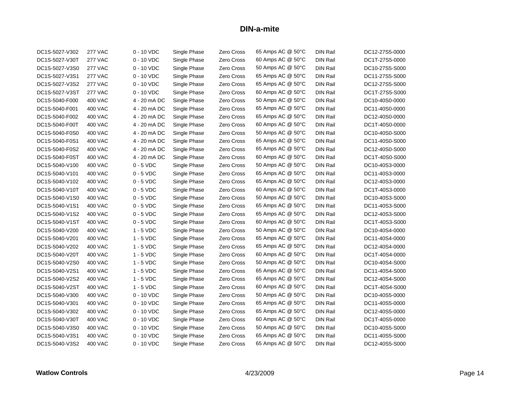| DC1S-5027-V302 | <b>277 VAC</b> | $0 - 10$ VDC | Single Phase | Zero Cross        | 65 Amps AC @ 50°C | DIN Rail        | DC12-27S5-0000 |
|----------------|----------------|--------------|--------------|-------------------|-------------------|-----------------|----------------|
| DC1S-5027-V30T | <b>277 VAC</b> | $0 - 10$ VDC | Single Phase | Zero Cross        | 60 Amps AC @ 50°C | <b>DIN Rail</b> | DC1T-27S5-0000 |
| DC1S-5027-V3S0 | <b>277 VAC</b> | $0 - 10$ VDC | Single Phase | Zero Cross        | 50 Amps AC @ 50°C | <b>DIN Rail</b> | DC10-27S5-S000 |
| DC1S-5027-V3S1 | <b>277 VAC</b> | $0 - 10$ VDC | Single Phase | Zero Cross        | 65 Amps AC @ 50°C | <b>DIN Rail</b> | DC11-27S5-S000 |
| DC1S-5027-V3S2 | <b>277 VAC</b> | $0 - 10$ VDC | Single Phase | Zero Cross        | 65 Amps AC @ 50°C | DIN Rail        | DC12-27S5-S000 |
| DC1S-5027-V3ST | <b>277 VAC</b> | $0 - 10$ VDC | Single Phase | Zero Cross        | 60 Amps AC @ 50°C | <b>DIN Rail</b> | DC1T-27S5-S000 |
| DC1S-5040-F000 | <b>400 VAC</b> | 4 - 20 mA DC | Single Phase | Zero Cross        | 50 Amps AC @ 50°C | <b>DIN Rail</b> | DC10-40S0-0000 |
| DC1S-5040-F001 | 400 VAC        | 4 - 20 mA DC | Single Phase | Zero Cross        | 65 Amps AC @ 50°C | <b>DIN Rail</b> | DC11-40S0-0000 |
| DC1S-5040-F002 | <b>400 VAC</b> | 4 - 20 mA DC | Single Phase | Zero Cross        | 65 Amps AC @ 50°C | DIN Rail        | DC12-40S0-0000 |
| DC1S-5040-F00T | 400 VAC        | 4 - 20 mA DC | Single Phase | Zero Cross        | 60 Amps AC @ 50°C | <b>DIN Rail</b> | DC1T-40S0-0000 |
| DC1S-5040-F0S0 | 400 VAC        | 4 - 20 mA DC | Single Phase | Zero Cross        | 50 Amps AC @ 50°C | <b>DIN Rail</b> | DC10-40S0-S000 |
| DC1S-5040-F0S1 | <b>400 VAC</b> | 4 - 20 mA DC | Single Phase | Zero Cross        | 65 Amps AC @ 50°C | <b>DIN Rail</b> | DC11-40S0-S000 |
| DC1S-5040-F0S2 | 400 VAC        | 4 - 20 mA DC | Single Phase | Zero Cross        | 65 Amps AC @ 50°C | <b>DIN Rail</b> | DC12-40S0-S000 |
| DC1S-5040-F0ST | 400 VAC        | 4 - 20 mA DC | Single Phase | Zero Cross        | 60 Amps AC @ 50°C | <b>DIN Rail</b> | DC1T-40S0-S000 |
| DC1S-5040-V100 | 400 VAC        | $0 - 5$ VDC  | Single Phase | Zero Cross        | 50 Amps AC @ 50°C | DIN Rail        | DC10-40S3-0000 |
| DC1S-5040-V101 | <b>400 VAC</b> | $0 - 5$ VDC  | Single Phase | Zero Cross        | 65 Amps AC @ 50°C | <b>DIN Rail</b> | DC11-40S3-0000 |
| DC1S-5040-V102 | 400 VAC        | $0 - 5$ VDC  | Single Phase | Zero Cross        | 65 Amps AC @ 50°C | <b>DIN Rail</b> | DC12-40S3-0000 |
| DC1S-5040-V10T | 400 VAC        | $0 - 5$ VDC  | Single Phase | Zero Cross        | 60 Amps AC @ 50°C | <b>DIN Rail</b> | DC1T-40S3-0000 |
| DC1S-5040-V1S0 | <b>400 VAC</b> | $0 - 5$ VDC  | Single Phase | Zero Cross        | 50 Amps AC @ 50°C | <b>DIN Rail</b> | DC10-40S3-S000 |
| DC1S-5040-V1S1 | <b>400 VAC</b> | $0 - 5$ VDC  | Single Phase | Zero Cross        | 65 Amps AC @ 50°C | <b>DIN Rail</b> | DC11-40S3-S000 |
| DC1S-5040-V1S2 | 400 VAC        | $0 - 5$ VDC  | Single Phase | Zero Cross        | 65 Amps AC @ 50°C | <b>DIN Rail</b> | DC12-40S3-S000 |
| DC1S-5040-V1ST | <b>400 VAC</b> | $0 - 5$ VDC  | Single Phase | Zero Cross        | 60 Amps AC @ 50°C | <b>DIN Rail</b> | DC1T-40S3-S000 |
| DC1S-5040-V200 | <b>400 VAC</b> | $1 - 5$ VDC  | Single Phase | Zero Cross        | 50 Amps AC @ 50°C | <b>DIN Rail</b> | DC10-40S4-0000 |
| DC1S-5040-V201 | 400 VAC        | $1 - 5$ VDC  | Single Phase | Zero Cross        | 65 Amps AC @ 50°C | <b>DIN Rail</b> | DC11-40S4-0000 |
| DC1S-5040-V202 | 400 VAC        | $1 - 5$ VDC  | Single Phase | Zero Cross        | 65 Amps AC @ 50°C | DIN Rail        | DC12-40S4-0000 |
| DC1S-5040-V20T | <b>400 VAC</b> | $1 - 5$ VDC  | Single Phase | Zero Cross        | 60 Amps AC @ 50°C | <b>DIN Rail</b> | DC1T-40S4-0000 |
| DC1S-5040-V2S0 | 400 VAC        | $1 - 5$ VDC  | Single Phase | <b>Zero Cross</b> | 50 Amps AC @ 50°C | <b>DIN Rail</b> | DC10-40S4-S000 |
| DC1S-5040-V2S1 | 400 VAC        | $1 - 5$ VDC  | Single Phase | Zero Cross        | 65 Amps AC @ 50°C | DIN Rail        | DC11-40S4-S000 |
| DC1S-5040-V2S2 | <b>400 VAC</b> | $1 - 5$ VDC  | Single Phase | Zero Cross        | 65 Amps AC @ 50°C | <b>DIN Rail</b> | DC12-40S4-S000 |
| DC1S-5040-V2ST | 400 VAC        | $1 - 5$ VDC  | Single Phase | <b>Zero Cross</b> | 60 Amps AC @ 50°C | <b>DIN Rail</b> | DC1T-40S4-S000 |
| DC1S-5040-V300 | 400 VAC        | $0 - 10$ VDC | Single Phase | Zero Cross        | 50 Amps AC @ 50°C | <b>DIN Rail</b> | DC10-40S5-0000 |
| DC1S-5040-V301 | <b>400 VAC</b> | $0 - 10$ VDC | Single Phase | Zero Cross        | 65 Amps AC @ 50°C | <b>DIN Rail</b> | DC11-40S5-0000 |
| DC1S-5040-V302 | 400 VAC        | $0 - 10$ VDC | Single Phase | Zero Cross        | 65 Amps AC @ 50°C | <b>DIN Rail</b> | DC12-40S5-0000 |
| DC1S-5040-V30T | 400 VAC        | $0 - 10$ VDC | Single Phase | Zero Cross        | 60 Amps AC @ 50°C | <b>DIN Rail</b> | DC1T-40S5-0000 |
| DC1S-5040-V3S0 | 400 VAC        | $0 - 10$ VDC | Single Phase | Zero Cross        | 50 Amps AC @ 50°C | <b>DIN Rail</b> | DC10-40S5-S000 |
| DC1S-5040-V3S1 | 400 VAC        | $0 - 10$ VDC | Single Phase | Zero Cross        | 65 Amps AC @ 50°C | <b>DIN Rail</b> | DC11-40S5-S000 |
| DC1S-5040-V3S2 | 400 VAC        | $0 - 10$ VDC | Single Phase | Zero Cross        | 65 Amps AC @ 50°C | DIN Rail        | DC12-40S5-S000 |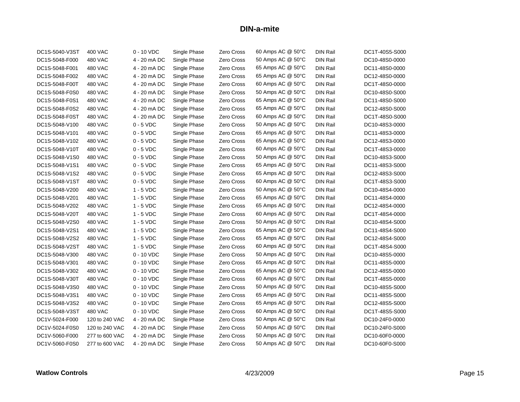| DC1S-5040-V3ST | 400 VAC        | $0 - 10$ VDC | Single Phase | Zero Cross        | 60 Amps AC @ 50°C | <b>DIN Rail</b> | DC1T-40S5-S000 |
|----------------|----------------|--------------|--------------|-------------------|-------------------|-----------------|----------------|
| DC1S-5048-F000 | <b>480 VAC</b> | 4 - 20 mA DC | Single Phase | Zero Cross        | 50 Amps AC @ 50°C | <b>DIN Rail</b> | DC10-48S0-0000 |
| DC1S-5048-F001 | 480 VAC        | 4 - 20 mA DC | Single Phase | Zero Cross        | 65 Amps AC @ 50°C | DIN Rail        | DC11-48S0-0000 |
| DC1S-5048-F002 | 480 VAC        | 4 - 20 mA DC | Single Phase | Zero Cross        | 65 Amps AC @ 50°C | DIN Rail        | DC12-48S0-0000 |
| DC1S-5048-F00T | <b>480 VAC</b> | 4 - 20 mA DC | Single Phase | Zero Cross        | 60 Amps AC @ 50°C | <b>DIN Rail</b> | DC1T-48S0-0000 |
| DC1S-5048-F0S0 | 480 VAC        | 4 - 20 mA DC | Single Phase | Zero Cross        | 50 Amps AC @ 50°C | <b>DIN Rail</b> | DC10-48S0-S000 |
| DC1S-5048-F0S1 | <b>480 VAC</b> | 4 - 20 mA DC | Single Phase | Zero Cross        | 65 Amps AC @ 50°C | <b>DIN Rail</b> | DC11-48S0-S000 |
| DC1S-5048-F0S2 | <b>480 VAC</b> | 4 - 20 mA DC | Single Phase | Zero Cross        | 65 Amps AC @ 50°C | <b>DIN Rail</b> | DC12-48S0-S000 |
| DC1S-5048-F0ST | 480 VAC        | 4 - 20 mA DC | Single Phase | Zero Cross        | 60 Amps AC @ 50°C | <b>DIN Rail</b> | DC1T-48S0-S000 |
| DC1S-5048-V100 | <b>480 VAC</b> | $0 - 5$ VDC  | Single Phase | Zero Cross        | 50 Amps AC @ 50°C | <b>DIN Rail</b> | DC10-48S3-0000 |
| DC1S-5048-V101 | 480 VAC        | $0 - 5$ VDC  | Single Phase | Zero Cross        | 65 Amps AC @ 50°C | <b>DIN Rail</b> | DC11-48S3-0000 |
| DC1S-5048-V102 | 480 VAC        | $0 - 5$ VDC  | Single Phase | Zero Cross        | 65 Amps AC @ 50°C | <b>DIN Rail</b> | DC12-48S3-0000 |
| DC1S-5048-V10T | 480 VAC        | $0 - 5$ VDC  | Single Phase | Zero Cross        | 60 Amps AC @ 50°C | <b>DIN Rail</b> | DC1T-48S3-0000 |
| DC1S-5048-V1S0 | 480 VAC        | $0 - 5$ VDC  | Single Phase | Zero Cross        | 50 Amps AC @ 50°C | <b>DIN Rail</b> | DC10-48S3-S000 |
| DC1S-5048-V1S1 | <b>480 VAC</b> | $0 - 5$ VDC  | Single Phase | Zero Cross        | 65 Amps AC @ 50°C | <b>DIN Rail</b> | DC11-48S3-S000 |
| DC1S-5048-V1S2 | 480 VAC        | $0 - 5$ VDC  | Single Phase | Zero Cross        | 65 Amps AC @ 50°C | <b>DIN Rail</b> | DC12-48S3-S000 |
| DC1S-5048-V1ST | 480 VAC        | $0 - 5$ VDC  | Single Phase | Zero Cross        | 60 Amps AC @ 50°C | <b>DIN Rail</b> | DC1T-48S3-S000 |
| DC1S-5048-V200 | <b>480 VAC</b> | $1 - 5$ VDC  | Single Phase | Zero Cross        | 50 Amps AC @ 50°C | <b>DIN Rail</b> | DC10-48S4-0000 |
| DC1S-5048-V201 | 480 VAC        | $1 - 5$ VDC  | Single Phase | Zero Cross        | 65 Amps AC @ 50°C | <b>DIN Rail</b> | DC11-48S4-0000 |
| DC1S-5048-V202 | 480 VAC        | $1 - 5$ VDC  | Single Phase | Zero Cross        | 65 Amps AC @ 50°C | <b>DIN Rail</b> | DC12-48S4-0000 |
| DC1S-5048-V20T | 480 VAC        | $1 - 5$ VDC  | Single Phase | Zero Cross        | 60 Amps AC @ 50°C | <b>DIN Rail</b> | DC1T-48S4-0000 |
| DC1S-5048-V2S0 | 480 VAC        | $1 - 5$ VDC  | Single Phase | Zero Cross        | 50 Amps AC @ 50°C | <b>DIN Rail</b> | DC10-48S4-S000 |
| DC1S-5048-V2S1 | <b>480 VAC</b> | $1 - 5$ VDC  | Single Phase | Zero Cross        | 65 Amps AC @ 50°C | <b>DIN Rail</b> | DC11-48S4-S000 |
| DC1S-5048-V2S2 | 480 VAC        | $1 - 5$ VDC  | Single Phase | Zero Cross        | 65 Amps AC @ 50°C | <b>DIN Rail</b> | DC12-48S4-S000 |
| DC1S-5048-V2ST | 480 VAC        | $1 - 5$ VDC  | Single Phase | Zero Cross        | 60 Amps AC @ 50°C | DIN Rail        | DC1T-48S4-S000 |
| DC1S-5048-V300 | <b>480 VAC</b> | $0 - 10$ VDC | Single Phase | Zero Cross        | 50 Amps AC @ 50°C | <b>DIN Rail</b> | DC10-48S5-0000 |
| DC1S-5048-V301 | 480 VAC        | $0 - 10$ VDC | Single Phase | Zero Cross        | 65 Amps AC @ 50°C | <b>DIN Rail</b> | DC11-48S5-0000 |
| DC1S-5048-V302 | 480 VAC        | $0 - 10$ VDC | Single Phase | Zero Cross        | 65 Amps AC @ 50°C | <b>DIN Rail</b> | DC12-48S5-0000 |
| DC1S-5048-V30T | 480 VAC        | $0 - 10$ VDC | Single Phase | Zero Cross        | 60 Amps AC @ 50°C | <b>DIN Rail</b> | DC1T-48S5-0000 |
| DC1S-5048-V3S0 | 480 VAC        | $0 - 10$ VDC | Single Phase | Zero Cross        | 50 Amps AC @ 50°C | <b>DIN Rail</b> | DC10-48S5-S000 |
| DC1S-5048-V3S1 | <b>480 VAC</b> | $0 - 10$ VDC | Single Phase | Zero Cross        | 65 Amps AC @ 50°C | <b>DIN Rail</b> | DC11-48S5-S000 |
| DC1S-5048-V3S2 | 480 VAC        | $0 - 10$ VDC | Single Phase | Zero Cross        | 65 Amps AC @ 50°C | <b>DIN Rail</b> | DC12-48S5-S000 |
| DC1S-5048-V3ST | 480 VAC        | $0 - 10$ VDC | Single Phase | Zero Cross        | 60 Amps AC @ 50°C | <b>DIN Rail</b> | DC1T-48S5-S000 |
| DC1V-5024-F000 | 120 to 240 VAC | 4 - 20 mA DC | Single Phase | Zero Cross        | 50 Amps AC @ 50°C | <b>DIN Rail</b> | DC10-24F0-0000 |
| DC1V-5024-F0S0 | 120 to 240 VAC | 4 - 20 mA DC | Single Phase | <b>Zero Cross</b> | 50 Amps AC @ 50°C | <b>DIN Rail</b> | DC10-24F0-S000 |
| DC1V-5060-F000 | 277 to 600 VAC | 4 - 20 mA DC | Single Phase | Zero Cross        | 50 Amps AC @ 50°C | <b>DIN Rail</b> | DC10-60F0-0000 |
| DC1V-5060-F0S0 | 277 to 600 VAC | 4 - 20 mA DC | Single Phase | Zero Cross        | 50 Amps AC @ 50°C | DIN Rail        | DC10-60F0-S000 |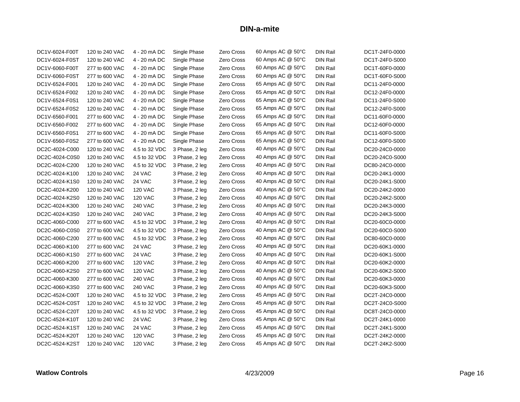| DC1V-6024-F00T | 120 to 240 VAC | 4 - 20 mA DC   | Single Phase   | Zero Cross        | 60 Amps AC @ 50°C | <b>DIN Rail</b> | DC1T-24F0-0000 |
|----------------|----------------|----------------|----------------|-------------------|-------------------|-----------------|----------------|
| DC1V-6024-F0ST | 120 to 240 VAC | 4 - 20 mA DC   | Single Phase   | Zero Cross        | 60 Amps AC @ 50°C | <b>DIN Rail</b> | DC1T-24F0-S000 |
| DC1V-6060-F00T | 277 to 600 VAC | 4 - 20 mA DC   | Single Phase   | Zero Cross        | 60 Amps AC @ 50°C | DIN Rail        | DC1T-60F0-0000 |
| DC1V-6060-F0ST | 277 to 600 VAC | 4 - 20 mA DC   | Single Phase   | Zero Cross        | 60 Amps AC @ 50°C | DIN Rail        | DC1T-60F0-S000 |
| DC1V-6524-F001 | 120 to 240 VAC | 4 - 20 mA DC   | Single Phase   | Zero Cross        | 65 Amps AC @ 50°C | <b>DIN Rail</b> | DC11-24F0-0000 |
| DC1V-6524-F002 | 120 to 240 VAC | 4 - 20 mA DC   | Single Phase   | Zero Cross        | 65 Amps AC @ 50°C | <b>DIN Rail</b> | DC12-24F0-0000 |
| DC1V-6524-F0S1 | 120 to 240 VAC | 4 - 20 mA DC   | Single Phase   | Zero Cross        | 65 Amps AC @ 50°C | <b>DIN Rail</b> | DC11-24F0-S000 |
| DC1V-6524-F0S2 | 120 to 240 VAC | 4 - 20 mA DC   | Single Phase   | Zero Cross        | 65 Amps AC @ 50°C | <b>DIN Rail</b> | DC12-24F0-S000 |
| DC1V-6560-F001 | 277 to 600 VAC | 4 - 20 mA DC   | Single Phase   | Zero Cross        | 65 Amps AC @ 50°C | DIN Rail        | DC11-60F0-0000 |
| DC1V-6560-F002 | 277 to 600 VAC | 4 - 20 mA DC   | Single Phase   | Zero Cross        | 65 Amps AC @ 50°C | <b>DIN Rail</b> | DC12-60F0-0000 |
| DC1V-6560-F0S1 | 277 to 600 VAC | 4 - 20 mA DC   | Single Phase   | Zero Cross        | 65 Amps AC @ 50°C | <b>DIN Rail</b> | DC11-60F0-S000 |
| DC1V-6560-F0S2 | 277 to 600 VAC | 4 - 20 mA DC   | Single Phase   | Zero Cross        | 65 Amps AC @ 50°C | DIN Rail        | DC12-60F0-S000 |
| DC2C-4024-C000 | 120 to 240 VAC | 4.5 to 32 VDC  | 3 Phase, 2 leg | Zero Cross        | 40 Amps AC @ 50°C | <b>DIN Rail</b> | DC20-24C0-0000 |
| DC2C-4024-C0S0 | 120 to 240 VAC | 4.5 to 32 VDC  | 3 Phase, 2 leg | Zero Cross        | 40 Amps AC @ 50°C | DIN Rail        | DC20-24C0-S000 |
| DC2C-4024-C200 | 120 to 240 VAC | 4.5 to 32 VDC  | 3 Phase, 2 leg | Zero Cross        | 40 Amps AC @ 50°C | <b>DIN Rail</b> | DC80-24C0-0000 |
| DC2C-4024-K100 | 120 to 240 VAC | 24 VAC         | 3 Phase, 2 leg | Zero Cross        | 40 Amps AC @ 50°C | <b>DIN Rail</b> | DC20-24K1-0000 |
| DC2C-4024-K1S0 | 120 to 240 VAC | 24 VAC         | 3 Phase, 2 leg | Zero Cross        | 40 Amps AC @ 50°C | <b>DIN Rail</b> | DC20-24K1-S000 |
| DC2C-4024-K200 | 120 to 240 VAC | <b>120 VAC</b> | 3 Phase, 2 leg | Zero Cross        | 40 Amps AC @ 50°C | <b>DIN Rail</b> | DC20-24K2-0000 |
| DC2C-4024-K2S0 | 120 to 240 VAC | <b>120 VAC</b> | 3 Phase, 2 leg | Zero Cross        | 40 Amps AC @ 50°C | <b>DIN Rail</b> | DC20-24K2-S000 |
| DC2C-4024-K300 | 120 to 240 VAC | <b>240 VAC</b> | 3 Phase, 2 leg | Zero Cross        | 40 Amps AC @ 50°C | DIN Rail        | DC20-24K3-0000 |
| DC2C-4024-K3S0 | 120 to 240 VAC | <b>240 VAC</b> | 3 Phase, 2 leg | Zero Cross        | 40 Amps AC @ 50°C | <b>DIN Rail</b> | DC20-24K3-S000 |
| DC2C-4060-C000 | 277 to 600 VAC | 4.5 to 32 VDC  | 3 Phase, 2 leg | Zero Cross        | 40 Amps AC @ 50°C | <b>DIN Rail</b> | DC20-60C0-0000 |
| DC2C-4060-C0S0 | 277 to 600 VAC | 4.5 to 32 VDC  | 3 Phase, 2 leg | Zero Cross        | 40 Amps AC @ 50°C | <b>DIN Rail</b> | DC20-60C0-S000 |
| DC2C-4060-C200 | 277 to 600 VAC | 4.5 to 32 VDC  | 3 Phase, 2 leg | Zero Cross        | 40 Amps AC @ 50°C | DIN Rail        | DC80-60C0-0000 |
| DC2C-4060-K100 | 277 to 600 VAC | 24 VAC         | 3 Phase, 2 leg | Zero Cross        | 40 Amps AC @ 50°C | DIN Rail        | DC20-60K1-0000 |
| DC2C-4060-K1S0 | 277 to 600 VAC | 24 VAC         | 3 Phase, 2 leg | Zero Cross        | 40 Amps AC @ 50°C | <b>DIN Rail</b> | DC20-60K1-S000 |
| DC2C-4060-K200 | 277 to 600 VAC | <b>120 VAC</b> | 3 Phase, 2 leg | Zero Cross        | 40 Amps AC @ 50°C | <b>DIN Rail</b> | DC20-60K2-0000 |
| DC2C-4060-K2S0 | 277 to 600 VAC | <b>120 VAC</b> | 3 Phase, 2 leg | Zero Cross        | 40 Amps AC @ 50°C | <b>DIN Rail</b> | DC20-60K2-S000 |
| DC2C-4060-K300 | 277 to 600 VAC | <b>240 VAC</b> | 3 Phase, 2 leg | <b>Zero Cross</b> | 40 Amps AC @ 50°C | <b>DIN Rail</b> | DC20-60K3-0000 |
| DC2C-4060-K3S0 | 277 to 600 VAC | <b>240 VAC</b> | 3 Phase, 2 leg | Zero Cross        | 40 Amps AC @ 50°C | <b>DIN Rail</b> | DC20-60K3-S000 |
| DC2C-4524-C00T | 120 to 240 VAC | 4.5 to 32 VDC  | 3 Phase, 2 leg | Zero Cross        | 45 Amps AC @ 50°C | <b>DIN Rail</b> | DC2T-24C0-0000 |
| DC2C-4524-C0ST | 120 to 240 VAC | 4.5 to 32 VDC  | 3 Phase, 2 leg | Zero Cross        | 45 Amps AC @ 50°C | DIN Rail        | DC2T-24C0-S000 |
| DC2C-4524-C20T | 120 to 240 VAC | 4.5 to 32 VDC  | 3 Phase, 2 leg | Zero Cross        | 45 Amps AC @ 50°C | <b>DIN Rail</b> | DC8T-24C0-0000 |
| DC2C-4524-K10T | 120 to 240 VAC | 24 VAC         | 3 Phase, 2 leg | Zero Cross        | 45 Amps AC @ 50°C | <b>DIN Rail</b> | DC2T-24K1-0000 |
| DC2C-4524-K1ST | 120 to 240 VAC | 24 VAC         | 3 Phase, 2 leg | Zero Cross        | 45 Amps AC @ 50°C | DIN Rail        | DC2T-24K1-S000 |
| DC2C-4524-K20T | 120 to 240 VAC | <b>120 VAC</b> | 3 Phase, 2 leg | Zero Cross        | 45 Amps AC @ 50°C | <b>DIN Rail</b> | DC2T-24K2-0000 |
| DC2C-4524-K2ST | 120 to 240 VAC | <b>120 VAC</b> | 3 Phase, 2 leg | Zero Cross        | 45 Amps AC @ 50°C | DIN Rail        | DC2T-24K2-S000 |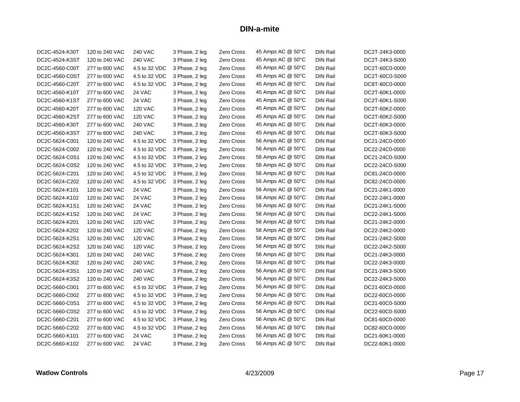| DC2C-4524-K30T | 120 to 240 VAC | <b>240 VAC</b> | 3 Phase, 2 leg | Zero Cross        | 45 Amps AC @ 50°C | <b>DIN Rail</b> | DC2T-24K3-0000 |
|----------------|----------------|----------------|----------------|-------------------|-------------------|-----------------|----------------|
| DC2C-4524-K3ST | 120 to 240 VAC | <b>240 VAC</b> | 3 Phase, 2 leg | Zero Cross        | 45 Amps AC @ 50°C | <b>DIN Rail</b> | DC2T-24K3-S000 |
| DC2C-4560-C00T | 277 to 600 VAC | 4.5 to 32 VDC  | 3 Phase, 2 leg | Zero Cross        | 45 Amps AC @ 50°C | <b>DIN Rail</b> | DC2T-60C0-0000 |
| DC2C-4560-C0ST | 277 to 600 VAC | 4.5 to 32 VDC  | 3 Phase, 2 leg | Zero Cross        | 45 Amps AC @ 50°C | <b>DIN Rail</b> | DC2T-60C0-S000 |
| DC2C-4560-C20T | 277 to 600 VAC | 4.5 to 32 VDC  | 3 Phase, 2 leg | Zero Cross        | 45 Amps AC @ 50°C | <b>DIN Rail</b> | DC8T-60C0-0000 |
| DC2C-4560-K10T | 277 to 600 VAC | 24 VAC         | 3 Phase, 2 leg | Zero Cross        | 45 Amps AC @ 50°C | <b>DIN Rail</b> | DC2T-60K1-0000 |
| DC2C-4560-K1ST | 277 to 600 VAC | 24 VAC         | 3 Phase, 2 leg | Zero Cross        | 45 Amps AC @ 50°C | <b>DIN Rail</b> | DC2T-60K1-S000 |
| DC2C-4560-K20T | 277 to 600 VAC | <b>120 VAC</b> | 3 Phase, 2 leg | Zero Cross        | 45 Amps AC @ 50°C | <b>DIN Rail</b> | DC2T-60K2-0000 |
| DC2C-4560-K2ST | 277 to 600 VAC | <b>120 VAC</b> | 3 Phase, 2 leg | Zero Cross        | 45 Amps AC @ 50°C | <b>DIN Rail</b> | DC2T-60K2-S000 |
| DC2C-4560-K30T | 277 to 600 VAC | <b>240 VAC</b> | 3 Phase, 2 leg | Zero Cross        | 45 Amps AC @ 50°C | <b>DIN Rail</b> | DC2T-60K3-0000 |
| DC2C-4560-K3ST | 277 to 600 VAC | <b>240 VAC</b> | 3 Phase, 2 leg | Zero Cross        | 45 Amps AC @ 50°C | <b>DIN Rail</b> | DC2T-60K3-S000 |
| DC2C-5624-C001 | 120 to 240 VAC | 4.5 to 32 VDC  | 3 Phase, 2 leg | Zero Cross        | 56 Amps AC @ 50°C | <b>DIN Rail</b> | DC21-24C0-0000 |
| DC2C-5624-C002 | 120 to 240 VAC | 4.5 to 32 VDC  | 3 Phase, 2 leg | Zero Cross        | 56 Amps AC @ 50°C | <b>DIN Rail</b> | DC22-24C0-0000 |
| DC2C-5624-C0S1 | 120 to 240 VAC | 4.5 to 32 VDC  | 3 Phase, 2 leg | Zero Cross        | 56 Amps AC @ 50°C | <b>DIN Rail</b> | DC21-24C0-S000 |
| DC2C-5624-C0S2 | 120 to 240 VAC | 4.5 to 32 VDC  | 3 Phase, 2 leg | Zero Cross        | 56 Amps AC @ 50°C | <b>DIN Rail</b> | DC22-24C0-S000 |
| DC2C-5624-C201 | 120 to 240 VAC | 4.5 to 32 VDC  | 3 Phase, 2 leg | Zero Cross        | 56 Amps AC @ 50°C | <b>DIN Rail</b> | DC81-24C0-0000 |
| DC2C-5624-C202 | 120 to 240 VAC | 4.5 to 32 VDC  | 3 Phase, 2 leg | Zero Cross        | 56 Amps AC @ 50°C | <b>DIN Rail</b> | DC82-24C0-0000 |
| DC2C-5624-K101 | 120 to 240 VAC | 24 VAC         | 3 Phase, 2 leg | Zero Cross        | 56 Amps AC @ 50°C | <b>DIN Rail</b> | DC21-24K1-0000 |
| DC2C-5624-K102 | 120 to 240 VAC | 24 VAC         | 3 Phase, 2 leg | Zero Cross        | 56 Amps AC @ 50°C | <b>DIN Rail</b> | DC22-24K1-0000 |
| DC2C-5624-K1S1 | 120 to 240 VAC | 24 VAC         | 3 Phase, 2 leg | Zero Cross        | 56 Amps AC @ 50°C | <b>DIN Rail</b> | DC21-24K1-S000 |
| DC2C-5624-K1S2 | 120 to 240 VAC | 24 VAC         | 3 Phase, 2 leg | Zero Cross        | 56 Amps AC @ 50°C | <b>DIN Rail</b> | DC22-24K1-S000 |
| DC2C-5624-K201 | 120 to 240 VAC | <b>120 VAC</b> | 3 Phase, 2 leg | Zero Cross        | 56 Amps AC @ 50°C | <b>DIN Rail</b> | DC21-24K2-0000 |
| DC2C-5624-K202 | 120 to 240 VAC | <b>120 VAC</b> | 3 Phase, 2 leg | Zero Cross        | 56 Amps AC @ 50°C | <b>DIN Rail</b> | DC22-24K2-0000 |
| DC2C-5624-K2S1 | 120 to 240 VAC | <b>120 VAC</b> | 3 Phase, 2 leg | Zero Cross        | 56 Amps AC @ 50°C | <b>DIN Rail</b> | DC21-24K2-S000 |
| DC2C-5624-K2S2 | 120 to 240 VAC | <b>120 VAC</b> | 3 Phase, 2 leg | Zero Cross        | 56 Amps AC @ 50°C | <b>DIN Rail</b> | DC22-24K2-S000 |
| DC2C-5624-K301 | 120 to 240 VAC | <b>240 VAC</b> | 3 Phase, 2 leg | Zero Cross        | 56 Amps AC @ 50°C | <b>DIN Rail</b> | DC21-24K3-0000 |
| DC2C-5624-K302 | 120 to 240 VAC | <b>240 VAC</b> | 3 Phase, 2 leg | <b>Zero Cross</b> | 56 Amps AC @ 50°C | <b>DIN Rail</b> | DC22-24K3-0000 |
| DC2C-5624-K3S1 | 120 to 240 VAC | <b>240 VAC</b> | 3 Phase, 2 leg | Zero Cross        | 56 Amps AC @ 50°C | <b>DIN Rail</b> | DC21-24K3-S000 |
| DC2C-5624-K3S2 | 120 to 240 VAC | <b>240 VAC</b> | 3 Phase, 2 leg | <b>Zero Cross</b> | 56 Amps AC @ 50°C | <b>DIN Rail</b> | DC22-24K3-S000 |
| DC2C-5660-C001 | 277 to 600 VAC | 4.5 to 32 VDC  | 3 Phase, 2 leg | <b>Zero Cross</b> | 56 Amps AC @ 50°C | <b>DIN Rail</b> | DC21-60C0-0000 |
| DC2C-5660-C002 | 277 to 600 VAC | 4.5 to 32 VDC  | 3 Phase, 2 leg | Zero Cross        | 56 Amps AC @ 50°C | <b>DIN Rail</b> | DC22-60C0-0000 |
| DC2C-5660-C0S1 | 277 to 600 VAC | 4.5 to 32 VDC  | 3 Phase, 2 leg | Zero Cross        | 56 Amps AC @ 50°C | <b>DIN Rail</b> | DC21-60C0-S000 |
| DC2C-5660-C0S2 | 277 to 600 VAC | 4.5 to 32 VDC  | 3 Phase, 2 leg | Zero Cross        | 56 Amps AC @ 50°C | <b>DIN Rail</b> | DC22-60C0-S000 |
| DC2C-5660-C201 | 277 to 600 VAC | 4.5 to 32 VDC  | 3 Phase, 2 leg | Zero Cross        | 56 Amps AC @ 50°C | <b>DIN Rail</b> | DC81-60C0-0000 |
| DC2C-5660-C202 | 277 to 600 VAC | 4.5 to 32 VDC  | 3 Phase, 2 leg | Zero Cross        | 56 Amps AC @ 50°C | <b>DIN Rail</b> | DC82-60C0-0000 |
| DC2C-5660-K101 | 277 to 600 VAC | 24 VAC         | 3 Phase, 2 leg | Zero Cross        | 56 Amps AC @ 50°C | <b>DIN Rail</b> | DC21-60K1-0000 |
| DC2C-5660-K102 | 277 to 600 VAC | 24 VAC         | 3 Phase, 2 leg | Zero Cross        | 56 Amps AC @ 50°C | <b>DIN Rail</b> | DC22-60K1-0000 |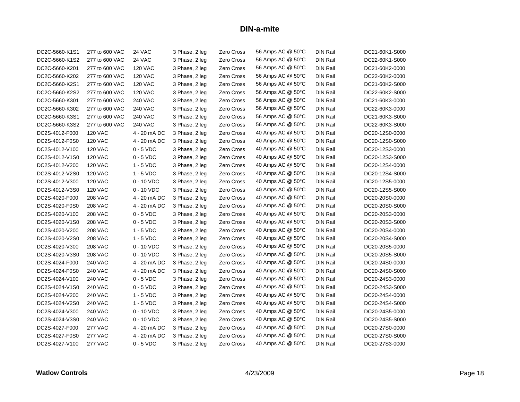| DC2C-5660-K1S1 | 277 to 600 VAC | 24 VAC         | 3 Phase, 2 leg | Zero Cross        | 56 Amps AC @ 50°C | <b>DIN Rail</b> | DC21-60K1-S000 |
|----------------|----------------|----------------|----------------|-------------------|-------------------|-----------------|----------------|
| DC2C-5660-K1S2 | 277 to 600 VAC | 24 VAC         | 3 Phase, 2 leg | Zero Cross        | 56 Amps AC @ 50°C | <b>DIN Rail</b> | DC22-60K1-S000 |
| DC2C-5660-K201 | 277 to 600 VAC | <b>120 VAC</b> | 3 Phase, 2 leg | Zero Cross        | 56 Amps AC @ 50°C | <b>DIN Rail</b> | DC21-60K2-0000 |
| DC2C-5660-K202 | 277 to 600 VAC | <b>120 VAC</b> | 3 Phase, 2 leg | Zero Cross        | 56 Amps AC @ 50°C | <b>DIN Rail</b> | DC22-60K2-0000 |
| DC2C-5660-K2S1 | 277 to 600 VAC | <b>120 VAC</b> | 3 Phase, 2 leg | Zero Cross        | 56 Amps AC @ 50°C | <b>DIN Rail</b> | DC21-60K2-S000 |
| DC2C-5660-K2S2 | 277 to 600 VAC | <b>120 VAC</b> | 3 Phase, 2 leg | Zero Cross        | 56 Amps AC @ 50°C | <b>DIN Rail</b> | DC22-60K2-S000 |
| DC2C-5660-K301 | 277 to 600 VAC | <b>240 VAC</b> | 3 Phase, 2 leg | Zero Cross        | 56 Amps AC @ 50°C | DIN Rail        | DC21-60K3-0000 |
| DC2C-5660-K302 | 277 to 600 VAC | <b>240 VAC</b> | 3 Phase, 2 leg | Zero Cross        | 56 Amps AC @ 50°C | <b>DIN Rail</b> | DC22-60K3-0000 |
| DC2C-5660-K3S1 | 277 to 600 VAC | <b>240 VAC</b> | 3 Phase, 2 leg | Zero Cross        | 56 Amps AC @ 50°C | <b>DIN Rail</b> | DC21-60K3-S000 |
| DC2C-5660-K3S2 | 277 to 600 VAC | <b>240 VAC</b> | 3 Phase, 2 leg | Zero Cross        | 56 Amps AC @ 50°C | DIN Rail        | DC22-60K3-S000 |
| DC2S-4012-F000 | <b>120 VAC</b> | 4 - 20 mA DC   | 3 Phase, 2 leg | Zero Cross        | 40 Amps AC @ 50°C | <b>DIN Rail</b> | DC20-12S0-0000 |
| DC2S-4012-F0S0 | <b>120 VAC</b> | 4 - 20 mA DC   | 3 Phase, 2 leg | Zero Cross        | 40 Amps AC @ 50°C | <b>DIN Rail</b> | DC20-12S0-S000 |
| DC2S-4012-V100 | <b>120 VAC</b> | $0 - 5$ VDC    | 3 Phase, 2 leg | Zero Cross        | 40 Amps AC @ 50°C | <b>DIN Rail</b> | DC20-12S3-0000 |
| DC2S-4012-V1S0 | <b>120 VAC</b> | $0 - 5$ VDC    | 3 Phase, 2 leg | Zero Cross        | 40 Amps AC @ 50°C | <b>DIN Rail</b> | DC20-12S3-S000 |
| DC2S-4012-V200 | <b>120 VAC</b> | $1 - 5$ VDC    | 3 Phase, 2 leg | Zero Cross        | 40 Amps AC @ 50°C | <b>DIN Rail</b> | DC20-12S4-0000 |
| DC2S-4012-V2S0 | <b>120 VAC</b> | $1 - 5$ VDC    | 3 Phase, 2 leg | Zero Cross        | 40 Amps AC @ 50°C | <b>DIN Rail</b> | DC20-12S4-S000 |
| DC2S-4012-V300 | <b>120 VAC</b> | $0 - 10$ VDC   | 3 Phase, 2 leg | Zero Cross        | 40 Amps AC @ 50°C | <b>DIN Rail</b> | DC20-12S5-0000 |
| DC2S-4012-V3S0 | <b>120 VAC</b> | $0 - 10$ VDC   | 3 Phase, 2 leg | Zero Cross        | 40 Amps AC @ 50°C | <b>DIN Rail</b> | DC20-12S5-S000 |
| DC2S-4020-F000 | <b>208 VAC</b> | 4 - 20 mA DC   | 3 Phase, 2 leg | Zero Cross        | 40 Amps AC @ 50°C | <b>DIN Rail</b> | DC20-20S0-0000 |
| DC2S-4020-F0S0 | <b>208 VAC</b> | 4 - 20 mA DC   | 3 Phase, 2 leg | Zero Cross        | 40 Amps AC @ 50°C | <b>DIN Rail</b> | DC20-20S0-S000 |
| DC2S-4020-V100 | <b>208 VAC</b> | $0 - 5$ VDC    | 3 Phase, 2 leg | Zero Cross        | 40 Amps AC @ 50°C | <b>DIN Rail</b> | DC20-20S3-0000 |
| DC2S-4020-V1S0 | <b>208 VAC</b> | $0 - 5$ VDC    | 3 Phase, 2 leg | Zero Cross        | 40 Amps AC @ 50°C | <b>DIN Rail</b> | DC20-20S3-S000 |
| DC2S-4020-V200 | <b>208 VAC</b> | $1 - 5$ VDC    | 3 Phase, 2 leg | Zero Cross        | 40 Amps AC @ 50°C | <b>DIN Rail</b> | DC20-20S4-0000 |
| DC2S-4020-V2S0 | <b>208 VAC</b> | $1 - 5$ VDC    | 3 Phase, 2 leg | Zero Cross        | 40 Amps AC @ 50°C | <b>DIN Rail</b> | DC20-20S4-S000 |
| DC2S-4020-V300 | <b>208 VAC</b> | $0 - 10$ VDC   | 3 Phase, 2 leg | Zero Cross        | 40 Amps AC @ 50°C | <b>DIN Rail</b> | DC20-20S5-0000 |
| DC2S-4020-V3S0 | <b>208 VAC</b> | $0 - 10$ VDC   | 3 Phase, 2 leg | Zero Cross        | 40 Amps AC @ 50°C | <b>DIN Rail</b> | DC20-20S5-S000 |
| DC2S-4024-F000 | <b>240 VAC</b> | 4 - 20 mA DC   | 3 Phase, 2 leg | Zero Cross        | 40 Amps AC @ 50°C | <b>DIN Rail</b> | DC20-24S0-0000 |
| DC2S-4024-F0S0 | <b>240 VAC</b> | 4 - 20 mA DC   | 3 Phase, 2 leg | Zero Cross        | 40 Amps AC @ 50°C | <b>DIN Rail</b> | DC20-24S0-S000 |
| DC2S-4024-V100 | <b>240 VAC</b> | $0 - 5$ VDC    | 3 Phase, 2 leg | Zero Cross        | 40 Amps AC @ 50°C | <b>DIN Rail</b> | DC20-24S3-0000 |
| DC2S-4024-V1S0 | <b>240 VAC</b> | $0 - 5$ VDC    | 3 Phase, 2 leg | Zero Cross        | 40 Amps AC @ 50°C | <b>DIN Rail</b> | DC20-24S3-S000 |
| DC2S-4024-V200 | <b>240 VAC</b> | $1 - 5$ VDC    | 3 Phase, 2 leg | Zero Cross        | 40 Amps AC @ 50°C | <b>DIN Rail</b> | DC20-24S4-0000 |
| DC2S-4024-V2S0 | <b>240 VAC</b> | $1 - 5$ VDC    | 3 Phase, 2 leg | Zero Cross        | 40 Amps AC @ 50°C | <b>DIN Rail</b> | DC20-24S4-S000 |
| DC2S-4024-V300 | <b>240 VAC</b> | $0 - 10$ VDC   | 3 Phase, 2 leg | Zero Cross        | 40 Amps AC @ 50°C | <b>DIN Rail</b> | DC20-24S5-0000 |
| DC2S-4024-V3S0 | <b>240 VAC</b> | $0 - 10$ VDC   | 3 Phase, 2 leg | <b>Zero Cross</b> | 40 Amps AC @ 50°C | <b>DIN Rail</b> | DC20-24S5-S000 |
| DC2S-4027-F000 | <b>277 VAC</b> | 4 - 20 mA DC   | 3 Phase, 2 leg | Zero Cross        | 40 Amps AC @ 50°C | <b>DIN Rail</b> | DC20-27S0-0000 |
| DC2S-4027-F0S0 | <b>277 VAC</b> | 4 - 20 mA DC   | 3 Phase, 2 leg | Zero Cross        | 40 Amps AC @ 50°C | <b>DIN Rail</b> | DC20-27S0-S000 |
| DC2S-4027-V100 | <b>277 VAC</b> | $0 - 5$ VDC    | 3 Phase, 2 leg | Zero Cross        | 40 Amps AC @ 50°C | <b>DIN Rail</b> | DC20-27S3-0000 |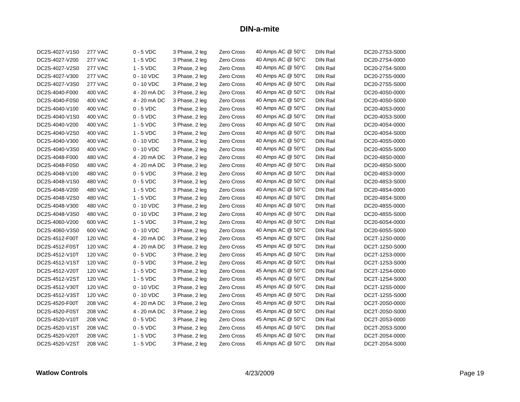| DC2S-4027-V1S0 | <b>277 VAC</b> | $0 - 5$ VDC  | 3 Phase, 2 leg | Zero Cross | 40 Amps AC @ 50°C | <b>DIN Rail</b> | DC20-27S3-S000 |
|----------------|----------------|--------------|----------------|------------|-------------------|-----------------|----------------|
| DC2S-4027-V200 | <b>277 VAC</b> | $1 - 5$ VDC  | 3 Phase, 2 leg | Zero Cross | 40 Amps AC @ 50°C | <b>DIN Rail</b> | DC20-27S4-0000 |
| DC2S-4027-V2S0 | <b>277 VAC</b> | $1 - 5$ VDC  | 3 Phase, 2 leg | Zero Cross | 40 Amps AC @ 50°C | <b>DIN Rail</b> | DC20-27S4-S000 |
| DC2S-4027-V300 | <b>277 VAC</b> | $0 - 10$ VDC | 3 Phase, 2 leg | Zero Cross | 40 Amps AC @ 50°C | DIN Rail        | DC20-27S5-0000 |
| DC2S-4027-V3S0 | <b>277 VAC</b> | $0 - 10$ VDC | 3 Phase, 2 leg | Zero Cross | 40 Amps AC @ 50°C | <b>DIN Rail</b> | DC20-27S5-S000 |
| DC2S-4040-F000 | <b>400 VAC</b> | 4 - 20 mA DC | 3 Phase, 2 leg | Zero Cross | 40 Amps AC @ 50°C | <b>DIN Rail</b> | DC20-40S0-0000 |
| DC2S-4040-F0S0 | 400 VAC        | 4 - 20 mA DC | 3 Phase, 2 leg | Zero Cross | 40 Amps AC @ 50°C | <b>DIN Rail</b> | DC20-40S0-S000 |
| DC2S-4040-V100 | <b>400 VAC</b> | $0 - 5$ VDC  | 3 Phase, 2 leg | Zero Cross | 40 Amps AC @ 50°C | <b>DIN Rail</b> | DC20-40S3-0000 |
| DC2S-4040-V1S0 | 400 VAC        | $0 - 5$ VDC  | 3 Phase, 2 leg | Zero Cross | 40 Amps AC @ 50°C | <b>DIN Rail</b> | DC20-40S3-S000 |
| DC2S-4040-V200 | 400 VAC        | $1 - 5$ VDC  | 3 Phase, 2 leg | Zero Cross | 40 Amps AC @ 50°C | DIN Rail        | DC20-40S4-0000 |
| DC2S-4040-V2S0 | <b>400 VAC</b> | $1 - 5$ VDC  | 3 Phase, 2 leg | Zero Cross | 40 Amps AC @ 50°C | <b>DIN Rail</b> | DC20-40S4-S000 |
| DC2S-4040-V300 | 400 VAC        | $0 - 10$ VDC | 3 Phase, 2 leg | Zero Cross | 40 Amps AC @ 50°C | <b>DIN Rail</b> | DC20-40S5-0000 |
| DC2S-4040-V3S0 | 400 VAC        | $0 - 10$ VDC | 3 Phase, 2 leg | Zero Cross | 40 Amps AC @ 50°C | DIN Rail        | DC20-40S5-S000 |
| DC2S-4048-F000 | 480 VAC        | 4 - 20 mA DC | 3 Phase, 2 leg | Zero Cross | 40 Amps AC @ 50°C | <b>DIN Rail</b> | DC20-48S0-0000 |
| DC2S-4048-F0S0 | 480 VAC        | 4 - 20 mA DC | 3 Phase, 2 leg | Zero Cross | 40 Amps AC @ 50°C | <b>DIN Rail</b> | DC20-48S0-S000 |
| DC2S-4048-V100 | <b>480 VAC</b> | $0 - 5$ VDC  | 3 Phase, 2 leg | Zero Cross | 40 Amps AC @ 50°C | <b>DIN Rail</b> | DC20-48S3-0000 |
| DC2S-4048-V1S0 | 480 VAC        | $0 - 5$ VDC  | 3 Phase, 2 leg | Zero Cross | 40 Amps AC @ 50°C | <b>DIN Rail</b> | DC20-48S3-S000 |
| DC2S-4048-V200 | 480 VAC        | $1 - 5$ VDC  | 3 Phase, 2 leg | Zero Cross | 40 Amps AC @ 50°C | <b>DIN Rail</b> | DC20-48S4-0000 |
| DC2S-4048-V2S0 | <b>480 VAC</b> | $1 - 5$ VDC  | 3 Phase, 2 leg | Zero Cross | 40 Amps AC @ 50°C | <b>DIN Rail</b> | DC20-48S4-S000 |
| DC2S-4048-V300 | 480 VAC        | $0 - 10$ VDC | 3 Phase, 2 leg | Zero Cross | 40 Amps AC @ 50°C | <b>DIN Rail</b> | DC20-48S5-0000 |
| DC2S-4048-V3S0 | 480 VAC        | $0 - 10$ VDC | 3 Phase, 2 leg | Zero Cross | 40 Amps AC @ 50°C | <b>DIN Rail</b> | DC20-48S5-S000 |
| DC2S-4060-V200 | 600 VAC        | $1 - 5$ VDC  | 3 Phase, 2 leg | Zero Cross | 40 Amps AC @ 50°C | <b>DIN Rail</b> | DC20-60S4-0000 |
| DC2S-4060-V3S0 | 600 VAC        | $0 - 10$ VDC | 3 Phase, 2 leg | Zero Cross | 40 Amps AC @ 50°C | <b>DIN Rail</b> | DC20-60S5-S000 |
| DC2S-4512-F00T | <b>120 VAC</b> | 4 - 20 mA DC | 3 Phase, 2 leg | Zero Cross | 45 Amps AC @ 50°C | <b>DIN Rail</b> | DC2T-12S0-0000 |
| DC2S-4512-F0ST | <b>120 VAC</b> | 4 - 20 mA DC | 3 Phase, 2 leg | Zero Cross | 45 Amps AC @ 50°C | <b>DIN Rail</b> | DC2T-12S0-S000 |
| DC2S-4512-V10T | <b>120 VAC</b> | $0 - 5$ VDC  | 3 Phase, 2 leg | Zero Cross | 45 Amps AC @ 50°C | <b>DIN Rail</b> | DC2T-12S3-0000 |
| DC2S-4512-V1ST | <b>120 VAC</b> | $0 - 5$ VDC  | 3 Phase, 2 leg | Zero Cross | 45 Amps AC @ 50°C | <b>DIN Rail</b> | DC2T-12S3-S000 |
| DC2S-4512-V20T | <b>120 VAC</b> | $1 - 5$ VDC  | 3 Phase, 2 leg | Zero Cross | 45 Amps AC @ 50°C | <b>DIN Rail</b> | DC2T-12S4-0000 |
| DC2S-4512-V2ST | <b>120 VAC</b> | $1 - 5$ VDC  | 3 Phase, 2 leg | Zero Cross | 45 Amps AC @ 50°C | <b>DIN Rail</b> | DC2T-12S4-S000 |
| DC2S-4512-V30T | <b>120 VAC</b> | $0 - 10$ VDC | 3 Phase, 2 leg | Zero Cross | 45 Amps AC @ 50°C | <b>DIN Rail</b> | DC2T-12S5-0000 |
| DC2S-4512-V3ST | <b>120 VAC</b> | $0 - 10$ VDC | 3 Phase, 2 leg | Zero Cross | 45 Amps AC @ 50°C | <b>DIN Rail</b> | DC2T-12S5-S000 |
| DC2S-4520-F00T | <b>208 VAC</b> | 4 - 20 mA DC | 3 Phase, 2 leg | Zero Cross | 45 Amps AC @ 50°C | DIN Rail        | DC2T-20S0-0000 |
| DC2S-4520-F0ST | <b>208 VAC</b> | 4 - 20 mA DC | 3 Phase, 2 leg | Zero Cross | 45 Amps AC @ 50°C | <b>DIN Rail</b> | DC2T-20S0-S000 |
| DC2S-4520-V10T | <b>208 VAC</b> | $0 - 5$ VDC  | 3 Phase, 2 leg | Zero Cross | 45 Amps AC @ 50°C | <b>DIN Rail</b> | DC2T-20S3-0000 |
| DC2S-4520-V1ST | <b>208 VAC</b> | $0 - 5$ VDC  | 3 Phase, 2 leg | Zero Cross | 45 Amps AC @ 50°C | <b>DIN Rail</b> | DC2T-20S3-S000 |
| DC2S-4520-V20T | <b>208 VAC</b> | $1 - 5$ VDC  | 3 Phase, 2 leg | Zero Cross | 45 Amps AC @ 50°C | <b>DIN Rail</b> | DC2T-20S4-0000 |
| DC2S-4520-V2ST | <b>208 VAC</b> | $1 - 5$ VDC  | 3 Phase, 2 leg | Zero Cross | 45 Amps AC @ 50°C | DIN Rail        | DC2T-20S4-S000 |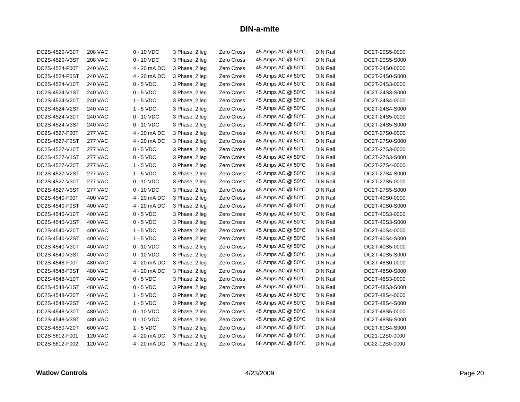| DC2S-4520-V30T | <b>208 VAC</b> | $0 - 10$ VDC | 3 Phase, 2 leg | <b>Zero Cross</b> | 45 Amps AC @ 50°C | <b>DIN Rail</b> | DC2T-20S5-0000 |
|----------------|----------------|--------------|----------------|-------------------|-------------------|-----------------|----------------|
| DC2S-4520-V3ST | <b>208 VAC</b> | $0 - 10$ VDC | 3 Phase, 2 leg | Zero Cross        | 45 Amps AC @ 50°C | <b>DIN Rail</b> | DC2T-20S5-S000 |
| DC2S-4524-F00T | <b>240 VAC</b> | 4 - 20 mA DC | 3 Phase, 2 leg | Zero Cross        | 45 Amps AC @ 50°C | <b>DIN Rail</b> | DC2T-24S0-0000 |
| DC2S-4524-F0ST | <b>240 VAC</b> | 4 - 20 mA DC | 3 Phase, 2 leg | Zero Cross        | 45 Amps AC @ 50°C | <b>DIN Rail</b> | DC2T-24S0-S000 |
| DC2S-4524-V10T | <b>240 VAC</b> | $0 - 5$ VDC  | 3 Phase, 2 leg | Zero Cross        | 45 Amps AC @ 50°C | <b>DIN Rail</b> | DC2T-24S3-0000 |
| DC2S-4524-V1ST | <b>240 VAC</b> | $0 - 5$ VDC  | 3 Phase, 2 leg | Zero Cross        | 45 Amps AC @ 50°C | <b>DIN Rail</b> | DC2T-24S3-S000 |
| DC2S-4524-V20T | <b>240 VAC</b> | $1 - 5$ VDC  | 3 Phase, 2 leg | Zero Cross        | 45 Amps AC @ 50°C | <b>DIN Rail</b> | DC2T-24S4-0000 |
| DC2S-4524-V2ST | <b>240 VAC</b> | $1 - 5$ VDC  | 3 Phase, 2 leg | Zero Cross        | 45 Amps AC @ 50°C | <b>DIN Rail</b> | DC2T-24S4-S000 |
| DC2S-4524-V30T | <b>240 VAC</b> | $0 - 10$ VDC | 3 Phase, 2 leg | Zero Cross        | 45 Amps AC @ 50°C | <b>DIN Rail</b> | DC2T-24S5-0000 |
| DC2S-4524-V3ST | <b>240 VAC</b> | $0 - 10$ VDC | 3 Phase, 2 leg | Zero Cross        | 45 Amps AC @ 50°C | <b>DIN Rail</b> | DC2T-24S5-S000 |
| DC2S-4527-F00T | <b>277 VAC</b> | 4 - 20 mA DC | 3 Phase, 2 leg | Zero Cross        | 45 Amps AC @ 50°C | <b>DIN Rail</b> | DC2T-27S0-0000 |
| DC2S-4527-F0ST | <b>277 VAC</b> | 4 - 20 mA DC | 3 Phase, 2 leg | Zero Cross        | 45 Amps AC @ 50°C | <b>DIN Rail</b> | DC2T-27S0-S000 |
| DC2S-4527-V10T | <b>277 VAC</b> | $0 - 5$ VDC  | 3 Phase, 2 leg | Zero Cross        | 45 Amps AC @ 50°C | <b>DIN Rail</b> | DC2T-27S3-0000 |
| DC2S-4527-V1ST | <b>277 VAC</b> | $0 - 5$ VDC  | 3 Phase, 2 leg | Zero Cross        | 45 Amps AC @ 50°C | <b>DIN Rail</b> | DC2T-27S3-S000 |
| DC2S-4527-V20T | <b>277 VAC</b> | $1 - 5$ VDC  | 3 Phase, 2 leg | Zero Cross        | 45 Amps AC @ 50°C | <b>DIN Rail</b> | DC2T-27S4-0000 |
| DC2S-4527-V2ST | <b>277 VAC</b> | $1 - 5$ VDC  | 3 Phase, 2 leg | Zero Cross        | 45 Amps AC @ 50°C | <b>DIN Rail</b> | DC2T-27S4-S000 |
| DC2S-4527-V30T | <b>277 VAC</b> | $0 - 10$ VDC | 3 Phase, 2 leg | Zero Cross        | 45 Amps AC @ 50°C | <b>DIN Rail</b> | DC2T-27S5-0000 |
| DC2S-4527-V3ST | <b>277 VAC</b> | $0 - 10$ VDC | 3 Phase, 2 leg | Zero Cross        | 45 Amps AC @ 50°C | <b>DIN Rail</b> | DC2T-27S5-S000 |
| DC2S-4540-F00T | <b>400 VAC</b> | 4 - 20 mA DC | 3 Phase, 2 leg | Zero Cross        | 45 Amps AC @ 50°C | <b>DIN Rail</b> | DC2T-40S0-0000 |
| DC2S-4540-F0ST | <b>400 VAC</b> | 4 - 20 mA DC | 3 Phase, 2 leg | Zero Cross        | 45 Amps AC @ 50°C | <b>DIN Rail</b> | DC2T-40S0-S000 |
| DC2S-4540-V10T | 400 VAC        | $0 - 5$ VDC  | 3 Phase, 2 leg | Zero Cross        | 45 Amps AC @ 50°C | <b>DIN Rail</b> | DC2T-40S3-0000 |
| DC2S-4540-V1ST | <b>400 VAC</b> | $0 - 5$ VDC  | 3 Phase, 2 leg | Zero Cross        | 45 Amps AC @ 50°C | <b>DIN Rail</b> | DC2T-40S3-S000 |
| DC2S-4540-V20T | 400 VAC        | $1 - 5$ VDC  | 3 Phase, 2 leg | Zero Cross        | 45 Amps AC @ 50°C | <b>DIN Rail</b> | DC2T-40S4-0000 |
| DC2S-4540-V2ST | 400 VAC        | $1 - 5$ VDC  | 3 Phase, 2 leg | Zero Cross        | 45 Amps AC @ 50°C | <b>DIN Rail</b> | DC2T-40S4-S000 |
| DC2S-4540-V30T | 400 VAC        | $0 - 10$ VDC | 3 Phase, 2 leg | Zero Cross        | 45 Amps AC @ 50°C | <b>DIN Rail</b> | DC2T-40S5-0000 |
| DC2S-4540-V3ST | 400 VAC        | $0 - 10$ VDC | 3 Phase, 2 leg | Zero Cross        | 45 Amps AC @ 50°C | <b>DIN Rail</b> | DC2T-40S5-S000 |
| DC2S-4548-F00T | 480 VAC        | 4 - 20 mA DC | 3 Phase, 2 leg | Zero Cross        | 45 Amps AC @ 50°C | <b>DIN Rail</b> | DC2T-48S0-0000 |
| DC2S-4548-F0ST | 480 VAC        | 4 - 20 mA DC | 3 Phase, 2 leg | Zero Cross        | 45 Amps AC @ 50°C | <b>DIN Rail</b> | DC2T-48S0-S000 |
| DC2S-4548-V10T | 480 VAC        | $0 - 5$ VDC  | 3 Phase, 2 leg | Zero Cross        | 45 Amps AC @ 50°C | <b>DIN Rail</b> | DC2T-48S3-0000 |
| DC2S-4548-V1ST | 480 VAC        | $0 - 5$ VDC  | 3 Phase, 2 leg | Zero Cross        | 45 Amps AC @ 50°C | <b>DIN Rail</b> | DC2T-48S3-S000 |
| DC2S-4548-V20T | 480 VAC        | $1 - 5$ VDC  | 3 Phase, 2 leg | <b>Zero Cross</b> | 45 Amps AC @ 50°C | <b>DIN Rail</b> | DC2T-48S4-0000 |
| DC2S-4548-V2ST | 480 VAC        | $1 - 5$ VDC  | 3 Phase, 2 leg | Zero Cross        | 45 Amps AC @ 50°C | <b>DIN Rail</b> | DC2T-48S4-S000 |
| DC2S-4548-V30T | <b>480 VAC</b> | $0 - 10$ VDC | 3 Phase, 2 leg | Zero Cross        | 45 Amps AC @ 50°C | <b>DIN Rail</b> | DC2T-48S5-0000 |
| DC2S-4548-V3ST | 480 VAC        | $0 - 10$ VDC | 3 Phase, 2 leg | Zero Cross        | 45 Amps AC @ 50°C | <b>DIN Rail</b> | DC2T-48S5-S000 |
| DC2S-4560-V20T | 600 VAC        | $1 - 5$ VDC  | 3 Phase, 2 leg | Zero Cross        | 45 Amps AC @ 50°C | <b>DIN Rail</b> | DC2T-60S4-S000 |
| DC2S-5612-F001 | <b>120 VAC</b> | 4 - 20 mA DC | 3 Phase, 2 leg | Zero Cross        | 56 Amps AC @ 50°C | <b>DIN Rail</b> | DC21-12S0-0000 |
| DC2S-5612-F002 | <b>120 VAC</b> | 4 - 20 mA DC | 3 Phase, 2 leg | Zero Cross        | 56 Amps AC @ 50°C | <b>DIN Rail</b> | DC22-12S0-0000 |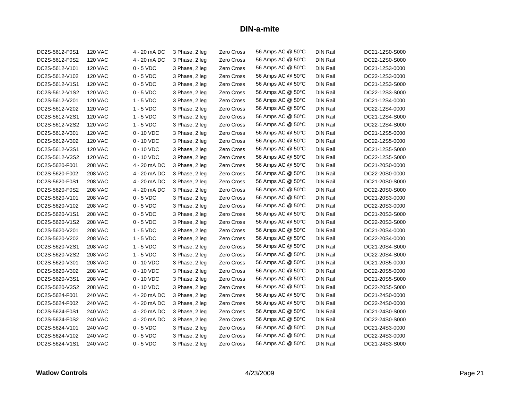| DC2S-5612-F0S1 | <b>120 VAC</b> | 4 - 20 mA DC | 3 Phase, 2 leg | Zero Cross | 56 Amps AC @ 50°C | <b>DIN Rail</b> | DC21-12S0-S000 |
|----------------|----------------|--------------|----------------|------------|-------------------|-----------------|----------------|
| DC2S-5612-F0S2 | <b>120 VAC</b> | 4 - 20 mA DC | 3 Phase, 2 leg | Zero Cross | 56 Amps AC @ 50°C | <b>DIN Rail</b> | DC22-12S0-S000 |
| DC2S-5612-V101 | <b>120 VAC</b> | $0 - 5$ VDC  | 3 Phase, 2 leg | Zero Cross | 56 Amps AC @ 50°C | <b>DIN Rail</b> | DC21-12S3-0000 |
| DC2S-5612-V102 | <b>120 VAC</b> | $0 - 5$ VDC  | 3 Phase, 2 leg | Zero Cross | 56 Amps AC @ 50°C | DIN Rail        | DC22-12S3-0000 |
| DC2S-5612-V1S1 | <b>120 VAC</b> | $0 - 5$ VDC  | 3 Phase, 2 leg | Zero Cross | 56 Amps AC @ 50°C | <b>DIN Rail</b> | DC21-12S3-S000 |
| DC2S-5612-V1S2 | <b>120 VAC</b> | $0 - 5$ VDC  | 3 Phase, 2 leg | Zero Cross | 56 Amps AC @ 50°C | <b>DIN Rail</b> | DC22-12S3-S000 |
| DC2S-5612-V201 | <b>120 VAC</b> | $1 - 5$ VDC  | 3 Phase, 2 leg | Zero Cross | 56 Amps AC @ 50°C | DIN Rail        | DC21-12S4-0000 |
| DC2S-5612-V202 | <b>120 VAC</b> | $1 - 5$ VDC  | 3 Phase, 2 leg | Zero Cross | 56 Amps AC @ 50°C | <b>DIN Rail</b> | DC22-12S4-0000 |
| DC2S-5612-V2S1 | <b>120 VAC</b> | $1 - 5$ VDC  | 3 Phase, 2 leg | Zero Cross | 56 Amps AC @ 50°C | <b>DIN Rail</b> | DC21-12S4-S000 |
| DC2S-5612-V2S2 | <b>120 VAC</b> | $1 - 5$ VDC  | 3 Phase, 2 leg | Zero Cross | 56 Amps AC @ 50°C | <b>DIN Rail</b> | DC22-12S4-S000 |
| DC2S-5612-V301 | <b>120 VAC</b> | $0 - 10$ VDC | 3 Phase, 2 leg | Zero Cross | 56 Amps AC @ 50°C | <b>DIN Rail</b> | DC21-12S5-0000 |
| DC2S-5612-V302 | <b>120 VAC</b> | 0 - 10 VDC   | 3 Phase, 2 leg | Zero Cross | 56 Amps AC @ 50°C | <b>DIN Rail</b> | DC22-12S5-0000 |
| DC2S-5612-V3S1 | <b>120 VAC</b> | $0 - 10$ VDC | 3 Phase, 2 leg | Zero Cross | 56 Amps AC @ 50°C | <b>DIN Rail</b> | DC21-12S5-S000 |
| DC2S-5612-V3S2 | <b>120 VAC</b> | 0 - 10 VDC   | 3 Phase, 2 leg | Zero Cross | 56 Amps AC @ 50°C | <b>DIN Rail</b> | DC22-12S5-S000 |
| DC2S-5620-F001 | <b>208 VAC</b> | 4 - 20 mA DC | 3 Phase, 2 leg | Zero Cross | 56 Amps AC @ 50°C | <b>DIN Rail</b> | DC21-20S0-0000 |
| DC2S-5620-F002 | <b>208 VAC</b> | 4 - 20 mA DC | 3 Phase, 2 leg | Zero Cross | 56 Amps AC @ 50°C | <b>DIN Rail</b> | DC22-20S0-0000 |
| DC2S-5620-F0S1 | <b>208 VAC</b> | 4 - 20 mA DC | 3 Phase, 2 leg | Zero Cross | 56 Amps AC @ 50°C | <b>DIN Rail</b> | DC21-20S0-S000 |
| DC2S-5620-F0S2 | <b>208 VAC</b> | 4 - 20 mA DC | 3 Phase, 2 leg | Zero Cross | 56 Amps AC @ 50°C | <b>DIN Rail</b> | DC22-20S0-S000 |
| DC2S-5620-V101 | <b>208 VAC</b> | $0 - 5$ VDC  | 3 Phase, 2 leg | Zero Cross | 56 Amps AC @ 50°C | <b>DIN Rail</b> | DC21-20S3-0000 |
| DC2S-5620-V102 | <b>208 VAC</b> | $0 - 5$ VDC  | 3 Phase, 2 leg | Zero Cross | 56 Amps AC @ 50°C | <b>DIN Rail</b> | DC22-20S3-0000 |
| DC2S-5620-V1S1 | <b>208 VAC</b> | $0 - 5$ VDC  | 3 Phase, 2 leg | Zero Cross | 56 Amps AC @ 50°C | <b>DIN Rail</b> | DC21-20S3-S000 |
| DC2S-5620-V1S2 | <b>208 VAC</b> | $0 - 5$ VDC  | 3 Phase, 2 leg | Zero Cross | 56 Amps AC @ 50°C | <b>DIN Rail</b> | DC22-20S3-S000 |
| DC2S-5620-V201 | <b>208 VAC</b> | $1 - 5$ VDC  | 3 Phase, 2 leg | Zero Cross | 56 Amps AC @ 50°C | <b>DIN Rail</b> | DC21-20S4-0000 |
| DC2S-5620-V202 | <b>208 VAC</b> | $1 - 5$ VDC  | 3 Phase, 2 leg | Zero Cross | 56 Amps AC @ 50°C | <b>DIN Rail</b> | DC22-20S4-0000 |
| DC2S-5620-V2S1 | <b>208 VAC</b> | $1 - 5$ VDC  | 3 Phase, 2 leg | Zero Cross | 56 Amps AC @ 50°C | <b>DIN Rail</b> | DC21-20S4-S000 |
| DC2S-5620-V2S2 | <b>208 VAC</b> | $1 - 5$ VDC  | 3 Phase, 2 leg | Zero Cross | 56 Amps AC @ 50°C | <b>DIN Rail</b> | DC22-20S4-S000 |
| DC2S-5620-V301 | <b>208 VAC</b> | $0 - 10$ VDC | 3 Phase, 2 leg | Zero Cross | 56 Amps AC @ 50°C | <b>DIN Rail</b> | DC21-20S5-0000 |
| DC2S-5620-V302 | <b>208 VAC</b> | 0 - 10 VDC   | 3 Phase, 2 leg | Zero Cross | 56 Amps AC @ 50°C | <b>DIN Rail</b> | DC22-20S5-0000 |
| DC2S-5620-V3S1 | <b>208 VAC</b> | $0 - 10$ VDC | 3 Phase, 2 leg | Zero Cross | 56 Amps AC @ 50°C | <b>DIN Rail</b> | DC21-20S5-S000 |
| DC2S-5620-V3S2 | <b>208 VAC</b> | $0 - 10$ VDC | 3 Phase, 2 leg | Zero Cross | 56 Amps AC @ 50°C | <b>DIN Rail</b> | DC22-20S5-S000 |
| DC2S-5624-F001 | 240 VAC        | 4 - 20 mA DC | 3 Phase, 2 leg | Zero Cross | 56 Amps AC @ 50°C | <b>DIN Rail</b> | DC21-24S0-0000 |
| DC2S-5624-F002 | <b>240 VAC</b> | 4 - 20 mA DC | 3 Phase, 2 leg | Zero Cross | 56 Amps AC @ 50°C | <b>DIN Rail</b> | DC22-24S0-0000 |
| DC2S-5624-F0S1 | <b>240 VAC</b> | 4 - 20 mA DC | 3 Phase, 2 leg | Zero Cross | 56 Amps AC @ 50°C | <b>DIN Rail</b> | DC21-24S0-S000 |
| DC2S-5624-F0S2 | <b>240 VAC</b> | 4 - 20 mA DC | 3 Phase, 2 leg | Zero Cross | 56 Amps AC @ 50°C | <b>DIN Rail</b> | DC22-24S0-S000 |
| DC2S-5624-V101 | <b>240 VAC</b> | $0 - 5$ VDC  | 3 Phase, 2 leg | Zero Cross | 56 Amps AC @ 50°C | <b>DIN Rail</b> | DC21-24S3-0000 |
| DC2S-5624-V102 | <b>240 VAC</b> | $0 - 5$ VDC  | 3 Phase, 2 leg | Zero Cross | 56 Amps AC @ 50°C | <b>DIN Rail</b> | DC22-24S3-0000 |
| DC2S-5624-V1S1 | <b>240 VAC</b> | $0 - 5$ VDC  | 3 Phase, 2 leg | Zero Cross | 56 Amps AC @ 50°C | <b>DIN Rail</b> | DC21-24S3-S000 |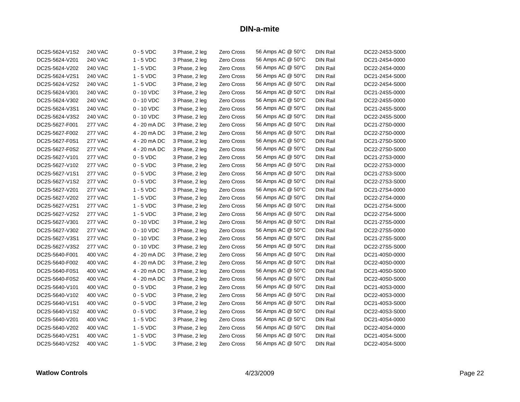| DC2S-5624-V1S2 | <b>240 VAC</b> | $0 - 5$ VDC  | 3 Phase, 2 leg | Zero Cross        | 56 Amps AC @ 50°C | <b>DIN Rail</b> | DC22-24S3-S000 |
|----------------|----------------|--------------|----------------|-------------------|-------------------|-----------------|----------------|
| DC2S-5624-V201 | <b>240 VAC</b> | $1 - 5$ VDC  | 3 Phase, 2 leg | Zero Cross        | 56 Amps AC @ 50°C | <b>DIN Rail</b> | DC21-24S4-0000 |
| DC2S-5624-V202 | <b>240 VAC</b> | $1 - 5$ VDC  | 3 Phase, 2 leg | Zero Cross        | 56 Amps AC @ 50°C | <b>DIN Rail</b> | DC22-24S4-0000 |
| DC2S-5624-V2S1 | <b>240 VAC</b> | $1 - 5$ VDC  | 3 Phase, 2 leg | Zero Cross        | 56 Amps AC @ 50°C | DIN Rail        | DC21-24S4-S000 |
| DC2S-5624-V2S2 | <b>240 VAC</b> | $1 - 5$ VDC  | 3 Phase, 2 leg | Zero Cross        | 56 Amps AC @ 50°C | <b>DIN Rail</b> | DC22-24S4-S000 |
| DC2S-5624-V301 | <b>240 VAC</b> | $0 - 10$ VDC | 3 Phase, 2 leg | Zero Cross        | 56 Amps AC @ 50°C | <b>DIN Rail</b> | DC21-24S5-0000 |
| DC2S-5624-V302 | <b>240 VAC</b> | $0 - 10$ VDC | 3 Phase, 2 leg | Zero Cross        | 56 Amps AC @ 50°C | <b>DIN Rail</b> | DC22-24S5-0000 |
| DC2S-5624-V3S1 | <b>240 VAC</b> | $0 - 10$ VDC | 3 Phase, 2 leg | Zero Cross        | 56 Amps AC @ 50°C | <b>DIN Rail</b> | DC21-24S5-S000 |
| DC2S-5624-V3S2 | <b>240 VAC</b> | $0 - 10$ VDC | 3 Phase, 2 leg | Zero Cross        | 56 Amps AC @ 50°C | <b>DIN Rail</b> | DC22-24S5-S000 |
| DC2S-5627-F001 | <b>277 VAC</b> | 4 - 20 mA DC | 3 Phase, 2 leg | Zero Cross        | 56 Amps AC @ 50°C | <b>DIN Rail</b> | DC21-27S0-0000 |
| DC2S-5627-F002 | <b>277 VAC</b> | 4 - 20 mA DC | 3 Phase, 2 leg | Zero Cross        | 56 Amps AC @ 50°C | <b>DIN Rail</b> | DC22-27S0-0000 |
| DC2S-5627-F0S1 | <b>277 VAC</b> | 4 - 20 mA DC | 3 Phase, 2 leg | Zero Cross        | 56 Amps AC @ 50°C | <b>DIN Rail</b> | DC21-27S0-S000 |
| DC2S-5627-F0S2 | <b>277 VAC</b> | 4 - 20 mA DC | 3 Phase, 2 leg | Zero Cross        | 56 Amps AC @ 50°C | <b>DIN Rail</b> | DC22-27S0-S000 |
| DC2S-5627-V101 | <b>277 VAC</b> | $0 - 5$ VDC  | 3 Phase, 2 leg | Zero Cross        | 56 Amps AC @ 50°C | <b>DIN Rail</b> | DC21-27S3-0000 |
| DC2S-5627-V102 | <b>277 VAC</b> | $0 - 5$ VDC  | 3 Phase, 2 leg | Zero Cross        | 56 Amps AC @ 50°C | <b>DIN Rail</b> | DC22-27S3-0000 |
| DC2S-5627-V1S1 | <b>277 VAC</b> | $0 - 5$ VDC  | 3 Phase, 2 leg | Zero Cross        | 56 Amps AC @ 50°C | <b>DIN Rail</b> | DC21-27S3-S000 |
| DC2S-5627-V1S2 | <b>277 VAC</b> | $0 - 5$ VDC  | 3 Phase, 2 leg | Zero Cross        | 56 Amps AC @ 50°C | <b>DIN Rail</b> | DC22-27S3-S000 |
| DC2S-5627-V201 | <b>277 VAC</b> | $1 - 5$ VDC  | 3 Phase, 2 leg | Zero Cross        | 56 Amps AC @ 50°C | <b>DIN Rail</b> | DC21-27S4-0000 |
| DC2S-5627-V202 | <b>277 VAC</b> | $1 - 5$ VDC  | 3 Phase, 2 leg | Zero Cross        | 56 Amps AC @ 50°C | <b>DIN Rail</b> | DC22-27S4-0000 |
| DC2S-5627-V2S1 | <b>277 VAC</b> | $1 - 5$ VDC  | 3 Phase, 2 leg | Zero Cross        | 56 Amps AC @ 50°C | <b>DIN Rail</b> | DC21-27S4-S000 |
| DC2S-5627-V2S2 | <b>277 VAC</b> | $1 - 5$ VDC  | 3 Phase, 2 leg | Zero Cross        | 56 Amps AC @ 50°C | <b>DIN Rail</b> | DC22-27S4-S000 |
| DC2S-5627-V301 | <b>277 VAC</b> | $0 - 10$ VDC | 3 Phase, 2 leg | Zero Cross        | 56 Amps AC @ 50°C | <b>DIN Rail</b> | DC21-27S5-0000 |
| DC2S-5627-V302 | <b>277 VAC</b> | $0 - 10$ VDC | 3 Phase, 2 leg | Zero Cross        | 56 Amps AC @ 50°C | <b>DIN Rail</b> | DC22-27S5-0000 |
| DC2S-5627-V3S1 | <b>277 VAC</b> | 0 - 10 VDC   | 3 Phase, 2 leg | Zero Cross        | 56 Amps AC @ 50°C | <b>DIN Rail</b> | DC21-27S5-S000 |
| DC2S-5627-V3S2 | <b>277 VAC</b> | $0 - 10$ VDC | 3 Phase, 2 leg | Zero Cross        | 56 Amps AC @ 50°C | <b>DIN Rail</b> | DC22-27S5-S000 |
| DC2S-5640-F001 | <b>400 VAC</b> | 4 - 20 mA DC | 3 Phase, 2 leg | Zero Cross        | 56 Amps AC @ 50°C | <b>DIN Rail</b> | DC21-40S0-0000 |
| DC2S-5640-F002 | 400 VAC        | 4 - 20 mA DC | 3 Phase, 2 leg | Zero Cross        | 56 Amps AC @ 50°C | <b>DIN Rail</b> | DC22-40S0-0000 |
| DC2S-5640-F0S1 | 400 VAC        | 4 - 20 mA DC | 3 Phase, 2 leg | Zero Cross        | 56 Amps AC @ 50°C | <b>DIN Rail</b> | DC21-40S0-S000 |
| DC2S-5640-F0S2 | 400 VAC        | 4 - 20 mA DC | 3 Phase, 2 leg | <b>Zero Cross</b> | 56 Amps AC @ 50°C | <b>DIN Rail</b> | DC22-40S0-S000 |
| DC2S-5640-V101 | 400 VAC        | $0 - 5$ VDC  | 3 Phase, 2 leg | <b>Zero Cross</b> | 56 Amps AC @ 50°C | <b>DIN Rail</b> | DC21-40S3-0000 |
| DC2S-5640-V102 | 400 VAC        | $0 - 5$ VDC  | 3 Phase, 2 leg | Zero Cross        | 56 Amps AC @ 50°C | <b>DIN Rail</b> | DC22-40S3-0000 |
| DC2S-5640-V1S1 | 400 VAC        | $0 - 5$ VDC  | 3 Phase, 2 leg | <b>Zero Cross</b> | 56 Amps AC @ 50°C | <b>DIN Rail</b> | DC21-40S3-S000 |
| DC2S-5640-V1S2 | 400 VAC        | $0 - 5$ VDC  | 3 Phase, 2 leg | Zero Cross        | 56 Amps AC @ 50°C | <b>DIN Rail</b> | DC22-40S3-S000 |
| DC2S-5640-V201 | 400 VAC        | $1 - 5$ VDC  | 3 Phase, 2 leg | Zero Cross        | 56 Amps AC @ 50°C | <b>DIN Rail</b> | DC21-40S4-0000 |
| DC2S-5640-V202 | 400 VAC        | $1 - 5$ VDC  | 3 Phase, 2 leg | Zero Cross        | 56 Amps AC @ 50°C | <b>DIN Rail</b> | DC22-40S4-0000 |
| DC2S-5640-V2S1 | 400 VAC        | $1 - 5$ VDC  | 3 Phase, 2 leg | Zero Cross        | 56 Amps AC @ 50°C | <b>DIN Rail</b> | DC21-40S4-S000 |
| DC2S-5640-V2S2 | 400 VAC        | $1 - 5$ VDC  | 3 Phase, 2 leg | Zero Cross        | 56 Amps AC @ 50°C | <b>DIN Rail</b> | DC22-40S4-S000 |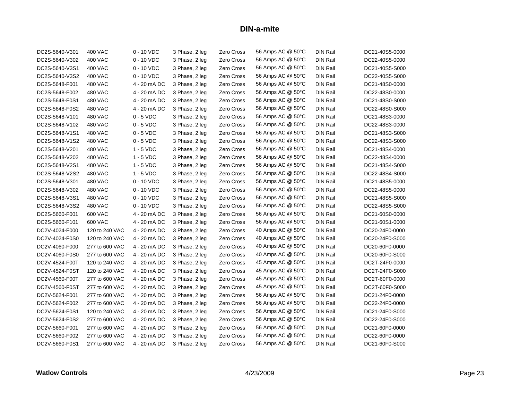| DC2S-5640-V301 | 400 VAC        | $0 - 10$ VDC | 3 Phase, 2 leg | Zero Cross | 56 Amps AC @ 50°C | <b>DIN Rail</b> | DC21-40S5-0000 |
|----------------|----------------|--------------|----------------|------------|-------------------|-----------------|----------------|
| DC2S-5640-V302 | <b>400 VAC</b> | $0 - 10$ VDC | 3 Phase, 2 leg | Zero Cross | 56 Amps AC @ 50°C | <b>DIN Rail</b> | DC22-40S5-0000 |
| DC2S-5640-V3S1 | 400 VAC        | $0 - 10$ VDC | 3 Phase, 2 leg | Zero Cross | 56 Amps AC @ 50°C | DIN Rail        | DC21-40S5-S000 |
| DC2S-5640-V3S2 | <b>400 VAC</b> | $0 - 10$ VDC | 3 Phase, 2 leg | Zero Cross | 56 Amps AC @ 50°C | <b>DIN Rail</b> | DC22-40S5-S000 |
| DC2S-5648-F001 | 480 VAC        | 4 - 20 mA DC | 3 Phase, 2 leg | Zero Cross | 56 Amps AC @ 50°C | <b>DIN Rail</b> | DC21-48S0-0000 |
| DC2S-5648-F002 | 480 VAC        | 4 - 20 mA DC | 3 Phase, 2 leg | Zero Cross | 56 Amps AC @ 50°C | DIN Rail        | DC22-48S0-0000 |
| DC2S-5648-F0S1 | 480 VAC        | 4 - 20 mA DC | 3 Phase, 2 leg | Zero Cross | 56 Amps AC @ 50°C | <b>DIN Rail</b> | DC21-48S0-S000 |
| DC2S-5648-F0S2 | 480 VAC        | 4 - 20 mA DC | 3 Phase, 2 leg | Zero Cross | 56 Amps AC @ 50°C | <b>DIN Rail</b> | DC22-48S0-S000 |
| DC2S-5648-V101 | <b>480 VAC</b> | $0 - 5$ VDC  | 3 Phase, 2 leg | Zero Cross | 56 Amps AC @ 50°C | <b>DIN Rail</b> | DC21-48S3-0000 |
| DC2S-5648-V102 | 480 VAC        | $0 - 5$ VDC  | 3 Phase, 2 leg | Zero Cross | 56 Amps AC @ 50°C | <b>DIN Rail</b> | DC22-48S3-0000 |
| DC2S-5648-V1S1 | <b>480 VAC</b> | $0 - 5$ VDC  | 3 Phase, 2 leg | Zero Cross | 56 Amps AC @ 50°C | <b>DIN Rail</b> | DC21-48S3-S000 |
| DC2S-5648-V1S2 | 480 VAC        | $0 - 5$ VDC  | 3 Phase, 2 leg | Zero Cross | 56 Amps AC @ 50°C | <b>DIN Rail</b> | DC22-48S3-S000 |
| DC2S-5648-V201 | 480 VAC        | $1 - 5$ VDC  | 3 Phase, 2 leg | Zero Cross | 56 Amps AC @ 50°C | DIN Rail        | DC21-48S4-0000 |
| DC2S-5648-V202 | 480 VAC        | $1 - 5$ VDC  | 3 Phase, 2 leg | Zero Cross | 56 Amps AC @ 50°C | <b>DIN Rail</b> | DC22-48S4-0000 |
| DC2S-5648-V2S1 | 480 VAC        | $1 - 5$ VDC  | 3 Phase, 2 leg | Zero Cross | 56 Amps AC @ 50°C | <b>DIN Rail</b> | DC21-48S4-S000 |
| DC2S-5648-V2S2 | 480 VAC        | $1 - 5$ VDC  | 3 Phase, 2 leg | Zero Cross | 56 Amps AC @ 50°C | <b>DIN Rail</b> | DC22-48S4-S000 |
| DC2S-5648-V301 | 480 VAC        | 0 - 10 VDC   | 3 Phase, 2 leg | Zero Cross | 56 Amps AC @ 50°C | <b>DIN Rail</b> | DC21-48S5-0000 |
| DC2S-5648-V302 | <b>480 VAC</b> | $0 - 10$ VDC | 3 Phase, 2 leg | Zero Cross | 56 Amps AC @ 50°C | <b>DIN Rail</b> | DC22-48S5-0000 |
| DC2S-5648-V3S1 | 480 VAC        | $0 - 10$ VDC | 3 Phase, 2 leg | Zero Cross | 56 Amps AC @ 50°C | <b>DIN Rail</b> | DC21-48S5-S000 |
| DC2S-5648-V3S2 | <b>480 VAC</b> | $0 - 10$ VDC | 3 Phase, 2 leg | Zero Cross | 56 Amps AC @ 50°C | DIN Rail        | DC22-48S5-S000 |
| DC2S-5660-F001 | 600 VAC        | 4 - 20 mA DC | 3 Phase, 2 leg | Zero Cross | 56 Amps AC @ 50°C | <b>DIN Rail</b> | DC21-60S0-0000 |
| DC2S-5660-F101 | 600 VAC        | 4 - 20 mA DC | 3 Phase, 2 leg | Zero Cross | 56 Amps AC @ 50°C | DIN Rail        | DC21-60S1-0000 |
| DC2V-4024-F000 | 120 to 240 VAC | 4 - 20 mA DC | 3 Phase, 2 leg | Zero Cross | 40 Amps AC @ 50°C | <b>DIN Rail</b> | DC20-24F0-0000 |
| DC2V-4024-F0S0 | 120 to 240 VAC | 4 - 20 mA DC | 3 Phase, 2 leg | Zero Cross | 40 Amps AC @ 50°C | DIN Rail        | DC20-24F0-S000 |
| DC2V-4060-F000 | 277 to 600 VAC | 4 - 20 mA DC | 3 Phase, 2 leg | Zero Cross | 40 Amps AC @ 50°C | <b>DIN Rail</b> | DC20-60F0-0000 |
| DC2V-4060-F0S0 | 277 to 600 VAC | 4 - 20 mA DC | 3 Phase, 2 leg | Zero Cross | 40 Amps AC @ 50°C | <b>DIN Rail</b> | DC20-60F0-S000 |
| DC2V-4524-F00T | 120 to 240 VAC | 4 - 20 mA DC | 3 Phase, 2 leg | Zero Cross | 45 Amps AC @ 50°C | <b>DIN Rail</b> | DC2T-24F0-0000 |
| DC2V-4524-F0ST | 120 to 240 VAC | 4 - 20 mA DC | 3 Phase, 2 leg | Zero Cross | 45 Amps AC @ 50°C | <b>DIN Rail</b> | DC2T-24F0-S000 |
| DC2V-4560-F00T | 277 to 600 VAC | 4 - 20 mA DC | 3 Phase, 2 leg | Zero Cross | 45 Amps AC @ 50°C | <b>DIN Rail</b> | DC2T-60F0-0000 |
| DC2V-4560-F0ST | 277 to 600 VAC | 4 - 20 mA DC | 3 Phase, 2 leg | Zero Cross | 45 Amps AC @ 50°C | <b>DIN Rail</b> | DC2T-60F0-S000 |
| DC2V-5624-F001 | 277 to 600 VAC | 4 - 20 mA DC | 3 Phase, 2 leg | Zero Cross | 56 Amps AC @ 50°C | <b>DIN Rail</b> | DC21-24F0-0000 |
| DC2V-5624-F002 | 277 to 600 VAC | 4 - 20 mA DC | 3 Phase, 2 leg | Zero Cross | 56 Amps AC @ 50°C | <b>DIN Rail</b> | DC22-24F0-0000 |
| DC2V-5624-F0S1 | 120 to 240 VAC | 4 - 20 mA DC | 3 Phase, 2 leg | Zero Cross | 56 Amps AC @ 50°C | DIN Rail        | DC21-24F0-S000 |
| DC2V-5624-F0S2 | 277 to 600 VAC | 4 - 20 mA DC | 3 Phase, 2 leg | Zero Cross | 56 Amps AC @ 50°C | <b>DIN Rail</b> | DC22-24F0-S000 |
| DC2V-5660-F001 | 277 to 600 VAC | 4 - 20 mA DC | 3 Phase, 2 leg | Zero Cross | 56 Amps AC @ 50°C | <b>DIN Rail</b> | DC21-60F0-0000 |
| DC2V-5660-F002 | 277 to 600 VAC | 4 - 20 mA DC | 3 Phase, 2 leg | Zero Cross | 56 Amps AC @ 50°C | <b>DIN Rail</b> | DC22-60F0-0000 |
| DC2V-5660-F0S1 | 277 to 600 VAC | 4 - 20 mA DC | 3 Phase, 2 leg | Zero Cross | 56 Amps AC @ 50°C | DIN Rail        | DC21-60F0-S000 |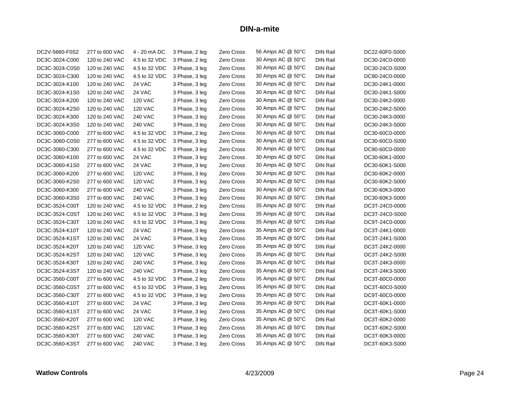| DC2V-5660-F0S2 | 277 to 600 VAC | 4 - 20 mA DC   | 3 Phase, 2 leg | Zero Cross | 56 Amps AC @ 50°C | <b>DIN Rail</b> | DC22-60F0-S000 |
|----------------|----------------|----------------|----------------|------------|-------------------|-----------------|----------------|
| DC3C-3024-C000 | 120 to 240 VAC | 4.5 to 32 VDC  | 3 Phase, 2 leg | Zero Cross | 30 Amps AC @ 50°C | <b>DIN Rail</b> | DC30-24C0-0000 |
| DC3C-3024-C0S0 | 120 to 240 VAC | 4.5 to 32 VDC  | 3 Phase, 3 leg | Zero Cross | 30 Amps AC @ 50°C | <b>DIN Rail</b> | DC30-24C0-S000 |
| DC3C-3024-C300 | 120 to 240 VAC | 4.5 to 32 VDC  | 3 Phase, 3 leg | Zero Cross | 30 Amps AC @ 50°C | DIN Rail        | DC90-24C0-0000 |
| DC3C-3024-K100 | 120 to 240 VAC | 24 VAC         | 3 Phase, 3 leg | Zero Cross | 30 Amps AC @ 50°C | <b>DIN Rail</b> | DC30-24K1-0000 |
| DC3C-3024-K1S0 | 120 to 240 VAC | 24 VAC         | 3 Phase, 3 leg | Zero Cross | 30 Amps AC @ 50°C | <b>DIN Rail</b> | DC30-24K1-S000 |
| DC3C-3024-K200 | 120 to 240 VAC | <b>120 VAC</b> | 3 Phase, 3 leg | Zero Cross | 30 Amps AC @ 50°C | <b>DIN Rail</b> | DC30-24K2-0000 |
| DC3C-3024-K2S0 | 120 to 240 VAC | <b>120 VAC</b> | 3 Phase, 3 leg | Zero Cross | 30 Amps AC @ 50°C | <b>DIN Rail</b> | DC30-24K2-S000 |
| DC3C-3024-K300 | 120 to 240 VAC | <b>240 VAC</b> | 3 Phase, 3 leg | Zero Cross | 30 Amps AC @ 50°C | <b>DIN Rail</b> | DC30-24K3-0000 |
| DC3C-3024-K3S0 | 120 to 240 VAC | <b>240 VAC</b> | 3 Phase, 3 leg | Zero Cross | 30 Amps AC @ 50°C | <b>DIN Rail</b> | DC30-24K3-S000 |
| DC3C-3060-C000 | 277 to 600 VAC | 4.5 to 32 VDC  | 3 Phase, 2 leg | Zero Cross | 30 Amps AC @ 50°C | <b>DIN Rail</b> | DC30-60C0-0000 |
| DC3C-3060-C0S0 | 277 to 600 VAC | 4.5 to 32 VDC  | 3 Phase, 3 leg | Zero Cross | 30 Amps AC @ 50°C | <b>DIN Rail</b> | DC30-60C0-S000 |
| DC3C-3060-C300 | 277 to 600 VAC | 4.5 to 32 VDC  | 3 Phase, 3 leg | Zero Cross | 30 Amps AC @ 50°C | <b>DIN Rail</b> | DC90-60C0-0000 |
| DC3C-3060-K100 | 277 to 600 VAC | 24 VAC         | 3 Phase, 3 leg | Zero Cross | 30 Amps AC @ 50°C | DIN Rail        | DC30-60K1-0000 |
| DC3C-3060-K1S0 | 277 to 600 VAC | 24 VAC         | 3 Phase, 3 leg | Zero Cross | 30 Amps AC @ 50°C | <b>DIN Rail</b> | DC30-60K1-S000 |
| DC3C-3060-K200 | 277 to 600 VAC | <b>120 VAC</b> | 3 Phase, 3 leg | Zero Cross | 30 Amps AC @ 50°C | <b>DIN Rail</b> | DC30-60K2-0000 |
| DC3C-3060-K2S0 | 277 to 600 VAC | <b>120 VAC</b> | 3 Phase, 3 leg | Zero Cross | 30 Amps AC @ 50°C | <b>DIN Rail</b> | DC30-60K2-S000 |
| DC3C-3060-K300 | 277 to 600 VAC | <b>240 VAC</b> | 3 Phase, 3 leg | Zero Cross | 30 Amps AC @ 50°C | <b>DIN Rail</b> | DC30-60K3-0000 |
| DC3C-3060-K3S0 | 277 to 600 VAC | <b>240 VAC</b> | 3 Phase, 3 leg | Zero Cross | 30 Amps AC @ 50°C | <b>DIN Rail</b> | DC30-60K3-S000 |
| DC3C-3524-C00T | 120 to 240 VAC | 4.5 to 32 VDC  | 3 Phase, 2 leg | Zero Cross | 35 Amps AC @ 50°C | DIN Rail        | DC3T-24C0-0000 |
| DC3C-3524-C0ST | 120 to 240 VAC | 4.5 to 32 VDC  | 3 Phase, 3 leg | Zero Cross | 35 Amps AC @ 50°C | <b>DIN Rail</b> | DC3T-24C0-S000 |
| DC3C-3524-C30T | 120 to 240 VAC | 4.5 to 32 VDC  | 3 Phase, 3 leg | Zero Cross | 35 Amps AC @ 50°C | <b>DIN Rail</b> | DC9T-24C0-0000 |
| DC3C-3524-K10T | 120 to 240 VAC | 24 VAC         | 3 Phase, 3 leg | Zero Cross | 35 Amps AC @ 50°C | <b>DIN Rail</b> | DC3T-24K1-0000 |
| DC3C-3524-K1ST | 120 to 240 VAC | 24 VAC         | 3 Phase, 3 leg | Zero Cross | 35 Amps AC @ 50°C | <b>DIN Rail</b> | DC3T-24K1-S000 |
| DC3C-3524-K20T | 120 to 240 VAC | <b>120 VAC</b> | 3 Phase, 3 leg | Zero Cross | 35 Amps AC @ 50°C | DIN Rail        | DC3T-24K2-0000 |
| DC3C-3524-K2ST | 120 to 240 VAC | <b>120 VAC</b> | 3 Phase, 3 leg | Zero Cross | 35 Amps AC @ 50°C | <b>DIN Rail</b> | DC3T-24K2-S000 |
| DC3C-3524-K30T | 120 to 240 VAC | <b>240 VAC</b> | 3 Phase, 3 leg | Zero Cross | 35 Amps AC @ 50°C | <b>DIN Rail</b> | DC3T-24K3-0000 |
| DC3C-3524-K3ST | 120 to 240 VAC | 240 VAC        | 3 Phase, 3 leg | Zero Cross | 35 Amps AC @ 50°C | <b>DIN Rail</b> | DC3T-24K3-S000 |
| DC3C-3560-C00T | 277 to 600 VAC | 4.5 to 32 VDC  | 3 Phase, 2 leg | Zero Cross | 35 Amps AC @ 50°C | <b>DIN Rail</b> | DC3T-60C0-0000 |
| DC3C-3560-C0ST | 277 to 600 VAC | 4.5 to 32 VDC  | 3 Phase, 3 leg | Zero Cross | 35 Amps AC @ 50°C | <b>DIN Rail</b> | DC3T-60C0-S000 |
| DC3C-3560-C30T | 277 to 600 VAC | 4.5 to 32 VDC  | 3 Phase, 3 leg | Zero Cross | 35 Amps AC @ 50°C | <b>DIN Rail</b> | DC9T-60C0-0000 |
| DC3C-3560-K10T | 277 to 600 VAC | 24 VAC         | 3 Phase, 3 leg | Zero Cross | 35 Amps AC @ 50°C | <b>DIN Rail</b> | DC3T-60K1-0000 |
| DC3C-3560-K1ST | 277 to 600 VAC | 24 VAC         | 3 Phase, 3 leg | Zero Cross | 35 Amps AC @ 50°C | <b>DIN Rail</b> | DC3T-60K1-S000 |
| DC3C-3560-K20T | 277 to 600 VAC | <b>120 VAC</b> | 3 Phase, 3 leg | Zero Cross | 35 Amps AC @ 50°C | <b>DIN Rail</b> | DC3T-60K2-0000 |
| DC3C-3560-K2ST | 277 to 600 VAC | <b>120 VAC</b> | 3 Phase, 3 leg | Zero Cross | 35 Amps AC @ 50°C | <b>DIN Rail</b> | DC3T-60K2-S000 |
| DC3C-3560-K30T | 277 to 600 VAC | <b>240 VAC</b> | 3 Phase, 3 leg | Zero Cross | 35 Amps AC @ 50°C | <b>DIN Rail</b> | DC3T-60K3-0000 |
| DC3C-3560-K3ST | 277 to 600 VAC | <b>240 VAC</b> | 3 Phase, 3 leg | Zero Cross | 35 Amps AC @ 50°C | DIN Rail        | DC3T-60K3-S000 |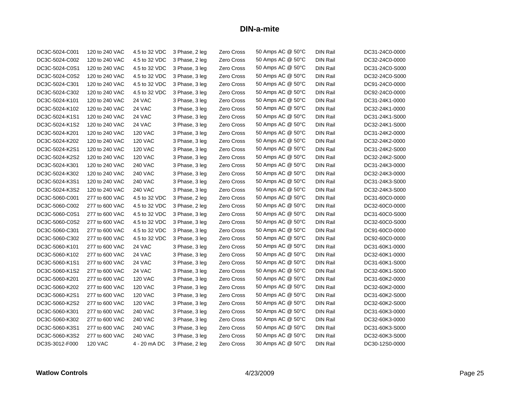| DC3C-5024-C001 | 120 to 240 VAC | 4.5 to 32 VDC  | 3 Phase, 2 leg | Zero Cross        | 50 Amps AC @ 50°C | <b>DIN Rail</b> | DC31-24C0-0000 |
|----------------|----------------|----------------|----------------|-------------------|-------------------|-----------------|----------------|
| DC3C-5024-C002 | 120 to 240 VAC | 4.5 to 32 VDC  | 3 Phase, 2 leg | Zero Cross        | 50 Amps AC @ 50°C | <b>DIN Rail</b> | DC32-24C0-0000 |
| DC3C-5024-C0S1 | 120 to 240 VAC | 4.5 to 32 VDC  | 3 Phase, 3 leg | Zero Cross        | 50 Amps AC @ 50°C | <b>DIN Rail</b> | DC31-24C0-S000 |
| DC3C-5024-C0S2 | 120 to 240 VAC | 4.5 to 32 VDC  | 3 Phase, 3 leg | Zero Cross        | 50 Amps AC @ 50°C | <b>DIN Rail</b> | DC32-24C0-S000 |
| DC3C-5024-C301 | 120 to 240 VAC | 4.5 to 32 VDC  | 3 Phase, 3 leg | Zero Cross        | 50 Amps AC @ 50°C | <b>DIN Rail</b> | DC91-24C0-0000 |
| DC3C-5024-C302 | 120 to 240 VAC | 4.5 to 32 VDC  | 3 Phase, 3 leg | Zero Cross        | 50 Amps AC @ 50°C | <b>DIN Rail</b> | DC92-24C0-0000 |
| DC3C-5024-K101 | 120 to 240 VAC | 24 VAC         | 3 Phase, 3 leg | Zero Cross        | 50 Amps AC @ 50°C | <b>DIN Rail</b> | DC31-24K1-0000 |
| DC3C-5024-K102 | 120 to 240 VAC | 24 VAC         | 3 Phase, 3 leg | Zero Cross        | 50 Amps AC @ 50°C | <b>DIN Rail</b> | DC32-24K1-0000 |
| DC3C-5024-K1S1 | 120 to 240 VAC | 24 VAC         | 3 Phase, 3 leg | Zero Cross        | 50 Amps AC @ 50°C | <b>DIN Rail</b> | DC31-24K1-S000 |
| DC3C-5024-K1S2 | 120 to 240 VAC | 24 VAC         | 3 Phase, 3 leg | Zero Cross        | 50 Amps AC @ 50°C | <b>DIN Rail</b> | DC32-24K1-S000 |
| DC3C-5024-K201 | 120 to 240 VAC | <b>120 VAC</b> | 3 Phase, 3 leg | Zero Cross        | 50 Amps AC @ 50°C | <b>DIN Rail</b> | DC31-24K2-0000 |
| DC3C-5024-K202 | 120 to 240 VAC | <b>120 VAC</b> | 3 Phase, 3 leg | Zero Cross        | 50 Amps AC @ 50°C | <b>DIN Rail</b> | DC32-24K2-0000 |
| DC3C-5024-K2S1 | 120 to 240 VAC | <b>120 VAC</b> | 3 Phase, 3 leg | Zero Cross        | 50 Amps AC @ 50°C | <b>DIN Rail</b> | DC31-24K2-S000 |
| DC3C-5024-K2S2 | 120 to 240 VAC | <b>120 VAC</b> | 3 Phase, 3 leg | Zero Cross        | 50 Amps AC @ 50°C | <b>DIN Rail</b> | DC32-24K2-S000 |
| DC3C-5024-K301 | 120 to 240 VAC | <b>240 VAC</b> | 3 Phase, 3 leg | Zero Cross        | 50 Amps AC @ 50°C | <b>DIN Rail</b> | DC31-24K3-0000 |
| DC3C-5024-K302 | 120 to 240 VAC | <b>240 VAC</b> | 3 Phase, 3 leg | Zero Cross        | 50 Amps AC @ 50°C | <b>DIN Rail</b> | DC32-24K3-0000 |
| DC3C-5024-K3S1 | 120 to 240 VAC | <b>240 VAC</b> | 3 Phase, 3 leg | Zero Cross        | 50 Amps AC @ 50°C | <b>DIN Rail</b> | DC31-24K3-S000 |
| DC3C-5024-K3S2 | 120 to 240 VAC | <b>240 VAC</b> | 3 Phase, 3 leg | Zero Cross        | 50 Amps AC @ 50°C | <b>DIN Rail</b> | DC32-24K3-S000 |
| DC3C-5060-C001 | 277 to 600 VAC | 4.5 to 32 VDC  | 3 Phase, 2 leg | Zero Cross        | 50 Amps AC @ 50°C | <b>DIN Rail</b> | DC31-60C0-0000 |
| DC3C-5060-C002 | 277 to 600 VAC | 4.5 to 32 VDC  | 3 Phase, 2 leg | Zero Cross        | 50 Amps AC @ 50°C | <b>DIN Rail</b> | DC32-60C0-0000 |
| DC3C-5060-C0S1 | 277 to 600 VAC | 4.5 to 32 VDC  | 3 Phase, 3 leg | Zero Cross        | 50 Amps AC @ 50°C | <b>DIN Rail</b> | DC31-60C0-S000 |
| DC3C-5060-C0S2 | 277 to 600 VAC | 4.5 to 32 VDC  | 3 Phase, 3 leg | Zero Cross        | 50 Amps AC @ 50°C | <b>DIN Rail</b> | DC32-60C0-S000 |
| DC3C-5060-C301 | 277 to 600 VAC | 4.5 to 32 VDC  | 3 Phase, 3 leg | Zero Cross        | 50 Amps AC @ 50°C | <b>DIN Rail</b> | DC91-60C0-0000 |
| DC3C-5060-C302 | 277 to 600 VAC | 4.5 to 32 VDC  | 3 Phase, 3 leg | Zero Cross        | 50 Amps AC @ 50°C | <b>DIN Rail</b> | DC92-60C0-0000 |
| DC3C-5060-K101 | 277 to 600 VAC | 24 VAC         | 3 Phase, 3 leg | Zero Cross        | 50 Amps AC @ 50°C | <b>DIN Rail</b> | DC31-60K1-0000 |
| DC3C-5060-K102 | 277 to 600 VAC | 24 VAC         | 3 Phase, 3 leg | Zero Cross        | 50 Amps AC @ 50°C | <b>DIN Rail</b> | DC32-60K1-0000 |
| DC3C-5060-K1S1 | 277 to 600 VAC | 24 VAC         | 3 Phase, 3 leg | Zero Cross        | 50 Amps AC @ 50°C | <b>DIN Rail</b> | DC31-60K1-S000 |
| DC3C-5060-K1S2 | 277 to 600 VAC | 24 VAC         | 3 Phase, 3 leg | Zero Cross        | 50 Amps AC @ 50°C | <b>DIN Rail</b> | DC32-60K1-S000 |
| DC3C-5060-K201 | 277 to 600 VAC | <b>120 VAC</b> | 3 Phase, 3 leg | Zero Cross        | 50 Amps AC @ 50°C | <b>DIN Rail</b> | DC31-60K2-0000 |
| DC3C-5060-K202 | 277 to 600 VAC | <b>120 VAC</b> | 3 Phase, 3 leg | Zero Cross        | 50 Amps AC @ 50°C | <b>DIN Rail</b> | DC32-60K2-0000 |
| DC3C-5060-K2S1 | 277 to 600 VAC | <b>120 VAC</b> | 3 Phase, 3 leg | <b>Zero Cross</b> | 50 Amps AC @ 50°C | <b>DIN Rail</b> | DC31-60K2-S000 |
| DC3C-5060-K2S2 | 277 to 600 VAC | <b>120 VAC</b> | 3 Phase, 3 leg | <b>Zero Cross</b> | 50 Amps AC @ 50°C | <b>DIN Rail</b> | DC32-60K2-S000 |
| DC3C-5060-K301 | 277 to 600 VAC | <b>240 VAC</b> | 3 Phase, 3 leg | Zero Cross        | 50 Amps AC @ 50°C | <b>DIN Rail</b> | DC31-60K3-0000 |
| DC3C-5060-K302 | 277 to 600 VAC | <b>240 VAC</b> | 3 Phase, 3 leg | Zero Cross        | 50 Amps AC @ 50°C | <b>DIN Rail</b> | DC32-60K3-0000 |
| DC3C-5060-K3S1 | 277 to 600 VAC | <b>240 VAC</b> | 3 Phase, 3 leg | Zero Cross        | 50 Amps AC @ 50°C | <b>DIN Rail</b> | DC31-60K3-S000 |
| DC3C-5060-K3S2 | 277 to 600 VAC | <b>240 VAC</b> | 3 Phase, 3 leg | Zero Cross        | 50 Amps AC @ 50°C | <b>DIN Rail</b> | DC32-60K3-S000 |
| DC3S-3012-F000 | <b>120 VAC</b> | 4 - 20 mA DC   | 3 Phase, 2 leg | Zero Cross        | 30 Amps AC @ 50°C | <b>DIN Rail</b> | DC30-12S0-0000 |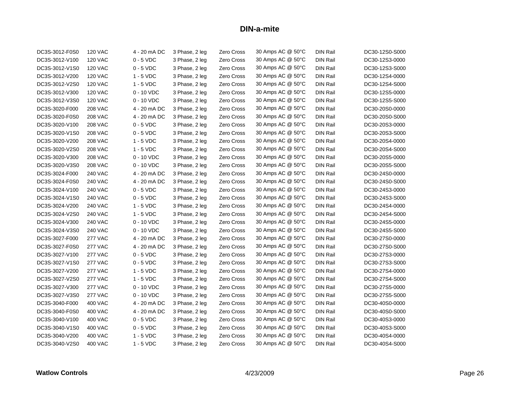| DC3S-3012-F0S0 | <b>120 VAC</b> | 4 - 20 mA DC | 3 Phase, 2 leg | Zero Cross        | 30 Amps AC @ 50°C | <b>DIN Rail</b> | DC30-12S0-S000 |
|----------------|----------------|--------------|----------------|-------------------|-------------------|-----------------|----------------|
| DC3S-3012-V100 | <b>120 VAC</b> | $0 - 5$ VDC  | 3 Phase, 2 leg | Zero Cross        | 30 Amps AC @ 50°C | <b>DIN Rail</b> | DC30-12S3-0000 |
| DC3S-3012-V1S0 | <b>120 VAC</b> | $0 - 5$ VDC  | 3 Phase, 2 leg | Zero Cross        | 30 Amps AC @ 50°C | DIN Rail        | DC30-12S3-S000 |
| DC3S-3012-V200 | <b>120 VAC</b> | $1 - 5$ VDC  | 3 Phase, 2 leg | Zero Cross        | 30 Amps AC @ 50°C | DIN Rail        | DC30-12S4-0000 |
| DC3S-3012-V2S0 | <b>120 VAC</b> | $1 - 5$ VDC  | 3 Phase, 2 leg | Zero Cross        | 30 Amps AC @ 50°C | <b>DIN Rail</b> | DC30-12S4-S000 |
| DC3S-3012-V300 | <b>120 VAC</b> | $0 - 10$ VDC | 3 Phase, 2 leg | Zero Cross        | 30 Amps AC @ 50°C | <b>DIN Rail</b> | DC30-12S5-0000 |
| DC3S-3012-V3S0 | <b>120 VAC</b> | $0 - 10$ VDC | 3 Phase, 2 leg | Zero Cross        | 30 Amps AC @ 50°C | DIN Rail        | DC30-12S5-S000 |
| DC3S-3020-F000 | <b>208 VAC</b> | 4 - 20 mA DC | 3 Phase, 2 leg | Zero Cross        | 30 Amps AC @ 50°C | <b>DIN Rail</b> | DC30-20S0-0000 |
| DC3S-3020-F0S0 | <b>208 VAC</b> | 4 - 20 mA DC | 3 Phase, 2 leg | Zero Cross        | 30 Amps AC @ 50°C | <b>DIN Rail</b> | DC30-20S0-S000 |
| DC3S-3020-V100 | <b>208 VAC</b> | $0 - 5$ VDC  | 3 Phase, 2 leg | Zero Cross        | 30 Amps AC @ 50°C | <b>DIN Rail</b> | DC30-20S3-0000 |
| DC3S-3020-V1S0 | <b>208 VAC</b> | $0 - 5$ VDC  | 3 Phase, 2 leg | Zero Cross        | 30 Amps AC @ 50°C | <b>DIN Rail</b> | DC30-20S3-S000 |
| DC3S-3020-V200 | <b>208 VAC</b> | $1 - 5$ VDC  | 3 Phase, 2 leg | Zero Cross        | 30 Amps AC @ 50°C | <b>DIN Rail</b> | DC30-20S4-0000 |
| DC3S-3020-V2S0 | <b>208 VAC</b> | $1 - 5$ VDC  | 3 Phase, 2 leg | Zero Cross        | 30 Amps AC @ 50°C | <b>DIN Rail</b> | DC30-20S4-S000 |
| DC3S-3020-V300 | <b>208 VAC</b> | $0 - 10$ VDC | 3 Phase, 2 leg | Zero Cross        | 30 Amps AC @ 50°C | <b>DIN Rail</b> | DC30-20S5-0000 |
| DC3S-3020-V3S0 | <b>208 VAC</b> | $0 - 10$ VDC | 3 Phase, 2 leg | Zero Cross        | 30 Amps AC @ 50°C | <b>DIN Rail</b> | DC30-20S5-S000 |
| DC3S-3024-F000 | <b>240 VAC</b> | 4 - 20 mA DC | 3 Phase, 2 leg | Zero Cross        | 30 Amps AC @ 50°C | <b>DIN Rail</b> | DC30-24S0-0000 |
| DC3S-3024-F0S0 | <b>240 VAC</b> | 4 - 20 mA DC | 3 Phase, 2 leg | Zero Cross        | 30 Amps AC @ 50°C | <b>DIN Rail</b> | DC30-24S0-S000 |
| DC3S-3024-V100 | <b>240 VAC</b> | $0 - 5$ VDC  | 3 Phase, 2 leg | Zero Cross        | 30 Amps AC @ 50°C | <b>DIN Rail</b> | DC30-24S3-0000 |
| DC3S-3024-V1S0 | <b>240 VAC</b> | $0 - 5$ VDC  | 3 Phase, 2 leg | Zero Cross        | 30 Amps AC @ 50°C | <b>DIN Rail</b> | DC30-24S3-S000 |
| DC3S-3024-V200 | <b>240 VAC</b> | $1 - 5$ VDC  | 3 Phase, 2 leg | Zero Cross        | 30 Amps AC @ 50°C | <b>DIN Rail</b> | DC30-24S4-0000 |
| DC3S-3024-V2S0 | <b>240 VAC</b> | $1 - 5$ VDC  | 3 Phase, 2 leg | Zero Cross        | 30 Amps AC @ 50°C | <b>DIN Rail</b> | DC30-24S4-S000 |
| DC3S-3024-V300 | <b>240 VAC</b> | $0 - 10$ VDC | 3 Phase, 2 leg | Zero Cross        | 30 Amps AC @ 50°C | <b>DIN Rail</b> | DC30-24S5-0000 |
| DC3S-3024-V3S0 | 240 VAC        | $0 - 10$ VDC | 3 Phase, 2 leg | Zero Cross        | 30 Amps AC @ 50°C | <b>DIN Rail</b> | DC30-24S5-S000 |
| DC3S-3027-F000 | <b>277 VAC</b> | 4 - 20 mA DC | 3 Phase, 2 leg | Zero Cross        | 30 Amps AC @ 50°C | <b>DIN Rail</b> | DC30-27S0-0000 |
| DC3S-3027-F0S0 | <b>277 VAC</b> | 4 - 20 mA DC | 3 Phase, 2 leg | Zero Cross        | 30 Amps AC @ 50°C | <b>DIN Rail</b> | DC30-27S0-S000 |
| DC3S-3027-V100 | <b>277 VAC</b> | $0 - 5$ VDC  | 3 Phase, 2 leg | Zero Cross        | 30 Amps AC @ 50°C | <b>DIN Rail</b> | DC30-27S3-0000 |
| DC3S-3027-V1S0 | <b>277 VAC</b> | $0 - 5$ VDC  | 3 Phase, 2 leg | Zero Cross        | 30 Amps AC @ 50°C | DIN Rail        | DC30-27S3-S000 |
| DC3S-3027-V200 | <b>277 VAC</b> | $1 - 5$ VDC  | 3 Phase, 2 leg | Zero Cross        | 30 Amps AC @ 50°C | <b>DIN Rail</b> | DC30-27S4-0000 |
| DC3S-3027-V2S0 | <b>277 VAC</b> | $1 - 5$ VDC  | 3 Phase, 2 leg | Zero Cross        | 30 Amps AC @ 50°C | DIN Rail        | DC30-27S4-S000 |
| DC3S-3027-V300 | <b>277 VAC</b> | $0 - 10$ VDC | 3 Phase, 2 leg | Zero Cross        | 30 Amps AC @ 50°C | DIN Rail        | DC30-27S5-0000 |
| DC3S-3027-V3S0 | <b>277 VAC</b> | $0 - 10$ VDC | 3 Phase, 2 leg | <b>Zero Cross</b> | 30 Amps AC @ 50°C | <b>DIN Rail</b> | DC30-27S5-S000 |
| DC3S-3040-F000 | 400 VAC        | 4 - 20 mA DC | 3 Phase, 2 leg | Zero Cross        | 30 Amps AC @ 50°C | DIN Rail        | DC30-40S0-0000 |
| DC3S-3040-F0S0 | <b>400 VAC</b> | 4 - 20 mA DC | 3 Phase, 2 leg | Zero Cross        | 30 Amps AC @ 50°C | <b>DIN Rail</b> | DC30-40S0-S000 |
| DC3S-3040-V100 | 400 VAC        | $0 - 5$ VDC  | 3 Phase, 2 leg | Zero Cross        | 30 Amps AC @ 50°C | <b>DIN Rail</b> | DC30-40S3-0000 |
| DC3S-3040-V1S0 | 400 VAC        | $0 - 5$ VDC  | 3 Phase, 2 leg | Zero Cross        | 30 Amps AC @ 50°C | <b>DIN Rail</b> | DC30-40S3-S000 |
| DC3S-3040-V200 | 400 VAC        | $1 - 5$ VDC  | 3 Phase, 2 leg | Zero Cross        | 30 Amps AC @ 50°C | <b>DIN Rail</b> | DC30-40S4-0000 |
| DC3S-3040-V2S0 | 400 VAC        | $1 - 5$ VDC  | 3 Phase, 2 leg | Zero Cross        | 30 Amps AC @ 50°C | <b>DIN Rail</b> | DC30-40S4-S000 |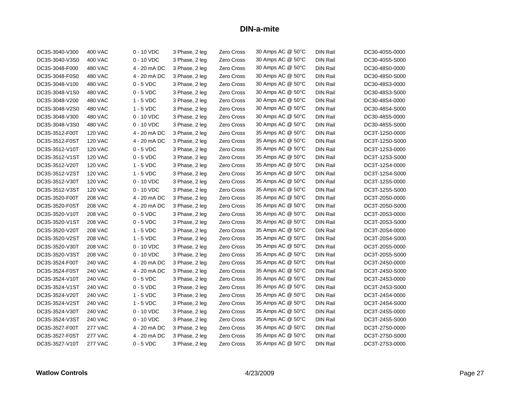| DC3S-3040-V300 | 400 VAC        | $0 - 10$ VDC | 3 Phase, 2 leg | Zero Cross        | 30 Amps AC @ 50°C | <b>DIN Rail</b> | DC30-40S5-0000 |
|----------------|----------------|--------------|----------------|-------------------|-------------------|-----------------|----------------|
| DC3S-3040-V3S0 | <b>400 VAC</b> | $0 - 10$ VDC | 3 Phase, 2 leg | Zero Cross        | 30 Amps AC @ 50°C | <b>DIN Rail</b> | DC30-40S5-S000 |
| DC3S-3048-F000 | 480 VAC        | 4 - 20 mA DC | 3 Phase, 2 leg | Zero Cross        | 30 Amps AC @ 50°C | <b>DIN Rail</b> | DC30-48S0-0000 |
| DC3S-3048-F0S0 | 480 VAC        | 4 - 20 mA DC | 3 Phase, 2 leg | Zero Cross        | 30 Amps AC @ 50°C | DIN Rail        | DC30-48S0-S000 |
| DC3S-3048-V100 | <b>480 VAC</b> | $0 - 5$ VDC  | 3 Phase, 2 leg | Zero Cross        | 30 Amps AC @ 50°C | <b>DIN Rail</b> | DC30-48S3-0000 |
| DC3S-3048-V1S0 | <b>480 VAC</b> | $0 - 5$ VDC  | 3 Phase, 2 leg | Zero Cross        | 30 Amps AC @ 50°C | <b>DIN Rail</b> | DC30-48S3-S000 |
| DC3S-3048-V200 | 480 VAC        | $1 - 5$ VDC  | 3 Phase, 2 leg | Zero Cross        | 30 Amps AC @ 50°C | <b>DIN Rail</b> | DC30-48S4-0000 |
| DC3S-3048-V2S0 | <b>480 VAC</b> | $1 - 5$ VDC  | 3 Phase, 2 leg | Zero Cross        | 30 Amps AC @ 50°C | <b>DIN Rail</b> | DC30-48S4-S000 |
| DC3S-3048-V300 | <b>480 VAC</b> | $0 - 10$ VDC | 3 Phase, 2 leg | Zero Cross        | 30 Amps AC @ 50°C | <b>DIN Rail</b> | DC30-48S5-0000 |
| DC3S-3048-V3S0 | <b>480 VAC</b> | $0 - 10$ VDC | 3 Phase, 2 leg | Zero Cross        | 30 Amps AC @ 50°C | <b>DIN Rail</b> | DC30-48S5-S000 |
| DC3S-3512-F00T | <b>120 VAC</b> | 4 - 20 mA DC | 3 Phase, 2 leg | Zero Cross        | 35 Amps AC @ 50°C | <b>DIN Rail</b> | DC3T-12S0-0000 |
| DC3S-3512-F0ST | <b>120 VAC</b> | 4 - 20 mA DC | 3 Phase, 2 leg | Zero Cross        | 35 Amps AC @ 50°C | <b>DIN Rail</b> | DC3T-12S0-S000 |
| DC3S-3512-V10T | <b>120 VAC</b> | $0 - 5$ VDC  | 3 Phase, 2 leg | Zero Cross        | 35 Amps AC @ 50°C | <b>DIN Rail</b> | DC3T-12S3-0000 |
| DC3S-3512-V1ST | <b>120 VAC</b> | $0 - 5$ VDC  | 3 Phase, 2 leg | Zero Cross        | 35 Amps AC @ 50°C | <b>DIN Rail</b> | DC3T-12S3-S000 |
| DC3S-3512-V20T | <b>120 VAC</b> | $1 - 5$ VDC  | 3 Phase, 2 leg | Zero Cross        | 35 Amps AC @ 50°C | <b>DIN Rail</b> | DC3T-12S4-0000 |
| DC3S-3512-V2ST | <b>120 VAC</b> | $1 - 5$ VDC  | 3 Phase, 2 leg | Zero Cross        | 35 Amps AC @ 50°C | <b>DIN Rail</b> | DC3T-12S4-S000 |
| DC3S-3512-V30T | <b>120 VAC</b> | $0 - 10$ VDC | 3 Phase, 2 leg | Zero Cross        | 35 Amps AC @ 50°C | DIN Rail        | DC3T-12S5-0000 |
| DC3S-3512-V3ST | <b>120 VAC</b> | $0 - 10$ VDC | 3 Phase, 2 leg | Zero Cross        | 35 Amps AC @ 50°C | <b>DIN Rail</b> | DC3T-12S5-S000 |
| DC3S-3520-F00T | <b>208 VAC</b> | 4 - 20 mA DC | 3 Phase, 2 leg | Zero Cross        | 35 Amps AC @ 50°C | <b>DIN Rail</b> | DC3T-20S0-0000 |
| DC3S-3520-F0ST | <b>208 VAC</b> | 4 - 20 mA DC | 3 Phase, 2 leg | Zero Cross        | 35 Amps AC @ 50°C | <b>DIN Rail</b> | DC3T-20S0-S000 |
| DC3S-3520-V10T | <b>208 VAC</b> | $0 - 5$ VDC  | 3 Phase, 2 leg | Zero Cross        | 35 Amps AC @ 50°C | <b>DIN Rail</b> | DC3T-20S3-0000 |
| DC3S-3520-V1ST | <b>208 VAC</b> | $0 - 5$ VDC  | 3 Phase, 2 leg | Zero Cross        | 35 Amps AC @ 50°C | <b>DIN Rail</b> | DC3T-20S3-S000 |
| DC3S-3520-V20T | <b>208 VAC</b> | $1 - 5$ VDC  | 3 Phase, 2 leg | Zero Cross        | 35 Amps AC @ 50°C | <b>DIN Rail</b> | DC3T-20S4-0000 |
| DC3S-3520-V2ST | <b>208 VAC</b> | 1 - 5 VDC    | 3 Phase, 2 leg | Zero Cross        | 35 Amps AC @ 50°C | <b>DIN Rail</b> | DC3T-20S4-S000 |
| DC3S-3520-V30T | <b>208 VAC</b> | $0 - 10$ VDC | 3 Phase, 2 leg | Zero Cross        | 35 Amps AC @ 50°C | <b>DIN Rail</b> | DC3T-20S5-0000 |
| DC3S-3520-V3ST | <b>208 VAC</b> | $0 - 10$ VDC | 3 Phase, 2 leg | Zero Cross        | 35 Amps AC @ 50°C | <b>DIN Rail</b> | DC3T-20S5-S000 |
| DC3S-3524-F00T | <b>240 VAC</b> | 4 - 20 mA DC | 3 Phase, 2 leg | Zero Cross        | 35 Amps AC @ 50°C | <b>DIN Rail</b> | DC3T-24S0-0000 |
| DC3S-3524-F0ST | 240 VAC        | 4 - 20 mA DC | 3 Phase, 2 leg | Zero Cross        | 35 Amps AC @ 50°C | <b>DIN Rail</b> | DC3T-24S0-S000 |
| DC3S-3524-V10T | <b>240 VAC</b> | $0 - 5$ VDC  | 3 Phase, 2 leg | Zero Cross        | 35 Amps AC @ 50°C | DIN Rail        | DC3T-24S3-0000 |
| DC3S-3524-V1ST | 240 VAC        | $0 - 5$ VDC  | 3 Phase, 2 leg | Zero Cross        | 35 Amps AC @ 50°C | <b>DIN Rail</b> | DC3T-24S3-S000 |
| DC3S-3524-V20T | <b>240 VAC</b> | $1 - 5$ VDC  | 3 Phase, 2 leg | Zero Cross        | 35 Amps AC @ 50°C | <b>DIN Rail</b> | DC3T-24S4-0000 |
| DC3S-3524-V2ST | <b>240 VAC</b> | $1 - 5$ VDC  | 3 Phase, 2 leg | Zero Cross        | 35 Amps AC @ 50°C | DIN Rail        | DC3T-24S4-S000 |
| DC3S-3524-V30T | <b>240 VAC</b> | $0 - 10$ VDC | 3 Phase, 2 leg | <b>Zero Cross</b> | 35 Amps AC @ 50°C | <b>DIN Rail</b> | DC3T-24S5-0000 |
| DC3S-3524-V3ST | <b>240 VAC</b> | $0 - 10$ VDC | 3 Phase, 2 leg | Zero Cross        | 35 Amps AC @ 50°C | DIN Rail        | DC3T-24S5-S000 |
| DC3S-3527-F00T | <b>277 VAC</b> | 4 - 20 mA DC | 3 Phase, 2 leg | Zero Cross        | 35 Amps AC @ 50°C | DIN Rail        | DC3T-27S0-0000 |
| DC3S-3527-F0ST | <b>277 VAC</b> | 4 - 20 mA DC | 3 Phase, 2 leg | Zero Cross        | 35 Amps AC @ 50°C | <b>DIN Rail</b> | DC3T-27S0-S000 |
| DC3S-3527-V10T | <b>277 VAC</b> | $0 - 5$ VDC  | 3 Phase, 2 leg | Zero Cross        | 35 Amps AC @ 50°C | <b>DIN Rail</b> | DC3T-27S3-0000 |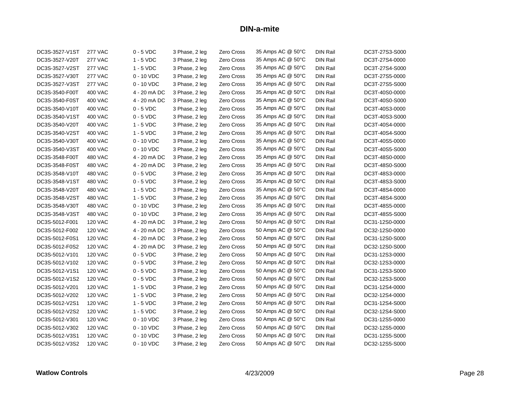| DC3S-3527-V1ST | <b>277 VAC</b> | $0 - 5$ VDC  | 3 Phase, 2 leg | Zero Cross        | 35 Amps AC @ 50°C | <b>DIN Rail</b> | DC3T-27S3-S000 |
|----------------|----------------|--------------|----------------|-------------------|-------------------|-----------------|----------------|
| DC3S-3527-V20T | <b>277 VAC</b> | $1 - 5$ VDC  | 3 Phase, 2 leg | Zero Cross        | 35 Amps AC @ 50°C | <b>DIN Rail</b> | DC3T-27S4-0000 |
| DC3S-3527-V2ST | <b>277 VAC</b> | $1 - 5$ VDC  | 3 Phase, 2 leg | Zero Cross        | 35 Amps AC @ 50°C | <b>DIN Rail</b> | DC3T-27S4-S000 |
| DC3S-3527-V30T | <b>277 VAC</b> | $0 - 10$ VDC | 3 Phase, 2 leg | Zero Cross        | 35 Amps AC @ 50°C | <b>DIN Rail</b> | DC3T-27S5-0000 |
| DC3S-3527-V3ST | <b>277 VAC</b> | $0 - 10$ VDC | 3 Phase, 2 leg | Zero Cross        | 35 Amps AC @ 50°C | DIN Rail        | DC3T-27S5-S000 |
| DC3S-3540-F00T | <b>400 VAC</b> | 4 - 20 mA DC | 3 Phase, 2 leg | Zero Cross        | 35 Amps AC @ 50°C | <b>DIN Rail</b> | DC3T-40S0-0000 |
| DC3S-3540-F0ST | <b>400 VAC</b> | 4 - 20 mA DC | 3 Phase, 2 leg | Zero Cross        | 35 Amps AC @ 50°C | <b>DIN Rail</b> | DC3T-40S0-S000 |
| DC3S-3540-V10T | 400 VAC        | $0 - 5$ VDC  | 3 Phase, 2 leg | Zero Cross        | 35 Amps AC @ 50°C | <b>DIN Rail</b> | DC3T-40S3-0000 |
| DC3S-3540-V1ST | <b>400 VAC</b> | $0 - 5$ VDC  | 3 Phase, 2 leg | Zero Cross        | 35 Amps AC @ 50°C | <b>DIN Rail</b> | DC3T-40S3-S000 |
| DC3S-3540-V20T | 400 VAC        | $1 - 5$ VDC  | 3 Phase, 2 leg | Zero Cross        | 35 Amps AC @ 50°C | <b>DIN Rail</b> | DC3T-40S4-0000 |
| DC3S-3540-V2ST | 400 VAC        | $1 - 5$ VDC  | 3 Phase, 2 leg | Zero Cross        | 35 Amps AC @ 50°C | <b>DIN Rail</b> | DC3T-40S4-S000 |
| DC3S-3540-V30T | <b>400 VAC</b> | $0 - 10$ VDC | 3 Phase, 2 leg | Zero Cross        | 35 Amps AC @ 50°C | <b>DIN Rail</b> | DC3T-40S5-0000 |
| DC3S-3540-V3ST | <b>400 VAC</b> | $0 - 10$ VDC | 3 Phase, 2 leg | Zero Cross        | 35 Amps AC @ 50°C | <b>DIN Rail</b> | DC3T-40S5-S000 |
| DC3S-3548-F00T | 480 VAC        | 4 - 20 mA DC | 3 Phase, 2 leg | Zero Cross        | 35 Amps AC @ 50°C | <b>DIN Rail</b> | DC3T-48S0-0000 |
| DC3S-3548-F0ST | 480 VAC        | 4 - 20 mA DC | 3 Phase, 2 leg | Zero Cross        | 35 Amps AC @ 50°C | <b>DIN Rail</b> | DC3T-48S0-S000 |
| DC3S-3548-V10T | 480 VAC        | $0 - 5$ VDC  | 3 Phase, 2 leg | Zero Cross        | 35 Amps AC @ 50°C | <b>DIN Rail</b> | DC3T-48S3-0000 |
| DC3S-3548-V1ST | 480 VAC        | $0 - 5$ VDC  | 3 Phase, 2 leg | Zero Cross        | 35 Amps AC @ 50°C | <b>DIN Rail</b> | DC3T-48S3-S000 |
| DC3S-3548-V20T | 480 VAC        | $1 - 5$ VDC  | 3 Phase, 2 leg | Zero Cross        | 35 Amps AC @ 50°C | <b>DIN Rail</b> | DC3T-48S4-0000 |
| DC3S-3548-V2ST | <b>480 VAC</b> | $1 - 5$ VDC  | 3 Phase, 2 leg | Zero Cross        | 35 Amps AC @ 50°C | <b>DIN Rail</b> | DC3T-48S4-S000 |
| DC3S-3548-V30T | <b>480 VAC</b> | $0 - 10$ VDC | 3 Phase, 2 leg | Zero Cross        | 35 Amps AC @ 50°C | <b>DIN Rail</b> | DC3T-48S5-0000 |
| DC3S-3548-V3ST | 480 VAC        | $0 - 10$ VDC | 3 Phase, 2 leg | Zero Cross        | 35 Amps AC @ 50°C | <b>DIN Rail</b> | DC3T-48S5-S000 |
| DC3S-5012-F001 | <b>120 VAC</b> | 4 - 20 mA DC | 3 Phase, 2 leg | Zero Cross        | 50 Amps AC @ 50°C | <b>DIN Rail</b> | DC31-12S0-0000 |
| DC3S-5012-F002 | <b>120 VAC</b> | 4 - 20 mA DC | 3 Phase, 2 leg | Zero Cross        | 50 Amps AC @ 50°C | <b>DIN Rail</b> | DC32-12S0-0000 |
| DC3S-5012-F0S1 | <b>120 VAC</b> | 4 - 20 mA DC | 3 Phase, 2 leg | Zero Cross        | 50 Amps AC @ 50°C | <b>DIN Rail</b> | DC31-12S0-S000 |
| DC3S-5012-F0S2 | <b>120 VAC</b> | 4 - 20 mA DC | 3 Phase, 2 leg | Zero Cross        | 50 Amps AC @ 50°C | <b>DIN Rail</b> | DC32-12S0-S000 |
| DC3S-5012-V101 | <b>120 VAC</b> | $0 - 5$ VDC  | 3 Phase, 2 leg | Zero Cross        | 50 Amps AC @ 50°C | <b>DIN Rail</b> | DC31-12S3-0000 |
| DC3S-5012-V102 | <b>120 VAC</b> | $0 - 5$ VDC  | 3 Phase, 2 leg | <b>Zero Cross</b> | 50 Amps AC @ 50°C | <b>DIN Rail</b> | DC32-12S3-0000 |
| DC3S-5012-V1S1 | <b>120 VAC</b> | $0 - 5$ VDC  | 3 Phase, 2 leg | Zero Cross        | 50 Amps AC @ 50°C | <b>DIN Rail</b> | DC31-12S3-S000 |
| DC3S-5012-V1S2 | <b>120 VAC</b> | $0 - 5$ VDC  | 3 Phase, 2 leg | Zero Cross        | 50 Amps AC @ 50°C | <b>DIN Rail</b> | DC32-12S3-S000 |
| DC3S-5012-V201 | <b>120 VAC</b> | $1 - 5$ VDC  | 3 Phase, 2 leg | Zero Cross        | 50 Amps AC @ 50°C | <b>DIN Rail</b> | DC31-12S4-0000 |
| DC3S-5012-V202 | <b>120 VAC</b> | $1 - 5$ VDC  | 3 Phase, 2 leg | Zero Cross        | 50 Amps AC @ 50°C | <b>DIN Rail</b> | DC32-12S4-0000 |
| DC3S-5012-V2S1 | <b>120 VAC</b> | $1 - 5$ VDC  | 3 Phase, 2 leg | Zero Cross        | 50 Amps AC @ 50°C | <b>DIN Rail</b> | DC31-12S4-S000 |
| DC3S-5012-V2S2 | <b>120 VAC</b> | $1 - 5$ VDC  | 3 Phase, 2 leg | <b>Zero Cross</b> | 50 Amps AC @ 50°C | <b>DIN Rail</b> | DC32-12S4-S000 |
| DC3S-5012-V301 | <b>120 VAC</b> | $0 - 10$ VDC | 3 Phase, 2 leg | <b>Zero Cross</b> | 50 Amps AC @ 50°C | <b>DIN Rail</b> | DC31-12S5-0000 |
| DC3S-5012-V302 | <b>120 VAC</b> | $0 - 10$ VDC | 3 Phase, 2 leg | Zero Cross        | 50 Amps AC @ 50°C | <b>DIN Rail</b> | DC32-12S5-0000 |
| DC3S-5012-V3S1 | <b>120 VAC</b> | $0 - 10$ VDC | 3 Phase, 2 leg | Zero Cross        | 50 Amps AC @ 50°C | <b>DIN Rail</b> | DC31-12S5-S000 |
| DC3S-5012-V3S2 | <b>120 VAC</b> | $0 - 10$ VDC | 3 Phase, 2 leg | Zero Cross        | 50 Amps AC @ 50°C | <b>DIN Rail</b> | DC32-12S5-S000 |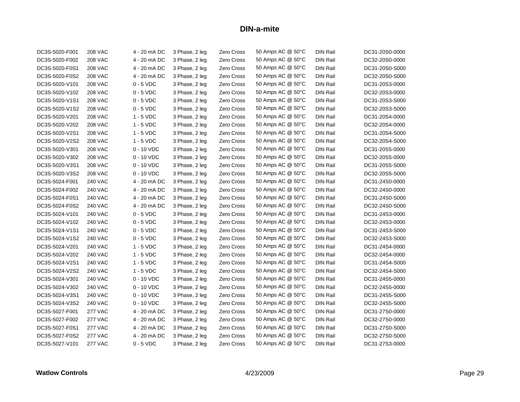| DC3S-5020-F001 | <b>208 VAC</b> | 4 - 20 mA DC | 3 Phase, 2 leg | Zero Cross | 50 Amps AC @ 50°C | <b>DIN Rail</b> | DC31-20S0-0000 |
|----------------|----------------|--------------|----------------|------------|-------------------|-----------------|----------------|
| DC3S-5020-F002 | <b>208 VAC</b> | 4 - 20 mA DC | 3 Phase, 2 leg | Zero Cross | 50 Amps AC @ 50°C | <b>DIN Rail</b> | DC32-20S0-0000 |
| DC3S-5020-F0S1 | <b>208 VAC</b> | 4 - 20 mA DC | 3 Phase, 2 leg | Zero Cross | 50 Amps AC @ 50°C | <b>DIN Rail</b> | DC31-20S0-S000 |
| DC3S-5020-F0S2 | <b>208 VAC</b> | 4 - 20 mA DC | 3 Phase, 2 leg | Zero Cross | 50 Amps AC @ 50°C | <b>DIN Rail</b> | DC32-20S0-S000 |
| DC3S-5020-V101 | <b>208 VAC</b> | $0 - 5$ VDC  | 3 Phase, 2 leg | Zero Cross | 50 Amps AC @ 50°C | DIN Rail        | DC31-20S3-0000 |
| DC3S-5020-V102 | <b>208 VAC</b> | $0 - 5$ VDC  | 3 Phase, 2 leg | Zero Cross | 50 Amps AC @ 50°C | <b>DIN Rail</b> | DC32-20S3-0000 |
| DC3S-5020-V1S1 | <b>208 VAC</b> | $0 - 5$ VDC  | 3 Phase, 2 leg | Zero Cross | 50 Amps AC @ 50°C | <b>DIN Rail</b> | DC31-20S3-S000 |
| DC3S-5020-V1S2 | <b>208 VAC</b> | $0 - 5$ VDC  | 3 Phase, 2 leg | Zero Cross | 50 Amps AC @ 50°C | <b>DIN Rail</b> | DC32-20S3-S000 |
| DC3S-5020-V201 | <b>208 VAC</b> | $1 - 5$ VDC  | 3 Phase, 2 leg | Zero Cross | 50 Amps AC @ 50°C | <b>DIN Rail</b> | DC31-20S4-0000 |
| DC3S-5020-V202 | <b>208 VAC</b> | $1 - 5$ VDC  | 3 Phase, 2 leg | Zero Cross | 50 Amps AC @ 50°C | <b>DIN Rail</b> | DC32-20S4-0000 |
| DC3S-5020-V2S1 | <b>208 VAC</b> | $1 - 5$ VDC  | 3 Phase, 2 leg | Zero Cross | 50 Amps AC @ 50°C | <b>DIN Rail</b> | DC31-20S4-S000 |
| DC3S-5020-V2S2 | <b>208 VAC</b> | $1 - 5$ VDC  | 3 Phase, 2 leg | Zero Cross | 50 Amps AC @ 50°C | <b>DIN Rail</b> | DC32-20S4-S000 |
| DC3S-5020-V301 | <b>208 VAC</b> | $0 - 10$ VDC | 3 Phase, 2 leg | Zero Cross | 50 Amps AC @ 50°C | <b>DIN Rail</b> | DC31-20S5-0000 |
| DC3S-5020-V302 | <b>208 VAC</b> | $0 - 10$ VDC | 3 Phase, 2 leg | Zero Cross | 50 Amps AC @ 50°C | <b>DIN Rail</b> | DC32-20S5-0000 |
| DC3S-5020-V3S1 | <b>208 VAC</b> | $0 - 10$ VDC | 3 Phase, 2 leg | Zero Cross | 50 Amps AC @ 50°C | DIN Rail        | DC31-20S5-S000 |
| DC3S-5020-V3S2 | <b>208 VAC</b> | $0 - 10$ VDC | 3 Phase, 2 leg | Zero Cross | 50 Amps AC @ 50°C | <b>DIN Rail</b> | DC32-20S5-S000 |
| DC3S-5024-F001 | <b>240 VAC</b> | 4 - 20 mA DC | 3 Phase, 2 leg | Zero Cross | 50 Amps AC @ 50°C | <b>DIN Rail</b> | DC31-24S0-0000 |
| DC3S-5024-F002 | <b>240 VAC</b> | 4 - 20 mA DC | 3 Phase, 2 leg | Zero Cross | 50 Amps AC @ 50°C | <b>DIN Rail</b> | DC32-24S0-0000 |
| DC3S-5024-F0S1 | <b>240 VAC</b> | 4 - 20 mA DC | 3 Phase, 2 leg | Zero Cross | 50 Amps AC @ 50°C | <b>DIN Rail</b> | DC31-24S0-S000 |
| DC3S-5024-F0S2 | <b>240 VAC</b> | 4 - 20 mA DC | 3 Phase, 2 leg | Zero Cross | 50 Amps AC @ 50°C | <b>DIN Rail</b> | DC32-24S0-S000 |
| DC3S-5024-V101 | <b>240 VAC</b> | $0 - 5$ VDC  | 3 Phase, 2 leg | Zero Cross | 50 Amps AC @ 50°C | <b>DIN Rail</b> | DC31-24S3-0000 |
| DC3S-5024-V102 | <b>240 VAC</b> | $0 - 5$ VDC  | 3 Phase, 2 leg | Zero Cross | 50 Amps AC @ 50°C | <b>DIN Rail</b> | DC32-24S3-0000 |
| DC3S-5024-V1S1 | <b>240 VAC</b> | $0 - 5$ VDC  | 3 Phase, 2 leg | Zero Cross | 50 Amps AC @ 50°C | <b>DIN Rail</b> | DC31-24S3-S000 |
| DC3S-5024-V1S2 | <b>240 VAC</b> | $0 - 5$ VDC  | 3 Phase, 2 leg | Zero Cross | 50 Amps AC @ 50°C | <b>DIN Rail</b> | DC32-24S3-S000 |
| DC3S-5024-V201 | <b>240 VAC</b> | $1 - 5$ VDC  | 3 Phase, 2 leg | Zero Cross | 50 Amps AC @ 50°C | <b>DIN Rail</b> | DC31-24S4-0000 |
| DC3S-5024-V202 | <b>240 VAC</b> | $1 - 5$ VDC  | 3 Phase, 2 leg | Zero Cross | 50 Amps AC @ 50°C | <b>DIN Rail</b> | DC32-24S4-0000 |
| DC3S-5024-V2S1 | <b>240 VAC</b> | $1 - 5$ VDC  | 3 Phase, 2 leg | Zero Cross | 50 Amps AC @ 50°C | <b>DIN Rail</b> | DC31-24S4-S000 |
| DC3S-5024-V2S2 | <b>240 VAC</b> | $1 - 5$ VDC  | 3 Phase, 2 leg | Zero Cross | 50 Amps AC @ 50°C | DIN Rail        | DC32-24S4-S000 |
| DC3S-5024-V301 | <b>240 VAC</b> | $0 - 10$ VDC | 3 Phase, 2 leg | Zero Cross | 50 Amps AC @ 50°C | <b>DIN Rail</b> | DC31-24S5-0000 |
| DC3S-5024-V302 | <b>240 VAC</b> | $0 - 10$ VDC | 3 Phase, 2 leg | Zero Cross | 50 Amps AC @ 50°C | <b>DIN Rail</b> | DC32-24S5-0000 |
| DC3S-5024-V3S1 | <b>240 VAC</b> | $0 - 10$ VDC | 3 Phase, 2 leg | Zero Cross | 50 Amps AC @ 50°C | DIN Rail        | DC31-24S5-S000 |
| DC3S-5024-V3S2 | <b>240 VAC</b> | $0 - 10$ VDC | 3 Phase, 2 leg | Zero Cross | 50 Amps AC @ 50°C | <b>DIN Rail</b> | DC32-24S5-S000 |
| DC3S-5027-F001 | <b>277 VAC</b> | 4 - 20 mA DC | 3 Phase, 2 leg | Zero Cross | 50 Amps AC @ 50°C | <b>DIN Rail</b> | DC31-27S0-0000 |
| DC3S-5027-F002 | <b>277 VAC</b> | 4 - 20 mA DC | 3 Phase, 2 leg | Zero Cross | 50 Amps AC @ 50°C | DIN Rail        | DC32-27S0-0000 |
| DC3S-5027-F0S1 | <b>277 VAC</b> | 4 - 20 mA DC | 3 Phase, 2 leg | Zero Cross | 50 Amps AC @ 50°C | <b>DIN Rail</b> | DC31-27S0-S000 |
| DC3S-5027-F0S2 | <b>277 VAC</b> | 4 - 20 mA DC | 3 Phase, 2 leg | Zero Cross | 50 Amps AC @ 50°C | <b>DIN Rail</b> | DC32-27S0-S000 |
| DC3S-5027-V101 | <b>277 VAC</b> | $0 - 5$ VDC  | 3 Phase, 2 leg | Zero Cross | 50 Amps AC @ 50°C | <b>DIN Rail</b> | DC31-27S3-0000 |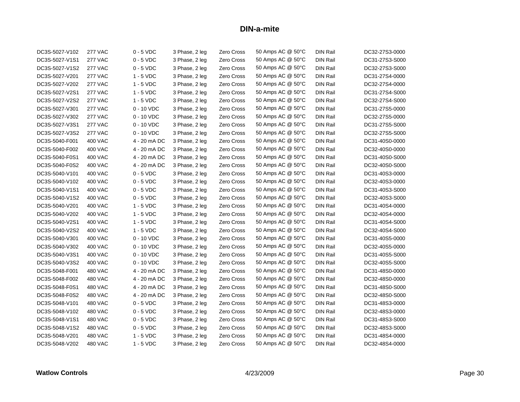| DC3S-5027-V102 | <b>277 VAC</b> | $0 - 5$ VDC  | 3 Phase, 2 leg | Zero Cross | 50 Amps AC @ 50°C | <b>DIN Rail</b> | DC32-27S3-0000 |
|----------------|----------------|--------------|----------------|------------|-------------------|-----------------|----------------|
| DC3S-5027-V1S1 | <b>277 VAC</b> | $0 - 5$ VDC  | 3 Phase, 2 leg | Zero Cross | 50 Amps AC @ 50°C | <b>DIN Rail</b> | DC31-27S3-S000 |
| DC3S-5027-V1S2 | <b>277 VAC</b> | $0 - 5$ VDC  | 3 Phase, 2 leg | Zero Cross | 50 Amps AC @ 50°C | <b>DIN Rail</b> | DC32-27S3-S000 |
| DC3S-5027-V201 | <b>277 VAC</b> | $1 - 5$ VDC  | 3 Phase, 2 leg | Zero Cross | 50 Amps AC @ 50°C | DIN Rail        | DC31-27S4-0000 |
| DC3S-5027-V202 | <b>277 VAC</b> | $1 - 5$ VDC  | 3 Phase, 2 leg | Zero Cross | 50 Amps AC @ 50°C | <b>DIN Rail</b> | DC32-27S4-0000 |
| DC3S-5027-V2S1 | <b>277 VAC</b> | $1 - 5$ VDC  | 3 Phase, 2 leg | Zero Cross | 50 Amps AC @ 50°C | <b>DIN Rail</b> | DC31-27S4-S000 |
| DC3S-5027-V2S2 | <b>277 VAC</b> | $1 - 5$ VDC  | 3 Phase, 2 leg | Zero Cross | 50 Amps AC @ 50°C | <b>DIN Rail</b> | DC32-27S4-S000 |
| DC3S-5027-V301 | <b>277 VAC</b> | $0 - 10$ VDC | 3 Phase, 2 leg | Zero Cross | 50 Amps AC @ 50°C | <b>DIN Rail</b> | DC31-27S5-0000 |
| DC3S-5027-V302 | <b>277 VAC</b> | $0 - 10$ VDC | 3 Phase, 2 leg | Zero Cross | 50 Amps AC @ 50°C | <b>DIN Rail</b> | DC32-27S5-0000 |
| DC3S-5027-V3S1 | <b>277 VAC</b> | $0 - 10$ VDC | 3 Phase, 2 leg | Zero Cross | 50 Amps AC @ 50°C | <b>DIN Rail</b> | DC31-27S5-S000 |
| DC3S-5027-V3S2 | <b>277 VAC</b> | $0 - 10$ VDC | 3 Phase, 2 leg | Zero Cross | 50 Amps AC @ 50°C | <b>DIN Rail</b> | DC32-27S5-S000 |
| DC3S-5040-F001 | 400 VAC        | 4 - 20 mA DC | 3 Phase, 2 leg | Zero Cross | 50 Amps AC @ 50°C | <b>DIN Rail</b> | DC31-40S0-0000 |
| DC3S-5040-F002 | <b>400 VAC</b> | 4 - 20 mA DC | 3 Phase, 2 leg | Zero Cross | 50 Amps AC @ 50°C | <b>DIN Rail</b> | DC32-40S0-0000 |
| DC3S-5040-F0S1 | 400 VAC        | 4 - 20 mA DC | 3 Phase, 2 leg | Zero Cross | 50 Amps AC @ 50°C | <b>DIN Rail</b> | DC31-40S0-S000 |
| DC3S-5040-F0S2 | <b>400 VAC</b> | 4 - 20 mA DC | 3 Phase, 2 leg | Zero Cross | 50 Amps AC @ 50°C | <b>DIN Rail</b> | DC32-40S0-S000 |
| DC3S-5040-V101 | <b>400 VAC</b> | $0 - 5$ VDC  | 3 Phase, 2 leg | Zero Cross | 50 Amps AC @ 50°C | <b>DIN Rail</b> | DC31-40S3-0000 |
| DC3S-5040-V102 | 400 VAC        | $0 - 5$ VDC  | 3 Phase, 2 leg | Zero Cross | 50 Amps AC @ 50°C | <b>DIN Rail</b> | DC32-40S3-0000 |
| DC3S-5040-V1S1 | <b>400 VAC</b> | $0 - 5$ VDC  | 3 Phase, 2 leg | Zero Cross | 50 Amps AC @ 50°C | <b>DIN Rail</b> | DC31-40S3-S000 |
| DC3S-5040-V1S2 | <b>400 VAC</b> | $0 - 5$ VDC  | 3 Phase, 2 leg | Zero Cross | 50 Amps AC @ 50°C | <b>DIN Rail</b> | DC32-40S3-S000 |
| DC3S-5040-V201 | 400 VAC        | $1 - 5$ VDC  | 3 Phase, 2 leg | Zero Cross | 50 Amps AC @ 50°C | <b>DIN Rail</b> | DC31-40S4-0000 |
| DC3S-5040-V202 | <b>400 VAC</b> | $1 - 5$ VDC  | 3 Phase, 2 leg | Zero Cross | 50 Amps AC @ 50°C | <b>DIN Rail</b> | DC32-40S4-0000 |
| DC3S-5040-V2S1 | 400 VAC        | $1 - 5$ VDC  | 3 Phase, 2 leg | Zero Cross | 50 Amps AC @ 50°C | <b>DIN Rail</b> | DC31-40S4-S000 |
| DC3S-5040-V2S2 | <b>400 VAC</b> | $1 - 5$ VDC  | 3 Phase, 2 leg | Zero Cross | 50 Amps AC @ 50°C | <b>DIN Rail</b> | DC32-40S4-S000 |
| DC3S-5040-V301 | 400 VAC        | $0 - 10$ VDC | 3 Phase, 2 leg | Zero Cross | 50 Amps AC @ 50°C | <b>DIN Rail</b> | DC31-40S5-0000 |
| DC3S-5040-V302 | 400 VAC        | $0 - 10$ VDC | 3 Phase, 2 leg | Zero Cross | 50 Amps AC @ 50°C | DIN Rail        | DC32-40S5-0000 |
| DC3S-5040-V3S1 | <b>400 VAC</b> | $0 - 10$ VDC | 3 Phase, 2 leg | Zero Cross | 50 Amps AC @ 50°C | <b>DIN Rail</b> | DC31-40S5-S000 |
| DC3S-5040-V3S2 | 400 VAC        | $0 - 10$ VDC | 3 Phase, 2 leg | Zero Cross | 50 Amps AC @ 50°C | <b>DIN Rail</b> | DC32-40S5-S000 |
| DC3S-5048-F001 | <b>480 VAC</b> | 4 - 20 mA DC | 3 Phase, 2 leg | Zero Cross | 50 Amps AC @ 50°C | <b>DIN Rail</b> | DC31-48S0-0000 |
| DC3S-5048-F002 | 480 VAC        | 4 - 20 mA DC | 3 Phase, 2 leg | Zero Cross | 50 Amps AC @ 50°C | <b>DIN Rail</b> | DC32-48S0-0000 |
| DC3S-5048-F0S1 | 480 VAC        | 4 - 20 mA DC | 3 Phase, 2 leg | Zero Cross | 50 Amps AC @ 50°C | DIN Rail        | DC31-48S0-S000 |
| DC3S-5048-F0S2 | <b>480 VAC</b> | 4 - 20 mA DC | 3 Phase, 2 leg | Zero Cross | 50 Amps AC @ 50°C | <b>DIN Rail</b> | DC32-48S0-S000 |
| DC3S-5048-V101 | 480 VAC        | $0 - 5$ VDC  | 3 Phase, 2 leg | Zero Cross | 50 Amps AC @ 50°C | <b>DIN Rail</b> | DC31-48S3-0000 |
| DC3S-5048-V102 | 480 VAC        | $0 - 5$ VDC  | 3 Phase, 2 leg | Zero Cross | 50 Amps AC @ 50°C | <b>DIN Rail</b> | DC32-48S3-0000 |
| DC3S-5048-V1S1 | 480 VAC        | $0 - 5$ VDC  | 3 Phase, 2 leg | Zero Cross | 50 Amps AC @ 50°C | <b>DIN Rail</b> | DC31-48S3-S000 |
| DC3S-5048-V1S2 | 480 VAC        | $0 - 5$ VDC  | 3 Phase, 2 leg | Zero Cross | 50 Amps AC @ 50°C | <b>DIN Rail</b> | DC32-48S3-S000 |
| DC3S-5048-V201 | <b>480 VAC</b> | $1 - 5$ VDC  | 3 Phase, 2 leg | Zero Cross | 50 Amps AC @ 50°C | <b>DIN Rail</b> | DC31-48S4-0000 |
| DC3S-5048-V202 | 480 VAC        | $1 - 5$ VDC  | 3 Phase, 2 leg | Zero Cross | 50 Amps AC @ 50°C | DIN Rail        | DC32-48S4-0000 |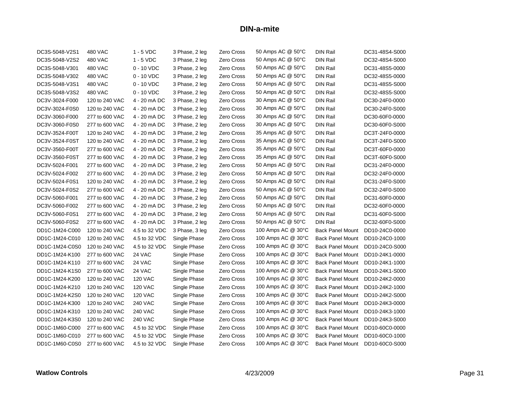| DC3S-5048-V2S1 | 480 VAC        | $1 - 5$ VDC    | 3 Phase, 2 leg | Zero Cross        | 50 Amps AC @ 50°C  | <b>DIN Rail</b>         | DC31-48S4-S000 |
|----------------|----------------|----------------|----------------|-------------------|--------------------|-------------------------|----------------|
| DC3S-5048-V2S2 | <b>480 VAC</b> | $1 - 5$ VDC    | 3 Phase, 2 leg | Zero Cross        | 50 Amps AC @ 50°C  | <b>DIN Rail</b>         | DC32-48S4-S000 |
| DC3S-5048-V301 | 480 VAC        | $0 - 10$ VDC   | 3 Phase, 2 leg | Zero Cross        | 50 Amps AC @ 50°C  | <b>DIN Rail</b>         | DC31-48S5-0000 |
| DC3S-5048-V302 | 480 VAC        | $0 - 10$ VDC   | 3 Phase, 2 leg | Zero Cross        | 50 Amps AC @ 50°C  | <b>DIN Rail</b>         | DC32-48S5-0000 |
| DC3S-5048-V3S1 | 480 VAC        | $0 - 10$ VDC   | 3 Phase, 2 leg | Zero Cross        | 50 Amps AC @ 50°C  | <b>DIN Rail</b>         | DC31-48S5-S000 |
| DC3S-5048-V3S2 | 480 VAC        | $0 - 10$ VDC   | 3 Phase, 2 leg | Zero Cross        | 50 Amps AC @ 50°C  | <b>DIN Rail</b>         | DC32-48S5-S000 |
| DC3V-3024-F000 | 120 to 240 VAC | 4 - 20 mA DC   | 3 Phase, 2 leg | Zero Cross        | 30 Amps AC @ 50°C  | <b>DIN Rail</b>         | DC30-24F0-0000 |
| DC3V-3024-F0S0 | 120 to 240 VAC | 4 - 20 mA DC   | 3 Phase, 2 leg | Zero Cross        | 30 Amps AC @ 50°C  | <b>DIN Rail</b>         | DC30-24F0-S000 |
| DC3V-3060-F000 | 277 to 600 VAC | 4 - 20 mA DC   | 3 Phase, 2 leg | Zero Cross        | 30 Amps AC @ 50°C  | <b>DIN Rail</b>         | DC30-60F0-0000 |
| DC3V-3060-F0S0 | 277 to 600 VAC | 4 - 20 mA DC   | 3 Phase, 2 leg | Zero Cross        | 30 Amps AC @ 50°C  | <b>DIN Rail</b>         | DC30-60F0-S000 |
| DC3V-3524-F00T | 120 to 240 VAC | 4 - 20 mA DC   | 3 Phase, 2 leg | Zero Cross        | 35 Amps AC @ 50°C  | <b>DIN Rail</b>         | DC3T-24F0-0000 |
| DC3V-3524-F0ST | 120 to 240 VAC | 4 - 20 mA DC   | 3 Phase, 2 leg | Zero Cross        | 35 Amps AC @ 50°C  | <b>DIN Rail</b>         | DC3T-24F0-S000 |
| DC3V-3560-F00T | 277 to 600 VAC | 4 - 20 mA DC   | 3 Phase, 2 leg | Zero Cross        | 35 Amps AC @ 50°C  | <b>DIN Rail</b>         | DC3T-60F0-0000 |
| DC3V-3560-F0ST | 277 to 600 VAC | 4 - 20 mA DC   | 3 Phase, 2 leg | Zero Cross        | 35 Amps AC @ 50°C  | <b>DIN Rail</b>         | DC3T-60F0-S000 |
| DC3V-5024-F001 | 277 to 600 VAC | 4 - 20 mA DC   | 3 Phase, 2 leg | Zero Cross        | 50 Amps AC @ 50°C  | <b>DIN Rail</b>         | DC31-24F0-0000 |
| DC3V-5024-F002 | 277 to 600 VAC | 4 - 20 mA DC   | 3 Phase, 2 leg | Zero Cross        | 50 Amps AC @ 50°C  | <b>DIN Rail</b>         | DC32-24F0-0000 |
| DC3V-5024-F0S1 | 120 to 240 VAC | 4 - 20 mA DC   | 3 Phase, 2 leg | Zero Cross        | 50 Amps AC @ 50°C  | <b>DIN Rail</b>         | DC31-24F0-S000 |
| DC3V-5024-F0S2 | 277 to 600 VAC | 4 - 20 mA DC   | 3 Phase, 2 leg | Zero Cross        | 50 Amps AC @ 50°C  | <b>DIN Rail</b>         | DC32-24F0-S000 |
| DC3V-5060-F001 | 277 to 600 VAC | 4 - 20 mA DC   | 3 Phase, 2 leg | Zero Cross        | 50 Amps AC @ 50°C  | <b>DIN Rail</b>         | DC31-60F0-0000 |
| DC3V-5060-F002 | 277 to 600 VAC | 4 - 20 mA DC   | 3 Phase, 2 leg | Zero Cross        | 50 Amps AC @ 50°C  | <b>DIN Rail</b>         | DC32-60F0-0000 |
| DC3V-5060-F0S1 | 277 to 600 VAC | 4 - 20 mA DC   | 3 Phase, 2 leg | Zero Cross        | 50 Amps AC @ 50°C  | <b>DIN Rail</b>         | DC31-60F0-S000 |
| DC3V-5060-F0S2 | 277 to 600 VAC | 4 - 20 mA DC   | 3 Phase, 2 leg | Zero Cross        | 50 Amps AC @ 50°C  | <b>DIN Rail</b>         | DC32-60F0-S000 |
| DD1C-1M24-C000 | 120 to 240 VAC | 4.5 to 32 VDC  | 3 Phase, 3 leg | Zero Cross        | 100 Amps AC @ 30°C | <b>Back Panel Mount</b> | DD10-24C0-0000 |
| DD1C-1M24-C010 | 120 to 240 VAC | 4.5 to 32 VDC  | Single Phase   | Zero Cross        | 100 Amps AC @ 30°C | <b>Back Panel Mount</b> | DD10-24C0-1000 |
| DD1C-1M24-C0S0 | 120 to 240 VAC | 4.5 to 32 VDC  | Single Phase   | Zero Cross        | 100 Amps AC @ 30°C | <b>Back Panel Mount</b> | DD10-24C0-S000 |
| DD1C-1M24-K100 | 277 to 600 VAC | 24 VAC         | Single Phase   | <b>Zero Cross</b> | 100 Amps AC @ 30°C | <b>Back Panel Mount</b> | DD10-24K1-0000 |
| DD1C-1M24-K110 | 277 to 600 VAC | 24 VAC         | Single Phase   | Zero Cross        | 100 Amps AC @ 30°C | <b>Back Panel Mount</b> | DD10-24K1-1000 |
| DD1C-1M24-K1S0 | 277 to 600 VAC | 24 VAC         | Single Phase   | Zero Cross        | 100 Amps AC @ 30°C | <b>Back Panel Mount</b> | DD10-24K1-S000 |
| DD1C-1M24-K200 | 120 to 240 VAC | <b>120 VAC</b> | Single Phase   | <b>Zero Cross</b> | 100 Amps AC @ 30°C | <b>Back Panel Mount</b> | DD10-24K2-0000 |
| DD1C-1M24-K210 | 120 to 240 VAC | <b>120 VAC</b> | Single Phase   | Zero Cross        | 100 Amps AC @ 30°C | <b>Back Panel Mount</b> | DD10-24K2-1000 |
| DD1C-1M24-K2S0 | 120 to 240 VAC | <b>120 VAC</b> | Single Phase   | Zero Cross        | 100 Amps AC @ 30°C | <b>Back Panel Mount</b> | DD10-24K2-S000 |
| DD1C-1M24-K300 | 120 to 240 VAC | <b>240 VAC</b> | Single Phase   | <b>Zero Cross</b> | 100 Amps AC @ 30°C | <b>Back Panel Mount</b> | DD10-24K3-0000 |
| DD1C-1M24-K310 | 120 to 240 VAC | <b>240 VAC</b> | Single Phase   | <b>Zero Cross</b> | 100 Amps AC @ 30°C | <b>Back Panel Mount</b> | DD10-24K3-1000 |
| DD1C-1M24-K3S0 | 120 to 240 VAC | <b>240 VAC</b> | Single Phase   | <b>Zero Cross</b> | 100 Amps AC @ 30°C | <b>Back Panel Mount</b> | DD10-24K3-S000 |
| DD1C-1M60-C000 | 277 to 600 VAC | 4.5 to 32 VDC  | Single Phase   | Zero Cross        | 100 Amps AC @ 30°C | <b>Back Panel Mount</b> | DD10-60C0-0000 |
| DD1C-1M60-C010 | 277 to 600 VAC | 4.5 to 32 VDC  | Single Phase   | Zero Cross        | 100 Amps AC @ 30°C | <b>Back Panel Mount</b> | DD10-60C0-1000 |
| DD1C-1M60-C0S0 | 277 to 600 VAC | 4.5 to 32 VDC  | Single Phase   | Zero Cross        | 100 Amps AC @ 30°C | <b>Back Panel Mount</b> | DD10-60C0-S000 |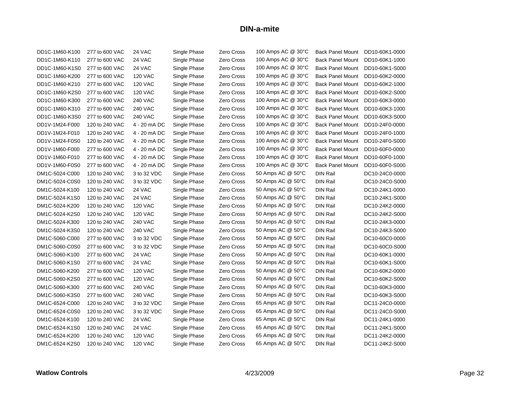| DD1C-1M60-K100 | 277 to 600 VAC | 24 VAC         | Single Phase | Zero Cross        | 100 Amps AC @ 30°C | <b>Back Panel Mount</b> | DD10-60K1-0000 |
|----------------|----------------|----------------|--------------|-------------------|--------------------|-------------------------|----------------|
| DD1C-1M60-K110 | 277 to 600 VAC | 24 VAC         | Single Phase | Zero Cross        | 100 Amps AC @ 30°C | <b>Back Panel Mount</b> | DD10-60K1-1000 |
| DD1C-1M60-K1S0 | 277 to 600 VAC | 24 VAC         | Single Phase | <b>Zero Cross</b> | 100 Amps AC @ 30°C | <b>Back Panel Mount</b> | DD10-60K1-S000 |
| DD1C-1M60-K200 | 277 to 600 VAC | <b>120 VAC</b> | Single Phase | Zero Cross        | 100 Amps AC @ 30°C | <b>Back Panel Mount</b> | DD10-60K2-0000 |
| DD1C-1M60-K210 | 277 to 600 VAC | <b>120 VAC</b> | Single Phase | <b>Zero Cross</b> | 100 Amps AC @ 30°C | <b>Back Panel Mount</b> | DD10-60K2-1000 |
| DD1C-1M60-K2S0 | 277 to 600 VAC | <b>120 VAC</b> | Single Phase | <b>Zero Cross</b> | 100 Amps AC @ 30°C | <b>Back Panel Mount</b> | DD10-60K2-S000 |
| DD1C-1M60-K300 | 277 to 600 VAC | <b>240 VAC</b> | Single Phase | <b>Zero Cross</b> | 100 Amps AC @ 30°C | <b>Back Panel Mount</b> | DD10-60K3-0000 |
| DD1C-1M60-K310 | 277 to 600 VAC | <b>240 VAC</b> | Single Phase | Zero Cross        | 100 Amps AC @ 30°C | <b>Back Panel Mount</b> | DD10-60K3-1000 |
| DD1C-1M60-K3S0 | 277 to 600 VAC | <b>240 VAC</b> | Single Phase | Zero Cross        | 100 Amps AC @ 30°C | <b>Back Panel Mount</b> | DD10-60K3-S000 |
| DD1V-1M24-F000 | 120 to 240 VAC | 4 - 20 mA DC   | Single Phase | Zero Cross        | 100 Amps AC @ 30°C | <b>Back Panel Mount</b> | DD10-24F0-0000 |
| DD1V-1M24-F010 | 120 to 240 VAC | 4 - 20 mA DC   | Single Phase | Zero Cross        | 100 Amps AC @ 30°C | <b>Back Panel Mount</b> | DD10-24F0-1000 |
| DD1V-1M24-F0S0 | 120 to 240 VAC | 4 - 20 mA DC   | Single Phase | Zero Cross        | 100 Amps AC @ 30°C | <b>Back Panel Mount</b> | DD10-24F0-S000 |
| DD1V-1M60-F000 | 277 to 600 VAC | 4 - 20 mA DC   | Single Phase | Zero Cross        | 100 Amps AC @ 30°C | <b>Back Panel Mount</b> | DD10-60F0-0000 |
| DD1V-1M60-F010 | 277 to 600 VAC | 4 - 20 mA DC   | Single Phase | Zero Cross        | 100 Amps AC @ 30°C | <b>Back Panel Mount</b> | DD10-60F0-1000 |
| DD1V-1M60-F0S0 | 277 to 600 VAC | 4 - 20 mA DC   | Single Phase | Zero Cross        | 100 Amps AC @ 30°C | <b>Back Panel Mount</b> | DD10-60F0-S000 |
| DM1C-5024-C000 | 120 to 240 VAC | 3 to 32 VDC    | Single Phase | Zero Cross        | 50 Amps AC @ 50°C  | <b>DIN Rail</b>         | DC10-24C0-0000 |
| DM1C-5024-C0S0 | 120 to 240 VAC | 3 to 32 VDC    | Single Phase | Zero Cross        | 50 Amps AC @ 50°C  | <b>DIN Rail</b>         | DC10-24C0-S000 |
| DM1C-5024-K100 | 120 to 240 VAC | 24 VAC         | Single Phase | Zero Cross        | 50 Amps AC @ 50°C  | <b>DIN Rail</b>         | DC10-24K1-0000 |
| DM1C-5024-K1S0 | 120 to 240 VAC | 24 VAC         | Single Phase | Zero Cross        | 50 Amps AC @ 50°C  | <b>DIN Rail</b>         | DC10-24K1-S000 |
| DM1C-5024-K200 | 120 to 240 VAC | <b>120 VAC</b> | Single Phase | Zero Cross        | 50 Amps AC @ 50°C  | <b>DIN Rail</b>         | DC10-24K2-0000 |
| DM1C-5024-K2S0 | 120 to 240 VAC | <b>120 VAC</b> | Single Phase | Zero Cross        | 50 Amps AC @ 50°C  | <b>DIN Rail</b>         | DC10-24K2-S000 |
| DM1C-5024-K300 | 120 to 240 VAC | <b>240 VAC</b> | Single Phase | Zero Cross        | 50 Amps AC @ 50°C  | <b>DIN Rail</b>         | DC10-24K3-0000 |
| DM1C-5024-K3S0 | 120 to 240 VAC | <b>240 VAC</b> | Single Phase | Zero Cross        | 50 Amps AC @ 50°C  | <b>DIN Rail</b>         | DC10-24K3-S000 |
| DM1C-5060-C000 | 277 to 600 VAC | 3 to 32 VDC    | Single Phase | Zero Cross        | 50 Amps AC @ 50°C  | <b>DIN Rail</b>         | DC10-60C0-0000 |
| DM1C-5060-C0S0 | 277 to 600 VAC | 3 to 32 VDC    | Single Phase | Zero Cross        | 50 Amps AC @ 50°C  | <b>DIN Rail</b>         | DC10-60C0-S000 |
| DM1C-5060-K100 | 277 to 600 VAC | 24 VAC         | Single Phase | Zero Cross        | 50 Amps AC @ 50°C  | <b>DIN Rail</b>         | DC10-60K1-0000 |
| DM1C-5060-K1S0 | 277 to 600 VAC | 24 VAC         | Single Phase | <b>Zero Cross</b> | 50 Amps AC @ 50°C  | <b>DIN Rail</b>         | DC10-60K1-S000 |
| DM1C-5060-K200 | 277 to 600 VAC | <b>120 VAC</b> | Single Phase | Zero Cross        | 50 Amps AC @ 50°C  | <b>DIN Rail</b>         | DC10-60K2-0000 |
| DM1C-5060-K2S0 | 277 to 600 VAC | <b>120 VAC</b> | Single Phase | Zero Cross        | 50 Amps AC @ 50°C  | <b>DIN Rail</b>         | DC10-60K2-S000 |
| DM1C-5060-K300 | 277 to 600 VAC | <b>240 VAC</b> | Single Phase | Zero Cross        | 50 Amps AC @ 50°C  | <b>DIN Rail</b>         | DC10-60K3-0000 |
| DM1C-5060-K3S0 | 277 to 600 VAC | <b>240 VAC</b> | Single Phase | Zero Cross        | 50 Amps AC @ 50°C  | <b>DIN Rail</b>         | DC10-60K3-S000 |
| DM1C-6524-C000 | 120 to 240 VAC | 3 to 32 VDC    | Single Phase | Zero Cross        | 65 Amps AC @ 50°C  | <b>DIN Rail</b>         | DC11-24C0-0000 |
| DM1C-6524-C0S0 | 120 to 240 VAC | 3 to 32 VDC    | Single Phase | Zero Cross        | 65 Amps AC @ 50°C  | <b>DIN Rail</b>         | DC11-24C0-S000 |
| DM1C-6524-K100 | 120 to 240 VAC | 24 VAC         | Single Phase | Zero Cross        | 65 Amps AC @ 50°C  | <b>DIN Rail</b>         | DC11-24K1-0000 |
| DM1C-6524-K1S0 | 120 to 240 VAC | 24 VAC         | Single Phase | Zero Cross        | 65 Amps AC @ 50°C  | <b>DIN Rail</b>         | DC11-24K1-S000 |
| DM1C-6524-K200 | 120 to 240 VAC | 120 VAC        | Single Phase | Zero Cross        | 65 Amps AC @ 50°C  | <b>DIN Rail</b>         | DC11-24K2-0000 |
| DM1C-6524-K2S0 | 120 to 240 VAC | <b>120 VAC</b> | Single Phase | Zero Cross        | 65 Amps AC @ 50°C  | <b>DIN Rail</b>         | DC11-24K2-S000 |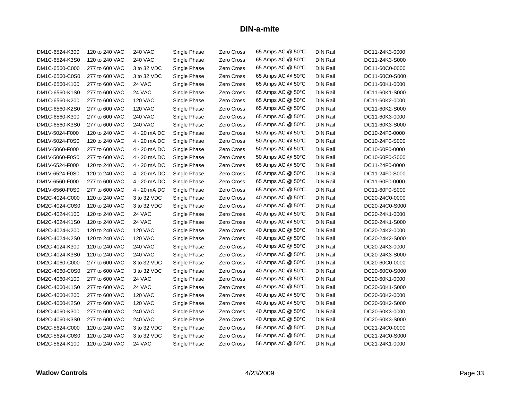| DM1C-6524-K300 | 120 to 240 VAC | <b>240 VAC</b> | Single Phase | Zero Cross        | 65 Amps AC @ 50°C | <b>DIN Rail</b> | DC11-24K3-0000 |
|----------------|----------------|----------------|--------------|-------------------|-------------------|-----------------|----------------|
| DM1C-6524-K3S0 | 120 to 240 VAC | <b>240 VAC</b> | Single Phase | Zero Cross        | 65 Amps AC @ 50°C | <b>DIN Rail</b> | DC11-24K3-S000 |
| DM1C-6560-C000 | 277 to 600 VAC | 3 to 32 VDC    | Single Phase | Zero Cross        | 65 Amps AC @ 50°C | <b>DIN Rail</b> | DC11-60C0-0000 |
| DM1C-6560-C0S0 | 277 to 600 VAC | 3 to 32 VDC    | Single Phase | Zero Cross        | 65 Amps AC @ 50°C | DIN Rail        | DC11-60C0-S000 |
| DM1C-6560-K100 | 277 to 600 VAC | 24 VAC         | Single Phase | Zero Cross        | 65 Amps AC @ 50°C | <b>DIN Rail</b> | DC11-60K1-0000 |
| DM1C-6560-K1S0 | 277 to 600 VAC | 24 VAC         | Single Phase | Zero Cross        | 65 Amps AC @ 50°C | <b>DIN Rail</b> | DC11-60K1-S000 |
| DM1C-6560-K200 | 277 to 600 VAC | <b>120 VAC</b> | Single Phase | Zero Cross        | 65 Amps AC @ 50°C | DIN Rail        | DC11-60K2-0000 |
| DM1C-6560-K2S0 | 277 to 600 VAC | <b>120 VAC</b> | Single Phase | Zero Cross        | 65 Amps AC @ 50°C | <b>DIN Rail</b> | DC11-60K2-S000 |
| DM1C-6560-K300 | 277 to 600 VAC | <b>240 VAC</b> | Single Phase | Zero Cross        | 65 Amps AC @ 50°C | <b>DIN Rail</b> | DC11-60K3-0000 |
| DM1C-6560-K3S0 | 277 to 600 VAC | <b>240 VAC</b> | Single Phase | Zero Cross        | 65 Amps AC @ 50°C | DIN Rail        | DC11-60K3-S000 |
| DM1V-5024-F000 | 120 to 240 VAC | 4 - 20 mA DC   | Single Phase | Zero Cross        | 50 Amps AC @ 50°C | <b>DIN Rail</b> | DC10-24F0-0000 |
| DM1V-5024-F0S0 | 120 to 240 VAC | 4 - 20 mA DC   | Single Phase | Zero Cross        | 50 Amps AC @ 50°C | <b>DIN Rail</b> | DC10-24F0-S000 |
| DM1V-5060-F000 | 277 to 600 VAC | 4 - 20 mA DC   | Single Phase | Zero Cross        | 50 Amps AC @ 50°C | DIN Rail        | DC10-60F0-0000 |
| DM1V-5060-F0S0 | 277 to 600 VAC | 4 - 20 mA DC   | Single Phase | Zero Cross        | 50 Amps AC @ 50°C | <b>DIN Rail</b> | DC10-60F0-S000 |
| DM1V-6524-F000 | 120 to 240 VAC | 4 - 20 mA DC   | Single Phase | Zero Cross        | 65 Amps AC @ 50°C | DIN Rail        | DC11-24F0-0000 |
| DM1V-6524-F0S0 | 120 to 240 VAC | 4 - 20 mA DC   | Single Phase | Zero Cross        | 65 Amps AC @ 50°C | <b>DIN Rail</b> | DC11-24F0-S000 |
| DM1V-6560-F000 | 277 to 600 VAC | 4 - 20 mA DC   | Single Phase | Zero Cross        | 65 Amps AC @ 50°C | <b>DIN Rail</b> | DC11-60F0-0000 |
| DM1V-6560-F0S0 | 277 to 600 VAC | 4 - 20 mA DC   | Single Phase | Zero Cross        | 65 Amps AC @ 50°C | <b>DIN Rail</b> | DC11-60F0-S000 |
| DM2C-4024-C000 | 120 to 240 VAC | 3 to 32 VDC    | Single Phase | Zero Cross        | 40 Amps AC @ 50°C | <b>DIN Rail</b> | DC20-24C0-0000 |
| DM2C-4024-C0S0 | 120 to 240 VAC | 3 to 32 VDC    | Single Phase | Zero Cross        | 40 Amps AC @ 50°C | <b>DIN Rail</b> | DC20-24C0-S000 |
| DM2C-4024-K100 | 120 to 240 VAC | 24 VAC         | Single Phase | Zero Cross        | 40 Amps AC @ 50°C | <b>DIN Rail</b> | DC20-24K1-0000 |
| DM2C-4024-K1S0 | 120 to 240 VAC | 24 VAC         | Single Phase | Zero Cross        | 40 Amps AC @ 50°C | <b>DIN Rail</b> | DC20-24K1-S000 |
| DM2C-4024-K200 | 120 to 240 VAC | <b>120 VAC</b> | Single Phase | Zero Cross        | 40 Amps AC @ 50°C | <b>DIN Rail</b> | DC20-24K2-0000 |
| DM2C-4024-K2S0 | 120 to 240 VAC | <b>120 VAC</b> | Single Phase | Zero Cross        | 40 Amps AC @ 50°C | DIN Rail        | DC20-24K2-S000 |
| DM2C-4024-K300 | 120 to 240 VAC | <b>240 VAC</b> | Single Phase | Zero Cross        | 40 Amps AC @ 50°C | <b>DIN Rail</b> | DC20-24K3-0000 |
| DM2C-4024-K3S0 | 120 to 240 VAC | <b>240 VAC</b> | Single Phase | Zero Cross        | 40 Amps AC @ 50°C | DIN Rail        | DC20-24K3-S000 |
| DM2C-4060-C000 | 277 to 600 VAC | 3 to 32 VDC    | Single Phase | Zero Cross        | 40 Amps AC @ 50°C | DIN Rail        | DC20-60C0-0000 |
| DM2C-4060-C0S0 | 277 to 600 VAC | 3 to 32 VDC    | Single Phase | Zero Cross        | 40 Amps AC @ 50°C | <b>DIN Rail</b> | DC20-60C0-S000 |
| DM2C-4060-K100 | 277 to 600 VAC | 24 VAC         | Single Phase | Zero Cross        | 40 Amps AC @ 50°C | <b>DIN Rail</b> | DC20-60K1-0000 |
| DM2C-4060-K1S0 | 277 to 600 VAC | 24 VAC         | Single Phase | Zero Cross        | 40 Amps AC @ 50°C | <b>DIN Rail</b> | DC20-60K1-S000 |
| DM2C-4060-K200 | 277 to 600 VAC | <b>120 VAC</b> | Single Phase | <b>Zero Cross</b> | 40 Amps AC @ 50°C | <b>DIN Rail</b> | DC20-60K2-0000 |
| DM2C-4060-K2S0 | 277 to 600 VAC | <b>120 VAC</b> | Single Phase | <b>Zero Cross</b> | 40 Amps AC @ 50°C | <b>DIN Rail</b> | DC20-60K2-S000 |
| DM2C-4060-K300 | 277 to 600 VAC | <b>240 VAC</b> | Single Phase | <b>Zero Cross</b> | 40 Amps AC @ 50°C | <b>DIN Rail</b> | DC20-60K3-0000 |
| DM2C-4060-K3S0 | 277 to 600 VAC | <b>240 VAC</b> | Single Phase | <b>Zero Cross</b> | 40 Amps AC @ 50°C | <b>DIN Rail</b> | DC20-60K3-S000 |
| DM2C-5624-C000 | 120 to 240 VAC | 3 to 32 VDC    | Single Phase | <b>Zero Cross</b> | 56 Amps AC @ 50°C | DIN Rail        | DC21-24C0-0000 |
| DM2C-5624-C0S0 | 120 to 240 VAC | 3 to 32 VDC    | Single Phase | Zero Cross        | 56 Amps AC @ 50°C | <b>DIN Rail</b> | DC21-24C0-S000 |
| DM2C-5624-K100 | 120 to 240 VAC | 24 VAC         | Single Phase | Zero Cross        | 56 Amps AC @ 50°C | DIN Rail        | DC21-24K1-0000 |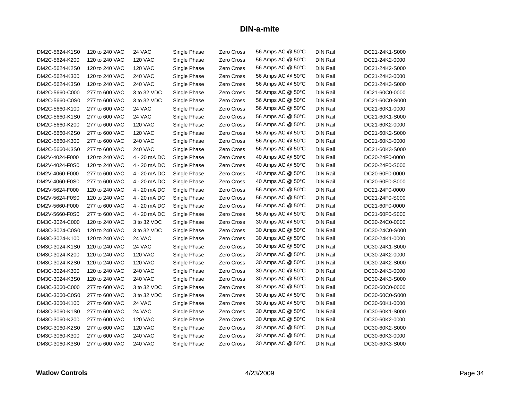| DM2C-5624-K1S0 | 120 to 240 VAC | 24 VAC         | Single Phase | Zero Cross        | 56 Amps AC @ 50°C | <b>DIN Rail</b> | DC21-24K1-S000 |
|----------------|----------------|----------------|--------------|-------------------|-------------------|-----------------|----------------|
| DM2C-5624-K200 | 120 to 240 VAC | <b>120 VAC</b> | Single Phase | Zero Cross        | 56 Amps AC @ 50°C | <b>DIN Rail</b> | DC21-24K2-0000 |
| DM2C-5624-K2S0 | 120 to 240 VAC | <b>120 VAC</b> | Single Phase | Zero Cross        | 56 Amps AC @ 50°C | <b>DIN Rail</b> | DC21-24K2-S000 |
| DM2C-5624-K300 | 120 to 240 VAC | <b>240 VAC</b> | Single Phase | Zero Cross        | 56 Amps AC @ 50°C | DIN Rail        | DC21-24K3-0000 |
| DM2C-5624-K3S0 | 120 to 240 VAC | <b>240 VAC</b> | Single Phase | Zero Cross        | 56 Amps AC @ 50°C | <b>DIN Rail</b> | DC21-24K3-S000 |
| DM2C-5660-C000 | 277 to 600 VAC | 3 to 32 VDC    | Single Phase | Zero Cross        | 56 Amps AC @ 50°C | <b>DIN Rail</b> | DC21-60C0-0000 |
| DM2C-5660-C0S0 | 277 to 600 VAC | 3 to 32 VDC    | Single Phase | Zero Cross        | 56 Amps AC @ 50°C | <b>DIN Rail</b> | DC21-60C0-S000 |
| DM2C-5660-K100 | 277 to 600 VAC | 24 VAC         | Single Phase | Zero Cross        | 56 Amps AC @ 50°C | <b>DIN Rail</b> | DC21-60K1-0000 |
| DM2C-5660-K1S0 | 277 to 600 VAC | 24 VAC         | Single Phase | Zero Cross        | 56 Amps AC @ 50°C | <b>DIN Rail</b> | DC21-60K1-S000 |
| DM2C-5660-K200 | 277 to 600 VAC | <b>120 VAC</b> | Single Phase | Zero Cross        | 56 Amps AC @ 50°C | DIN Rail        | DC21-60K2-0000 |
| DM2C-5660-K2S0 | 277 to 600 VAC | <b>120 VAC</b> | Single Phase | Zero Cross        | 56 Amps AC @ 50°C | <b>DIN Rail</b> | DC21-60K2-S000 |
| DM2C-5660-K300 | 277 to 600 VAC | <b>240 VAC</b> | Single Phase | Zero Cross        | 56 Amps AC @ 50°C | DIN Rail        | DC21-60K3-0000 |
| DM2C-5660-K3S0 | 277 to 600 VAC | <b>240 VAC</b> | Single Phase | Zero Cross        | 56 Amps AC @ 50°C | <b>DIN Rail</b> | DC21-60K3-S000 |
| DM2V-4024-F000 | 120 to 240 VAC | 4 - 20 mA DC   | Single Phase | Zero Cross        | 40 Amps AC @ 50°C | DIN Rail        | DC20-24F0-0000 |
| DM2V-4024-F0S0 | 120 to 240 VAC | 4 - 20 mA DC   | Single Phase | Zero Cross        | 40 Amps AC @ 50°C | <b>DIN Rail</b> | DC20-24F0-S000 |
| DM2V-4060-F000 | 277 to 600 VAC | 4 - 20 mA DC   | Single Phase | Zero Cross        | 40 Amps AC @ 50°C | <b>DIN Rail</b> | DC20-60F0-0000 |
| DM2V-4060-F0S0 | 277 to 600 VAC | 4 - 20 mA DC   | Single Phase | Zero Cross        | 40 Amps AC @ 50°C | DIN Rail        | DC20-60F0-S000 |
| DM2V-5624-F000 | 120 to 240 VAC | 4 - 20 mA DC   | Single Phase | Zero Cross        | 56 Amps AC @ 50°C | <b>DIN Rail</b> | DC21-24F0-0000 |
| DM2V-5624-F0S0 | 120 to 240 VAC | 4 - 20 mA DC   | Single Phase | Zero Cross        | 56 Amps AC @ 50°C | <b>DIN Rail</b> | DC21-24F0-S000 |
| DM2V-5660-F000 | 277 to 600 VAC | 4 - 20 mA DC   | Single Phase | Zero Cross        | 56 Amps AC @ 50°C | DIN Rail        | DC21-60F0-0000 |
| DM2V-5660-F0S0 | 277 to 600 VAC | 4 - 20 mA DC   | Single Phase | Zero Cross        | 56 Amps AC @ 50°C | <b>DIN Rail</b> | DC21-60F0-S000 |
| DM3C-3024-C000 | 120 to 240 VAC | 3 to 32 VDC    | Single Phase | Zero Cross        | 30 Amps AC @ 50°C | DIN Rail        | DC30-24C0-0000 |
| DM3C-3024-C0S0 | 120 to 240 VAC | 3 to 32 VDC    | Single Phase | Zero Cross        | 30 Amps AC @ 50°C | <b>DIN Rail</b> | DC30-24C0-S000 |
| DM3C-3024-K100 | 120 to 240 VAC | 24 VAC         | Single Phase | <b>Zero Cross</b> | 30 Amps AC @ 50°C | DIN Rail        | DC30-24K1-0000 |
| DM3C-3024-K1S0 | 120 to 240 VAC | 24 VAC         | Single Phase | Zero Cross        | 30 Amps AC @ 50°C | DIN Rail        | DC30-24K1-S000 |
| DM3C-3024-K200 | 120 to 240 VAC | <b>120 VAC</b> | Single Phase | Zero Cross        | 30 Amps AC @ 50°C | <b>DIN Rail</b> | DC30-24K2-0000 |
| DM3C-3024-K2S0 | 120 to 240 VAC | <b>120 VAC</b> | Single Phase | <b>Zero Cross</b> | 30 Amps AC @ 50°C | <b>DIN Rail</b> | DC30-24K2-S000 |
| DM3C-3024-K300 | 120 to 240 VAC | <b>240 VAC</b> | Single Phase | Zero Cross        | 30 Amps AC @ 50°C | <b>DIN Rail</b> | DC30-24K3-0000 |
| DM3C-3024-K3S0 | 120 to 240 VAC | <b>240 VAC</b> | Single Phase | <b>Zero Cross</b> | 30 Amps AC @ 50°C | <b>DIN Rail</b> | DC30-24K3-S000 |
| DM3C-3060-C000 | 277 to 600 VAC | 3 to 32 VDC    | Single Phase | Zero Cross        | 30 Amps AC @ 50°C | <b>DIN Rail</b> | DC30-60C0-0000 |
| DM3C-3060-C0S0 | 277 to 600 VAC | 3 to 32 VDC    | Single Phase | Zero Cross        | 30 Amps AC @ 50°C | <b>DIN Rail</b> | DC30-60C0-S000 |
| DM3C-3060-K100 | 277 to 600 VAC | 24 VAC         | Single Phase | Zero Cross        | 30 Amps AC @ 50°C | DIN Rail        | DC30-60K1-0000 |
| DM3C-3060-K1S0 | 277 to 600 VAC | 24 VAC         | Single Phase | Zero Cross        | 30 Amps AC @ 50°C | DIN Rail        | DC30-60K1-S000 |
| DM3C-3060-K200 | 277 to 600 VAC | <b>120 VAC</b> | Single Phase | Zero Cross        | 30 Amps AC @ 50°C | <b>DIN Rail</b> | DC30-60K2-0000 |
| DM3C-3060-K2S0 | 277 to 600 VAC | <b>120 VAC</b> | Single Phase | Zero Cross        | 30 Amps AC @ 50°C | DIN Rail        | DC30-60K2-S000 |
| DM3C-3060-K300 | 277 to 600 VAC | <b>240 VAC</b> | Single Phase | Zero Cross        | 30 Amps AC @ 50°C | <b>DIN Rail</b> | DC30-60K3-0000 |
| DM3C-3060-K3S0 | 277 to 600 VAC | 240 VAC        | Single Phase | Zero Cross        | 30 Amps AC @ 50°C | DIN Rail        | DC30-60K3-S000 |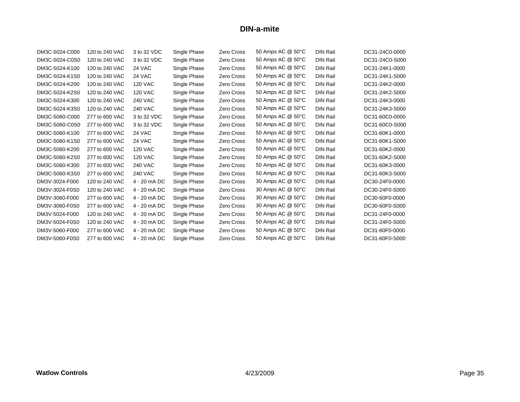| DM3C-5024-C000 | 120 to 240 VAC | 3 to 32 VDC    | Single Phase | Zero Cross        | 50 Amps AC @ 50°C | <b>DIN Rail</b> | DC31-24C0-0000 |
|----------------|----------------|----------------|--------------|-------------------|-------------------|-----------------|----------------|
| DM3C-5024-C0S0 | 120 to 240 VAC | 3 to 32 VDC    | Single Phase | Zero Cross        | 50 Amps AC @ 50°C | <b>DIN Rail</b> | DC31-24C0-S000 |
| DM3C-5024-K100 | 120 to 240 VAC | 24 VAC         | Single Phase | Zero Cross        | 50 Amps AC @ 50°C | <b>DIN Rail</b> | DC31-24K1-0000 |
| DM3C-5024-K1S0 | 120 to 240 VAC | 24 VAC         | Single Phase | Zero Cross        | 50 Amps AC @ 50°C | <b>DIN Rail</b> | DC31-24K1-S000 |
| DM3C-5024-K200 | 120 to 240 VAC | <b>120 VAC</b> | Single Phase | Zero Cross        | 50 Amps AC @ 50°C | <b>DIN Rail</b> | DC31-24K2-0000 |
| DM3C-5024-K2S0 | 120 to 240 VAC | <b>120 VAC</b> | Single Phase | Zero Cross        | 50 Amps AC @ 50°C | <b>DIN Rail</b> | DC31-24K2-S000 |
| DM3C-5024-K300 | 120 to 240 VAC | <b>240 VAC</b> | Single Phase | Zero Cross        | 50 Amps AC @ 50°C | <b>DIN Rail</b> | DC31-24K3-0000 |
| DM3C-5024-K3S0 | 120 to 240 VAC | <b>240 VAC</b> | Single Phase | Zero Cross        | 50 Amps AC @ 50°C | <b>DIN Rail</b> | DC31-24K3-S000 |
| DM3C-5060-C000 | 277 to 600 VAC | 3 to 32 VDC    | Single Phase | Zero Cross        | 50 Amps AC @ 50°C | <b>DIN Rail</b> | DC31-60C0-0000 |
| DM3C-5060-C0S0 | 277 to 600 VAC | 3 to 32 VDC    | Single Phase | Zero Cross        | 50 Amps AC @ 50°C | <b>DIN Rail</b> | DC31-60C0-S000 |
| DM3C-5060-K100 | 277 to 600 VAC | 24 VAC         | Single Phase | Zero Cross        | 50 Amps AC @ 50°C | <b>DIN Rail</b> | DC31-60K1-0000 |
| DM3C-5060-K1S0 | 277 to 600 VAC | 24 VAC         | Single Phase | Zero Cross        | 50 Amps AC @ 50°C | <b>DIN Rail</b> | DC31-60K1-S000 |
| DM3C-5060-K200 | 277 to 600 VAC | <b>120 VAC</b> | Single Phase | Zero Cross        | 50 Amps AC @ 50°C | <b>DIN Rail</b> | DC31-60K2-0000 |
| DM3C-5060-K2S0 | 277 to 600 VAC | <b>120 VAC</b> | Single Phase | Zero Cross        | 50 Amps AC @ 50°C | <b>DIN Rail</b> | DC31-60K2-S000 |
| DM3C-5060-K300 | 277 to 600 VAC | <b>240 VAC</b> | Single Phase | Zero Cross        | 50 Amps AC @ 50°C | <b>DIN Rail</b> | DC31-60K3-0000 |
| DM3C-5060-K3S0 | 277 to 600 VAC | <b>240 VAC</b> | Single Phase | Zero Cross        | 50 Amps AC @ 50°C | <b>DIN Rail</b> | DC31-60K3-S000 |
| DM3V-3024-F000 | 120 to 240 VAC | 4 - 20 mA DC   | Single Phase | Zero Cross        | 30 Amps AC @ 50°C | <b>DIN Rail</b> | DC30-24F0-0000 |
| DM3V-3024-F0S0 | 120 to 240 VAC | 4 - 20 mA DC   | Single Phase | Zero Cross        | 30 Amps AC @ 50°C | <b>DIN Rail</b> | DC30-24F0-S000 |
| DM3V-3060-F000 | 277 to 600 VAC | 4 - 20 mA DC   | Single Phase | Zero Cross        | 30 Amps AC @ 50°C | <b>DIN Rail</b> | DC30-60F0-0000 |
| DM3V-3060-F0S0 | 277 to 600 VAC | 4 - 20 mA DC   | Single Phase | Zero Cross        | 30 Amps AC @ 50°C | <b>DIN Rail</b> | DC30-60F0-S000 |
| DM3V-5024-F000 | 120 to 240 VAC | 4 - 20 mA DC   | Single Phase | Zero Cross        | 50 Amps AC @ 50°C | <b>DIN Rail</b> | DC31-24F0-0000 |
| DM3V-5024-F0S0 | 120 to 240 VAC | 4 - 20 mA DC   | Single Phase | Zero Cross        | 50 Amps AC @ 50°C | <b>DIN Rail</b> | DC31-24F0-S000 |
| DM3V-5060-F000 | 277 to 600 VAC | 4 - 20 mA DC   | Single Phase | Zero Cross        | 50 Amps AC @ 50°C | <b>DIN Rail</b> | DC31-60F0-0000 |
| DM3V-5060-F0S0 | 277 to 600 VAC | 4 - 20 mA DC   | Single Phase | <b>Zero Cross</b> | 50 Amps AC @ 50°C | <b>DIN Rail</b> | DC31-60F0-S000 |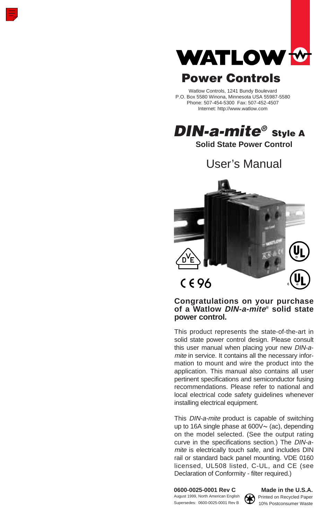

# Power Controls

Watlow Controls, 1241 Bundy Boulevard P.O. Box 5580 Winona, Minnesota USA 55987-5580 Phone: 507-454-5300 Fax: 507-452-4507 Internet: http://www.watlow.com

DIN-a-mite<sup>®</sup> Style A

**Solid State Power Control**

User's Manual



### **Congratulations on your purchase of a Watlow DIN-a-mite® solid state power control.**

This product represents the state-of-the-art in solid state power control design. Please consult this user manual when placing your new DIN-amite in service. It contains all the necessary information to mount and wire the product into the application. This manual also contains all user pertinent specifications and semiconductor fusing recommendations. Please refer to national and local electrical code safety guidelines whenever installing electrical equipment.

This DIN-a-mite product is capable of switching up to 16A single phase at  $600V \sim$  (ac), depending on the model selected. (See the output rating curve in the specifications section.) The DIN-amite is electrically touch safe, and includes DIN rail or standard back panel mounting. VDE 0160 licensed, UL508 listed, C-UL, and CE (see Declaration of Conformity - filter required.)

August 1999, North American English **Printed on Recycled Paper**<br>Supersedes: 0600-0025-0001 Rev B 10% Postconsumer Waste



**0600-0025-0001 Rev C Made in the U.S.A.**<br>August 1999, North American English **CA** Printed on Recycled Paper 10% Postconsumer Waste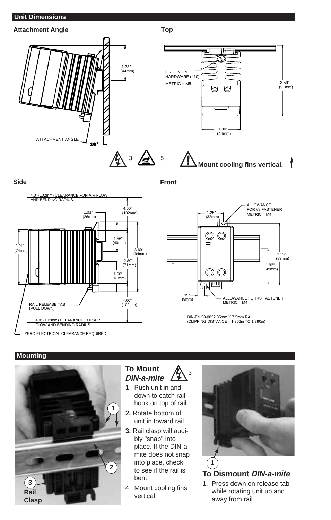### **Unit Dimensions**



**Side Front**





### **Mounting**



#### **To Mount DIN-a-mite** ∫<sup>3</sup>

- **1**. Push unit in and down to catch rail hook on top of rail.
- **2.** Rotate bottom of unit in toward rail.
- **3.** Rail clasp will audibly "snap" into place. If the DIN-amite does not snap into place, check to see if the rail is bent.
- 4. Mount cooling fins vertical.



**To Dismount DIN-a-mite**

**1**. Press down on release tab while rotating unit up and away from rail.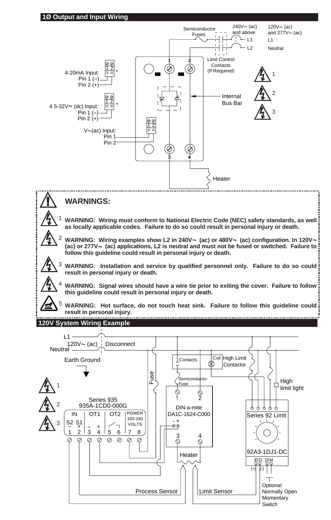

## ç **WARNINGS:**

∫<sup>1</sup> **WARNING: Wiring must conform to National Electric Code (NEC) safety standards, as well as locally applicable codes. Failure to do so could result in personal injury or death.**

<sup>2</sup> WARNING: Wiring examples show L2 in 240V∼ (ac) or 480V∼ (ac) configuration. In 120V∼ **(ac) or 277V**Å **(ac) applications, L2 is neutral and must not be fused or switched. Failure to follow this guideline could result in personal injury or death.**

∫<sup>3</sup> **WARNING: Installation and service by qualified personnel only. Failure to do so could result in personal injury or death.** 

∫<sup>4</sup> **WARNING: Signal wires should have a wire tie prior to exiting the cover. Failure to follow this guideline could result in personal injury or death.**

5 **WARNING: Hot surface, do not touch heat sink. Failure to follow this guideline could result in personal injury.**

### **120V System Wiring Example**

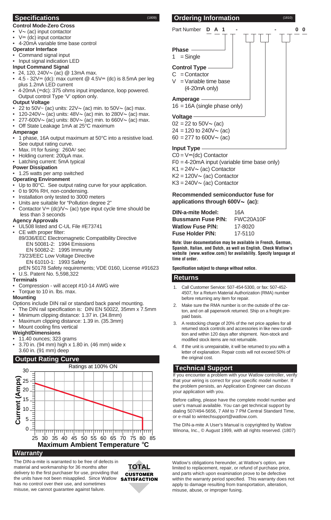#### **Control Mode-Zero Cross**

- $V \sim$  (ac) input contactor
- $V = (dc)$  input contactor
- 4-20mA variable time base control

#### **Operator Interface**

#### • Command signal input

• Input signal indication LED

#### **Input Command Signal**

- 24, 120, 240 $V \sim$  (ac) @ 13mA max.
- $4.5 32V = (dc)$ : max current @  $4.5V = (dc)$  is 8.5mA per leg plus 1.2mA LED current
- 4-20mA (=dc): 375 ohms input impedance, loop powered. Output control Type 'V' option only.

### **Output Voltage**

- 22 to 50V $\sim$  (ac) units: 22V $\sim$  (ac) min. to 50V $\sim$  (ac) max.
- 120-240V $\sim$  (ac) units: 48V $\sim$  (ac) min. to 280V $\sim$  (ac) max.
- 277-600 $V \sim (ac)$  units: 80 $V \sim (ac)$  min. to 660 $V \sim (ac)$  max.
- Off State Leakage 1mA at 25°C maximum

#### **Amperage**

- 1 phase, 16A output maximum at 50°C into a resistive load. See output rating curve.
- Max. I<sup>2t</sup> for fusing: 260A<sup>2</sup> sec
- Holding current: 200µA max.
- Latching current: 5mA typical

#### **Power Dissipation**

• 1.25 watts per amp switched

#### **Operating Environment**

- Up to 80°C. See output rating curve for your application.
- 0 to 90% RH, non-condensing.
- Installation only tested to 3000 meters
- Units are suitable for "Pollution degree 2"
- Contactor  $V = (dc)/V \sim (ac)$  type input cycle time should be less than 3 seconds

#### **Agency Approvals**

- UL508 listed and C-UL File #E73741
- CE with proper filter:
- 89/336/EEC Electromagnetic Compatibility Directive EN 50081-2: 1994 Emissions EN 50082-2: 1995 Immunity
- 73/23/EEC Low Voltage Directive EN 61010-1: 1993 Safety
- prEN 50178 Safety requirements; VDE 0160, License #91623 • U.S. Patent No. 5,598,322
- **Terminals**
- Compression will accept #10-14 AWG wire
- Torque to 10 in. lbs. max.

#### **Mounting**

- Options include DIN rail or standard back panel mounting.
- The DIN rail specification is: DIN EN 50022, 35mm x 7.5mm
- Minimum clipping distance: 1.37 in. (34.8mm)
- Maximum clipping distance: 1.39 in. (35.3mm)
- Mount cooling fins vertical

#### **Weight/Dimensions**

- 11.40 ounces; 323 grams
- 3.70 in. (94 mm) high x 1.80 in. (46 mm) wide x 3.60 in. (91 mm) deep

### **Output Rating Curve**



#### **Warranty**

The DIN-a-mite is warranted to be free of defects in material and workmanship for 36 months after delivery to the first purchaser for use, providing that the units have not been misapplied. Since Watlow has no control over their use, and sometimes misuse, we cannot guarantee against failure.

**TOTAL** CUSTOMER **SATISFACTION** 

### **Specifications** (1809) **Ordering Information** (1810)



 $16 = 16A$  (single phase only)

#### **Voltage**

 $02 = 22$  to  $50V \sim (ac)$  $24 = 120$  to  $240V \sim$  (ac)

 $60 = 277$  to  $600V \sim$  (ac)

#### **Input Type**

 $CO = V = (dc)$  Contactor F0 = 4-20mA input (variable time base only)  $K1 = 24V \sim$  (ac) Contactor  $K2 = 120V \sim (ac)$  Contactor  $K3 = 240V \sim (ac)$  Contactor

#### **Recommended semiconductor fuse for applications through 600V**Å **(ac):**

| <b>DIN-a-mite Model:</b>  | 16A       |
|---------------------------|-----------|
| <b>Bussmann Fuse P/N:</b> | FWC20A10F |
| <b>Watlow Fuse P/N:</b>   | 17-8020   |
| <b>Fuse Holder P/N:</b>   | 17-5110   |

**Note: User documentation may be available in French, German, Spanish, Italian, and Dutch, as well as English. Check Watlow's website (www.watlow.com/) for availability. Specify language at time of order.**

**Specification subject to change without notice.**

#### **Returns**

- 1. Call Customer Service: 507-454-5300, or fax: 507-452- 4507, for a Return Material Authorization (RMA) number before returning any item for repair.
- 2. Make sure the RMA number is on the outside of the carton, and on all paperwork returned. Ship on a freight prepaid basis.
- 3. A restocking charge of 20% of the net price applies for all returned stock controls and accessories in like new condition and within 120 days after shipment. Non-stock and modified stock items are not returnable.
- If the unit is unrepairable, it will be returned to you with a letter of explanation. Repair costs will not exceed 50% of the original cost.

#### **Technical Support**

If you encounter a problem with your Watlow controller, verify that your wiring is correct for your specific model number. If the problem persists, an Application Engineer can discuss your application with you.

Before calling, please have the complete model number and user's manual available. You can get technical support by dialing 507/494-5656, 7 AM to 7 PM Central Standard Time, or e-mail to wintechsupport@watlow.com.

The DIN-a-mite A User's Manual is copyrighted by Watlow Winona, Inc., © August 1999, with all rights reserved. (1807)

Watlow's obligations hereunder, at Watlow's option, are limited to replacement, repair, or refund of purchase price, and parts which upon examination prove to be defective within the warranty period specified. This warranty does not apply to damage resulting from transportation, alteration, misuse, abuse, or improper fusing.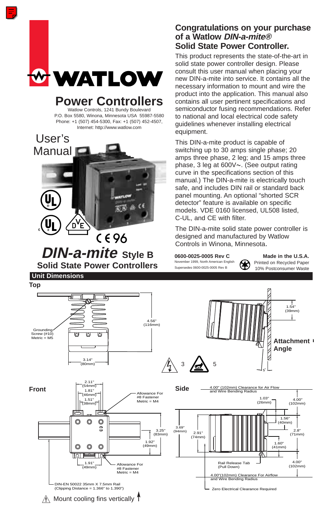

Watlow Controls, 1241 Bundy Boulevard P.O. Box 5580, Winona, Minnesota USA 55987-5580 Phone: +1 (507) 454-5300, Fax: +1 (507) 452-4507, Internet: http://www.watlow.com



**DIN-a-mite Style B Solid State Power Controllers**

# **Unit Dimensions**

## **Congratulations on your purchase of a Watlow DIN-a-mite® Solid State Power Controller.**

This product represents the state-of-the-art in solid state power controller design. Please consult this user manual when placing your new DIN-a-mite into service. It contains all the necessary information to mount and wire the product into the application. This manual also contains all user pertinent specifications and semiconductor fusing recommendations. Refer to national and local electrical code safety guidelines whenever installing electrical equipment.

This DIN-a-mite product is capable of switching up to 30 amps single phase; 20 amps three phase, 2 leg; and 15 amps three phase, 3 leg at 600V~. (See output rating curve in the specifications section of this manual.) The DIN-a-mite is electrically touch safe, and includes DIN rail or standard back panel mounting. An optional "shorted SCR detector" feature is available on specific models. VDE 0160 licensed, UL508 listed, C-UL, and CE with filter.

The DIN-a-mite solid state power controller is designed and manufactured by Watlow Controls in Winona, Minnesota.

**0600-0025-0005 Rev C** Made in the U.S.A.<br>November 1999, North American English **CO** Printed on Recycled Paper November 1999, North American English Printed on Recycled Paper<br>Supersedes 0600-0025-0005 Rev B<br>1.0% Postconsumer Moste

10% Postconsumer Waste

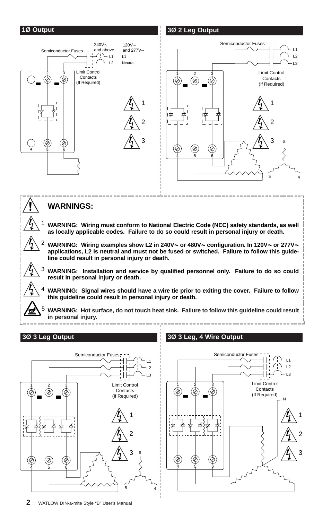

4 5 6

Ç

Z

5 4

6

4 5 6

É

♦

Ø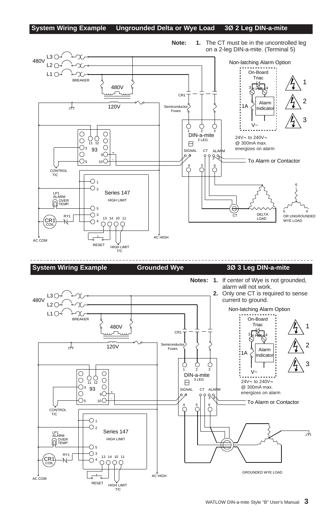#### **System Wiring Example Ungrounded Delta or Wye Load 3Ø 2 Leg DIN-a-mite**



WATLOW DIN-a-mite Style "B" User's Manual **3**

To Alarm or Contactor

 $\overline{\phantom{a}}$ 

@ 300mA max. energizes on alarm

CT ALARM

SIGNAL

 $\boxminus$ 

- <sup>+</sup> <sup>+</sup>

-  $9O$  $10O$ 

 $\bigcirc$ 

HIGH LIMIT Series 147

RESET HIGH LIMIT T/C

 $\overline{\text{O}}$ <sup>3</sup> 13 14 10 11<br> $\overline{\text{O}}$  4  $\overline{\text{O}}$  0 0 0

 $\bigcirc$ 

93

 $\overline{O}$  1  $\overline{O}$  2

 $\bigcirc$  5  $\bigcirc$  3

 $\bigcirc$ 

 $\bigcirc$ 

T/C **CONTROL** 

 $CR1$   $\rightarrow$ 

COIL

AC COM

LP1<br>ALARM OVER TEMP.  $\subset$ 

C

 $\rm\overset{6}{C}$ 

3 4

AC HIGH GROUNDED WYE LOAD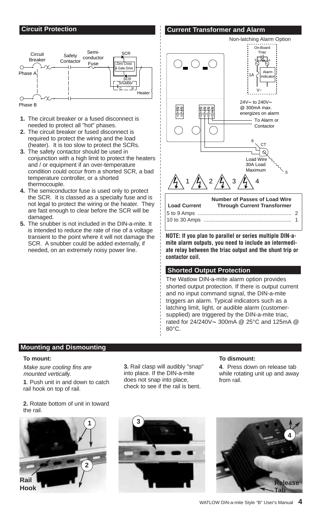#### **Circuit Protection**

#### **Current Transformer and Alarm**



Phase B

- **1.** The circuit breaker or a fused disconnect is needed to protect all "hot" phases.
- **2.** The circuit breaker or fused disconnect is required to protect the wiring and the load (heater). It is too slow to protect the SCRs.
- **3.** The safety contactor should be used in conjunction with a high limit to protect the heaters and / or equipment if an over-temperature condition could occur from a shorted SCR, a bad temperature controller, or a shorted thermocouple.
- **4.** The semiconductor fuse is used only to protect the SCR. It is classed as a specialty fuse and is not legal to protect the wiring or the heater. They are fast enough to clear before the SCR will be damaged.
- **5.** The snubber is not included in the DIN-a-mite. It is intended to reduce the rate of rise of a voltage transient to the point where it will not damage the SCR. A snubber could be added externally, if needed, on an extremely noisy power line.



**NOTE: If you plan to parallel or series multiple DIN-amite alarm outputs, you need to include an intermediate relay between the triac output and the shunt trip or contactor coil.**

#### **Shorted Output Protection**

The Watlow DIN-a-mite alarm option provides shorted output protection. If there is output current and no input command signal, the DIN-a-mite triggers an alarm. Typical indicators such as a latching limit, light, or audible alarm (customersupplied) are triggered by the DIN-a-mite triac, rated for 24/240V~ 300mA @ 25°C and 125mA @ 80°C.

#### **Mounting and Dismounting**

#### **To mount:**

Make sure cooling fins are mounted vertically.

**1**. Push unit in and down to catch rail hook on top of rail.

**2.** Rotate bottom of unit in toward the rail.



**3.** Rail clasp will audibly "snap" into place. If the DIN-a-mite does not snap into place, check to see if the rail is bent.

#### **To dismount:**

**4**. Press down on release tab while rotating unit up and away from rail.



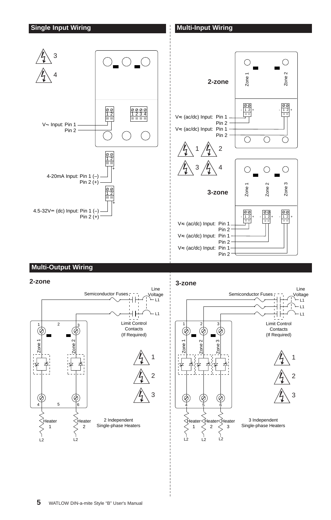

### **Multi-Output Wiring**



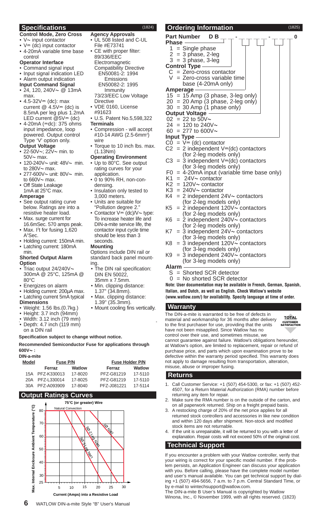#### **Specifications** (1824)

- **Control Mode, Zero Cross**
- $V$ ~ input contactor
- $V = (dc)$  input contactor • 4-20mA variable time base
- control
- **Operator Interface**
- Command signal input
- Input signal indication LED
- Alarm output indication **Input Command Signal**
- 24, 120, 240 $V \sim \omega$  13mA max.
- $4.5 32V = (dc)$ : max current  $@$  4.5V= (dc) is 8.5mA per leg plus 1.2mA LED current  $@5V = (dc)$
- $4 20$ mA ( $=$ dc): 375 ohms input impedance, loop powered. Output control Type 'V' option only.

#### **Output Voltage**

- 22-50V~; 22V~ min. to  $50V \sim$  max.
- 120-240V~ unit: 48V~ min. to  $280V \sim$  max.
- 277-600V~ unit: 80V~ min. to  $660V \sim$  max.
- Off State Leakage 1mA at 25°C max.

#### **Amperage**

- See output rating curve below. Ratings are into a resistive heater load.
- Max. surge current for 16.6mSec. 570 amps peak. • Max. I<sup>2</sup>t for fusing 1,620
- A2 Sec.
- Holding current: 150mA min. • Latching current: 180mA
	- min.

#### **Shorted Output Alarm Option**

- Triac output 24/240 $\vee \sim$ 300mA @ 25°C, 125mA @ 80°C
- Energizes on alarm
- Holding current: 200µA max. Latching current 5mA typical
- 
- **Dimensions** • Weight: 1.56 lbs.(0.7kg.)
- Height: 3.7 inch (94mm)
- 
- Width: 3.12 inch (79 mm) • Depth: 4.7 inch (119 mm)
- on a DIN rail

#### **Specification subject to change without notice.**

#### **Recommended Semiconductor Fuse for applications through 600V**Å **:**

#### **DIN-a-mite**

| nn-a-mite    |                 |          |             |                        |  |  |
|--------------|-----------------|----------|-------------|------------------------|--|--|
| <b>Model</b> |                 | Fuse P/N |             | <b>Fuse Holder P/N</b> |  |  |
|              | Ferraz          | Watlow   | Ferraz      | Watlow                 |  |  |
|              | 15A PFZ-K330013 | 17-8020  | PFZ-G81219  | 17-5110                |  |  |
| 20A          | PFZ-L330014     | 17-8025  | PFZ-G81219  | 17-5110                |  |  |
|              | 30A PFZ-A093909 | 17-8040  | PFZ-J081221 | 17-5114                |  |  |
|              |                 |          |             |                        |  |  |

#### **Output Ratings Curves**



- **Agency Approvals** UL 508 listed and C-UL File #E73741
- CE with proper filter: 89/336/EEC Electromagnetic Compatibility Directive EN50081-2: 1994
	- Emissions EN50082-2: 1995 Immunity
- 73/23/EEC Low Voltage **Directive**
- VDE 0160, License
- #91623 • U.S. Patent No.5,598,322
- **Terminals**
- Compression will accept #10-14 AWG (2.5-6mm2 ) wire
- Torque to 10 inch lbs. max. (1.13Nm)
- **Operating Environment**
- Up to 80°C. See output rating curves for your application.
- 0 to 90% RH, non-condensing.
- Insulation only tested to 3,000 meters.
- Units are suitable for "Pollution degree 2."
- Contactor  $V = (dc)/V \sim$  type: To increase heater life and DIN-a-mite service life, the contactor input cycle time should be less than 3 seconds.

#### **Mounting**

Options include DIN rail or standard back panel mounting.

- The DIN rail specification: DIN EN 50022,
- 35mm x 7.5mm. • Min. clipping distance:
- 1.37" (34.8mm). Max. clipping distance:
- 1.39" (35.3mm).
- Mount cooling fins vertically.

**Ordering Information** (1825)  $\frac{\mathsf{Part\;Number}\quad\mathsf{DB}}{\mathsf{Phase}}\longrightarrow\top\top\top\top\top\top\top\top$ <sup>o</sup> **Phase**  $1 =$ Single phase<br> $2 = 3$  phase, 2-le  $=$  3 phase, 2-leg  $3 = 3$  phase,  $3$ -leg **Control Type**  $C = Zero-cross contactor$ <br> $V = Zero-cross variable t$  $=$  Zero-cross variable time base (4-20mA only) **Amperage**  $15 = 15$  Amp (3 phase, 3-leg only)  $20 = 20$  Amp (3 phase, 2-leg only)  $30 = 30$  Amp (1 phase only) **Output Voltage**  $02 = 22$  to  $50\sqrt{2}$  $24 = 120$  to 240V $\sim$ 60 = 277 to 600 $V \sim$ **Input Type**  $CO = V = (dc)$  contactor  $C2 = 2$  independent  $V = (dc)$  contactors (for 2-leg models only)  $C3 = 3$  independent  $V = (dc)$  contactors (for 3-leg models only)  $F0 = 4-20$ mA input (variable time base only)  $K1 = 24V \sim \text{contactor}$  $K2 = 120V \sim \text{contactor}$  $K3 = 240V \sim \text{contactor}$ <br> $K4 = 2 \text{ independent } 2$  $= 2$  independent 24V $\sim$  contactors (for 2-leg models only)

- $K5 = 2$  independent 120V $\sim$  contactors (for 2-leg models only)  $K6 = 2$  independent 240V $\sim$  contactors
- (for 2-leg models only)  $K7 = 3$  independent 24 $V \sim$  contactors
- (for 3-leg models only)  $K8 = 3$  independent 120V $\sim$  contactors
- (for 3-leg models only)  $K9 = 3$  independent 240V $\sim$  contactors
	- (for 3-leg models only)

### **Alarm**

- S = Shorted SCR detector
- 0 = No shorted SCR detector

**Note: User documentation may be available in French, German, Spanish, Italian, and Dutch, as well as English. Check Watlow's website (www.watlow.com/) for availability. Specify language at time of order.**

#### **Warranty**

The DIN-a-mite is warranted to be free of defects in material and workmanship for 36 months after delivery to the first purchaser for use, providing that the units have not been misapplied. Since Watlow has no control over their use, and sometimes misuse, we

**TOTAL** CUSTOMER SATISFACTION

cannot guarantee against failure. Watlow's obligations hereunder, at Watlow's option, are limited to replacement, repair or refund of purchase price, and parts which upon examination prove to be defective within the warranty period specified. This warranty does not apply to damage resulting from transportation, alteration, misuse, abuse or improper fusing.

#### **Returns**

- Call Customer Service: +1 (507) 454-5300, or fax: +1 (507) 452-4507, for a Return Material Authorization (RMA) number before returning any item for repair.
- 2. Make sure the RMA number is on the outside of the carton, and on all paperwork returned. Ship on a freight prepaid basis.
- 3. A restocking charge of 20% of the net price applies for all returned stock controllers and accessories in like new condition and within 120 days after shipment. Non-stock and modified stock items are not returnable.
- 4. If the unit is unrepairable, it will be returned to you with a letter of explanation. Repair costs will not exceed 50% of the original cost.

#### **Technical Support**

If you encounter a problem with your Watlow controller, verify that your wiring is correct for your specific model number. If the problem persists, an Application Engineer can discuss your application with you. Before calling, please have the complete model number and user's manual available. You can get technical support by dialing +1 (507) 494-5656, 7 a.m. to 7 p.m. Central Standard Time, or by e-mail to wintechsupport@watlow.com.

The DIN-a-mite B User's Manual is copyrighted by Watlow Winona, Inc., © November 1999, with all rights reserved. (1823)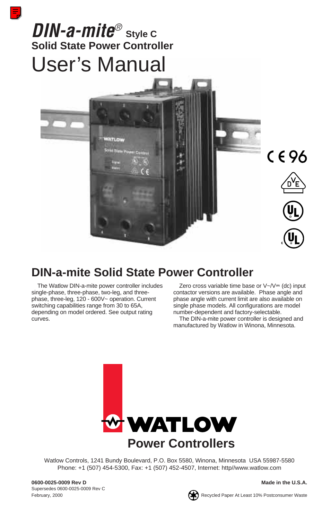# *DIN-a-mite®* **Style C Solid State Power Controller** User's Manual



# **DIN-a-mite Solid State Power Controller**

The Watlow DIN-a-mite power controller includes single-phase, three-phase, two-leg, and threephase, three-leg, 120 - 600V~ operation. Current switching capabilities range from 30 to 65A, depending on model ordered. See output rating curves.

Zero cross variable time base or  $V \sim V = (dc)$  input contactor versions are available. Phase angle and phase angle with current limit are also available on single phase models. All configurations are model number-dependent and factory-selectable.

The DIN-a-mite power controller is designed and manufactured by Watlow in Winona, Minnesota.



Watlow Controls, 1241 Bundy Boulevard, P.O. Box 5580, Winona, Minnesota USA 55987-5580 Phone: +1 (507) 454-5300, Fax: +1 (507) 452-4507, Internet: http//www.watlow.com

**0600-0025-0009 Rev D Made in the U.S.A.** Supersedes 0600-0025-0009 Rev C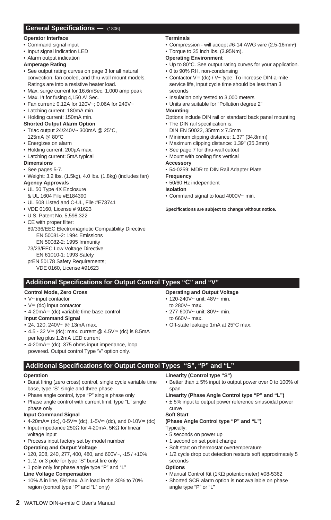#### **General Specifications —** (1806)

#### **Operator Interface**

- Command signal input
- Input signal indication LED
- Alarm output indication

#### **Amperage Rating**

- See output rating curves on page 3 for all natural convection, fan cooled, and thru-wall mount models. Ratings are into a resistive heater load.
- Max. surge current for 16.6mSec. 1,000 amp peak
- Max. I<sup>2</sup>t for fusing 4,150 A<sup>2</sup> Sec.
- Fan current: 0.12A for 120V~; 0.06A for 240V~
- Latching current: 180mA min.
- Holding current: 150mA min.

#### **Shorted Output Alarm Option**

- Triac output 24/240V~ 300mA @ 25°C, 125mA @ 80°C
- Energizes on alarm
- Holding current: 200µA max.
- Latching current: 5mA typical

#### **Dimensions**

- See pages 5-7.
- Weight: 3.2 lbs. (1.5kg), 4.0 lbs. (1.8kg) (includes fan)

#### **Agency Approvals**

- UL 50 Type 4X Enclosure
- & UL 1604 File #E184390
- UL 508 Listed and C-UL, File #E73741
- VDE 0160, License # 91623
- U.S. Patent No. 5,598,322

#### • CE with proper filter:

89/336/EEC Electromagnetic Compatibility Directive EN 50081-2: 1994 Emissions EN 50082-2: 1995 Immunity 73/23/EEC Low Voltage Directive EN 61010-1: 1993 Safety prEN 50178 Safety Requirements;

VDE 0160, License #91623

### **Additional Specifications for Output Control Types "C" and "V"**

#### **Control Mode, Zero Cross**

### • V~ input contactor

- $\bullet$  V<sub> $\equiv$ </sub> (dc) input contactor
- $\bullet$  4-20mA $\text{=}$  (dc) variable time base control

#### **Input Command Signal**

- 24, 120, 240V~ @ 13mA max.
- 4.5 32  $V = (dc)$ : max. current @ 4.5 $V = (dc)$  is 8.5mA per leg plus 1.2mA LED current
- $\bullet$  4-20mA $\pm$  (dc): 375 ohms input impedance, loop powered. Output control Type 'V' option only.

### **Operating and Output Voltage**

- 120-240V~ unit: 48V~ min.
	- to 280V~ max.
- 277-600V~ unit: 80V~ min. to 660V~ max.
- Off-state leakage 1mA at 25°C max.

#### **Additional Specifications for Output Control Types "S", "P" and "L"**

#### **Operation**

- Burst firing (zero cross) control, single cycle variable time base, type "S" single and three phase
- Phase angle control, type "P" single phase only
- Phase angle control with current limit, type "L" single phase only

#### **Input Command Signal**

- 4-20mA= (dc), 0-5V= (dc), 1-5V= (dc), and 0-10V= (dc)
- Input impedance 250 $\Omega$  for 4-20mA, 5K $\Omega$  for linear
- voltage input
- Process input factory set by model number

#### **Operating and Output Voltage**

- 120, 208, 240, 277, 400, 480, and 600V~, -15 / +10%
- 1, 2, or 3 pole for type "S" burst fire only

### • 1 pole only for phase angle type "P" and "L"

- **Line Voltage Compensation**
- 10% ∆ in line, 5%max. ∆ in load in the 30% to 70% region (control type "P" and "L" only)

#### **Linearity (Control type "S")**

• Better than ± 5% input to output power over 0 to 100% of span

#### **Linearity (Phase Angle Control type "P" and "L")**

• ± 5% input to output power reference sinusoidal power curve

### **Soft Start**

#### **(Phase Angle Control type "P" and "L")**

Typically:

- 5 seconds on power up
- 1 second on set point change
- Soft start on thermostat overtemperature
- 1/2 cycle drop out detection restarts soft approximately 5 seconds

#### **Options**

- Manual Control Kit (1KΩ potentiometer) #08-5362
- Shorted SCR alarm option is **not** available on phase angle type "P" or "L"

• Compression - will accept #6-14 AWG wire (2.5-16mm<sup>2</sup>) • Torque to 35 inch lbs. (3.95Nm).

**Terminals**

### **Operating Environment**

- Up to 80°C. See output rating curves for your application.
- 0 to 90% RH, non-condensing
- Contactor  $V = (dc) / V -$  type: To increase DIN-a-mite service life, input cycle time should be less than 3 seconds
- Insulation only tested to 3,000 meters
- Units are suitable for "Pollution degree 2"

#### **Mounting**

- Options include DIN rail or standard back panel mounting
- The DIN rail specification is:
- DIN EN 50022, 35mm x 7.5mm
- Minimum clipping distance: 1.37" (34.8mm)
- Maximum clipping distance: 1.39" (35.3mm)
- See page 7 for thru-wall cutout
- Mount with cooling fins vertical **Accessory**
- 54-0259: MDR to DIN Rail Adapter Plate

#### **Frequency**

• 50/60 Hz independent

#### **Isolation**

• Command signal to load 4000V~ min.

#### **Specifications are subject to change without notice.**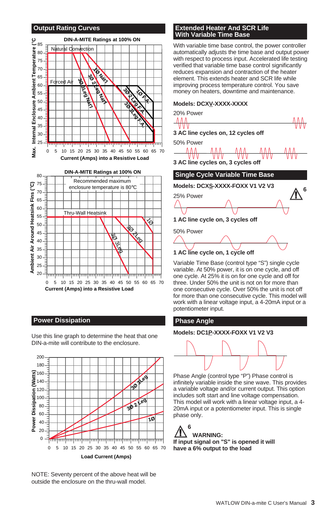#### **Output Rating Curves**



#### **Power Dissipation**

Use this line graph to determine the heat that one DIN-a-mite will contribute to the enclosure.



NOTE: Seventy percent of the above heat will be outside the enclosure on the thru-wall model.

#### **Extended Heater And SCR Life With Variable Time Base**

With variable time base control, the power controller automatically adjusts the time base and output power with respect to process input. Accelerated life testing verified that variable time base control significantly reduces expansion and contraction of the heater element. This extends heater and SCR life while improving process temperature control. You save money on heaters, downtime and maintenance.

#### **Models: DCXV-XXXX-XXXX**



**<sup>1</sup> AC line cycle on, 1 cycle off**

Variable Time Base (control type "S") single cycle variable. At 50% power, it is on one cycle, and off one cycle. At 25% it is on for one cycle and off for three. Under 50% the unit is not on for more than one consecutive cycle. Over 50% the unit is not off for more than one consecutive cycle. This model will work with a linear voltage input, a 4-20mA input or a potentiometer input.

#### **Phase Angle**

### **Models: DC1P-XXXX-FOXX V1 V2 V3**



Phase Angle (control type "P") Phase control is infinitely variable inside the sine wave. This provides a variable voltage and/or current output. This option includes soft start and line voltage compensation. This model will work with a linear voltage input, a 4- 20mA input or a potentiometer input. This is single phase only.

 $\triangle^6$ **WARNING: If input signal on "S" is opened it will have a 6% output to the load**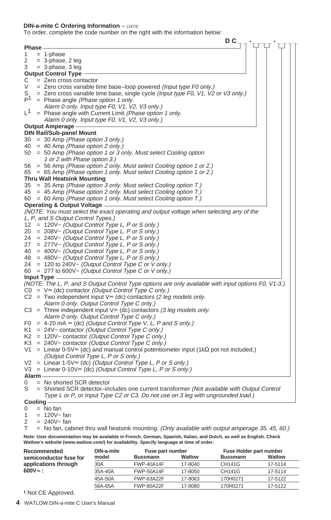#### **DIN-a-mite C Ordering Information** – (1873)

To order, complete the code number on the right with the information below:

| <b>Phase</b><br>$= 1$ -phase<br>1<br>2<br>$= 3$ -phase, 2 leg<br>$= 3$ -phase, 3 leg<br>3<br><b>Output Control Type</b><br>$=$ Zero cross contactor<br>С<br>V<br>$=$ Zero cross variable time base–loop powered (Input type F0 only.)<br>$S_{\perp}$<br>= Zero cross variable time base, single cycle (Input type F0, V1, V2 or V3 only.)<br>P <sup>1</sup><br>= Phase angle (Phase option 1 only.<br>Alarm 0 only. Input type F0, V1, V2, V3 only.)<br>$L^1$<br>= Phase angle with Current Limit (Phase option 1 only.<br>Alarm 0 only. Input type F0, V1, V2, V3 only.)<br><b>Output Amperage -</b><br><b>DIN Rail/Sub-panel Mount</b><br>= 30 Amp (Phase option 3 only.)<br>30<br>40 = 40 Amp (Phase option 2 only.)<br>= 50 Amp (Phase option 1 or 3 only. Must select Cooling option<br>50<br>1 or 2 with Phase option 3.)<br>= 56 Amp (Phase option 2 only. Must select Cooling option 1 or 2.)<br>56<br>65 = 65 Amp (Phase option 1 only. Must select Cooling option 1 or 2.)<br><b>Thru Wall Heatsink Mounting</b><br>35 = 35 Amp (Phase option 3 only. Must select Cooling option T.)<br>45 = 45 Amp (Phase option 2 only. Must select Cooling option T.)<br>60 = 60 Amp (Phase option 1 only. Must select Cooling option T.)<br><b>Operating &amp; Output Voltage -</b><br>(NOTE: You must select the exact operating and output voltage when selecting any of the<br>L, P, and S Output Control Types.)<br>12 = 120V~ (Output Control Type L, P or S only.)<br>$= 208V \sim$ (Output Control Type L, P or S only.)<br>20<br>= 240V~ (Output Control Type L, P or S only.)<br>24<br>= 277V~ (Output Control Type L, P or S only.)<br>27<br>= 400V~ (Output Control Type L, P or S only.)<br>40<br>$=$ 480V~ (Output Control Type L, P or S only.)<br>48<br>$= 120$ to 240V ~ (Output Control Type C or V only.)<br>24<br>= 277 to 600V~ (Output Control Type C or V only.)<br>60<br>Input Type -<br>(NOTE: The L, P, and S Output Control Type options are only available with input options F0, V1-3.)<br>$CO = V = (dc) contactor (Output Control Type C only.)$<br>C2 = Two independent input $\vee$ = (dc) contactors (2 leg models only.<br>Alarm 0 only. Output Control Type C only.)<br>C3 = Three independent input $V = (dc)$ contactors (3 leg models only.<br>Alarm 0 only. Output Control Type C only.)<br>F0 = 4-20 mA $=(dc)$ (Output Control Type V, L, P and S only.)<br>$K1 = 24V$ contactor (Output Control Type C only.)<br>$K2 = 120V \sim$ contactor (Output Control Type C only.)<br>$K3 = 240V \sim$ contactor (Output Control Type C only.)<br>$V1 =$ Linear 0-5V= (dc) and manual control potentiometer input (1k $\Omega$ pot not included.)<br>(Output Control Type L, P or S only.)<br>$V2 =$ Linear 1-5V= (dc) (Output Control Type L, P or S only.)<br>$V3 =$ Linear 0-10V= (dc) (Output Control Type L, P or S only.)<br>Alarm -<br>$=$ No shorted SCR detector<br>0<br>S<br>= Shorted SCR detector-includes one current transformer (Not available with Output Control<br>Type L or P, or Input Type C2 or C3. Do not use on 3 leg with ungrounded load.)<br>Cooling –<br>$=$ No fan<br>0<br>$= 120V - fan$<br>1<br>$= 240V - \tan$<br>2 |   | D <sub>C</sub>                                                                                     |
|------------------------------------------------------------------------------------------------------------------------------------------------------------------------------------------------------------------------------------------------------------------------------------------------------------------------------------------------------------------------------------------------------------------------------------------------------------------------------------------------------------------------------------------------------------------------------------------------------------------------------------------------------------------------------------------------------------------------------------------------------------------------------------------------------------------------------------------------------------------------------------------------------------------------------------------------------------------------------------------------------------------------------------------------------------------------------------------------------------------------------------------------------------------------------------------------------------------------------------------------------------------------------------------------------------------------------------------------------------------------------------------------------------------------------------------------------------------------------------------------------------------------------------------------------------------------------------------------------------------------------------------------------------------------------------------------------------------------------------------------------------------------------------------------------------------------------------------------------------------------------------------------------------------------------------------------------------------------------------------------------------------------------------------------------------------------------------------------------------------------------------------------------------------------------------------------------------------------------------------------------------------------------------------------------------------------------------------------------------------------------------------------------------------------------------------------------------------------------------------------------------------------------------------------------------------------------------------------------------------------------------------------------------------------------------------------------------------------------------------------------------------------------------------------------------------------------------------------------------------------------------------------------------------------------------------------------------------------------------------------------------------------------------------------------------------------------------------------------------------------------------------------------------------------------------|---|----------------------------------------------------------------------------------------------------|
|                                                                                                                                                                                                                                                                                                                                                                                                                                                                                                                                                                                                                                                                                                                                                                                                                                                                                                                                                                                                                                                                                                                                                                                                                                                                                                                                                                                                                                                                                                                                                                                                                                                                                                                                                                                                                                                                                                                                                                                                                                                                                                                                                                                                                                                                                                                                                                                                                                                                                                                                                                                                                                                                                                                                                                                                                                                                                                                                                                                                                                                                                                                                                                                    |   |                                                                                                    |
|                                                                                                                                                                                                                                                                                                                                                                                                                                                                                                                                                                                                                                                                                                                                                                                                                                                                                                                                                                                                                                                                                                                                                                                                                                                                                                                                                                                                                                                                                                                                                                                                                                                                                                                                                                                                                                                                                                                                                                                                                                                                                                                                                                                                                                                                                                                                                                                                                                                                                                                                                                                                                                                                                                                                                                                                                                                                                                                                                                                                                                                                                                                                                                                    |   |                                                                                                    |
|                                                                                                                                                                                                                                                                                                                                                                                                                                                                                                                                                                                                                                                                                                                                                                                                                                                                                                                                                                                                                                                                                                                                                                                                                                                                                                                                                                                                                                                                                                                                                                                                                                                                                                                                                                                                                                                                                                                                                                                                                                                                                                                                                                                                                                                                                                                                                                                                                                                                                                                                                                                                                                                                                                                                                                                                                                                                                                                                                                                                                                                                                                                                                                                    |   |                                                                                                    |
|                                                                                                                                                                                                                                                                                                                                                                                                                                                                                                                                                                                                                                                                                                                                                                                                                                                                                                                                                                                                                                                                                                                                                                                                                                                                                                                                                                                                                                                                                                                                                                                                                                                                                                                                                                                                                                                                                                                                                                                                                                                                                                                                                                                                                                                                                                                                                                                                                                                                                                                                                                                                                                                                                                                                                                                                                                                                                                                                                                                                                                                                                                                                                                                    |   |                                                                                                    |
|                                                                                                                                                                                                                                                                                                                                                                                                                                                                                                                                                                                                                                                                                                                                                                                                                                                                                                                                                                                                                                                                                                                                                                                                                                                                                                                                                                                                                                                                                                                                                                                                                                                                                                                                                                                                                                                                                                                                                                                                                                                                                                                                                                                                                                                                                                                                                                                                                                                                                                                                                                                                                                                                                                                                                                                                                                                                                                                                                                                                                                                                                                                                                                                    |   |                                                                                                    |
|                                                                                                                                                                                                                                                                                                                                                                                                                                                                                                                                                                                                                                                                                                                                                                                                                                                                                                                                                                                                                                                                                                                                                                                                                                                                                                                                                                                                                                                                                                                                                                                                                                                                                                                                                                                                                                                                                                                                                                                                                                                                                                                                                                                                                                                                                                                                                                                                                                                                                                                                                                                                                                                                                                                                                                                                                                                                                                                                                                                                                                                                                                                                                                                    |   |                                                                                                    |
|                                                                                                                                                                                                                                                                                                                                                                                                                                                                                                                                                                                                                                                                                                                                                                                                                                                                                                                                                                                                                                                                                                                                                                                                                                                                                                                                                                                                                                                                                                                                                                                                                                                                                                                                                                                                                                                                                                                                                                                                                                                                                                                                                                                                                                                                                                                                                                                                                                                                                                                                                                                                                                                                                                                                                                                                                                                                                                                                                                                                                                                                                                                                                                                    |   |                                                                                                    |
|                                                                                                                                                                                                                                                                                                                                                                                                                                                                                                                                                                                                                                                                                                                                                                                                                                                                                                                                                                                                                                                                                                                                                                                                                                                                                                                                                                                                                                                                                                                                                                                                                                                                                                                                                                                                                                                                                                                                                                                                                                                                                                                                                                                                                                                                                                                                                                                                                                                                                                                                                                                                                                                                                                                                                                                                                                                                                                                                                                                                                                                                                                                                                                                    |   |                                                                                                    |
|                                                                                                                                                                                                                                                                                                                                                                                                                                                                                                                                                                                                                                                                                                                                                                                                                                                                                                                                                                                                                                                                                                                                                                                                                                                                                                                                                                                                                                                                                                                                                                                                                                                                                                                                                                                                                                                                                                                                                                                                                                                                                                                                                                                                                                                                                                                                                                                                                                                                                                                                                                                                                                                                                                                                                                                                                                                                                                                                                                                                                                                                                                                                                                                    |   |                                                                                                    |
|                                                                                                                                                                                                                                                                                                                                                                                                                                                                                                                                                                                                                                                                                                                                                                                                                                                                                                                                                                                                                                                                                                                                                                                                                                                                                                                                                                                                                                                                                                                                                                                                                                                                                                                                                                                                                                                                                                                                                                                                                                                                                                                                                                                                                                                                                                                                                                                                                                                                                                                                                                                                                                                                                                                                                                                                                                                                                                                                                                                                                                                                                                                                                                                    |   |                                                                                                    |
|                                                                                                                                                                                                                                                                                                                                                                                                                                                                                                                                                                                                                                                                                                                                                                                                                                                                                                                                                                                                                                                                                                                                                                                                                                                                                                                                                                                                                                                                                                                                                                                                                                                                                                                                                                                                                                                                                                                                                                                                                                                                                                                                                                                                                                                                                                                                                                                                                                                                                                                                                                                                                                                                                                                                                                                                                                                                                                                                                                                                                                                                                                                                                                                    |   |                                                                                                    |
|                                                                                                                                                                                                                                                                                                                                                                                                                                                                                                                                                                                                                                                                                                                                                                                                                                                                                                                                                                                                                                                                                                                                                                                                                                                                                                                                                                                                                                                                                                                                                                                                                                                                                                                                                                                                                                                                                                                                                                                                                                                                                                                                                                                                                                                                                                                                                                                                                                                                                                                                                                                                                                                                                                                                                                                                                                                                                                                                                                                                                                                                                                                                                                                    |   |                                                                                                    |
|                                                                                                                                                                                                                                                                                                                                                                                                                                                                                                                                                                                                                                                                                                                                                                                                                                                                                                                                                                                                                                                                                                                                                                                                                                                                                                                                                                                                                                                                                                                                                                                                                                                                                                                                                                                                                                                                                                                                                                                                                                                                                                                                                                                                                                                                                                                                                                                                                                                                                                                                                                                                                                                                                                                                                                                                                                                                                                                                                                                                                                                                                                                                                                                    |   |                                                                                                    |
|                                                                                                                                                                                                                                                                                                                                                                                                                                                                                                                                                                                                                                                                                                                                                                                                                                                                                                                                                                                                                                                                                                                                                                                                                                                                                                                                                                                                                                                                                                                                                                                                                                                                                                                                                                                                                                                                                                                                                                                                                                                                                                                                                                                                                                                                                                                                                                                                                                                                                                                                                                                                                                                                                                                                                                                                                                                                                                                                                                                                                                                                                                                                                                                    |   |                                                                                                    |
|                                                                                                                                                                                                                                                                                                                                                                                                                                                                                                                                                                                                                                                                                                                                                                                                                                                                                                                                                                                                                                                                                                                                                                                                                                                                                                                                                                                                                                                                                                                                                                                                                                                                                                                                                                                                                                                                                                                                                                                                                                                                                                                                                                                                                                                                                                                                                                                                                                                                                                                                                                                                                                                                                                                                                                                                                                                                                                                                                                                                                                                                                                                                                                                    |   |                                                                                                    |
|                                                                                                                                                                                                                                                                                                                                                                                                                                                                                                                                                                                                                                                                                                                                                                                                                                                                                                                                                                                                                                                                                                                                                                                                                                                                                                                                                                                                                                                                                                                                                                                                                                                                                                                                                                                                                                                                                                                                                                                                                                                                                                                                                                                                                                                                                                                                                                                                                                                                                                                                                                                                                                                                                                                                                                                                                                                                                                                                                                                                                                                                                                                                                                                    |   |                                                                                                    |
|                                                                                                                                                                                                                                                                                                                                                                                                                                                                                                                                                                                                                                                                                                                                                                                                                                                                                                                                                                                                                                                                                                                                                                                                                                                                                                                                                                                                                                                                                                                                                                                                                                                                                                                                                                                                                                                                                                                                                                                                                                                                                                                                                                                                                                                                                                                                                                                                                                                                                                                                                                                                                                                                                                                                                                                                                                                                                                                                                                                                                                                                                                                                                                                    |   |                                                                                                    |
|                                                                                                                                                                                                                                                                                                                                                                                                                                                                                                                                                                                                                                                                                                                                                                                                                                                                                                                                                                                                                                                                                                                                                                                                                                                                                                                                                                                                                                                                                                                                                                                                                                                                                                                                                                                                                                                                                                                                                                                                                                                                                                                                                                                                                                                                                                                                                                                                                                                                                                                                                                                                                                                                                                                                                                                                                                                                                                                                                                                                                                                                                                                                                                                    |   |                                                                                                    |
|                                                                                                                                                                                                                                                                                                                                                                                                                                                                                                                                                                                                                                                                                                                                                                                                                                                                                                                                                                                                                                                                                                                                                                                                                                                                                                                                                                                                                                                                                                                                                                                                                                                                                                                                                                                                                                                                                                                                                                                                                                                                                                                                                                                                                                                                                                                                                                                                                                                                                                                                                                                                                                                                                                                                                                                                                                                                                                                                                                                                                                                                                                                                                                                    |   |                                                                                                    |
|                                                                                                                                                                                                                                                                                                                                                                                                                                                                                                                                                                                                                                                                                                                                                                                                                                                                                                                                                                                                                                                                                                                                                                                                                                                                                                                                                                                                                                                                                                                                                                                                                                                                                                                                                                                                                                                                                                                                                                                                                                                                                                                                                                                                                                                                                                                                                                                                                                                                                                                                                                                                                                                                                                                                                                                                                                                                                                                                                                                                                                                                                                                                                                                    |   |                                                                                                    |
|                                                                                                                                                                                                                                                                                                                                                                                                                                                                                                                                                                                                                                                                                                                                                                                                                                                                                                                                                                                                                                                                                                                                                                                                                                                                                                                                                                                                                                                                                                                                                                                                                                                                                                                                                                                                                                                                                                                                                                                                                                                                                                                                                                                                                                                                                                                                                                                                                                                                                                                                                                                                                                                                                                                                                                                                                                                                                                                                                                                                                                                                                                                                                                                    |   |                                                                                                    |
|                                                                                                                                                                                                                                                                                                                                                                                                                                                                                                                                                                                                                                                                                                                                                                                                                                                                                                                                                                                                                                                                                                                                                                                                                                                                                                                                                                                                                                                                                                                                                                                                                                                                                                                                                                                                                                                                                                                                                                                                                                                                                                                                                                                                                                                                                                                                                                                                                                                                                                                                                                                                                                                                                                                                                                                                                                                                                                                                                                                                                                                                                                                                                                                    |   |                                                                                                    |
|                                                                                                                                                                                                                                                                                                                                                                                                                                                                                                                                                                                                                                                                                                                                                                                                                                                                                                                                                                                                                                                                                                                                                                                                                                                                                                                                                                                                                                                                                                                                                                                                                                                                                                                                                                                                                                                                                                                                                                                                                                                                                                                                                                                                                                                                                                                                                                                                                                                                                                                                                                                                                                                                                                                                                                                                                                                                                                                                                                                                                                                                                                                                                                                    |   |                                                                                                    |
|                                                                                                                                                                                                                                                                                                                                                                                                                                                                                                                                                                                                                                                                                                                                                                                                                                                                                                                                                                                                                                                                                                                                                                                                                                                                                                                                                                                                                                                                                                                                                                                                                                                                                                                                                                                                                                                                                                                                                                                                                                                                                                                                                                                                                                                                                                                                                                                                                                                                                                                                                                                                                                                                                                                                                                                                                                                                                                                                                                                                                                                                                                                                                                                    |   |                                                                                                    |
|                                                                                                                                                                                                                                                                                                                                                                                                                                                                                                                                                                                                                                                                                                                                                                                                                                                                                                                                                                                                                                                                                                                                                                                                                                                                                                                                                                                                                                                                                                                                                                                                                                                                                                                                                                                                                                                                                                                                                                                                                                                                                                                                                                                                                                                                                                                                                                                                                                                                                                                                                                                                                                                                                                                                                                                                                                                                                                                                                                                                                                                                                                                                                                                    |   |                                                                                                    |
|                                                                                                                                                                                                                                                                                                                                                                                                                                                                                                                                                                                                                                                                                                                                                                                                                                                                                                                                                                                                                                                                                                                                                                                                                                                                                                                                                                                                                                                                                                                                                                                                                                                                                                                                                                                                                                                                                                                                                                                                                                                                                                                                                                                                                                                                                                                                                                                                                                                                                                                                                                                                                                                                                                                                                                                                                                                                                                                                                                                                                                                                                                                                                                                    |   |                                                                                                    |
|                                                                                                                                                                                                                                                                                                                                                                                                                                                                                                                                                                                                                                                                                                                                                                                                                                                                                                                                                                                                                                                                                                                                                                                                                                                                                                                                                                                                                                                                                                                                                                                                                                                                                                                                                                                                                                                                                                                                                                                                                                                                                                                                                                                                                                                                                                                                                                                                                                                                                                                                                                                                                                                                                                                                                                                                                                                                                                                                                                                                                                                                                                                                                                                    |   |                                                                                                    |
|                                                                                                                                                                                                                                                                                                                                                                                                                                                                                                                                                                                                                                                                                                                                                                                                                                                                                                                                                                                                                                                                                                                                                                                                                                                                                                                                                                                                                                                                                                                                                                                                                                                                                                                                                                                                                                                                                                                                                                                                                                                                                                                                                                                                                                                                                                                                                                                                                                                                                                                                                                                                                                                                                                                                                                                                                                                                                                                                                                                                                                                                                                                                                                                    |   |                                                                                                    |
|                                                                                                                                                                                                                                                                                                                                                                                                                                                                                                                                                                                                                                                                                                                                                                                                                                                                                                                                                                                                                                                                                                                                                                                                                                                                                                                                                                                                                                                                                                                                                                                                                                                                                                                                                                                                                                                                                                                                                                                                                                                                                                                                                                                                                                                                                                                                                                                                                                                                                                                                                                                                                                                                                                                                                                                                                                                                                                                                                                                                                                                                                                                                                                                    |   |                                                                                                    |
|                                                                                                                                                                                                                                                                                                                                                                                                                                                                                                                                                                                                                                                                                                                                                                                                                                                                                                                                                                                                                                                                                                                                                                                                                                                                                                                                                                                                                                                                                                                                                                                                                                                                                                                                                                                                                                                                                                                                                                                                                                                                                                                                                                                                                                                                                                                                                                                                                                                                                                                                                                                                                                                                                                                                                                                                                                                                                                                                                                                                                                                                                                                                                                                    |   |                                                                                                    |
|                                                                                                                                                                                                                                                                                                                                                                                                                                                                                                                                                                                                                                                                                                                                                                                                                                                                                                                                                                                                                                                                                                                                                                                                                                                                                                                                                                                                                                                                                                                                                                                                                                                                                                                                                                                                                                                                                                                                                                                                                                                                                                                                                                                                                                                                                                                                                                                                                                                                                                                                                                                                                                                                                                                                                                                                                                                                                                                                                                                                                                                                                                                                                                                    |   |                                                                                                    |
|                                                                                                                                                                                                                                                                                                                                                                                                                                                                                                                                                                                                                                                                                                                                                                                                                                                                                                                                                                                                                                                                                                                                                                                                                                                                                                                                                                                                                                                                                                                                                                                                                                                                                                                                                                                                                                                                                                                                                                                                                                                                                                                                                                                                                                                                                                                                                                                                                                                                                                                                                                                                                                                                                                                                                                                                                                                                                                                                                                                                                                                                                                                                                                                    |   |                                                                                                    |
|                                                                                                                                                                                                                                                                                                                                                                                                                                                                                                                                                                                                                                                                                                                                                                                                                                                                                                                                                                                                                                                                                                                                                                                                                                                                                                                                                                                                                                                                                                                                                                                                                                                                                                                                                                                                                                                                                                                                                                                                                                                                                                                                                                                                                                                                                                                                                                                                                                                                                                                                                                                                                                                                                                                                                                                                                                                                                                                                                                                                                                                                                                                                                                                    |   |                                                                                                    |
|                                                                                                                                                                                                                                                                                                                                                                                                                                                                                                                                                                                                                                                                                                                                                                                                                                                                                                                                                                                                                                                                                                                                                                                                                                                                                                                                                                                                                                                                                                                                                                                                                                                                                                                                                                                                                                                                                                                                                                                                                                                                                                                                                                                                                                                                                                                                                                                                                                                                                                                                                                                                                                                                                                                                                                                                                                                                                                                                                                                                                                                                                                                                                                                    |   |                                                                                                    |
|                                                                                                                                                                                                                                                                                                                                                                                                                                                                                                                                                                                                                                                                                                                                                                                                                                                                                                                                                                                                                                                                                                                                                                                                                                                                                                                                                                                                                                                                                                                                                                                                                                                                                                                                                                                                                                                                                                                                                                                                                                                                                                                                                                                                                                                                                                                                                                                                                                                                                                                                                                                                                                                                                                                                                                                                                                                                                                                                                                                                                                                                                                                                                                                    |   |                                                                                                    |
|                                                                                                                                                                                                                                                                                                                                                                                                                                                                                                                                                                                                                                                                                                                                                                                                                                                                                                                                                                                                                                                                                                                                                                                                                                                                                                                                                                                                                                                                                                                                                                                                                                                                                                                                                                                                                                                                                                                                                                                                                                                                                                                                                                                                                                                                                                                                                                                                                                                                                                                                                                                                                                                                                                                                                                                                                                                                                                                                                                                                                                                                                                                                                                                    |   |                                                                                                    |
|                                                                                                                                                                                                                                                                                                                                                                                                                                                                                                                                                                                                                                                                                                                                                                                                                                                                                                                                                                                                                                                                                                                                                                                                                                                                                                                                                                                                                                                                                                                                                                                                                                                                                                                                                                                                                                                                                                                                                                                                                                                                                                                                                                                                                                                                                                                                                                                                                                                                                                                                                                                                                                                                                                                                                                                                                                                                                                                                                                                                                                                                                                                                                                                    |   |                                                                                                    |
|                                                                                                                                                                                                                                                                                                                                                                                                                                                                                                                                                                                                                                                                                                                                                                                                                                                                                                                                                                                                                                                                                                                                                                                                                                                                                                                                                                                                                                                                                                                                                                                                                                                                                                                                                                                                                                                                                                                                                                                                                                                                                                                                                                                                                                                                                                                                                                                                                                                                                                                                                                                                                                                                                                                                                                                                                                                                                                                                                                                                                                                                                                                                                                                    |   |                                                                                                    |
|                                                                                                                                                                                                                                                                                                                                                                                                                                                                                                                                                                                                                                                                                                                                                                                                                                                                                                                                                                                                                                                                                                                                                                                                                                                                                                                                                                                                                                                                                                                                                                                                                                                                                                                                                                                                                                                                                                                                                                                                                                                                                                                                                                                                                                                                                                                                                                                                                                                                                                                                                                                                                                                                                                                                                                                                                                                                                                                                                                                                                                                                                                                                                                                    |   |                                                                                                    |
|                                                                                                                                                                                                                                                                                                                                                                                                                                                                                                                                                                                                                                                                                                                                                                                                                                                                                                                                                                                                                                                                                                                                                                                                                                                                                                                                                                                                                                                                                                                                                                                                                                                                                                                                                                                                                                                                                                                                                                                                                                                                                                                                                                                                                                                                                                                                                                                                                                                                                                                                                                                                                                                                                                                                                                                                                                                                                                                                                                                                                                                                                                                                                                                    |   |                                                                                                    |
|                                                                                                                                                                                                                                                                                                                                                                                                                                                                                                                                                                                                                                                                                                                                                                                                                                                                                                                                                                                                                                                                                                                                                                                                                                                                                                                                                                                                                                                                                                                                                                                                                                                                                                                                                                                                                                                                                                                                                                                                                                                                                                                                                                                                                                                                                                                                                                                                                                                                                                                                                                                                                                                                                                                                                                                                                                                                                                                                                                                                                                                                                                                                                                                    |   |                                                                                                    |
|                                                                                                                                                                                                                                                                                                                                                                                                                                                                                                                                                                                                                                                                                                                                                                                                                                                                                                                                                                                                                                                                                                                                                                                                                                                                                                                                                                                                                                                                                                                                                                                                                                                                                                                                                                                                                                                                                                                                                                                                                                                                                                                                                                                                                                                                                                                                                                                                                                                                                                                                                                                                                                                                                                                                                                                                                                                                                                                                                                                                                                                                                                                                                                                    |   |                                                                                                    |
|                                                                                                                                                                                                                                                                                                                                                                                                                                                                                                                                                                                                                                                                                                                                                                                                                                                                                                                                                                                                                                                                                                                                                                                                                                                                                                                                                                                                                                                                                                                                                                                                                                                                                                                                                                                                                                                                                                                                                                                                                                                                                                                                                                                                                                                                                                                                                                                                                                                                                                                                                                                                                                                                                                                                                                                                                                                                                                                                                                                                                                                                                                                                                                                    |   |                                                                                                    |
|                                                                                                                                                                                                                                                                                                                                                                                                                                                                                                                                                                                                                                                                                                                                                                                                                                                                                                                                                                                                                                                                                                                                                                                                                                                                                                                                                                                                                                                                                                                                                                                                                                                                                                                                                                                                                                                                                                                                                                                                                                                                                                                                                                                                                                                                                                                                                                                                                                                                                                                                                                                                                                                                                                                                                                                                                                                                                                                                                                                                                                                                                                                                                                                    |   |                                                                                                    |
|                                                                                                                                                                                                                                                                                                                                                                                                                                                                                                                                                                                                                                                                                                                                                                                                                                                                                                                                                                                                                                                                                                                                                                                                                                                                                                                                                                                                                                                                                                                                                                                                                                                                                                                                                                                                                                                                                                                                                                                                                                                                                                                                                                                                                                                                                                                                                                                                                                                                                                                                                                                                                                                                                                                                                                                                                                                                                                                                                                                                                                                                                                                                                                                    |   |                                                                                                    |
|                                                                                                                                                                                                                                                                                                                                                                                                                                                                                                                                                                                                                                                                                                                                                                                                                                                                                                                                                                                                                                                                                                                                                                                                                                                                                                                                                                                                                                                                                                                                                                                                                                                                                                                                                                                                                                                                                                                                                                                                                                                                                                                                                                                                                                                                                                                                                                                                                                                                                                                                                                                                                                                                                                                                                                                                                                                                                                                                                                                                                                                                                                                                                                                    |   |                                                                                                    |
|                                                                                                                                                                                                                                                                                                                                                                                                                                                                                                                                                                                                                                                                                                                                                                                                                                                                                                                                                                                                                                                                                                                                                                                                                                                                                                                                                                                                                                                                                                                                                                                                                                                                                                                                                                                                                                                                                                                                                                                                                                                                                                                                                                                                                                                                                                                                                                                                                                                                                                                                                                                                                                                                                                                                                                                                                                                                                                                                                                                                                                                                                                                                                                                    |   |                                                                                                    |
|                                                                                                                                                                                                                                                                                                                                                                                                                                                                                                                                                                                                                                                                                                                                                                                                                                                                                                                                                                                                                                                                                                                                                                                                                                                                                                                                                                                                                                                                                                                                                                                                                                                                                                                                                                                                                                                                                                                                                                                                                                                                                                                                                                                                                                                                                                                                                                                                                                                                                                                                                                                                                                                                                                                                                                                                                                                                                                                                                                                                                                                                                                                                                                                    |   |                                                                                                    |
|                                                                                                                                                                                                                                                                                                                                                                                                                                                                                                                                                                                                                                                                                                                                                                                                                                                                                                                                                                                                                                                                                                                                                                                                                                                                                                                                                                                                                                                                                                                                                                                                                                                                                                                                                                                                                                                                                                                                                                                                                                                                                                                                                                                                                                                                                                                                                                                                                                                                                                                                                                                                                                                                                                                                                                                                                                                                                                                                                                                                                                                                                                                                                                                    |   |                                                                                                    |
|                                                                                                                                                                                                                                                                                                                                                                                                                                                                                                                                                                                                                                                                                                                                                                                                                                                                                                                                                                                                                                                                                                                                                                                                                                                                                                                                                                                                                                                                                                                                                                                                                                                                                                                                                                                                                                                                                                                                                                                                                                                                                                                                                                                                                                                                                                                                                                                                                                                                                                                                                                                                                                                                                                                                                                                                                                                                                                                                                                                                                                                                                                                                                                                    |   |                                                                                                    |
|                                                                                                                                                                                                                                                                                                                                                                                                                                                                                                                                                                                                                                                                                                                                                                                                                                                                                                                                                                                                                                                                                                                                                                                                                                                                                                                                                                                                                                                                                                                                                                                                                                                                                                                                                                                                                                                                                                                                                                                                                                                                                                                                                                                                                                                                                                                                                                                                                                                                                                                                                                                                                                                                                                                                                                                                                                                                                                                                                                                                                                                                                                                                                                                    |   |                                                                                                    |
|                                                                                                                                                                                                                                                                                                                                                                                                                                                                                                                                                                                                                                                                                                                                                                                                                                                                                                                                                                                                                                                                                                                                                                                                                                                                                                                                                                                                                                                                                                                                                                                                                                                                                                                                                                                                                                                                                                                                                                                                                                                                                                                                                                                                                                                                                                                                                                                                                                                                                                                                                                                                                                                                                                                                                                                                                                                                                                                                                                                                                                                                                                                                                                                    |   |                                                                                                    |
|                                                                                                                                                                                                                                                                                                                                                                                                                                                                                                                                                                                                                                                                                                                                                                                                                                                                                                                                                                                                                                                                                                                                                                                                                                                                                                                                                                                                                                                                                                                                                                                                                                                                                                                                                                                                                                                                                                                                                                                                                                                                                                                                                                                                                                                                                                                                                                                                                                                                                                                                                                                                                                                                                                                                                                                                                                                                                                                                                                                                                                                                                                                                                                                    |   |                                                                                                    |
|                                                                                                                                                                                                                                                                                                                                                                                                                                                                                                                                                                                                                                                                                                                                                                                                                                                                                                                                                                                                                                                                                                                                                                                                                                                                                                                                                                                                                                                                                                                                                                                                                                                                                                                                                                                                                                                                                                                                                                                                                                                                                                                                                                                                                                                                                                                                                                                                                                                                                                                                                                                                                                                                                                                                                                                                                                                                                                                                                                                                                                                                                                                                                                                    |   |                                                                                                    |
|                                                                                                                                                                                                                                                                                                                                                                                                                                                                                                                                                                                                                                                                                                                                                                                                                                                                                                                                                                                                                                                                                                                                                                                                                                                                                                                                                                                                                                                                                                                                                                                                                                                                                                                                                                                                                                                                                                                                                                                                                                                                                                                                                                                                                                                                                                                                                                                                                                                                                                                                                                                                                                                                                                                                                                                                                                                                                                                                                                                                                                                                                                                                                                                    |   |                                                                                                    |
|                                                                                                                                                                                                                                                                                                                                                                                                                                                                                                                                                                                                                                                                                                                                                                                                                                                                                                                                                                                                                                                                                                                                                                                                                                                                                                                                                                                                                                                                                                                                                                                                                                                                                                                                                                                                                                                                                                                                                                                                                                                                                                                                                                                                                                                                                                                                                                                                                                                                                                                                                                                                                                                                                                                                                                                                                                                                                                                                                                                                                                                                                                                                                                                    |   |                                                                                                    |
|                                                                                                                                                                                                                                                                                                                                                                                                                                                                                                                                                                                                                                                                                                                                                                                                                                                                                                                                                                                                                                                                                                                                                                                                                                                                                                                                                                                                                                                                                                                                                                                                                                                                                                                                                                                                                                                                                                                                                                                                                                                                                                                                                                                                                                                                                                                                                                                                                                                                                                                                                                                                                                                                                                                                                                                                                                                                                                                                                                                                                                                                                                                                                                                    |   |                                                                                                    |
|                                                                                                                                                                                                                                                                                                                                                                                                                                                                                                                                                                                                                                                                                                                                                                                                                                                                                                                                                                                                                                                                                                                                                                                                                                                                                                                                                                                                                                                                                                                                                                                                                                                                                                                                                                                                                                                                                                                                                                                                                                                                                                                                                                                                                                                                                                                                                                                                                                                                                                                                                                                                                                                                                                                                                                                                                                                                                                                                                                                                                                                                                                                                                                                    |   |                                                                                                    |
|                                                                                                                                                                                                                                                                                                                                                                                                                                                                                                                                                                                                                                                                                                                                                                                                                                                                                                                                                                                                                                                                                                                                                                                                                                                                                                                                                                                                                                                                                                                                                                                                                                                                                                                                                                                                                                                                                                                                                                                                                                                                                                                                                                                                                                                                                                                                                                                                                                                                                                                                                                                                                                                                                                                                                                                                                                                                                                                                                                                                                                                                                                                                                                                    |   |                                                                                                    |
|                                                                                                                                                                                                                                                                                                                                                                                                                                                                                                                                                                                                                                                                                                                                                                                                                                                                                                                                                                                                                                                                                                                                                                                                                                                                                                                                                                                                                                                                                                                                                                                                                                                                                                                                                                                                                                                                                                                                                                                                                                                                                                                                                                                                                                                                                                                                                                                                                                                                                                                                                                                                                                                                                                                                                                                                                                                                                                                                                                                                                                                                                                                                                                                    |   |                                                                                                    |
|                                                                                                                                                                                                                                                                                                                                                                                                                                                                                                                                                                                                                                                                                                                                                                                                                                                                                                                                                                                                                                                                                                                                                                                                                                                                                                                                                                                                                                                                                                                                                                                                                                                                                                                                                                                                                                                                                                                                                                                                                                                                                                                                                                                                                                                                                                                                                                                                                                                                                                                                                                                                                                                                                                                                                                                                                                                                                                                                                                                                                                                                                                                                                                                    | Τ | $=$ No fan, cabinet thru wall heatsink mounting. (Only available with output amperage 35, 45, 60.) |

**Note: User documentation may be available in French, German, Spanish, Italian, and Dutch, as well as English. Check Watlow's website (www.watlow.com/) for availability. Specify language at time of order.**

| <b>Recommended</b>     | DIN-a-mite | Fuse part number  |         | Fuse Holder part number |         |
|------------------------|------------|-------------------|---------|-------------------------|---------|
| semiconductor fuse for | model      | <b>Bussmann</b>   | Watlow  | <b>Bussmann</b>         | Watlow  |
| applications through   | 30A        | <b>FWP-40A14F</b> | 17-8040 | CH141G                  | 17-5114 |
| 600V $\sim$ :          | 35A-40A    | <b>FWP-50A14F</b> | 17-8050 | CH141G                  | 17-5114 |
|                        | 45A-50A    | <b>FWP-63A22F</b> | 17-8063 | 170H0271                | 17-5122 |
|                        | 56A-65A    | <b>FWP-80A22F</b> | 17-8080 | 170H0271                | 17-5122 |
| .                      |            |                   |         |                         |         |

**<sup>1</sup>** Not CE Approved.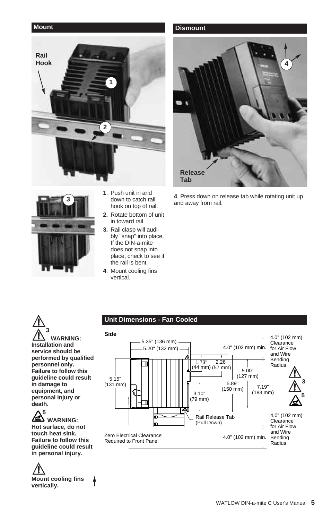



- **1**. Push unit in and down to catch rail hook on top of rail.
- **2.** Rotate bottom of unit in toward rail.
- **3.** Rail clasp will audibly "snap" into place. If the DIN-a-mite does not snap into place, check to see if the rail is bent.
- **4**. Mount cooling fins vertical.

#### **Mount Dismount**



**4**. Press down on release tab while rotating unit up and away from rail.

#### $\mathbb{A}$  $\triangle^3$ **WARNING: Installation and service should be performed by qualified personnel only. Failure to follow this guideline could result in damage to equipment, and personal injury or death.**

#### **5 WARNING: Hot surface, do not touch heat sink. Failure to follow this guideline could result in personal injury.**

 $\mathbb{A}$ **Mount cooling fins vertically.**

#### **Unit Dimensions - Fan Cooled**

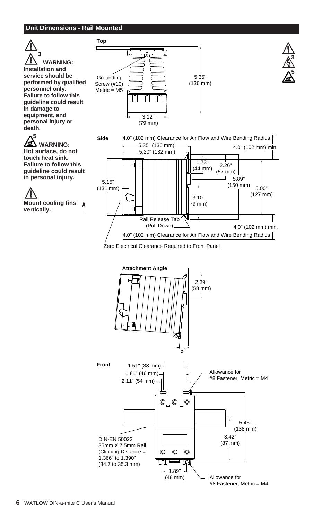#### **Unit Dimensions - Rail Mounted**





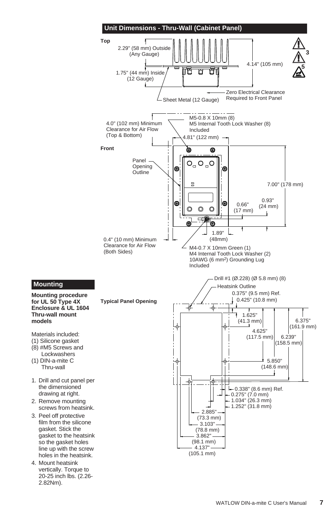

**Mounting procedure for UL 50 Type 4X Enclosure & UL 1604 Thru-wall mount models**

Materials included:

**Mounting**

- (1) Silicone gasket (8) #M5 Screws and Lockwashers
- (1) DIN-a-mite C Thru-wall
- 1. Drill and cut panel per the dimensioned drawing at right.
- 2. Remove mounting screws from heatsink.
- 3. Peel off protective film from the silicone gasket. Stick the gasket to the heatsink so the gasket holes line up with the screw holes in the heatsink.
- 4. Mount heatsink vertically. Torque to 20-25 inch lbs. (2.26- 2.82Nm).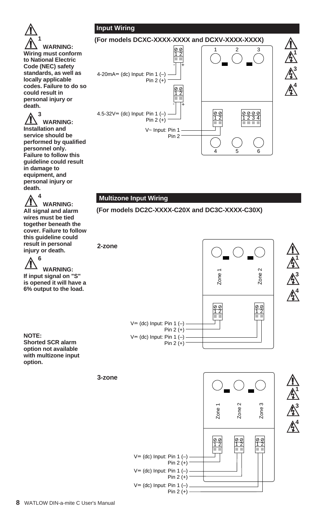### **Input Wiring**



 $\triangle^3$ **WARNING: Installation and service should be performed by qualified personnel only. Failure to follow this guideline could result in damage to equipment, and personal injury or death.**

 $\triangle^4$ **WARNING: All signal and alarm wires must be tied together beneath the cover. Failure to follow this guideline could result in personal injury or death.**

 $\triangle^6$ **WARNING: If input signal on "S" is opened it will have a 6% output to the load.**

**NOTE: Shorted SCR alarm option not available with multizone input option.**



#### **Multizone Input Wiring**





 $\mathbb{A}$ ∫**<sup>1</sup>**

∫**<sup>3</sup>**

∫**<sup>4</sup>**

 $V = (dc)$  Input: Pin 1  $(-)$ Pin  $2 (+)$ 00<br>12 12 Zone 1 Zone 2 Zone 3  $V = (dc)$  Input: Pin 1  $(-)$ Pin 2 (+)  $V = (dc)$  Input: Pin 1  $(-)$ Pin  $2 (+) -$ 

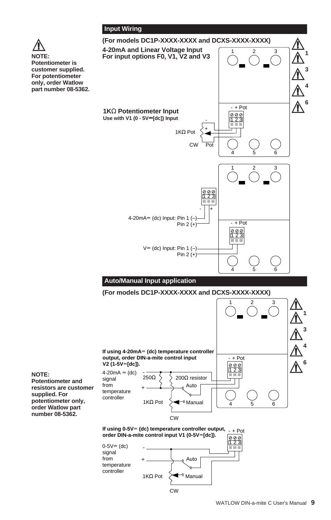



CW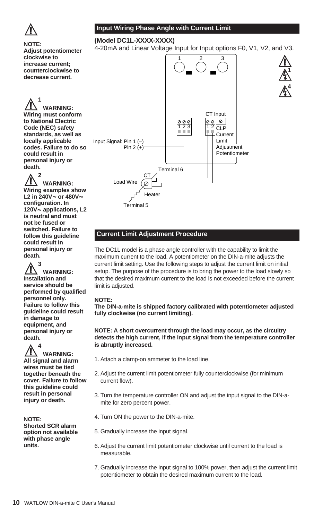

**NOTE:**

**clockwise to increase current; counterclockwise to decrease current.**

### **Input Wiring Phase Angle with Current Limit**

#### **(Model DC1L-XXXX-XXXX)**

4-20mA and Linear Voltage Input for Input options F0, V1, V2, and V3.

 $\mathbb{A}$ ∫**<sup>1</sup>**

∫**<sup>4</sup>**



#### **Current Limit Adjustment Procedure**

The DC1L model is a phase angle controller with the capability to limit the maximum current to the load. A potentiometer on the DIN-a-mite adjusts the current limit setting. Use the following steps to adjust the current limit on initial setup. The purpose of the procedure is to bring the power to the load slowly so that the desired maximum current to the load is not exceeded before the current limit is adjusted.

#### **NOTE:**

**The DIN-a-mite is shipped factory calibrated with potentiometer adjusted fully clockwise (no current limiting).**

#### **NOTE: A short overcurrent through the load may occur, as the circuitry detects the high current, if the input signal from the temperature controller is abruptly increased.**

- 1. Attach a clamp-on ammeter to the load line.
- 2. Adjust the current limit potentiometer fully counterclockwise (for minimum current flow).
- 3. Turn the temperature controller ON and adjust the input signal to the DIN-amite for zero percent power.
- 4. Turn ON the power to the DIN-a-mite.
- 5. Gradually increase the input signal.
- 6. Adjust the current limit potentiometer clockwise until current to the load is measurable.
- 7. Gradually increase the input signal to 100% power, then adjust the current limit potentiometer to obtain the desired maximum current to the load.

 $\triangle^1$ **WARNING: Wiring must conform to National Electric Code (NEC) safety standards, as well as locally applicable codes. Failure to do so could result in personal injury or death.**

**Adjust potentiometer**

 $\triangle^2$ **WARNING: Wiring examples show** L<sub>2</sub> in 240V $\sim$  or 480V $\sim$ **configuration. In 120V**Å **applications, L2 is neutral and must not be fused or switched. Failure to follow this guideline could result in personal injury or death.**

 $\triangle^3$ **WARNING: Installation and service should be performed by qualified personnel only. Failure to follow this guideline could result in damage to equipment, and personal injury or death.**

 $\triangle^4$ **WARNING: All signal and alarm wires must be tied together beneath the cover. Failure to follow this guideline could result in personal injury or death.**

#### **NOTE:**

**Shorted SCR alarm option not available with phase angle units.**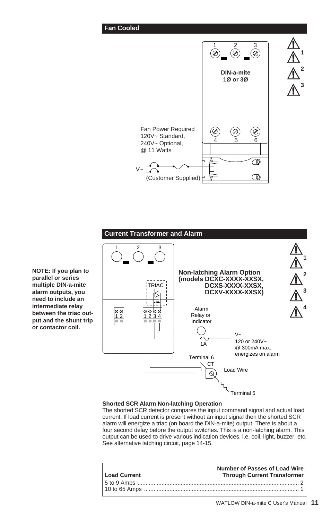#### **Fan Cooled**



**Current Transformer and Alarm**  $\mathbb{A}$ 1 2 3  $\triangle^1$ **Non-latching Alarm Option**  $\triangle^2$ **(models DCXC-XXXX-XXSX,** TRIAC **DCXS-XXXX-XXSX,**  $\triangle^3$ **DCXV-XXXX-XXSX)**  $\triangle^4$ Alarm 1 2 1 2 3 4 Relay or Indicator  $V_{\sim}$ 120 or 240V~  $1\overline{A}$ @ 300mA max. energizes on alarm Terminal 6 CT Load Wire  $\infty$ Terminal 5

#### **Shorted SCR Alarm Non-latching Operation**

The shorted SCR detector compares the input command signal and actual load current. If load current is present without an input signal then the shorted SCR alarm will energize a triac (on board the DIN-a-mite) output. There is about a four second delay before the output switches. This is a non-latching alarm. This output can be used to drive various indication devices, i.e. coil, light, buzzer, etc. See alternative latching circuit, page 14-15.

| Load Current | <b>Number of Passes of Load Wire</b><br><b>Through Current Transformer</b> |
|--------------|----------------------------------------------------------------------------|
|              |                                                                            |
|              |                                                                            |

**NOTE: If you plan to parallel or series multiple DIN-a-mite alarm outputs, you need to include an intermediate relay between the triac output and the shunt trip or contactor coil.**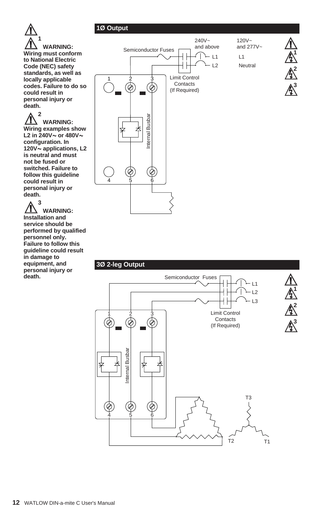

 $\bigwedge^2$ **WARNING: Wiring examples show** L2 in  $240V \sim$  or  $480V \sim$ **configuration. In 120V**Å **applications, L2 is neutral and must not be fused or switched. Failure to follow this guideline could result in personal injury or death.**

ç**<sup>3</sup> WARNING: Installation and service should be performed by qualified personnel only. Failure to follow this guideline could result in damage to equipment, and personal injury or death.**

### 120V~ 240V~  $\mathbb{A}$ and above and 277V~ Semiconductor Fuses ∫**<sup>1</sup>**  $-L1$  $\overline{1}$ L2 Neutral ∫**<sup>2</sup>** Limit Control 1 2 3 **Contacts** ∫**<sup>3</sup>** (¢ (If Required) Internal Busbar Internal Busbar  $\bigcirc$ 4 5 6

### **3Ø 2-leg Output**

ç **1Ø Output**

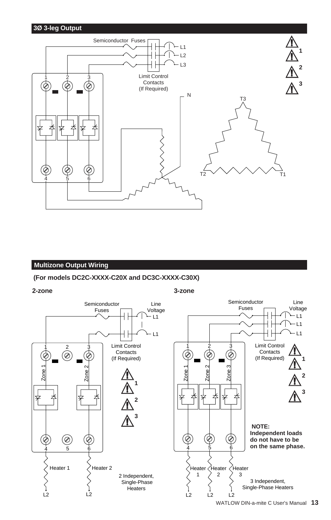### **3Ø 3-leg Output**



#### **Multizone Output Wiring**

#### **(For models DC2C-XXXX-C20X and DC3C-XXXX-C30X)**

**2-zone**

#### **3-zone**

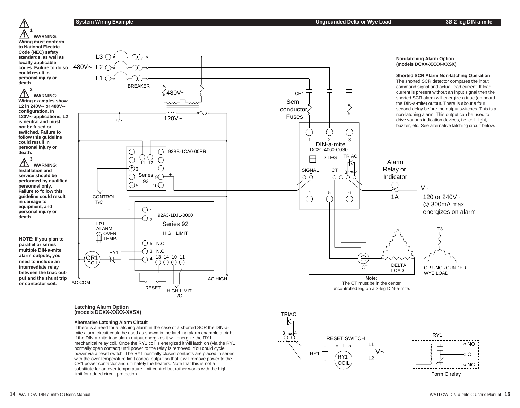$\mathbb{A}$  $\triangle^1$ **WARNING: Wiring must conform to National Electric Code (NEC) safety standards, as well as locally applicable codes. Failure to do so could result in personal injury or death.**

 $\triangle^2$ **WARNING: Wiring examples show** L<sub>2</sub> in 240V $\sim$  or 480V $\sim$ **configuration. In 120V**Å **applications, L2 is neutral and must not be fused or switched. Failure to follow this guideline could result in personal injury or death.**

 $\triangle^3$ **WARNING: Installation and service should be performed by qualified personnel only. Failure to follow this guideline could result in damage to equipment, and personal injury or death.**

**NOTE: If you plan to parallel or series multiple DIN-a-mite alarm outputs, you need to include an intermediate relay between the triac output and the shunt trip or contactor coil.**



#### **Latching Alarm Option (models DCXX-XXXX-XXSX)**

#### **Alternative Latching Alarm Circuit**

If there is a need for a latching alarm in the case of a shorted SCR the DIN-amite alarm circuit could be used as shown in the latching alarm example at right. If the DIN-a-mite triac alarm output energizes it will energize the RY1 mechanical relay coil. Once the RY1 coil is energized it will latch on (via the RY1 normally open contact) until power to the relay is removed. You could cycle power via a reset switch. The RY1 normally closed contacts are placed in series with the over temperature limit control output so that it will remove power to the CR1 power contactor and ultimately the heaters. Note that this is not a substitute for an over temperature limit control but rather works with the high limit for added circuit protection.



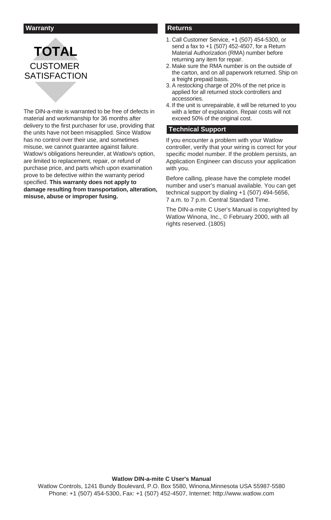#### **Warranty Returns**

# **TOTAL** CUSTOMER **SATISFACTION**

The DIN-a-mite is warranted to be free of defects in material and workmanship for 36 months after delivery to the first purchaser for use, providing that the units have not been misapplied. Since Watlow has no control over their use, and sometimes misuse, we cannot guarantee against failure. Watlow's obligations hereunder, at Watlow's option, are limited to replacement, repair, or refund of purchase price, and parts which upon examination prove to be defective within the warranty period specified. **This warranty does not apply to damage resulting from transportation, alteration, misuse, abuse or improper fusing.**

- 1. Call Customer Service, +1 (507) 454-5300, or send a fax to +1 (507) 452-4507, for a Return Material Authorization (RMA) number before returning any item for repair.
- 2. Make sure the RMA number is on the outside of the carton, and on all paperwork returned. Ship on a freight prepaid basis.
- 3. A restocking charge of 20% of the net price is applied for all returned stock controllers and accessories.
- 4. If the unit is unrepairable, it will be returned to you with a letter of explanation. Repair costs will not exceed 50% of the original cost.

#### **Technical Support**

If you encounter a problem with your Watlow controller, verify that your wiring is correct for your specific model number. If the problem persists, an Application Engineer can discuss your application with you.

Before calling, please have the complete model number and user's manual available. You can get technical support by dialing +1 (507) 494-5656, 7 a.m. to 7 p.m. Central Standard Time.

The DIN-a-mite C User's Manual is copyrighted by Watlow Winona, Inc., © February 2000, with all rights reserved. (1805)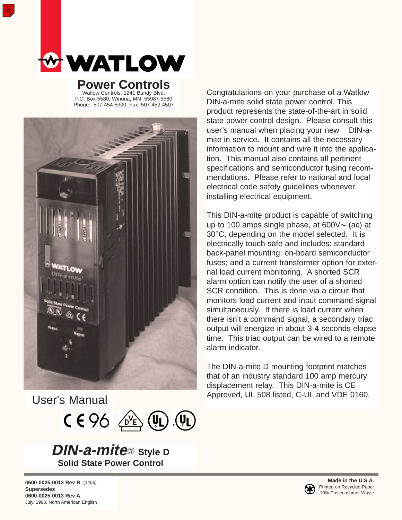

**Power Controls** Watlow Controls, 1241 Bundy Blvd. P.O. Box 5580, Winona, MN 55987-5580 Phone: 507-454-5300, Fax: 507-452-4507



User's Manual



**DIN-a-mite**® **Style D Solid State Power Control**

Congratulations on your purchase of a Watlow DIN-a-mite solid state power control. This product represents the state-of-the-art in solid state power control design. Please consult this user's manual when placing your new DIN-amite in service. It contains all the necessary information to mount and wire it into the application. This manual also contains all pertinent specifications and semiconductor fusing recommendations. Please refer to national and local electrical code safety guidelines whenever installing electrical equipment.

This DIN-a-mite product is capable of switching up to 100 amps single phase, at  $600V \sim$  (ac) at 30°C, depending on the model selected. It is electrically touch-safe and includes: standard back-panel mounting; on-board semiconductor fuses; and a current transformer option for external load current monitoring. A shorted SCR alarm option can notify the user of a shorted SCR condition. This is done via a circuit that monitors load current and input command signal simultaneously. If there is load current when there isn't a command signal, a secondary triac output will energize in about 3-4 seconds elapse time. This triac output can be wired to a remote alarm indicator.

The DIN-a-mite D mounting footprint matches that of an industry standard 100 amp mercury displacement relay. This DIN-a-mite is CE Approved, UL 508 listed, C-UL and VDE 0160.

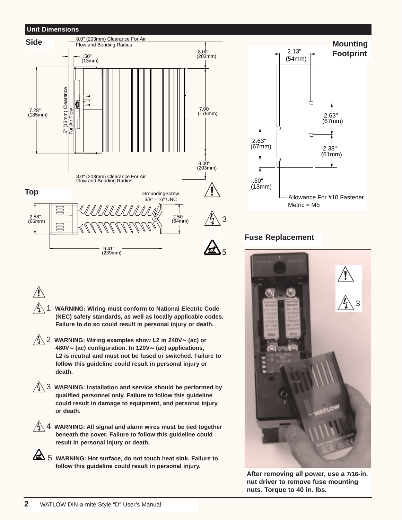### **Unit Dimensions**



# Allowance For #10 Fastener  $Metric = M5$  2.13" (54mm) .50" (13mm) 2.63" (67mm) 2.63" (67mm) 2.38" (61mm) **Footprint**

## **Fuse Replacement**



**After removing all power, use a 7/16-in. nut driver to remove fuse mounting nuts. Torque to 40 in. lbs.**



∫<sup>1</sup> **WARNING: Wiring must conform to National Electric Code (NEC) safety standards, as well as locally applicable codes. Failure to do so could result in personal injury or death.** 

∫<sup>2</sup> **WARNING: Wiring examples show L2 in 240V**<sup>Å</sup> **(ac) or 480V**Å **(ac) configuration. In 120V**Å **(ac) applications, L2 is neutral and must not be fused or switched. Failure to follow this guideline could result in personal injury or death.** 

∫<sup>3</sup> **WARNING: Installation and service should be performed by qualified personnel only. Failure to follow this guideline could result in damage to equipment, and personal injury or death.** 



∫<sup>4</sup> **WARNING: All signal and alarm wires must be tied together beneath the cover. Failure to follow this guideline could result in personal injury or death.** 

5 WARNING: Hot surface, do not touch heat sink. Failure to **follow this guideline could result in personal injury.**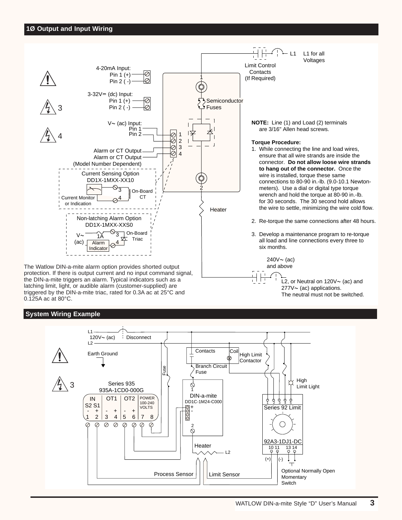

protection. If there is output current and no input command signal, the DIN-a-mite triggers an alarm. Typical indicators such as a latching limit, light, or audible alarm (customer-supplied) are triggered by the DIN-a-mite triac, rated for 0.3A ac at 25°C and 0.125A ac at 80°C.

### **System Wiring Example**



L2, or Neutral on  $120V \sim$  (ac) and  $277V \sim$  (ac) applications. The neutral must not be switched.